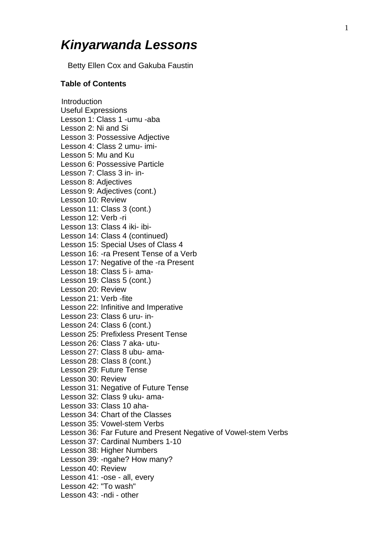# *Kinyarwanda Lessons*

Betty Ellen Cox and Gakuba Faustin

#### **Table of Contents**

**Introduction**  Useful Expressions Lesson 1: Class 1 -umu -aba Lesson 2: Ni and Si Lesson 3: Possessive Adjective Lesson 4: Class 2 umu- imi- Lesson 5: Mu and Ku Lesson 6: Possessive Particle Lesson 7: Class 3 in- in- Lesson 8: Adjectives Lesson 9: Adjectives (cont.) Lesson 10: Review Lesson 11: Class 3 (cont.) Lesson 12: Verb -ri Lesson 13: Class 4 iki- ibi- Lesson 14: Class 4 (continued) Lesson 15: Special Uses of Class 4 Lesson 16: -ra Present Tense of a Verb Lesson 17: Negative of the -ra Present Lesson 18: Class 5 i- ama- Lesson 19: Class 5 (cont.) Lesson 20: Review Lesson 21: Verb -fite Lesson 22: Infinitive and Imperative Lesson 23: Class 6 uru- in- Lesson 24: Class 6 (cont.) Lesson 25: Prefixless Present Tense Lesson 26: Class 7 aka- utu- Lesson 27: Class 8 ubu- ama- Lesson 28: Class 8 (cont.) Lesson 29: Future Tense Lesson 30: Review Lesson 31: Negative of Future Tense Lesson 32: Class 9 uku- ama- Lesson 33: Class 10 aha- Lesson 34: Chart of the Classes Lesson 35: Vowel-stem Verbs Lesson 36: Far Future and Present Negative of Vowel-stem Verbs Lesson 37: Cardinal Numbers 1-10 Lesson 38: Higher Numbers Lesson 39: -ngahe? How many? Lesson 40: Review Lesson 41: -ose - all, every Lesson 42: "To wash" Lesson 43: -ndi - other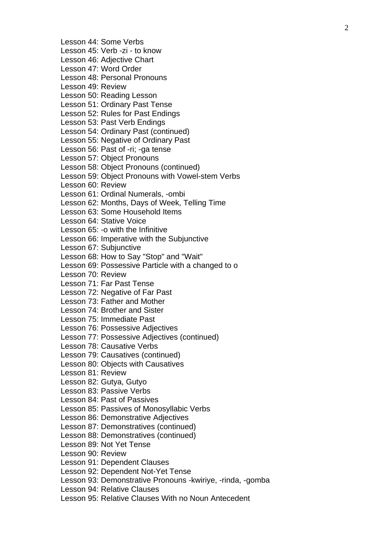Lesson 44: Some Verbs Lesson 45: Verb -zi - to know Lesson 46: Adjective Chart Lesson 47: Word Order Lesson 48: Personal Pronouns Lesson 49: Review Lesson 50: Reading Lesson Lesson 51: Ordinary Past Tense Lesson 52: Rules for Past Endings Lesson 53: Past Verb Endings Lesson 54: Ordinary Past (continued) Lesson 55: Negative of Ordinary Past Lesson 56: Past of -ri; -ga tense Lesson 57: Object Pronouns Lesson 58: Object Pronouns (continued) Lesson 59: Object Pronouns with Vowel-stem Verbs Lesson 60: Review Lesson 61: Ordinal Numerals, -ombi Lesson 62: Months, Days of Week, Telling Time Lesson 63: Some Household Items Lesson 64: Stative Voice Lesson 65: -o with the Infinitive Lesson 66: Imperative with the Subjunctive Lesson 67: Subjunctive Lesson 68: How to Say "Stop" and "Wait" Lesson 69: Possessive Particle with a changed to o Lesson 70: Review Lesson 71: Far Past Tense Lesson 72: Negative of Far Past Lesson 73: Father and Mother Lesson 74: Brother and Sister Lesson 75: Immediate Past Lesson 76: Possessive Adjectives Lesson 77: Possessive Adjectives (continued) Lesson 78: Causative Verbs Lesson 79: Causatives (continued) Lesson 80: Objects with Causatives Lesson 81: Review Lesson 82: Gutya, Gutyo Lesson 83: Passive Verbs Lesson 84: Past of Passives Lesson 85: Passives of Monosyllabic Verbs Lesson 86: Demonstrative Adjectives Lesson 87: Demonstratives (continued) Lesson 88: Demonstratives (continued) Lesson 89: Not Yet Tense Lesson 90: Review Lesson 91: Dependent Clauses Lesson 92: Dependent Not-Yet Tense Lesson 93: Demonstrative Pronouns -kwiriye, -rinda, -gomba Lesson 94: Relative Clauses Lesson 95: Relative Clauses With no Noun Antecedent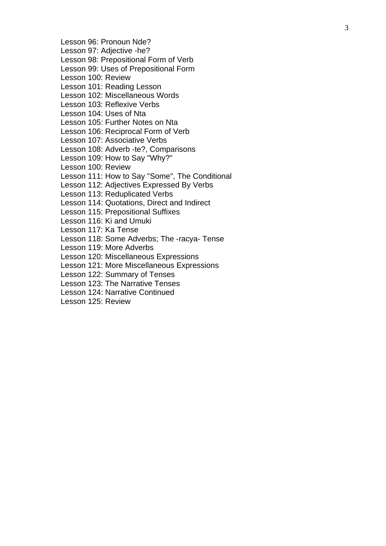- Lesson 96: Pronoun Nde?
- Lesson 97: Adjective -he?
- Lesson 98: Prepositional Form of Verb
- Lesson 99: Uses of Prepositional Form
- Lesson 100: Review
- Lesson 101: Reading Lesson
- Lesson 102: Miscellaneous Words
- Lesson 103: Reflexive Verbs
- Lesson 104: Uses of Nta
- Lesson 105: Further Notes on Nta
- Lesson 106: Reciprocal Form of Verb
- Lesson 107: Associative Verbs
- Lesson 108: Adverb -te?, Comparisons
- Lesson 109: How to Say "Why?"
- Lesson 100: Review
- Lesson 111: How to Say "Some", The Conditional
- Lesson 112: Adjectives Expressed By Verbs
- Lesson 113: Reduplicated Verbs
- Lesson 114: Quotations, Direct and Indirect
- Lesson 115: Prepositional Suffixes
- Lesson 116: Ki and Umuki
- Lesson 117: Ka Tense
- Lesson 118: Some Adverbs; The -racya- Tense
- Lesson 119: More Adverbs
- Lesson 120: Miscellaneous Expressions
- Lesson 121: More Miscellaneous Expressions
- Lesson 122: Summary of Tenses
- Lesson 123: The Narrative Tenses
- Lesson 124: Narrative Continued
- Lesson 125: Review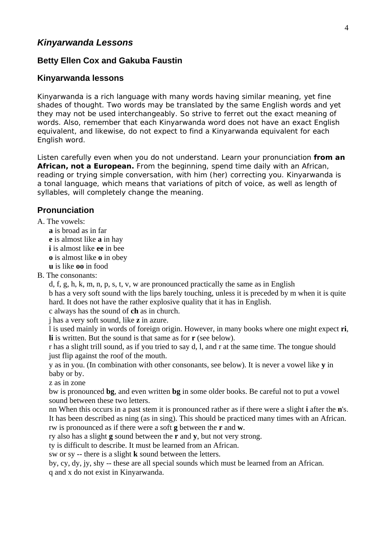# *Kinyarwanda Lessons*

### **Betty Ellen Cox and Gakuba Faustin**

#### **Kinyarwanda lessons**

Kinyarwanda is a rich language with many words having similar meaning, yet fine shades of thought. Two words may be translated by the same English words and yet they may not be used interchangeably. So strive to ferret out the exact meaning of words. Also, remember that each Kinyarwanda word does not have an exact English equivalent, and likewise, do not expect to find a Kinyarwanda equivalent for each English word.

Listen carefully even when you do not understand. Learn your pronunciation **from an African, not a European.** From the beginning, spend time daily with an African, reading or trying simple conversation, with him (her) correcting you. Kinyarwanda is a tonal language, which means that variations of pitch of voice, as well as length of syllables, will completely change the meaning.

### **Pronunciation**

A. The vowels:

**a** is broad as in far

**e** is almost like **a** in hay

**i** is almost like **ee** in bee

- **o** is almost like **o** in obey
- **u** is like **oo** in food
- B. The consonants:

d, f, g, h, k, m, n, p, s, t, v, w are pronounced practically the same as in English b has a very soft sound with the lips barely touching, unless it is preceded by m when it is quite hard. It does not have the rather explosive quality that it has in English.

c always has the sound of **ch** as in church.

j has a very soft sound, like **z** in azure.

l is used mainly in words of foreign origin. However, in many books where one might expect **ri**, **li** is written. But the sound is that same as for **r** (see below).

r has a slight trill sound, as if you tried to say d, l, and r at the same time. The tongue should just flip against the roof of the mouth.

y as in you. (In combination with other consonants, see below). It is never a vowel like **y** in baby or by.

z as in zone

bw is pronounced **bg**, and even written **bg** in some older books. Be careful not to put a vowel sound between these two letters.

nn When this occurs in a past stem it is pronounced rather as if there were a slight **i** after the **n**'s. It has been described as ning (as in sing). This should be practiced many times with an African. rw is pronounced as if there were a soft **g** between the **r** and **w**.

ry also has a slight **g** sound between the **r** and **y**, but not very strong.

ty is difficult to describe. It must be learned from an African.

sw or sy -- there is a slight **k** sound between the letters.

by, cy, dy, jy, shy -- these are all special sounds which must be learned from an African.

q and x do not exist in Kinyarwanda.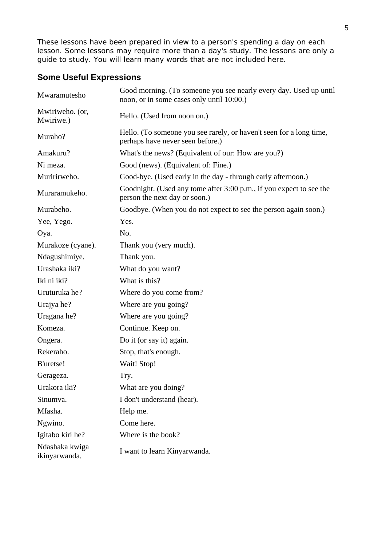These lessons have been prepared in view to a person's spending a day on each lesson. Some lessons may require more than a day's study. The lessons are only a guide to study. You will learn many words that are not included here.

# **Some Useful Expressions**

| Mwaramutesho                    | Good morning. (To someone you see nearly every day. Used up until<br>noon, or in some cases only until 10:00.) |
|---------------------------------|----------------------------------------------------------------------------------------------------------------|
| Mwiriweho. (or,<br>Mwiriwe.)    | Hello. (Used from noon on.)                                                                                    |
| Muraho?                         | Hello. (To someone you see rarely, or haven't seen for a long time,<br>perhaps have never seen before.)        |
| Amakuru?                        | What's the news? (Equivalent of our: How are you?)                                                             |
| Ni meza.                        | Good (news). (Equivalent of: Fine.)                                                                            |
| Muririrweho.                    | Good-bye. (Used early in the day - through early afternoon.)                                                   |
| Muraramukeho.                   | Goodnight. (Used any tome after 3:00 p.m., if you expect to see the<br>person the next day or soon.)           |
| Murabeho.                       | Goodbye. (When you do not expect to see the person again soon.)                                                |
| Yee, Yego.                      | Yes.                                                                                                           |
| Oya.                            | No.                                                                                                            |
| Murakoze (cyane).               | Thank you (very much).                                                                                         |
| Ndagushimiye.                   | Thank you.                                                                                                     |
| Urashaka iki?                   | What do you want?                                                                                              |
| Iki ni iki?                     | What is this?                                                                                                  |
| Uruturuka he?                   | Where do you come from?                                                                                        |
| Urajya he?                      | Where are you going?                                                                                           |
| Uragana he?                     | Where are you going?                                                                                           |
| Komeza.                         | Continue. Keep on.                                                                                             |
| Ongera.                         | Do it (or say it) again.                                                                                       |
| Rekeraho.                       | Stop, that's enough.                                                                                           |
| B'uretse!                       | Wait! Stop!                                                                                                    |
| Gerageza.                       | Try.                                                                                                           |
| Urakora iki?                    | What are you doing?                                                                                            |
| Sinumva.                        | I don't understand (hear).                                                                                     |
| Mfasha.                         | Help me.                                                                                                       |
| Ngwino.                         | Come here.                                                                                                     |
| Igitabo kiri he?                | Where is the book?                                                                                             |
| Ndashaka kwiga<br>ikinyarwanda. | I want to learn Kinyarwanda.                                                                                   |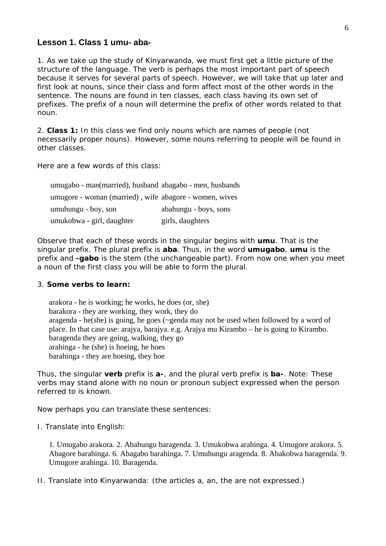#### **Lesson 1. Class 1 umu- aba-**

1. As we take up the study of Kinyarwanda, we must first get a little picture of the structure of the language. The verb is perhaps the most important part of speech because it serves for several parts of speech. However, we will take that up later and first look at nouns, since their class and form affect most of the other words in the sentence. The nouns are found in ten classes, each class having its own set of prefixes. The prefix of a noun will determine the prefix of other words related to that noun.

2. **Class 1:** In this class we find only nouns which are names of people (not necessarily proper nouns). However, some nouns referring to people will be found in other classes.

Here are a few words of this class:

| umugabo - man(married), husband abagabo - men, husbands |                       |
|---------------------------------------------------------|-----------------------|
| umugore - woman (married), wife abagore - women, wives  |                       |
| umuhungu - boy, son                                     | abahungu - boys, sons |
| umukobwa - girl, daughter                               | girls, daughters      |

Observe that each of these words in the singular begins with **umu**. That is the singular prefix. The plural prefix is **aba**. Thus, in the word **umugabo**, **umu** is the prefix and **-gabo** is the stem (the unchangeable part). From now one when you meet a noun of the first class you will be able to form the plural.

#### 3. **Some verbs to learn:**

arakora - he is working; he works, he does (or, she) barakora - they are working, they work, they do aragenda - he(she) is going, he goes (~genda may not be used when followed by a word of place. In that case use: arajya, barajya. e.g. Arajya mu Kirambo – he is going to Kirambo. baragenda they are going, walking, they go arahinga - he (she) is hoeing, he hoes barahinga - they are hoeing, they hoe

Thus, the singular **verb** prefix is **a-**, and the plural verb prefix is **ba-**. Note: These verbs may stand alone with no noun or pronoun subject expressed when the person referred to is known.

Now perhaps you can translate these sentences:

I. Translate into English:

1. Umugabo arakora. 2. Abahungu baragenda. 3. Umukobwa arahinga. 4. Umugore arakora. 5. Abagore barahinga. 6. Abagabo barahinga. 7. Umuhungu aragenda. 8. Abakobwa baragenda. 9. Umugore arahinga. 10. Baragenda.

II. Translate into Kinyarwanda: (the articles a, an, the are not expressed.)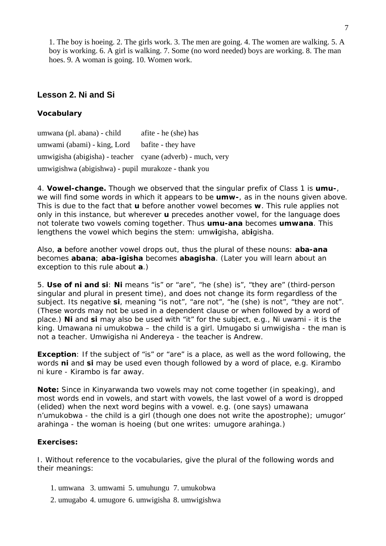1. The boy is hoeing. 2. The girls work. 3. The men are going. 4. The women are walking. 5. A boy is working. 6. A girl is walking. 7. Some (no word needed) boys are working. 8. The man hoes. 9. A woman is going. 10. Women work.

### **Lesson 2. Ni and Si**

#### **Vocabulary**

umwana (pl. abana) - child afite - he (she) has umwami (abami) - king, Lord bafite - they have umwigisha (abigisha) - teacher cyane (adverb) - much, very umwigishwa (abigishwa) - pupil murakoze - thank you

4. **Vowel-change.** Though we observed that the singular prefix of Class 1 is **umu-**, we will find some words in which it appears to be **umw-**, as in the nouns given above. This is due to the fact that **u** before another vowel becomes **w**. This rule applies not only in this instance, but wherever **u** precedes another vowel, for the language does not tolerate two vowels coming together. Thus **umu-ana** becomes **umwana**. This lengthens the vowel which begins the stem: umw**i**gisha, ab**i**gisha.

Also, **a** before another vowel drops out, thus the plural of these nouns: **aba-ana** becomes **abana**; **aba-igisha** becomes **abagisha**. (Later you will learn about an exception to this rule about **a**.)

5. **Use of ni and si**: **Ni** means "is" or "are", "he (she) is", "they are" (third-person singular and plural in present time), and does not change its form regardless of the subject. Its negative **si**, meaning "is not", "are not", "he (she) is not", "they are not". (These words may not be used in a dependent clause or when followed by a word of place.) **Ni** and **si** may also be used with "it" for the subject, e.g., Ni uwami - it is the king. Umawana ni umukobwa – the child is a girl. Umugabo si umwigisha - the man is not a teacher. Umwigisha ni Andereya - the teacher is Andrew.

**Exception**: If the subject of "is" or "are" is a place, as well as the word following, the words **ni** and **si** may be used even though followed by a word of place, e.g. Kirambo ni kure - Kirambo is far away.

**Note:** Since in Kinyarwanda two vowels may not come together (in speaking), and most words end in vowels, and start with vowels, the last vowel of a word is dropped (elided) when the next word begins with a vowel. e.g. (one says) umawana n'umukobwa - the child is a girl (though one does not write the apostrophe); umugor' arahinga - the woman is hoeing (but one writes: umugore arahinga.)

#### **Exercises:**

I. Without reference to the vocabularies, give the plural of the following words and their meanings:

- 1. umwana 3. umwami 5. umuhungu 7. umukobwa
- 2. umugabo 4. umugore 6. umwigisha 8. umwigishwa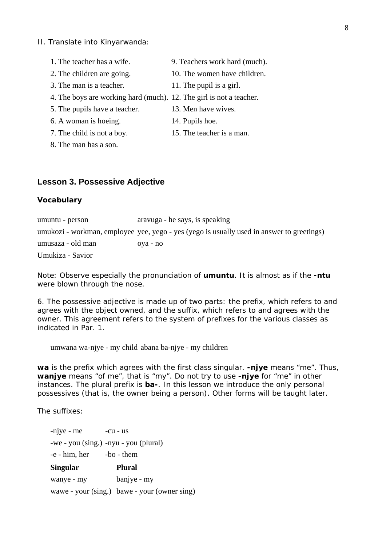#### II. Translate into Kinyarwanda:

- 1. The teacher has a wife. 9. Teachers work hard (much).
- 2. The children are going. 10. The women have children.
- 3. The man is a teacher. 11. The pupil is a girl.
- 4. The boys are working hard (much). 12. The girl is not a teacher.
- 5. The pupils have a teacher. 13. Men have wives.
- 6. A woman is hoeing. 14. Pupils hoe.
- 7. The child is not a boy. 15. The teacher is a man.
- 8. The man has a son.

#### **Lesson 3. Possessive Adjective**

#### **Vocabulary**

umuntu - person aravuga - he says, is speaking umukozi - workman, employee yee, yego - yes (yego is usually used in answer to greetings) umusaza - old man oya - no Umukiza - Savior

Note: Observe especially the pronunciation of **umuntu**. It is almost as if the **-ntu** were blown through the nose.

6. The possessive adjective is made up of two parts: the prefix, which refers to and agrees with the object owned, and the suffix, which refers to and agrees with the owner. This agreement refers to the system of prefixes for the various classes as indicated in Par. 1.

umwana wa-njye - my child abana ba-njye - my children

**wa** is the prefix which agrees with the first class singular. **-njye** means "me". Thus, **wanjye** means "of me", that is "my". Do not try to use **-njye** for "me" in other instances. The plural prefix is **ba-**. In this lesson we introduce the only personal possessives (that is, the owner being a person). Other forms will be taught later.

The suffixes:

-njye - me -cu - us -we - you (sing.) -nyu - you (plural) -e - him, her -bo - them **Singular Plural** wanye - my banjye - my wawe - your (sing.) bawe - your (owner sing)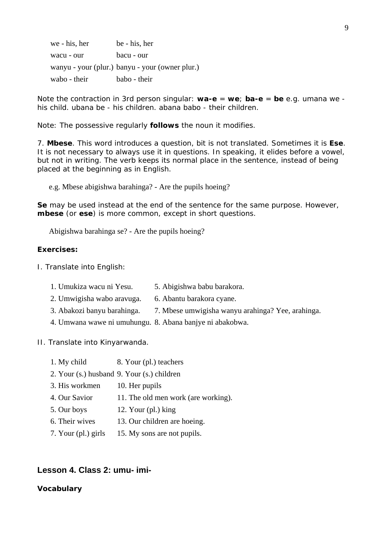| we - his, her | be - his, her                                   |
|---------------|-------------------------------------------------|
| wacu - our    | bacu - our                                      |
|               | wanyu - your (plur.) banyu - your (owner plur.) |
| wabo - their  | babo - their                                    |

Note the contraction in 3rd person singular: **wa-e** = **we**; **ba-e** = **be** e.g. umana we his child. ubana be - his children. abana babo - their children.

Note: The possessive regularly **follows** the noun it modifies.

7. **Mbese**. This word introduces a question, bit is not translated. Sometimes it is **Ese**. It is not necessary to always use it in questions. In speaking, it elides before a vowel, but not in writing. The verb keeps its normal place in the sentence, instead of being placed at the beginning as in English.

e.g. Mbese abigishwa barahinga? - Are the pupils hoeing?

**Se** may be used instead at the end of the sentence for the same purpose. However, **mbese** (or **ese**) is more common, except in short questions.

Abigishwa barahinga se? - Are the pupils hoeing?

#### **Exercises:**

I. Translate into English:

- 1. Umukiza wacu ni Yesu. 5. Abigishwa babu barakora.
- 2. Umwigisha wabo aravuga. 6. Abantu barakora cyane.
- 3. Abakozi banyu barahinga. 7. Mbese umwigisha wanyu arahinga? Yee, arahinga.
- 4. Umwana wawe ni umuhungu. 8. Abana banjye ni abakobwa.

II. Translate into Kinyarwanda.

- 1. My child 8. Your (pl.) teachers
- 2. Your (s.) husband 9. Your (s.) children
- 3. His workmen 10. Her pupils
- 4. Our Savior 11. The old men work (are working).
- 5. Our boys 12. Your (pl.) king
- 6. Their wives 13. Our children are hoeing.
- 7. Your (pl.) girls 15. My sons are not pupils.

### **Lesson 4. Class 2: umu- imi-**

#### **Vocabulary**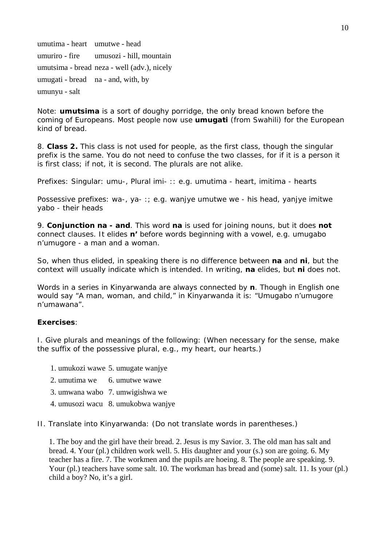umutima - heart umutwe - head umuriro - fire umusozi - hill, mountain umutsima - bread neza - well (adv.), nicely umugati - bread na - and, with, by umunyu - salt

Note: **umutsima** is a sort of doughy porridge, the only bread known before the coming of Europeans. Most people now use **umugati** (from Swahili) for the European kind of bread.

8. **Class 2.** This class is not used for people, as the first class, though the singular prefix is the same. You do not need to confuse the two classes, for if it is a person it is first class; if not, it is second. The plurals are not alike.

Prefixes: Singular: umu-, Plural imi- :: e.g. umutima - heart, imitima - hearts

Possessive prefixes: wa-, ya-:; e.g. wanjye umutwe we - his head, yanjye imitwe yabo - their heads

9. **Conjunction na - and**. This word **na** is used for joining nouns, but it does **not** connect clauses. It elides **n'** before words beginning with a vowel, e.g. umugabo n'umugore - a man and a woman.

So, when thus elided, in speaking there is no difference between **na** and **ni**, but the context will usually indicate which is intended. In writing, **na** elides, but **ni** does not.

Words in a series in Kinyarwanda are always connected by **n**. Though in English one would say "A man, woman, and child," in Kinyarwanda it is: "Umugabo n'umugore n'umawana".

#### **Exercises**:

I. Give plurals and meanings of the following: (When necessary for the sense, make the suffix of the possessive plural, e.g., my heart, our hearts.)

- 1. umukozi wawe 5. umugate wanjye
- 2. umutima we 6. umutwe wawe
- 3. umwana wabo 7. umwigishwa we
- 4. umusozi wacu 8. umukobwa wanjye

II. Translate into Kinyarwanda: (Do not translate words in parentheses.)

1. The boy and the girl have their bread. 2. Jesus is my Savior. 3. The old man has salt and bread. 4. Your (pl.) children work well. 5. His daughter and your (s.) son are going. 6. My teacher has a fire. 7. The workmen and the pupils are hoeing. 8. The people are speaking. 9. Your (pl.) teachers have some salt. 10. The workman has bread and (some) salt. 11. Is your (pl.) child a boy? No, it's a girl.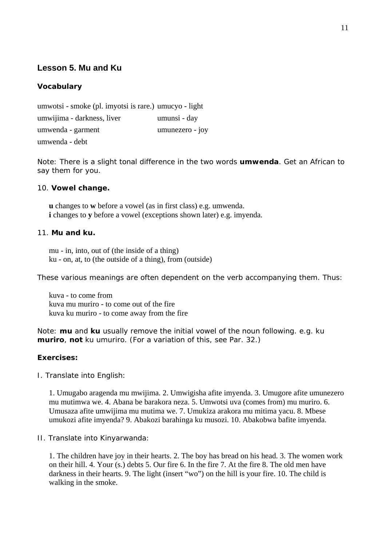# **Lesson 5. Mu and Ku**

### **Vocabulary**

umwotsi - smoke (pl. imyotsi is rare.) umucyo - light umwijima - darkness, liver umunsi - day umwenda - garment umunezero - joy umwenda - debt

Note: There is a slight tonal difference in the two words **umwenda**. Get an African to say them for you.

#### 10. **Vowel change.**

**u** changes to **w** before a vowel (as in first class) e.g. umwenda. **i** changes to **y** before a vowel (exceptions shown later) e.g. imyenda.

#### 11. **Mu and ku.**

mu - in, into, out of (the inside of a thing) ku - on, at, to (the outside of a thing), from (outside)

These various meanings are often dependent on the verb accompanying them. Thus:

kuva - to come from kuva mu muriro - to come out of the fire kuva ku muriro - to come away from the fire

Note: **mu** and **ku** usually remove the initial vowel of the noun following. e.g. ku **muriro**, **not** ku umuriro. (For a variation of this, see Par. 32.)

#### **Exercises:**

I. Translate into English:

1. Umugabo aragenda mu mwijima. 2. Umwigisha afite imyenda. 3. Umugore afite umunezero mu mutimwa we. 4. Abana be barakora neza. 5. Umwotsi uva (comes from) mu muriro. 6. Umusaza afite umwijima mu mutima we. 7. Umukiza arakora mu mitima yacu. 8. Mbese umukozi afite imyenda? 9. Abakozi barahinga ku musozi. 10. Abakobwa bafite imyenda.

II. Translate into Kinyarwanda:

1. The children have joy in their hearts. 2. The boy has bread on his head. 3. The women work on their hill. 4. Your (s.) debts 5. Our fire 6. In the fire 7. At the fire 8. The old men have darkness in their hearts. 9. The light (insert "wo") on the hill is your fire. 10. The child is walking in the smoke.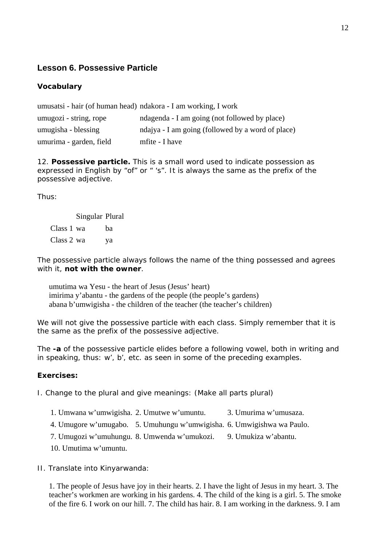# **Lesson 6. Possessive Particle**

#### **Vocabulary**

|                         | umusatsi - hair (of human head) ndakora - I am working, I work |
|-------------------------|----------------------------------------------------------------|
| umugozi - string, rope  | ndagenda - I am going (not followed by place)                  |
| umugisha - blessing     | ndajya - I am going (followed by a word of place)              |
| umurima - garden, field | mfite - I have                                                 |

12. **Possessive particle.** This is a small word used to indicate possession as expressed in English by "of" or " 's". It is always the same as the prefix of the possessive adjective.

Thus:

 Singular Plural Class 1 wa ba Class 2 wa ya

The possessive particle always follows the name of the thing possessed and agrees with it, **not with the owner**.

umutima wa Yesu - the heart of Jesus (Jesus' heart) imirima y'abantu - the gardens of the people (the people's gardens) abana b'umwigisha - the children of the teacher (the teacher's children)

We will not give the possessive particle with each class. Simply remember that it is the same as the prefix of the possessive adjective.

The **-a** of the possessive particle elides before a following vowel, both in writing and in speaking, thus: w', b', etc. as seen in some of the preceding examples.

#### **Exercises:**

I. Change to the plural and give meanings: (Make all parts plural)

1. Umwana w'umwigisha. 2. Umutwe w'umuntu. 3. Umurima w'umusaza.

4. Umugore w'umugabo. 5. Umuhungu w'umwigisha. 6. Umwigishwa wa Paulo.

7. Umugozi w'umuhungu. 8. Umwenda w'umukozi. 9. Umukiza w'abantu.

10. Umutima w'umuntu.

II. Translate into Kinyarwanda:

1. The people of Jesus have joy in their hearts. 2. I have the light of Jesus in my heart. 3. The teacher's workmen are working in his gardens. 4. The child of the king is a girl. 5. The smoke of the fire 6. I work on our hill. 7. The child has hair. 8. I am working in the darkness. 9. I am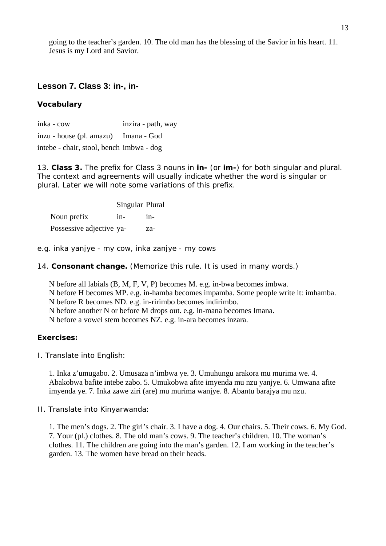going to the teacher's garden. 10. The old man has the blessing of the Savior in his heart. 11. Jesus is my Lord and Savior.

### **Lesson 7. Class 3: in-, in-**

#### **Vocabulary**

inka - cow inzira - path, way inzu - house (pl. amazu) Imana - God intebe - chair, stool, bench imbwa - dog

13. **Class 3.** The prefix for Class 3 nouns in **in-** (or **im-**) for both singular and plural. The context and agreements will usually indicate whether the word is singular or plural. Later we will note some variations of this prefix.

 Singular Plural Noun prefix in- in-Possessive adjective ya- za-

e.g. inka yanjye - my cow, inka zanjye - my cows

14. **Consonant change.** (Memorize this rule. It is used in many words.)

N before all labials (B, M, F, V, P) becomes M. e.g. in-bwa becomes imbwa. N before H becomes MP. e.g. in-hamba becomes impamba. Some people write it: imhamba. N before R becomes ND. e.g. in-ririmbo becomes indirimbo. N before another N or before M drops out. e.g. in-mana becomes Imana. N before a vowel stem becomes NZ. e.g. in-ara becomes inzara.

#### **Exercises:**

I. Translate into English:

1. Inka z'umugabo. 2. Umusaza n'imbwa ye. 3. Umuhungu arakora mu murima we. 4. Abakobwa bafite intebe zabo. 5. Umukobwa afite imyenda mu nzu yanjye. 6. Umwana afite imyenda ye. 7. Inka zawe ziri (are) mu murima wanjye. 8. Abantu barajya mu nzu.

II. Translate into Kinyarwanda:

1. The men's dogs. 2. The girl's chair. 3. I have a dog. 4. Our chairs. 5. Their cows. 6. My God. 7. Your (pl.) clothes. 8. The old man's cows. 9. The teacher's children. 10. The woman's clothes. 11. The children are going into the man's garden. 12. I am working in the teacher's garden. 13. The women have bread on their heads.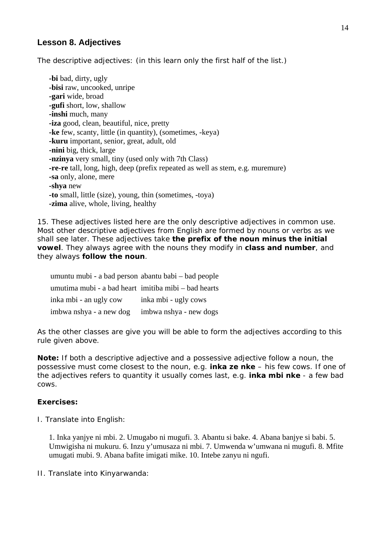# **Lesson 8. Adjectives**

The descriptive adjectives: (in this learn only the first half of the list.)

**-bi** bad, dirty, ugly **-bisi** raw, uncooked, unripe **-gari** wide, broad **-gufi** short, low, shallow **-inshi** much, many **-iza** good, clean, beautiful, nice, pretty **-ke** few, scanty, little (in quantity), (sometimes, -keya) **-kuru** important, senior, great, adult, old **-nini** big, thick, large **-nzinya** very small, tiny (used only with 7th Class) **-re-re** tall, long, high, deep (prefix repeated as well as stem, e.g. muremure) **-sa** only, alone, mere **-shya** new **-to** small, little (size), young, thin (sometimes, -toya) **-zima** alive, whole, living, healthy

15. These adjectives listed here are the only descriptive adjectives in common use. Most other descriptive adjectives from English are formed by nouns or verbs as we shall see later. These adjectives take **the prefix of the noun minus the initial vowel**. They always agree with the nouns they modify in **class and number**, and they always **follow the noun**.

umuntu mubi - a bad person abantu babi – bad people umutima mubi - a bad heart imitiba mibi – bad hearts inka mbi - an ugly cow inka mbi - ugly cows imbwa nshya - a new dog imbwa nshya - new dogs

As the other classes are give you will be able to form the adjectives according to this rule given above.

**Note:** If both a descriptive adjective and a possessive adjective follow a noun, the possessive must come closest to the noun, e.g. **inka ze nke** – his few cows. If one of the adjectives refers to quantity it usually comes last, e.g. **inka mbi nke** - a few bad cows.

#### **Exercises:**

I. Translate into English:

1. Inka yanjye ni mbi. 2. Umugabo ni mugufi. 3. Abantu si bake. 4. Abana banjye si babi. 5. Umwigisha ni mukuru. 6. Inzu y'umusaza ni mbi. 7. Umwenda w'umwana ni mugufi. 8. Mfite umugati mubi. 9. Abana bafite imigati mike. 10. Intebe zanyu ni ngufi.

II. Translate into Kinyarwanda: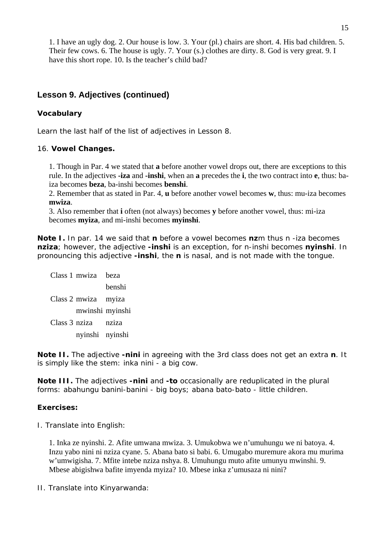1. I have an ugly dog. 2. Our house is low. 3. Your (pl.) chairs are short. 4. His bad children. 5. Their few cows. 6. The house is ugly. 7. Your (s.) clothes are dirty. 8. God is very great. 9. I have this short rope. 10. Is the teacher's child bad?

# **Lesson 9. Adjectives (continued)**

### **Vocabulary**

Learn the last half of the list of adjectives in Lesson 8.

#### 16. **Vowel Changes.**

1. Though in Par. 4 we stated that **a** before another vowel drops out, there are exceptions to this rule. In the adjectives **-iza** and **-inshi**, when an **a** precedes the **i**, the two contract into **e**, thus: baiza becomes **beza**, ba-inshi becomes **benshi**.

2. Remember that as stated in Par. 4, **u** before another vowel becomes **w**, thus: mu-iza becomes **mwiza**.

3. Also remember that **i** often (not always) becomes **y** before another vowel, thus: mi-iza becomes **myiza**, and mi-inshi becomes **myinshi**.

**Note I.** In par. 14 we said that **n** before a vowel becomes **nz**m thus n -iza becomes **nziza**; however, the adjective **-inshi** is an exception, for n-inshi becomes **nyinshi**. In pronouncing this adjective **-inshi**, the **n** is nasal, and is not made with the tongue.

Class 1 mwiza beza benshi Class 2 mwiza myiza mwinshi myinshi Class 3 nziza nziza nyinshi nyinshi

**Note II.** The adjective **-nini** in agreeing with the 3rd class does not get an extra **n**. It is simply like the stem: inka nini - a big cow.

**Note III.** The adjectives **-nini** and **-to** occasionally are reduplicated in the plural forms: abahungu banini-banini - big boys; abana bato-bato - little children.

#### **Exercises:**

I. Translate into English:

1. Inka ze nyinshi. 2. Afite umwana mwiza. 3. Umukobwa we n'umuhungu we ni batoya. 4. Inzu yabo nini ni nziza cyane. 5. Abana bato si babi. 6. Umugabo muremure akora mu murima w'umwigisha. 7. Mfite intebe nziza nshya. 8. Umuhungu muto afite umunyu mwinshi. 9. Mbese abigishwa bafite imyenda myiza? 10. Mbese inka z'umusaza ni nini?

II. Translate into Kinyarwanda: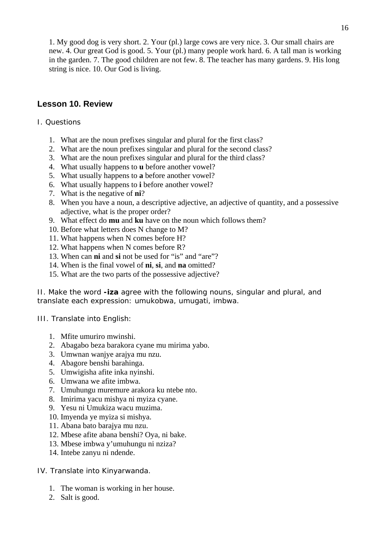1. My good dog is very short. 2. Your (pl.) large cows are very nice. 3. Our small chairs are new. 4. Our great God is good. 5. Your (pl.) many people work hard. 6. A tall man is working in the garden. 7. The good children are not few. 8. The teacher has many gardens. 9. His long string is nice. 10. Our God is living.

# **Lesson 10. Review**

### I. Questions

- 1. What are the noun prefixes singular and plural for the first class?
- 2. What are the noun prefixes singular and plural for the second class?
- 3. What are the noun prefixes singular and plural for the third class?
- 4. What usually happens to **u** before another vowel?
- 5. What usually happens to **a** before another vowel?
- 6. What usually happens to **i** before another vowel?
- 7. What is the negative of **ni**?
- 8. When you have a noun, a descriptive adjective, an adjective of quantity, and a possessive adjective, what is the proper order?
- 9. What effect do **mu** and **ku** have on the noun which follows them?
- 10. Before what letters does N change to M?
- 11. What happens when N comes before H?
- 12. What happens when N comes before R?
- 13. When can **ni** and **si** not be used for "is" and "are"?
- 14. When is the final vowel of **ni**, **si**, and **na** omitted?
- 15. What are the two parts of the possessive adjective?

II. Make the word **-iza** agree with the following nouns, singular and plural, and translate each expression: umukobwa, umugati, imbwa.

III. Translate into English:

- 1. Mfite umuriro mwinshi.
- 2. Abagabo beza barakora cyane mu mirima yabo.
- 3. Umwnan wanjye arajya mu nzu.
- 4. Abagore benshi barahinga.
- 5. Umwigisha afite inka nyinshi.
- 6. Umwana we afite imbwa.
- 7. Umuhungu muremure arakora ku ntebe nto.
- 8. Imirima yacu mishya ni myiza cyane.
- 9. Yesu ni Umukiza wacu muzima.
- 10. Imyenda ye myiza si mishya.
- 11. Abana bato barajya mu nzu.
- 12. Mbese afite abana benshi? Oya, ni bake.
- 13. Mbese imbwa y'umuhungu ni nziza?
- 14. Intebe zanyu ni ndende.

IV. Translate into Kinyarwanda.

- 1. The woman is working in her house.
- 2. Salt is good.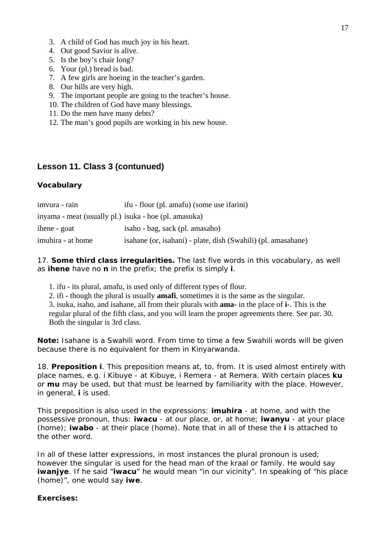- 3. A child of God has much joy in his heart.
- 4. Out good Savior is alive.
- 5. Is the boy's chair long?
- 6. Your (pl.) bread is bad.
- 7. A few girls are hoeing in the teacher's garden.
- 8. Our hills are very high.
- 9. The important people are going to the teacher's house.
- 10. The children of God have many blessings.
- 11. Do the men have many debts?
- 12. The man's good pupils are working in his new house.

# **Lesson 11. Class 3 (contunued)**

### **Vocabulary**

| imvura - rain                                         | ifu - flour (pl. amafu) (some use ifarini)                    |
|-------------------------------------------------------|---------------------------------------------------------------|
| inyama - meat (usually pl.) isuka - hoe (pl. amasuka) |                                                               |
| ihene - goat                                          | isaho - bag, sack (pl. amasaho)                               |
| imuhira - at home                                     | isahane (or, isahani) - plate, dish (Swahili) (pl. amasahane) |

17. **Some third class irregularities.** The last five words in this vocabulary, as well as **ihene** have no **n** in the prefix; the prefix is simply **i**.

- 1. ifu its plural, amafu, is used only of different types of flour.
- 2. ifi though the plural is usually **amafi**, sometimes it is the same as the singular.

3. isuka, isaho, and isahane, all from their plurals with **ama-** in the place of **i-**. This is the regular plural of the fifth class, and you will learn the proper agreements there. See par. 30. Both the singular is 3rd class.

**Note:** Isahane is a Swahili word. From time to time a few Swahili words will be given because there is no equivalent for them in Kinyarwanda.

18. **Preposition i**. This preposition means at, to, from. It is used almost entirely with place names, e.g. i Kibuye - at Kibuye, i Remera - at Remera. With certain places **ku** or **mu** may be used, but that must be learned by familiarity with the place. However, in general, **i** is used.

This preposition is also used in the expressions: **imuhira** - at home, and with the possessive pronoun, thus: **iwacu** - at our place, or, at home; **iwanyu** - at your place (home); **iwabo** - at their place (home). Note that in all of these the **i** is attached to the other word.

In all of these latter expressions, in most instances the plural pronoun is used; however the singular is used for the head man of the kraal or family. He would say **iwanjye**. If he said "**iwacu**" he would mean "in our vicinity". In speaking of "his place (home)", one would say **iwe**.

#### **Exercises:**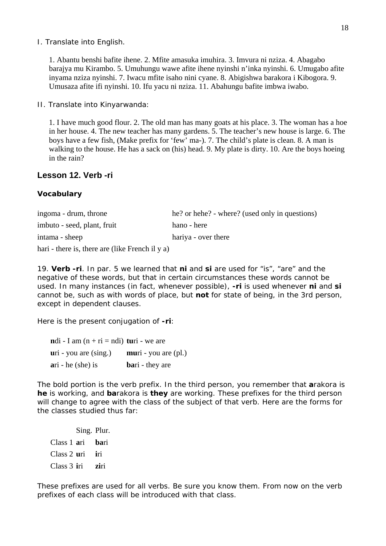I. Translate into English.

1. Abantu benshi bafite ihene. 2. Mfite amasuka imuhira. 3. Imvura ni nziza. 4. Abagabo barajya mu Kirambo. 5. Umuhungu wawe afite ihene nyinshi n'inka nyinshi. 6. Umugabo afite inyama nziza nyinshi. 7. Iwacu mfite isaho nini cyane. 8. Abigishwa barakora i Kibogora. 9. Umusaza afite ifi nyinshi. 10. Ifu yacu ni nziza. 11. Abahungu bafite imbwa iwabo.

II. Translate into Kinyarwanda:

1. I have much good flour. 2. The old man has many goats at his place. 3. The woman has a hoe in her house. 4. The new teacher has many gardens. 5. The teacher's new house is large. 6. The boys have a few fish, (Make prefix for 'few' ma-). 7. The child's plate is clean. 8. A man is walking to the house. He has a sack on (his) head. 9. My plate is dirty. 10. Are the boys hoeing in the rain?

#### **Lesson 12. Verb -ri**

#### **Vocabulary**

| ingoma - drum, throne                           | he? or hehe? - where? (used only in questions) |
|-------------------------------------------------|------------------------------------------------|
| imbuto - seed, plant, fruit                     | hano - here                                    |
| intama - sheep                                  | hariya - over there                            |
| hari - there is, there are (like French il y a) |                                                |

19. **Verb -ri**. In par. 5 we learned that **ni** and **si** are used for "is", "are" and the negative of these words, but that in certain circumstances these words cannot be used. In many instances (in fact, whenever possible), **-ri** is used whenever **ni** and **si** cannot be, such as with words of place, but **not** for state of being, in the 3rd person, except in dependent clauses.

Here is the present conjugation of **-ri**:

 $ndi - I$  am  $(n + ri = ndi)$  **tu**ri - we are **u**ri - you are (sing.) **mu**ri - you are (pl.) **a**ri - he (she) is **ba**ri - they are

The bold portion is the verb prefix. In the third person, you remember that **a**rakora is **he** is working, and **ba**rakora is **they** are working. These prefixes for the third person will change to agree with the class of the subject of that verb. Here are the forms for the classes studied thus far:

 Sing. Plur. Class 1 **a**ri **ba**ri Class 2 **u**ri **i**ri Class 3 **i**ri **zi**ri

These prefixes are used for all verbs. Be sure you know them. From now on the verb prefixes of each class will be introduced with that class.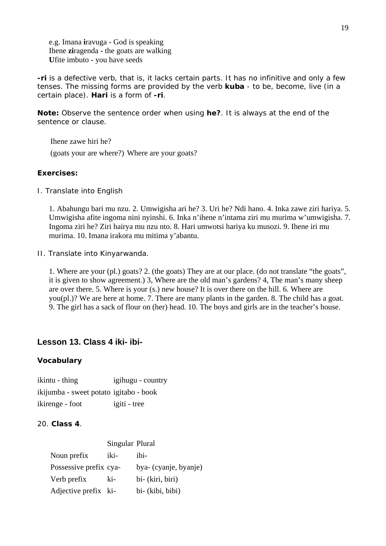e.g. Imana **i**ravuga - God is speaking Ihene **zi**ragenda - the goats are walking Ufite imbuto - you have seeds

**-ri** is a defective verb, that is, it lacks certain parts. It has no infinitive and only a few tenses. The missing forms are provided by the verb **kuba** - to be, become, live (in a certain place). **Hari** is a form of **-ri**.

**Note:** Observe the sentence order when using **he?**. It is always at the end of the sentence or clause.

Ihene zawe hiri he? (goats your are where?) Where are your goats?

#### **Exercises:**

I. Translate into English

1. Abahungu bari mu nzu. 2. Umwigisha ari he? 3. Uri he? Ndi hano. 4. Inka zawe ziri hariya. 5. Umwigisha afite ingoma nini nyinshi. 6. Inka n'ihene n'intama ziri mu murima w'umwigisha. 7. Ingoma ziri he? Ziri hairya mu nzu nto. 8. Hari umwotsi hariya ku musozi. 9. Ihene iri mu murima. 10. Imana irakora mu mitima y'abantu.

II. Translate into Kinyarwanda.

1. Where are your (pl.) goats? 2. (the goats) They are at our place. (do not translate "the goats", it is given to show agreement.) 3, Where are the old man's gardens? 4, The man's many sheep are over there. 5. Where is your (s.) new house? It is over there on the hill. 6. Where are you(pl.)? We are here at home. 7. There are many plants in the garden. 8. The child has a goat. 9. The girl has a sack of flour on (her) head. 10. The boys and girls are in the teacher's house.

### **Lesson 13. Class 4 iki- ibi-**

#### **Vocabulary**

| ikintu - thing                         | igihugu - country |
|----------------------------------------|-------------------|
| ikijumba - sweet potato igitabo - book |                   |
| ikirenge - foot                        | igiti - tree      |

#### 20. **Class 4**.

|                        | Singular Plural |                       |
|------------------------|-----------------|-----------------------|
| Noun prefix            | iki-            | i <sub>pi</sub>       |
| Possessive prefix cya- |                 | bya- (cyanje, byanje) |
| Verb prefix            | ki-             | bi- (kiri, biri)      |
| Adjective prefix ki-   |                 | bi- (kibi, bibi)      |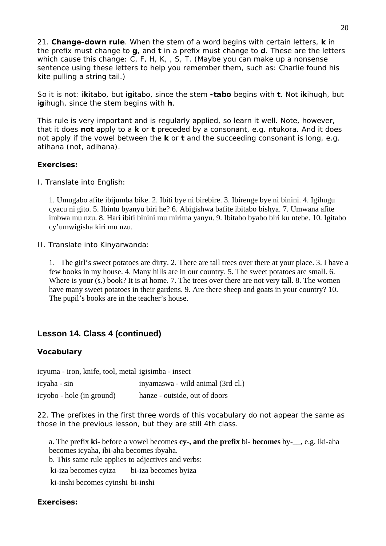21. **Change-down rule**. When the stem of a word begins with certain letters, **k** in the prefix must change to **g**, and **t** in a prefix must change to **d**. These are the letters which cause this change: C, F, H, K, , S, T. (Maybe you can make up a nonsense sentence using these letters to help you remember them, such as: Charlie found his kite pulling a string tail.)

So it is not: i**k**itabo, but i**g**itabo, since the stem **-tabo** begins with **t**. Not i**k**ihugh, but i**g**ihugh, since the stem begins with **h**.

This rule is very important and is regularly applied, so learn it well. Note, however, that it does **not** apply to a **k** or **t** preceded by a consonant, e.g. n**t**ukora. And it does not apply if the vowel between the **k** or **t** and the succeeding consonant is long, e.g. atihana (not, adihana).

#### **Exercises:**

I. Translate into English:

1. Umugabo afite ibijumba bike. 2. Ibiti bye ni birebire. 3. Ibirenge bye ni binini. 4. Igihugu cyacu ni gito. 5. Ibintu byanyu biri he? 6. Abigishwa bafite ibitabo bishya. 7. Umwana afite imbwa mu nzu. 8. Hari ibiti binini mu mirima yanyu. 9. Ibitabo byabo biri ku ntebe. 10. Igitabo cy'umwigisha kiri mu nzu.

II. Translate into Kinyarwanda:

1. The girl's sweet potatoes are dirty. 2. There are tall trees over there at your place. 3. I have a few books in my house. 4. Many hills are in our country. 5. The sweet potatoes are small. 6. Where is your (s.) book? It is at home. 7. The trees over there are not very tall. 8. The women have many sweet potatoes in their gardens. 9. Are there sheep and goats in your country? 10. The pupil's books are in the teacher's house.

# **Lesson 14. Class 4 (continued)**

### **Vocabulary**

| icyuma - iron, knife, tool, metal igisimba - insect |                                   |
|-----------------------------------------------------|-----------------------------------|
| icyaha - sin                                        | inyamaswa - wild animal (3rd cl.) |
| icyobo - hole (in ground)                           | hanze - outside, out of doors     |

22. The prefixes in the first three words of this vocabulary do not appear the same as those in the previous lesson, but they are still 4th class.

a. The prefix **ki-** before a vowel becomes **cy-, and the prefix** bi- **becomes** by-\_\_, e.g. iki-aha becomes icyaha, ibi-aha becomes ibyaha.

b. This same rule applies to adjectives and verbs:

ki-iza becomes cyiza bi-iza becomes byiza

ki-inshi becomes cyinshi bi-inshi

### **Exercises:**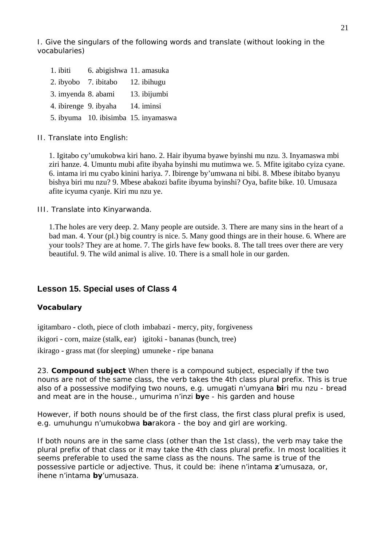I. Give the singulars of the following words and translate (without looking in the vocabularies)

1. ibiti 6. abigishwa 11. amasuka 2. ibyobo 7. ibitabo 12. ibihugu 3. imyenda 8. abami 13. ibijumbi 4. ibirenge 9. ibyaha 14. iminsi 5. ibyuma 10. ibisimba 15. inyamaswa

II. Translate into English:

1. Igitabo cy'umukobwa kiri hano. 2. Hair ibyuma byawe byinshi mu nzu. 3. Inyamaswa mbi ziri hanze. 4. Umuntu mubi afite ibyaha byinshi mu mutimwa we. 5. Mfite igitabo cyiza cyane. 6. intama iri mu cyabo kinini hariya. 7. Ibirenge by'umwana ni bibi. 8. Mbese ibitabo byanyu bishya biri mu nzu? 9. Mbese abakozi bafite ibyuma byinshi? Oya, bafite bike. 10. Umusaza afite icyuma cyanje. Kiri mu nzu ye.

III. Translate into Kinyarwanda.

1.The holes are very deep. 2. Many people are outside. 3. There are many sins in the heart of a bad man. 4. Your (pl.) big country is nice. 5. Many good things are in their house. 6. Where are your tools? They are at home. 7. The girls have few books. 8. The tall trees over there are very beautiful. 9. The wild animal is alive. 10. There is a small hole in our garden.

### **Lesson 15. Special uses of Class 4**

#### **Vocabulary**

igitambaro - cloth, piece of cloth imbabazi - mercy, pity, forgiveness ikigori - corn, maize (stalk, ear) igitoki - bananas (bunch, tree) ikirago - grass mat (for sleeping) umuneke - ripe banana

23. **Compound subject** When there is a compound subject, especially if the two nouns are not of the same class, the verb takes the 4th class plural prefix. This is true also of a possessive modifying two nouns, e.g. umugati n'umyana **bi**ri mu nzu - bread and meat are in the house., umurima n'inzi **by**e - his garden and house

However, if both nouns should be of the first class, the first class plural prefix is used, e.g. umuhungu n'umukobwa **ba**rakora - the boy and girl are working.

If both nouns are in the same class (other than the 1st class), the verb may take the plural prefix of that class or it may take the 4th class plural prefix. In most localities it seems preferable to used the same class as the nouns. The same is true of the possessive particle or adjective. Thus, it could be: ihene n'intama **z**'umusaza, or, ihene n'intama **by**'umusaza.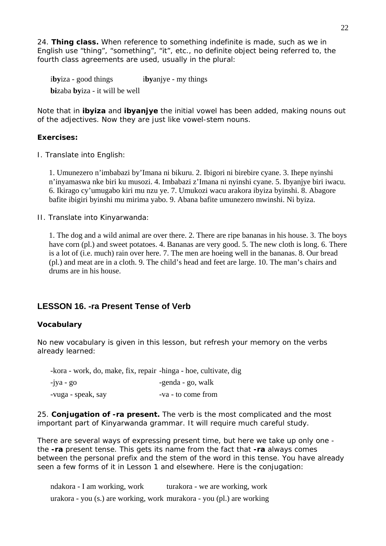24. **Thing class.** When reference to something indefinite is made, such as we in English use "thing", "something", "it", etc., no definite object being referred to, the fourth class agreements are used, usually in the plural:

i**by**iza - good things i**by**anjye - my things **bi**zaba **by**iza - it will be well

Note that in **ibyiza** and **ibyanjye** the initial vowel has been added, making nouns out of the adjectives. Now they are just like vowel-stem nouns.

#### **Exercises:**

I. Translate into English:

1. Umunezero n'imbabazi by'Imana ni bikuru. 2. Ibigori ni birebire cyane. 3. Ihepe nyinshi n'inyamaswa nke biri ku musozi. 4. Imbabazi z'Imana ni nyinshi cyane. 5. Ibyanjye biri iwacu. 6. Ikirago cy'umugabo kiri mu nzu ye. 7. Umukozi wacu arakora ibyiza byinshi. 8. Abagore bafite ibigiri byinshi mu mirima yabo. 9. Abana bafite umunezero mwinshi. Ni byiza.

II. Translate into Kinyarwanda:

1. The dog and a wild animal are over there. 2. There are ripe bananas in his house. 3. The boys have corn (pl.) and sweet potatoes. 4. Bananas are very good. 5. The new cloth is long. 6. There is a lot of (i.e. much) rain over here. 7. The men are hoeing well in the bananas. 8. Our bread (pl.) and meat are in a cloth. 9. The child's head and feet are large. 10. The man's chairs and drums are in his house.

# **LESSON 16. -ra Present Tense of Verb**

#### **Vocabulary**

No new vocabulary is given in this lesson, but refresh your memory on the verbs already learned:

| -kora - work, do, make, fix, repair -hinga - hoe, cultivate, dig |                    |
|------------------------------------------------------------------|--------------------|
| $-1$ ya - go                                                     | -genda - go, walk  |
| -vuga - speak, say                                               | -va - to come from |

25. **Conjugation of -ra present.** The verb is the most complicated and the most important part of Kinyarwanda grammar. It will require much careful study.

There are several ways of expressing present time, but here we take up only one the **-ra** present tense. This gets its name from the fact that **-ra** always comes between the personal prefix and the stem of the word in this tense. You have already seen a few forms of it in Lesson 1 and elsewhere. Here is the conjugation:

ndakora - I am working, work turakora - we are working, work urakora - you (s.) are working, work murakora - you (pl.) are working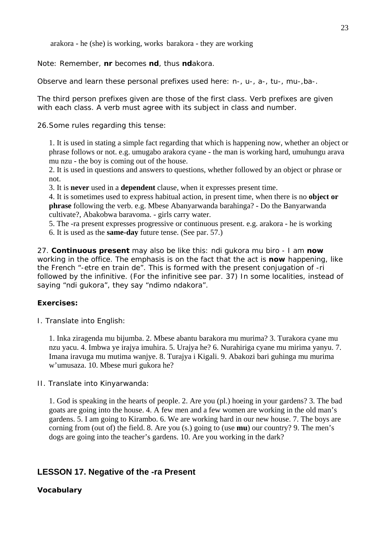arakora - he (she) is working, works barakora - they are working

Note: Remember, **nr** becomes **nd**, thus **nd**akora.

Observe and learn these personal prefixes used here: n-, u-, a-, tu-, mu-,ba-.

The third person prefixes given are those of the first class. Verb prefixes are given with each class. A verb must agree with its subject in class and number.

26.Some rules regarding this tense:

1. It is used in stating a simple fact regarding that which is happening now, whether an object or phrase follows or not. e.g. umugabo arakora cyane - the man is working hard, umuhungu arava mu nzu - the boy is coming out of the house.

2. It is used in questions and answers to questions, whether followed by an object or phrase or not.

3. It is **never** used in a **dependent** clause, when it expresses present time.

4. It is sometimes used to express habitual action, in present time, when there is no **object or phrase** following the verb. e.g. Mbese Abanyarwanda barahinga? - Do the Banyarwanda cultivate?, Abakobwa baravoma. - girls carry water.

5. The -ra present expresses progressive or continuous present. e.g. arakora - he is working 6. It is used as the **same-day** future tense. (See par. 57.)

27. **Continuous present** may also be like this: ndi gukora mu biro - I am **now** working in the office. The emphasis is on the fact that the act is **now** happening, like the French "-etre en train de". This is formed with the present conjugation of -ri followed by the infinitive. (For the infinitive see par. 37) In some localities, instead of saying "ndi gukora", they say "ndimo ndakora".

### **Exercises:**

I. Translate into English:

1. Inka ziragenda mu bijumba. 2. Mbese abantu barakora mu murima? 3. Turakora cyane mu nzu yacu. 4. Imbwa ye irajya imuhira. 5. Urajya he? 6. Nurahiriga cyane mu mirima yanyu. 7. Imana iravuga mu mutima wanjye. 8. Turajya i Kigali. 9. Abakozi bari guhinga mu murima w'umusaza. 10. Mbese muri gukora he?

II. Translate into Kinyarwanda:

1. God is speaking in the hearts of people. 2. Are you (pl.) hoeing in your gardens? 3. The bad goats are going into the house. 4. A few men and a few women are working in the old man's gardens. 5. I am going to Kirambo. 6. We are working hard in our new house. 7. The boys are corning from (out of) the field. 8. Are you (s.) going to (use **mu**) our country? 9. The men's dogs are going into the teacher's gardens. 10. Are you working in the dark?

# **LESSON 17. Negative of the -ra Present**

### **Vocabulary**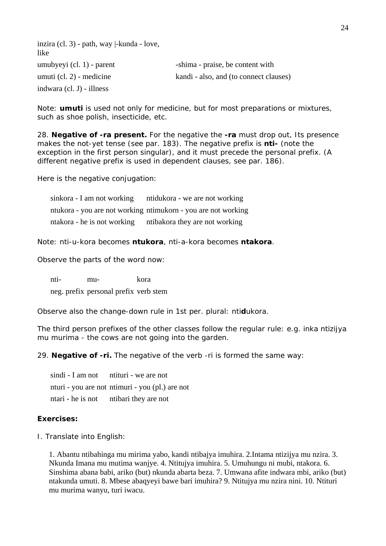inzira (cl. 3) - path, way |-kunda - love, like umubyeyi  $(cl. 1)$  - parent  $-shima$  - praise, be content with umuti (cl. 2) - medicine kandi - also, and (to connect clauses) indwara (cl. J) - illness

Note: **umuti** is used not only for medicine, but for most preparations or mixtures, such as shoe polish, insecticide, etc.

28. **Negative of -ra present.** For the negative the **-ra** must drop out, Its presence makes the not-yet tense (see par. 183). The negative prefix is **nti-** (note the exception in the first person singular), and it must precede the personal prefix. (A different negative prefix is used in dependent clauses, see par. 186).

Here is the negative conjugation:

sinkora - I am not working ntidukora - we are not working ntukora - you are not working ntimukorn - you are not working ntakora - he is not working ntibakora they are not working

Note: nti-u-kora becomes **ntukora**, nti-a-kora becomes **ntakora**.

Observe the parts of the word now:

nti- mu- kora neg. prefix personal prefix verb stem

Observe also the change-down rule in 1st per. plural: nti**d**ukora.

The third person prefixes of the other classes follow the regular rule: e.g. inka ntizijya mu murima - the cows are not going into the garden.

29. **Negative of -ri.** The negative of the verb -ri is formed the same way:

sindi - I am not ntituri - we are not nturi - you are not ntimuri - you (pl.) are not ntari - he is not ntibari they are not

#### **Exercises:**

I. Translate into English:

1. Abantu ntibahinga mu mirima yabo, kandi ntibajya imuhira. 2.Intama ntizijya mu nzira. 3. Nkunda Imana mu mutima wanjye. 4. Ntitujya imuhira. 5. Umuhungu ni mubi, ntakora. 6. Sinshima abana babi, ariko (but) nkunda abarta beza. 7. Umwana afite indwara mbi, ariko (but) ntakunda umuti. 8. Mbese abaqyeyi bawe bari imuhira? 9. Ntitujya mu nzira nini. 10. Ntituri mu murima wanyu, turi iwacu.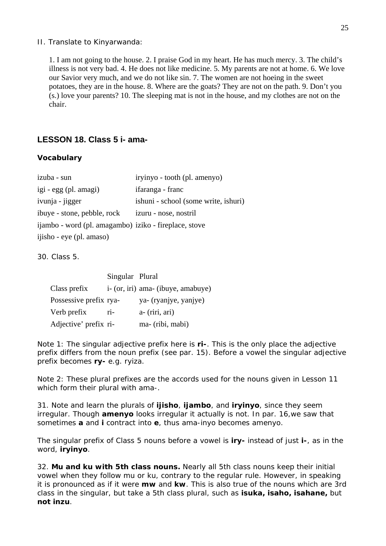#### II. Translate to Kinyarwanda:

1. I am not going to the house. 2. I praise God in my heart. He has much mercy. 3. The child's illness is not very bad. 4. He does not like medicine. 5. My parents are not at home. 6. We love our Savior very much, and we do not like sin. 7. The women are not hoeing in the sweet potatoes, they are in the house. 8. Where are the goats? They are not on the path. 9. Don't you (s.) love your parents? 10. The sleeping mat is not in the house, and my clothes are not on the chair.

# **LESSON 18. Class 5 i- ama-**

#### **Vocabulary**

| izuba - sun                                           | iryinyo - tooth (pl. amenyo)         |
|-------------------------------------------------------|--------------------------------------|
| igi - egg (pl. amagi)                                 | ifaranga - franc                     |
| ivunja - jigger                                       | ishuni - school (some write, ishuri) |
| ibuye - stone, pebble, rock                           | izuru - nose, nostril                |
| ijambo - word (pl. amagambo) iziko - fireplace, stove |                                      |
| ijisho - eye (pl. amaso)                              |                                      |

30. Class 5.

|                        | Singular Plural |                                    |
|------------------------|-----------------|------------------------------------|
| Class prefix           |                 | i- (or, iri) ama- (ibuye, amabuye) |
| Possessive prefix rya- |                 | ya- (ryanjye, yanjye)              |
| Verb prefix            | ri-             | a- (riri, ari)                     |
| Adjective' prefix ri-  |                 | ma- (ribi, mabi)                   |

Note 1: The singular adjective prefix here is **ri-**. This is the only place the adjective prefix differs from the noun prefix (see par. 15). Before a vowel the singular adjective prefix becomes **ry-** e.g. ryiza.

Note 2: These plural prefixes are the accords used for the nouns given in Lesson 11 which form their plural with ama-.

31. Note and learn the plurals of **ijisho**, **ijambo**, and **iryinyo**, since they seem irregular. Though **amenyo** looks irregular it actually is not. In par. 16,we saw that sometimes **a** and **i** contract into **e**, thus ama-inyo becomes amenyo.

The singular prefix of Class 5 nouns before a vowel is **iry-** instead of just **i-**, as in the word, **iryinyo**.

32. **Mu and ku with 5th class nouns.** Nearly all 5th class nouns keep their initial vowel when they follow mu or ku, contrary to the regular rule. However, in speaking it is pronounced as if it were **mw** and **kw**. This is also true of the nouns which are 3rd class in the singular, but take a 5th class plural, such as **isuka, isaho, isahane,** but **not inzu**.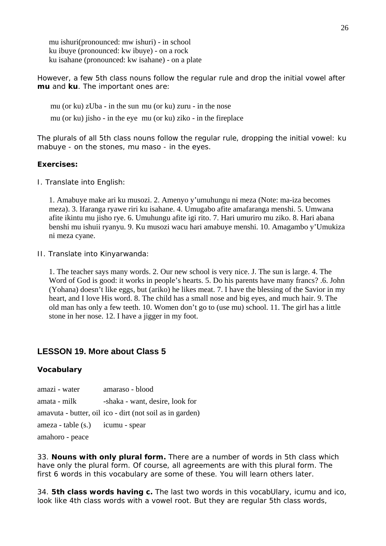mu ishuri(pronounced: mw ishuri) - in school ku ibuye (pronounced: kw ibuye) - on a rock ku isahane (pronounced: kw isahane) - on a plate

However, a few 5th class nouns follow the regular rule and drop the initial vowel after **mu** and **ku**. The important ones are:

mu (or ku) zUba - in the sun mu (or ku) zuru - in the nose

mu (or ku) jisho - in the eye mu (or ku) ziko - in the fireplace

The plurals of all 5th class nouns follow the regular rule, dropping the initial vowel: ku mabuye - on the stones, mu maso - in the eyes.

#### **Exercises:**

I. Translate into English:

1. Amabuye make ari ku musozi. 2. Amenyo y'umuhungu ni meza (Note: ma-iza becomes meza). 3. Ifaranga ryawe riri ku isahane. 4. Umugabo afite amafaranga menshi. 5. Umwana afite ikintu mu jisho rye. 6. Umuhungu afite igi rito. 7. Hari umuriro mu ziko. 8. Hari abana benshi mu ishuii ryanyu. 9. Ku musozi wacu hari amabuye menshi. 10. Amagambo y'Umukiza ni meza cyane.

II. Translate into Kinyarwanda:

1. The teacher says many words. 2. Our new school is very nice. J. The sun is large. 4. The Word of God is good: it works in people's hearts. 5. Do his parents have many francs? .6. John (Yohana) doesn't like eggs, but (ariko) he likes meat. 7. I have the blessing of the Savior in my heart, and I love His word. 8. The child has a small nose and big eyes, and much hair. 9. The old man has only a few teeth. 10. Women don't go to (use mu) school. 11. The girl has a little stone in her nose. 12. I have a jigger in my foot.

# **LESSON 19. More about Class 5**

### **Vocabulary**

amazi - water amaraso - blood amata - milk -shaka - want, desire, look for amavuta - butter, oil ico - dirt (not soil as in garden) ameza - table (s.) icumu - spear amahoro - peace

33. **Nouns with only plural form.** There are a number of words in 5th class which have only the plural form. Of course, all agreements are with this plural form. The first 6 words in this vocabulary are some of these. You will learn others later.

34. **5th class words having c.** The last two words in this vocabUlary, icumu and ico, look like 4th class words with a vowel root. But they are regular 5th class words,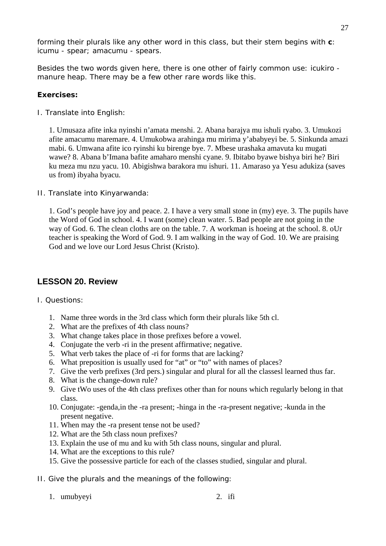forming their plurals like any other word in this class, but their stem begins with **c**: icumu - spear; amacumu - spears.

Besides the two words given here, there is one other of fairly common use: icukiro manure heap. There may be a few other rare words like this.

#### **Exercises:**

I. Translate into English:

1. Umusaza afite inka nyinshi n'amata menshi. 2. Abana barajya mu ishuli ryabo. 3. Umukozi afite amacumu maremare. 4. Umukobwa arahinga mu mirima y'ababyeyi be. 5. Sinkunda amazi mabi. 6. Umwana afite ico ryinshi ku birenge bye. 7. Mbese urashaka amavuta ku mugati wawe? 8. Abana b'Imana bafite amaharo menshi cyane. 9. Ibitabo byawe bishya biri he? Biri ku meza mu nzu yacu. 10. Abigishwa barakora mu ishuri. 11. Amaraso ya Yesu adukiza (saves us from) ibyaha byacu.

II. Translate into Kinyarwanda:

1. God's people have joy and peace. 2. I have a very small stone in (my) eye. 3. The pupils have the Word of God in school. 4. I want (some) clean water. 5. Bad people are not going in the way of God. 6. The clean cloths are on the table. 7. A workman is hoeing at the school. 8. oUr teacher is speaking the Word of God. 9. I am walking in the way of God. 10. We are praising God and we love our Lord Jesus Christ (Kristo).

### **LESSON 20. Review**

#### I. Questions:

- 1. Name three words in the 3rd class which form their plurals like 5th cl.
- 2. What are the prefixes of 4th class nouns?
- 3. What change takes place in those prefixes before a vowel.
- 4. Conjugate the verb -ri in the present affirmative; negative.
- 5. What verb takes the place of -ri for forms that are lacking?
- 6. What preposition is usually used for "at" or "to" with names of places?
- 7. Give the verb prefixes (3rd pers.) singular and plural for all the classesl learned thus far.
- 8. What is the change-down rule?
- 9. Give tWo uses of the 4th class prefixes other than for nouns which regularly belong in that class.
- 10. Conjugate: -genda,in the -ra present; -hinga in the -ra-present negative; -kunda in the present negative.
- 11. When may the -ra present tense not be used?
- 12. What are the 5th class noun prefixes?
- 13. Explain the use of mu and ku with 5th class nouns, singular and plural.
- 14. What are the exceptions to this rule?
- 15. Give the possessive particle for each of the classes studied, singular and plural.
- II. Give the plurals and the meanings of the following:
	- 1. umubyeyi 2. ifi
		-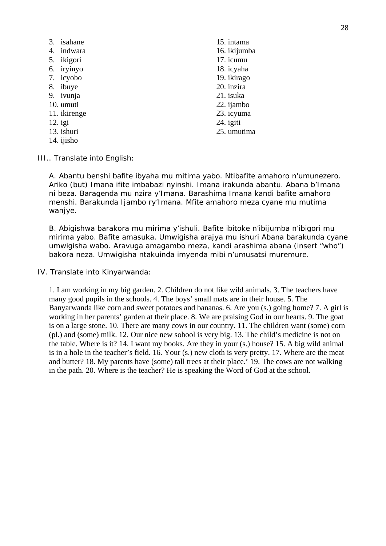3. isahane 4. indwara 5. ikigori 6. iryinyo 7. icyobo 8. ibuye 9. ivunja 10. umuti 11. ikirenge 12. igi 13. ishuri 14. ijisho

15. intama 16. ikijumba 17. icumu 18. icyaha 19. ikirago 20. inzira 21. isuka 22. ijambo 23. icyuma 24. igiti 25. umutima

III.. Translate into English:

A. Abantu benshi bafite ibyaha mu mitima yabo. Ntibafite amahoro n'umunezero. Ariko (but) Imana ifite imbabazi nyinshi. Imana irakunda abantu. Abana b'Imana ni beza. Baragenda mu nzira y'Imana. Barashima Imana kandi bafite amahoro menshi. Barakunda Ijambo ry'Imana. Mfite amahoro meza cyane mu mutima wanjye.

B. Abigishwa barakora mu mirima y'ishuli. Bafite ibitoke n'ibijumba n'ibigori mu mirima yabo. Bafite amasuka. Umwigisha arajya mu ishuri Abana barakunda cyane umwigisha wabo. Aravuga amagambo meza, kandi arashima abana (insert "who") bakora neza. Umwigisha ntakuinda imyenda mibi n'umusatsi muremure.

IV. Translate into Kinyarwanda:

1. I am working in my big garden. 2. Children do not like wild animals. 3. The teachers have many good pupils in the schools. 4. The boys' small mats are in their house. 5. The Banyarwanda like corn and sweet potatoes and bananas. 6. Are you (s.) going home? 7. A girl is working in her parents' garden at their place. 8. We are praising God in our hearts. 9. The goat is on a large stone. 10. There are many cows in our country. 11. The children want (some) corn (pl.) and (some) milk. 12. Our nice new sohool is very big. 13. The child's medicine is not on the table. Where is it? 14. I want my books. Are they in your (s.) house? 15. A big wild animal is in a hole in the teacher's field. 16. Your (s.) new cloth is very pretty. 17. Where are the meat and butter? 18. My parents have (some) tall trees at their place.' 19. The cows are not walking in the path. 20. Where is the teacher? He is speaking the Word of God at the school.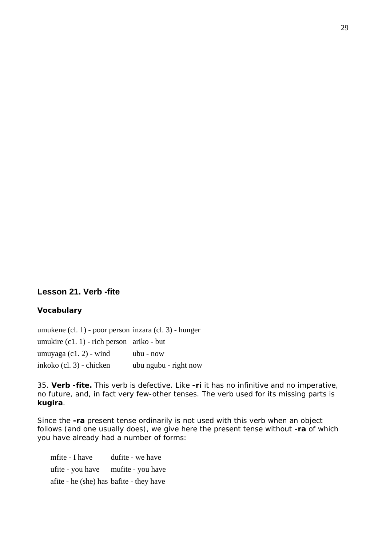#### **Lesson 21. Verb -fite**

#### **Vocabulary**

umukene (cl. 1) - poor person inzara (cl. 3) - hunger umukire (c1. 1) - rich person ariko - but umuyaga  $(c1. 2)$  - wind ubu - now inkoko (cl. 3) - chicken ubu ngubu - right now

35. **Verb -fite.** This verb is defective. Like **-ri** it has no infinitive and no imperative, no future, and, in fact very few-other tenses. The verb used for its missing parts is **kugira**.

Since the **-ra** present tense ordinarily is not used with this verb when an object follows (and one usually does), we give here the present tense without **-ra** of which you have already had a number of forms:

| mfite - I have                          | dufite - we have  |
|-----------------------------------------|-------------------|
| ufite - you have                        | mufite - you have |
| afite - he (she) has bafite - they have |                   |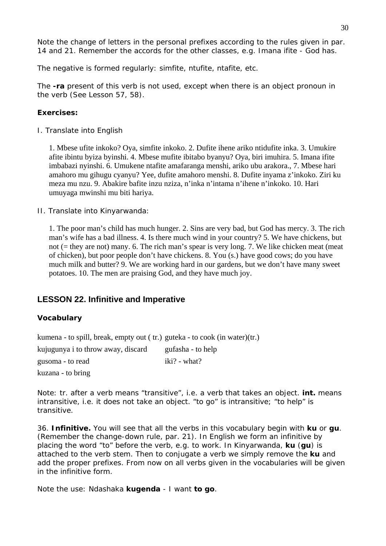Note the change of letters in the personal prefixes according to the rules given in par. 14 and 21. Remember the accords for the other classes, e.g. Imana ifite - God has.

The negative is formed regularly: simfite, ntufite, ntafite, etc.

The **-ra** present of this verb is not used, except when there is an object pronoun in the verb (See Lesson 57, 58).

#### **Exercises:**

I. Translate into English

1. Mbese ufite inkoko? Oya, simfite inkoko. 2. Dufite ihene ariko ntidufite inka. 3. Umukire afite ibintu byiza byinshi. 4. Mbese mufite ibitabo byanyu? Oya, biri imuhira. 5. Imana ifite imbabazi nyinshi. 6. Umukene ntafite amafaranga menshi, ariko ubu arakora., 7. Mbese hari amahoro mu gihugu cyanyu? Yee, dufite amahoro menshi. 8. Dufite inyama z'inkoko. Ziri ku meza mu nzu. 9. Abakire bafite inzu nziza, n'inka n'intama n'ihene n'inkoko. 10. Hari umuyaga mwinshi mu biti hariya.

II. Translate into Kinyarwanda:

1. The poor man's child has much hunger. 2. Sins are very bad, but God has mercy. 3. The rich man's wife has a bad illness. 4. Is there much wind in your country? 5. We have chickens, but not (= they are not) many. 6. The rich man's spear is very long. 7. We like chicken meat (meat of chicken), but poor people don't have chickens. 8. You (s.) have good cows; do you have much milk and butter? 9. We are working hard in our gardens, but we don't have many sweet potatoes. 10. The men are praising God, and they have much joy.

### **LESSON 22. Infinitive and Imperative**

#### **Vocabulary**

kumena - to spill, break, empty out ( tr.) guteka - to cook (in water)(tr.) kujugunya i to throw away, discard gufasha - to help gusoma - to read iki? - what? kuzana - to bring

Note: tr. after a verb means "transitive", i.e. a verb that takes an object. **int.** means intransitive, i.e. it does not take an object. "to go" is intransitive; "to help" is transitive.

36. **Infinitive.** You will see that all the verbs in this vocabulary begin with **ku** or **gu**. (Remember the change-down rule, par. 21). In English we form an infinitive by placing the word "to" before the verb, e.g. to work. In Kinyarwanda, **ku** (**gu**) is attached to the verb stem. Then to conjugate a verb we simply remove the **ku** and add the proper prefixes. From now on all verbs given in the vocabularies will be given in the infinitive form.

Note the use: Ndashaka **kugenda** - I want **to go**.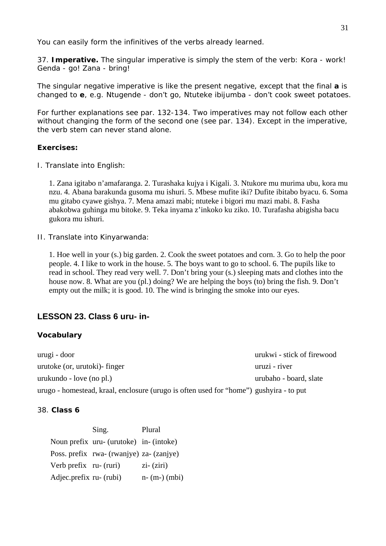You can easily form the infinitives of the verbs already learned.

37. **Imperative.** The singular imperative is simply the stem of the verb: Kora - work! Genda - go! Zana - bring!

The singular negative imperative is like the present negative, except that the final **a** is changed to **e**, e.g. Ntugende - don't go, Ntuteke ibijumba - don't cook sweet potatoes.

For further explanations see par. 132-134. Two imperatives may not follow each other without changing the form of the second one (see par. 134). Except in the imperative, the verb stem can never stand alone.

#### **Exercises:**

I. Translate into English:

1. Zana igitabo n'amafaranga. 2. Turashaka kujya i Kigali. 3. Ntukore mu murima ubu, kora mu nzu. 4. Abana barakunda gusoma mu ishuri. 5. Mbese mufite iki? Dufite ibitabo byacu. 6. Soma mu gitabo cyawe gishya. 7. Mena amazi mabi; ntuteke i bigori mu mazi mabi. 8. Fasha abakobwa guhinga mu bitoke. 9. Teka inyama z'inkoko ku ziko. 10. Turafasha abigisha bacu gukora mu ishuri.

II. Translate into Kinyarwanda:

1. Hoe well in your (s.) big garden. 2. Cook the sweet potatoes and corn. 3. Go to help the poor people. 4. I like to work in the house. 5. The boys want to go to school. 6. The pupils like to read in school. They read very well. 7. Don't bring your (s.) sleeping mats and clothes into the house now. 8. What are you (pl.) doing? We are helping the boys (to) bring the fish. 9. Don't empty out the milk; it is good. 10. The wind is bringing the smoke into our eyes.

# **LESSON 23. Class 6 uru- in-**

### **Vocabulary**

urugi - door urukwi - stick of firewood urutoke (or, urutoki)- finger uruzi - river urukundo - love (no pl.) urubaho - board, slate urugo - homestead, kraal, enclosure (urugo is often used for "home") gushyira - to put

### 38. **Class 6**

|                         | Sing.                                    | Plural         |
|-------------------------|------------------------------------------|----------------|
|                         | Noun prefix uru- (urutoke) in- (intoke)  |                |
|                         | Poss. prefix rwa- (rwaniye) za- (zaniye) |                |
| Verb prefix ru- (ruri)  |                                          | $zi - (ziri)$  |
| Adjec.prefix ru- (rubi) |                                          | $n-(m-)$ (mbi) |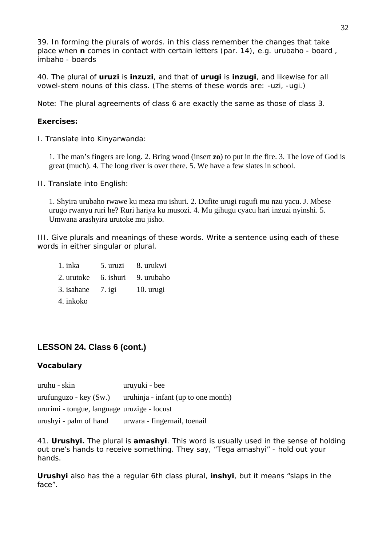39. In forming the plurals of words. in this class remember the changes that take place when **n** comes in contact with certain letters (par. 14), e.g. urubaho - board , imbaho - boards

40. The plural of **uruzi** is **inzuzi**, and that of **urugi** is **inzugi**, and likewise for all vowel-stem nouns of this class. (The stems of these words are: -uzi, -ugi.)

Note: The plural agreements of class 6 are exactly the same as those of class 3.

#### **Exercises:**

I. Translate into Kinyarwanda:

1. The man's fingers are long. 2. Bring wood (insert **zo**) to put in the fire. 3. The love of God is great (much). 4. The long river is over there. 5. We have a few slates in school.

II. Translate into English:

1. Shyira urubaho rwawe ku meza mu ishuri. 2. Dufite urugi rugufi mu nzu yacu. J. Mbese urugo rwanyu ruri he? Ruri hariya ku musozi. 4. Mu gihugu cyacu hari inzuzi nyinshi. 5. Umwana arashyira urutoke mu jisho.

III. Give plurals and meanings of these words. Write a sentence using each of these words in either singular or plural.

| 1. inka           | 5. uruzi 8. urukwi              |
|-------------------|---------------------------------|
|                   | 2. urutoke 6. ishuri 9. urubaho |
| 3. isahane 7. igi | $10.$ urugi                     |
| 4. inkoko         |                                 |

# **LESSON 24. Class 6 (cont.)**

### **Vocabulary**

uruhu - skin uruyuki - bee urufunguzo - key (Sw.) uruhinja - infant (up to one month) ururimi - tongue, language uruzige - locust urushyi - palm of hand urwara - fingernail, toenail

41. **Urushyi.** The plural is **amashyi**. This word is usually used in the sense of holding out one's hands to receive something. They say, "Tega amashyi" - hold out your hands.

**Urushyi** also has the a regular 6th class plural, **inshyi**, but it means "slaps in the face".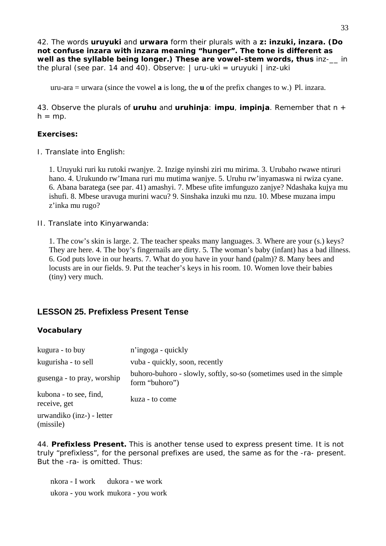42. The words **uruyuki** and **urwara** form their plurals with a **z: inzuki, inzara. (Do not confuse inzara with inzara meaning "hunger". The tone is different as well as the syllable being longer.) These are vowel-stem words, thus** inz-\_\_ in the plural (see par. 14 and 40). Observe:  $|$  uru-uki = uruyuki  $|$  inz-uki

uru-ara = urwara (since the vowel **a** is long, the **u** of the prefix changes to w.) Pl. inzara.

43. Observe the plurals of **uruhu** and **uruhinja**: **impu**, **impinja**. Remember that n +  $h = mp$ .

#### **Exercises:**

I. Translate into English:

1. Uruyuki ruri ku rutoki rwanjye. 2. Inzige nyinshi ziri mu mirima. 3. Urubaho rwawe ntiruri hano. 4. Urukundo rw'Imana ruri mu mutima wanjye. 5. Uruhu rw'inyamaswa ni rwiza cyane. 6. Abana baratega (see par. 41) amashyi. 7. Mbese ufite imfunguzo zanjye? Ndashaka kujya mu ishufi. 8. Mbese uravuga murini wacu? 9. Sinshaka inzuki mu nzu. 10. Mbese muzana impu z'inka mu rugo?

II. Translate into Kinyarwanda:

1. The cow's skin is large. 2. The teacher speaks many languages. 3. Where are your (s.) keys? They are here. 4. The boy's fingernails are dirty. 5. The woman's baby (infant) has a bad illness. 6. God puts love in our hearts. 7. What do you have in your hand (palm)? 8. Many bees and locusts are in our fields. 9. Put the teacher's keys in his room. 10. Women love their babies (tiny) very much.

# **LESSON 25. Prefixless Present Tense**

#### **Vocabulary**

| kugura - to buy                        | n'ingoga - quickly                                                                    |
|----------------------------------------|---------------------------------------------------------------------------------------|
| kugurisha - to sell                    | vuba - quickly, soon, recently                                                        |
| gusenga - to pray, worship             | buhoro-buhoro - slowly, softly, so-so (sometimes used in the simple<br>form "buhoro") |
| kubona - to see, find,<br>receive, get | kuza - to come                                                                        |
| urwandiko (inz-) - letter<br>(missile) |                                                                                       |

44. **Prefixless Present.** This is another tense used to express present time. It is not truly "prefixless", for the personal prefixes are used, the same as for the -ra- present. But the -ra- is omitted. Thus:

nkora - I work dukora - we work ukora - you work mukora - you work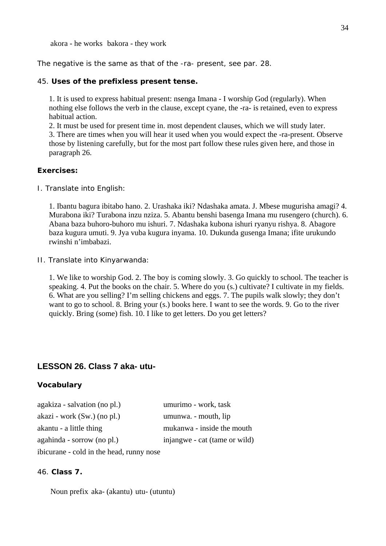akora - he works bakora - they work

The negative is the same as that of the -ra- present, see par. 28.

#### 45. **Uses of the prefixless present tense.**

1. It is used to express habitual present: nsenga Imana - I worship God (regularly). When nothing else follows the verb in the clause, except cyane, the -ra- is retained, even to express habitual action.

2. It must be used for present time in. most dependent clauses, which we will study later. 3. There are times when you will hear it used when you would expect the -ra-present. Observe those by listening carefully, but for the most part follow these rules given here, and those in paragraph 26.

#### **Exercises:**

I. Translate into English:

1. Ibantu bagura ibitabo hano. 2. Urashaka iki? Ndashaka amata. J. Mbese mugurisha amagi? 4. Murabona iki? Turabona inzu nziza. 5. Abantu benshi basenga Imana mu rusengero (church). 6. Abana baza buhoro-buhoro mu ishuri. 7. Ndashaka kubona ishuri ryanyu rishya. 8. Abagore baza kugura umuti. 9. Jya vuba kugura inyama. 10. Dukunda gusenga Imana; ifite urukundo rwinshi n'imbabazi.

II. Translate into Kinyarwanda:

1. We like to worship God. 2. The boy is coming slowly. 3. Go quickly to school. The teacher is speaking. 4. Put the books on the chair. 5. Where do you (s.) cultivate? I cultivate in my fields. 6. What are you selling? I'm selling chickens and eggs. 7. The pupils walk slowly; they don't want to go to school. 8. Bring your (s.) books here. I want to see the words. 9. Go to the river quickly. Bring (some) fish. 10. I like to get letters. Do you get letters?

### **LESSON 26. Class 7 aka- utu-**

#### **Vocabulary**

| agakiza - salvation (no pl.)                 | umurimo - work, task          |
|----------------------------------------------|-------------------------------|
| akazi - work (Sw.) (no pl.)                  | umunwa. - mouth, lip          |
| akantu - a little thing                      | mukanwa - inside the mouth    |
| agahinda - sorrow (no pl.)                   | injangwe - cat (tame or wild) |
| ikiawanana ya anali hudu hukubwa mwana mwaka |                               |

ibicurane - cold in the head, runny nose

#### 46. **Class 7.**

Noun prefix aka- (akantu) utu- (utuntu)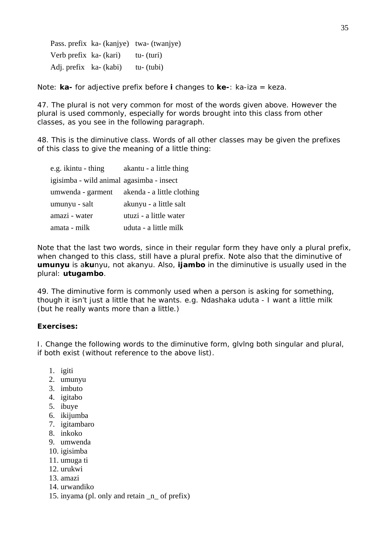Pass. prefix ka- (kanjye) twa- (twanjye) Verb prefix ka- (kari) tu- (turi) Adj. prefix ka- (kabi) tu- (tubi)

Note: **ka-** for adjective prefix before **i** changes to **ke-**: ka-iza = keza.

47. The plural is not very common for most of the words given above. However the plural is used commonly, especially for words brought into this class from other classes, as you see in the following paragraph.

48. This is the diminutive class. Words of all other classes may be given the prefixes of this class to give the meaning of a little thing:

| e.g. ikintu - thing                      | akantu - a little thing    |
|------------------------------------------|----------------------------|
| igisimba - wild animal agasimba - insect |                            |
| umwenda - garment                        | akenda - a little clothing |
| umunyu - salt                            | akunyu - a little salt     |
| amazi - water                            | utuzi - a little water     |
| amata - milk                             | uduta - a little milk      |

Note that the last two words, since in their regular form they have only a plural prefix, when changed to this class, still have a plural prefix. Note also that the diminutive of **umunyu** is a**ku**nyu, not akanyu. Also, **ijambo** in the diminutive is usually used in the plural: **utugambo**.

49. The diminutive form is commonly used when a person is asking for something, though it isn't just a little that he wants. e.g. Ndashaka uduta - I want a little milk (but he really wants more than a little.)

#### **Exercises:**

I. Change the following words to the diminutive form, glvlng both singular and plural, if both exist (without reference to the above list).

- 1. igiti
- 2. umunyu
- 3. imbuto
- 4. igitabo
- 5. ibuye
- 6. ikijumba
- 7. igitambaro
- 8. inkoko
- 9. umwenda
- 10. igisimba
- 11. umuga ti
- 12. urukwi
- 13. amazi
- 14. urwandiko
- 15. inyama (pl. only and retain \_n\_ of prefix)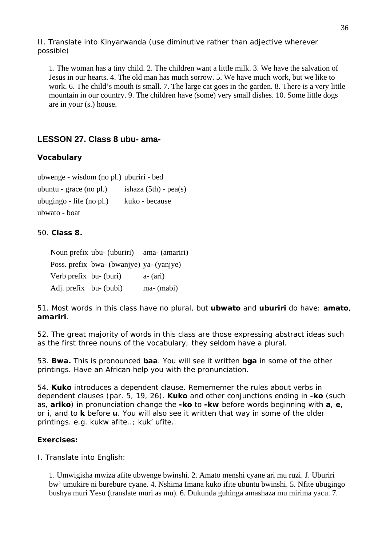II. Translate into Kinyarwanda (use diminutive rather than adjective wherever possible)

1. The woman has a tiny child. 2. The children want a little milk. 3. We have the salvation of Jesus in our hearts. 4. The old man has much sorrow. 5. We have much work, but we like to work. 6. The child's mouth is small. 7. The large cat goes in the garden. 8. There is a very little mountain in our country. 9. The children have (some) very small dishes. 10. Some little dogs are in your (s.) house.

## **LESSON 27. Class 8 ubu- ama-**

#### **Vocabulary**

| ubwenge - wisdom (no pl.) uburiri - bed |                            |
|-----------------------------------------|----------------------------|
| ubuntu - grace (no pl.)                 | ishaza $(5th)$ - pea $(s)$ |
| ubugingo - life (no pl.)                | kuko - because             |
| ubwato - boat                           |                            |

#### 50. **Class 8.**

|                        | Noun prefix ubu- (uburiri) ama- (amariri) |             |
|------------------------|-------------------------------------------|-------------|
|                        | Poss. prefix bwa- (bwanjye) ya- (yanjye)  |             |
| Verb prefix bu- (buri) |                                           | $a - (ari)$ |
| Adj. prefix bu- (bubi) |                                           | ma- (mabi)  |

51. Most words in this class have no plural, but **ubwato** and **uburiri** do have: **amato**, **amariri**.

52. The great majority of words in this class are those expressing abstract ideas such as the first three nouns of the vocabulary; they seldom have a plural.

53. **Bwa.** This is pronounced **baa**. You will see it written **bga** in some of the other printings. Have an African help you with the pronunciation.

54. **Kuko** introduces a dependent clause. Remememer the rules about verbs in dependent clauses (par. 5, 19, 26). **Kuko** and other conjunctions ending in **-ko** (such as, **ariko**) in pronunciation change the **-ko** to **-kw** before words beginning with **a**, **e**, or **i**, and to **k** before **u**. You will also see it written that way in some of the older printings. e.g. kukw afite..; kuk' ufite..

#### **Exercises:**

I. Translate into English:

1. Umwigisha mwiza afite ubwenge bwinshi. 2. Amato menshi cyane ari mu ruzi. J. Uburiri bw' umukire ni burebure cyane. 4. Nshima Imana kuko ifite ubuntu bwinshi. 5. Nfite ubugingo bushya muri Yesu (translate muri as mu). 6. Dukunda guhinga amashaza mu mirima yacu. 7.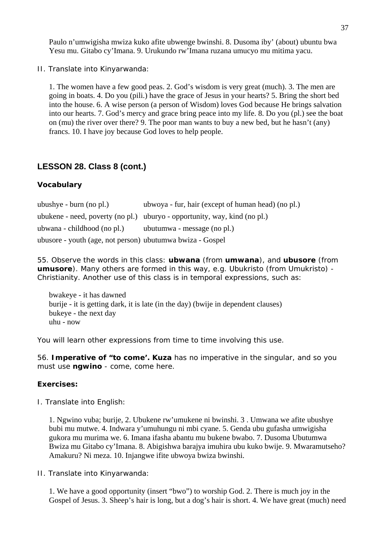Paulo n'umwigisha mwiza kuko afite ubwenge bwinshi. 8. Dusoma iby' (about) ubuntu bwa Yesu mu. Gitabo cy'Imana. 9. Urukundo rw'Imana ruzana umucyo mu mitima yacu.

II. Translate into Kinyarwanda:

1. The women have a few good peas. 2. God's wisdom is very great (much). 3. The men are going in boats. 4. Do you (pili.) have the grace of Jesus in your hearts? 5. Bring the short bed into the house. 6. A wise person (a person of Wisdom) loves God because He brings salvation into our hearts. 7. God's mercy and grace bring peace into my life. 8. Do you (pl.) see the boat on (mu) the river over there? 9. The poor man wants to buy a new bed, but he hasn't (any) francs. 10. I have joy because God loves to help people.

# **LESSON 28. Class 8 (cont.)**

## **Vocabulary**

ubushye - burn (no pl.) ubwoya - fur, hair (except of human head) (no pl.) ubukene - need, poverty (no pl.) uburyo - opportunity, way, kind (no pl.) ubwana - childhood (no pl.) ubutumwa - message (no pl.) ubusore - youth (age, not person) ubutumwa bwiza - Gospel

55. Observe the words in this class: **ubwana** (from **umwana**), and **ubusore** (from **umusore**). Many others are formed in this way, e.g. Ubukristo (from Umukristo) - Christianity. Another use of this class is in temporal expressions, such as:

bwakeye - it has dawned burije - it is getting dark, it is late (in the day) (bwije in dependent clauses) bukeye - the next day uhu - now

You will learn other expressions from time to time involving this use.

56. **Imperative of "to come'. Kuza** has no imperative in the singular, and so you must use **ngwino** - come, come here.

## **Exercises:**

I. Translate into English:

1. Ngwino vuba; burije, 2. Ubukene rw'umukene ni bwinshi. 3 . Umwana we afite ubushye bubi mu mutwe. 4. Indwara y'umuhungu ni mbi cyane. 5. Genda ubu gufasha umwigisha gukora mu murima we. 6. Imana ifasha abantu mu bukene bwabo. 7. Dusoma Ubutumwa Bwiza mu Gitabo cy'Imana. 8. Abigishwa barajya imuhira ubu kuko bwije. 9. Mwaramutseho? Amakuru? Ni meza. 10. Injangwe ifite ubwoya bwiza bwinshi.

II. Translate into Kinyarwanda:

1. We have a good opportunity (insert "bwo") to worship God. 2. There is much joy in the Gospel of Jesus. 3. Sheep's hair is long, but a dog's hair is short. 4. We have great (much) need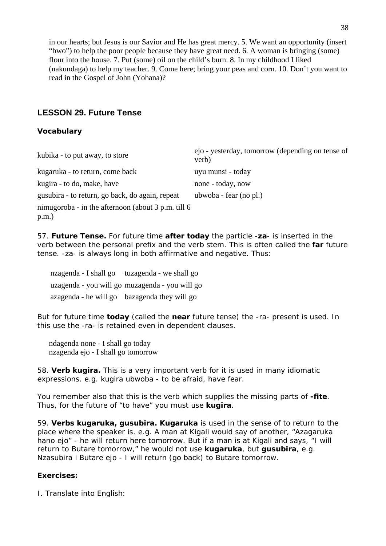in our hearts; but Jesus is our Savior and He has great mercy. 5. We want an opportunity (insert "bwo") to help the poor people because they have great need. 6. A woman is bringing (some) flour into the house. 7. Put (some) oil on the child's burn. 8. In my childhood I liked (nakundaga) to help my teacher. 9. Come here; bring your peas and corn. 10. Don't you want to read in the Gospel of John (Yohana)?

# **LESSON 29. Future Tense**

## **Vocabulary**

| kubika - to put away, to store                                 | ejo - yesterday, tomorrow (depending on tense of<br>verb) |
|----------------------------------------------------------------|-----------------------------------------------------------|
| kugaruka - to return, come back                                | uyu munsi - today                                         |
| kugira - to do, make, have                                     | none - today, now                                         |
| gusubira - to return, go back, do again, repeat                | ubwoba - fear (no pl.)                                    |
| nimugoroba - in the afternoon (about 3 p.m. till 6<br>$p.m.$ ) |                                                           |

57. **Future Tense.** For future time **after today** the particle -**za**- is inserted in the verb between the personal prefix and the verb stem. This is often called the **far** future tense. -za- is always long in both affirmative and negative. Thus:

nzagenda - I shall go tuzagenda - we shall go uzagenda - you will go muzagenda - you will go azagenda - he will go bazagenda they will go

But for future time **today** (called the **near** future tense) the -ra- present is used. In this use the -ra- is retained even in dependent clauses.

ndagenda none - I shall go today nzagenda ejo - I shall go tomorrow

58. **Verb kugira.** This is a very important verb for it is used in many idiomatic expressions. e.g. kugira ubwoba - to be afraid, have fear.

You remember also that this is the verb which supplies the missing parts of **-fite**. Thus, for the future of "to have" you must use **kugira**.

59. **Verbs kugaruka, gusubira. Kugaruka** is used in the sense of to return to the place where the speaker is. e.g. A man at Kigali would say of another, "Azagaruka hano ejo" - he will return here tomorrow. But if a man is at Kigali and says, "I will return to Butare tomorrow," he would not use **kugaruka**, but **gusubira**, e.g. Nzasubira i Butare ejo - I will return (go back) to Butare tomorrow.

## **Exercises:**

I. Translate into English: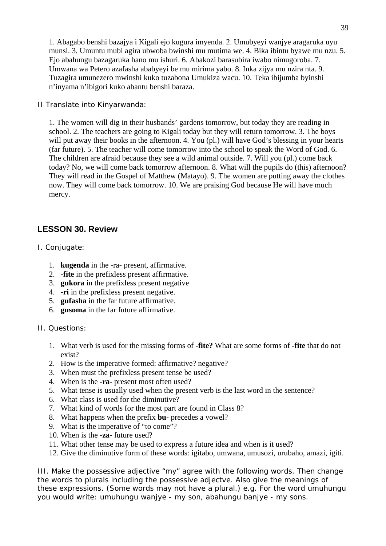1. Abagabo benshi bazajya i Kigali ejo kugura imyenda. 2. Umubyeyi wanjye aragaruka uyu munsi. 3. Umuntu mubi agira ubwoba bwinshi mu mutima we. 4. Bika ibintu byawe mu nzu. 5. Ejo abahungu bazagaruka hano mu ishuri. 6. Abakozi barasubira iwabo nimugoroba. 7. Umwana wa Petero azafasha ababyeyi be mu mirima yabo. 8. Inka zijya mu nzira nta. 9. Tuzagira umunezero mwinshi kuko tuzabona Umukiza wacu. 10. Teka ibijumba byinshi n'inyama n'ibigori kuko abantu benshi baraza.

II Translate into Kinyarwanda:

1. The women will dig in their husbands' gardens tomorrow, but today they are reading in school. 2. The teachers are going to Kigali today but they will return tomorrow. 3. The boys will put away their books in the afternoon. 4. You (pl.) will have God's blessing in your hearts (far future). 5. The teacher will come tomorrow into the school to speak the Word of God. 6. The children are afraid because they see a wild animal outside. 7. Will you (pl.) come back today? No, we will come back tomorrow afternoon. 8. What will the pupils do (this) afternoon? They will read in the Gospel of Matthew (Matayo). 9. The women are putting away the clothes now. They will come back tomorrow. 10. We are praising God because He will have much mercy.

## **LESSON 30. Review**

- I. Conjugate:
	- 1. **kugenda** in the -ra- present, affirmative.
	- 2. **-fite** in the prefixless present affirmative.
	- 3. **gukora** in the prefixless present negative
	- 4. **-ri** in the prefixless present negative.
	- 5. **gufasha** in the far future affirmative.
	- 6. **gusoma** in the far future affirmative.
- II. Questions:
	- 1. What verb is used for the missing forms of **-fite?** What are some forms of **-fite** that do not exist?
	- 2. How is the imperative formed: affirmative? negative?
	- 3. When must the prefixless present tense be used?
	- 4. When is the **-ra-** present most often used?
	- 5. What tense is usually used when the present verb is the last word in the sentence?
	- 6. What class is used for the diminutive?
	- 7. What kind of words for the most part are found in Class 8?
	- 8. What happens when the prefix **bu-** precedes a vowel?
	- 9. What is the imperative of "to come"?
	- 10. When is the **-za-** future used?
	- 11. What other tense may be used to express a future idea and when is it used?
	- 12. Give the diminutive form of these words: igitabo, umwana, umusozi, urubaho, amazi, igiti.

III. Make the possessive adjective "my" agree with the following words. Then change the words to plurals including the possessive adjectve. Also give the meanings of these expressions. (Some words may not have a plural.) e.g. For the word umuhungu you would write: umuhungu wanjye - my son, abahungu banjye - my sons.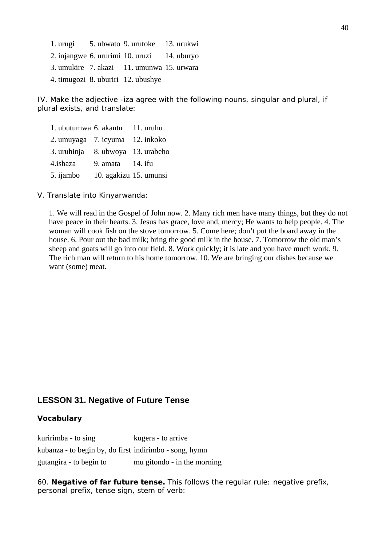1. urugi 5. ubwato 9. urutoke 13. urukwi 2. injangwe 6. ururimi 10. uruzi 14. uburyo 3. umukire 7. akazi 11. umunwa 15. urwara 4. timugozi 8. uburiri 12. ubushye

IV. Make the adjective -iza agree with the following nouns, singular and plural, if plural exists, and translate:

| 1. ubutumwa 6. akantu 11. uruhu   |                        |  |
|-----------------------------------|------------------------|--|
| 2. umuyaga 7. icyuma 12. inkoko   |                        |  |
| 3. uruhinja 8. ubwoya 13. urabeho |                        |  |
| 4.ishaza                          | 9. amata $14.$ ifu     |  |
| 5. ijambo                         | 10. agakizu 15. umunsi |  |

V. Translate into Kinyarwanda:

1. We will read in the Gospel of John now. 2. Many rich men have many things, but they do not have peace in their hearts. 3. Jesus has grace, love and, mercy; He wants to help people. 4. The woman will cook fish on the stove tomorrow. 5. Come here; don't put the board away in the house. 6. Pour out the bad milk; bring the good milk in the house. 7. Tomorrow the old man's sheep and goats will go into our field. 8. Work quickly; it is late and you have much work. 9. The rich man will return to his home tomorrow. 10. We are bringing our dishes because we want (some) meat.

## **LESSON 31. Negative of Future Tense**

#### **Vocabulary**

kuririmba - to sing kugera - to arrive kubanza - to begin by, do first indirimbo - song, hymn gutangira - to begin to mu gitondo - in the morning

60. **Negative of far future tense.** This follows the regular rule: negative prefix, personal prefix, tense sign, stem of verb: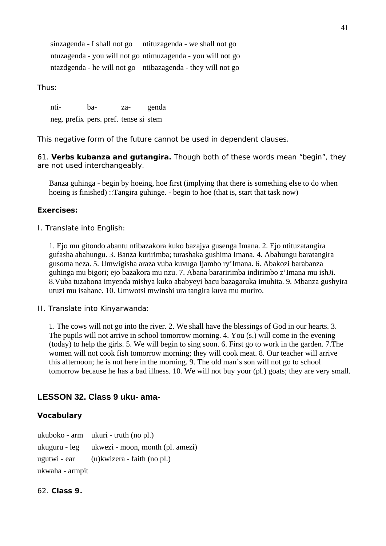sinzagenda - I shall not go ntituzagenda - we shall not go ntuzagenda - you will not go ntimuzagenda - you will not go ntazdgenda - he will not go ntibazagenda - they will not go

Thus:

nti- ba- za- genda neg. prefix pers. pref. tense si stem

This negative form of the future cannot be used in dependent clauses.

61. **Verbs kubanza and gutangira.** Though both of these words mean "begin", they are not used interchangeably.

Banza guhinga - begin by hoeing, hoe first (implying that there is something else to do when hoeing is finished) ::Tangira guhinge. - begin to hoe (that is, start that task now)

## **Exercises:**

I. Translate into English:

1. Ejo mu gitondo abantu ntibazakora kuko bazajya gusenga Imana. 2. Ejo ntituzatangira gufasha abahungu. 3. Banza kuririmba; turashaka gushima Imana. 4. Abahungu baratangira gusoma neza. 5. Umwigisha araza vuba kuvuga Ijambo ry'Imana. 6. Abakozi barabanza guhinga mu bigori; ejo bazakora mu nzu. 7. Abana bararirimba indirimbo z'Imana mu ishJi. 8.Vuba tuzabona imyenda mishya kuko ababyeyi bacu bazagaruka imuhita. 9. Mbanza gushyira utuzi mu isahane. 10. Umwotsi mwinshi ura tangira kuva mu muriro.

II. Translate into Kinyarwanda:

1. The cows will not go into the river. 2. We shall have the blessings of God in our hearts. 3. The pupils will not arrive in school tomorrow morning. 4. You (s.) will come in the evening (today) to help the girls. 5. We will begin to sing soon. 6. First go to work in the garden. 7.The women will not cook fish tomorrow morning; they will cook meat. 8. Our teacher will arrive this afternoon; he is not here in the morning. 9. The old man's son will not go to school tomorrow because he has a bad illness. 10. We will not buy your (pl.) goats; they are very small.

# **LESSON 32. Class 9 uku- ama-**

#### **Vocabulary**

|                 | ukuboko - arm ukuri - truth (no pl.)           |
|-----------------|------------------------------------------------|
|                 | ukuguru - leg ukwezi - moon, month (pl. amezi) |
|                 | ugutwi - ear (u)kwizera - faith (no pl.)       |
| ukwaha - armpit |                                                |

#### 62. **Class 9.**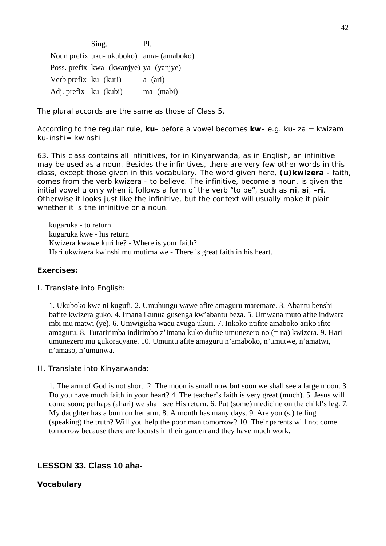Sing. Pl. Noun prefix uku- ukuboko) ama- (amaboko) Poss. prefix kwa- (kwanjye) ya- (yanjye) Verb prefix ku- (kuri) a- (ari) Adj. prefix ku- (kubi) ma- (mabi)

The plural accords are the same as those of Class 5.

According to the regular rule, **ku-** before a vowel becomes **kw-** e.g. ku-iza = kwizam ku-inshi= kwinshi

63. This class contains all infinitives, for in Kinyarwanda, as in English, an infinitive may be used as a noun. Besides the infinitives, there are very few other words in this class, except those given in this vocabulary. The word given here, **(u)kwizera** - faith, comes from the verb kwizera - to believe. The infinitive, become a noun, is given the initial vowel u only when it follows a form of the verb "to be", such as **ni**, **si**, **-ri**. Otherwise it looks just like the infinitive, but the context will usually make it plain whether it is the infinitive or a noun.

kugaruka - to return kugaruka kwe - his return Kwizera kwawe kuri he? - Where is your faith? Hari ukwizera kwinshi mu mutima we - There is great faith in his heart.

#### **Exercises:**

I. Translate into English:

1. Ukuboko kwe ni kugufi. 2. Umuhungu wawe afite amaguru maremare. 3. Abantu benshi bafite kwizera guko. 4. Imana ikunua gusenga kw'abantu beza. 5. Umwana muto afite indwara mbi mu matwi (ye). 6. Umwigisha wacu avuga ukuri. 7. Inkoko ntifite amaboko ariko ifite amaguru. 8. Turaririmba indirimbo z'Imana kuko dufite umunezero no (= na) kwizera. 9. Hari umunezero mu gukoracyane. 10. Umuntu afite amaguru n'amaboko, n'umutwe, n'amatwi, n'amaso, n'umunwa.

II. Translate into Kinyarwanda:

1. The arm of God is not short. 2. The moon is small now but soon we shall see a large moon. 3. Do you have much faith in your heart? 4. The teacher's faith is very great (much). 5. Jesus will come soon; perhaps (ahari) we shall see His return. 6. Put (some) medicine on the child's leg. 7. My daughter has a burn on her arm. 8. A month has many days. 9. Are you (s.) telling (speaking) the truth? Will you help the poor man tomorrow? 10. Their parents will not come tomorrow because there are locusts in their garden and they have much work.

# **LESSON 33. Class 10 aha-**

## **Vocabulary**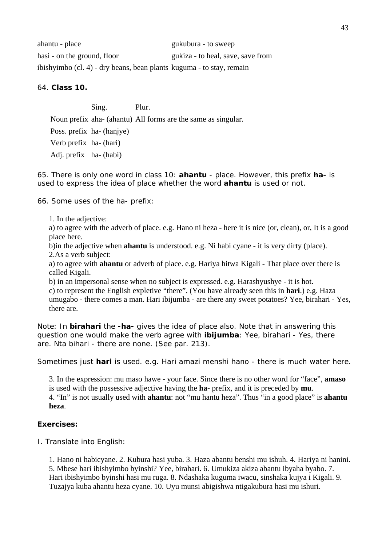## 64. **Class 10.**

Sing. Plur. Noun prefix aha- (ahantu) All forms are the same as singular. Poss. prefix ha- (hanjye) Verb prefix ha- (hari) Adj. prefix ha- (habi)

65. There is only one word in class 10: **ahantu** - place. However, this prefix **ha-** is used to express the idea of place whether the word **ahantu** is used or not.

66. Some uses of the ha- prefix:

1. In the adjective:

a) to agree with the adverb of place. e.g. Hano ni heza - here it is nice (or, clean), or, It is a good place here.

b)in the adjective when **ahantu** is understood. e.g. Ni habi cyane - it is very dirty (place). 2.As a verb subject:

a) to agree with **ahantu** or adverb of place. e.g. Hariya hitwa Kigali - That place over there is called Kigali.

b) in an impersonal sense when no subject is expressed. e.g. Harashyushye - it is hot.

c) to represent the English expletive "there". (You have already seen this in **hari**.) e.g. Haza umugabo - there comes a man. Hari ibijumba - are there any sweet potatoes? Yee, birahari - Yes, there are.

Note: In **birahari** the **-ha-** gives the idea of place also. Note that in answering this question one would make the verb agree with **ibijumba**: Yee, birahari - Yes, there are. Nta bihari - there are none. (See par. 213).

Sometimes just **hari** is used. e.g. Hari amazi menshi hano - there is much water here.

3. In the expression: mu maso hawe - your face. Since there is no other word for "face", **amaso** is used with the possessive adjective having the **ha-** prefix, and it is preceded by **mu**. 4. "In" is not usually used with **ahantu**: not "mu hantu heza". Thus "in a good place" is **ahantu** 

## **Exercises:**

**heza**.

I. Translate into English:

1. Hano ni habicyane. 2. Kubura hasi yuba. 3. Haza abantu benshi mu ishuh. 4. Hariya ni hanini. 5. Mbese hari ibishyimbo byinshi? Yee, birahari. 6. Umukiza akiza abantu ibyaha byabo. 7. Hari ibishyimbo byinshi hasi mu ruga. 8. Ndashaka kuguma iwacu, sinshaka kujya i Kigali. 9. Tuzajya kuba ahantu heza cyane. 10. Uyu munsi abigishwa ntigakubura hasi mu ishuri.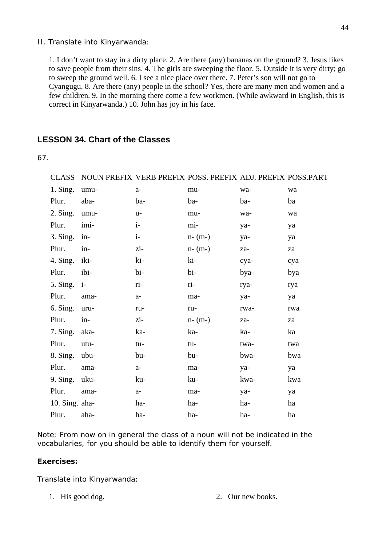### II. Translate into Kinyarwanda:

1. I don't want to stay in a dirty place. 2. Are there (any) bananas on the ground? 3. Jesus likes to save people from their sins. 4. The girls are sweeping the floor. 5. Outside it is very dirty; go to sweep the ground well. 6. I see a nice place over there. 7. Peter's son will not go to Cyangugu. 8. Are there (any) people in the school? Yes, there are many men and women and a few children. 9. In the morning there come a few workmen. (While awkward in English, this is correct in Kinyarwanda.) 10. John has joy in his face.

# **LESSON 34. Chart of the Classes**

67.

| <b>CLASS</b>   | NOUN PREFIX VERB PREFIX POSS. PREFIX ADJ. PREFIX POSS.PART |      |            |      |     |
|----------------|------------------------------------------------------------|------|------------|------|-----|
| 1. Sing.       | umu-                                                       | $a-$ | mu-        | wa-  | wa  |
| Plur.          | aba-                                                       | ba-  | ba-        | ba-  | ba  |
| $2.$ Sing.     | umu-                                                       | u-   | mu-        | wa-  | wa  |
| Plur.          | imi-                                                       | $i-$ | mi-        | ya-  | ya  |
| $3.$ Sing.     | in-                                                        | $i-$ | $n - (m-)$ | ya-  | ya  |
| Plur.          | in-                                                        | zi-  | $n - (m-)$ | za-  | za  |
| 4. Sing.       | iki-                                                       | ki-  | ki-        | cya- | cya |
| Plur.          | ibi-                                                       | bi-  | bi-        | bya- | bya |
| $5.$ Sing.     | $\mathbf{i}$                                               | ri-  | $ri-$      | rya- | rya |
| Plur.          | ama-                                                       | $a-$ | ma-        | ya-  | ya  |
| 6. Sing.       | uru-                                                       | ru-  | ru-        | rwa- | rwa |
| Plur.          | in-                                                        | zi-  | $n - (m-)$ | za-  | za  |
| 7. Sing.       | aka-                                                       | ka-  | ka-        | ka-  | ka  |
| Plur.          | utu-                                                       | tu-  | tu-        | twa- | twa |
| 8. Sing.       | ubu-                                                       | bu-  | bu-        | bwa- | bwa |
| Plur.          | ama-                                                       | $a-$ | ma-        | ya-  | ya  |
| 9. Sing.       | uku-                                                       | ku-  | ku-        | kwa- | kwa |
| Plur.          | ama-                                                       | $a-$ | ma-        | ya-  | ya  |
| 10. Sing. aha- |                                                            | ha-  | ha-        | ha-  | ha  |
| Plur.          | aha-                                                       | ha-  | ha-        | ha-  | ha  |
|                |                                                            |      |            |      |     |

Note: From now on in general the class of a noun will not be indicated in the vocabularies, for you should be able to identify them for yourself.

## **Exercises:**

Translate into Kinyarwanda:

- 
- 1. His good dog. 2. Our new books.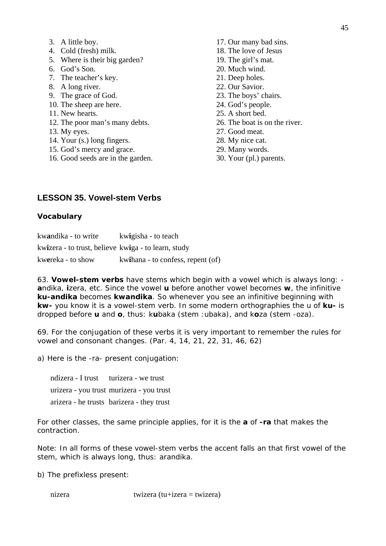- 3. A little boy.
- 4. Cold (fresh) milk.
- 5. Where is their big garden?
- 6. God's Son.
- 7. The teacher's key.
- 8. A long river.
- 9. The grace of God.
- 10. The sheep are here.
- 11. New hearts.
- 12. The poor man's many debts.
- 13. My eyes.
- 14. Your (s.) long fingers.
- 15. God's mercy and grace.
- 16. Good seeds are in the garden.

17. Our many bad sins. 18. The love of Jesus 19. The girl's mat. 20. Much wind. 21. Deep holes. 22. Our Savior. 23. The boys' chairs. 24. God's people. 25. A short bed. 26. The boat is on the river. 27. Good meat. 28. My nice cat. 29. Many words. 30. Your (pl.) parents.

# **LESSON 35. Vowel-stem Verbs**

## **Vocabulary**

| kwandika - to write                                 | kwigisha - to teach               |
|-----------------------------------------------------|-----------------------------------|
| kwizera - to trust, believe kwiga - to learn, study |                                   |
| kwereka - to show                                   | kwihana - to confess, repent (of) |

63. **Vowel-stem verbs** have stems which begin with a vowel which is always long: **a**ndika, **i**zera, etc. Since the vowel **u** before another vowel becomes **w**, the infinitive **ku-andika** becomes **kwandika**. So whenever you see an infinitive beginning with **kw-** you know it is a vowel-stem verb. In some modern orthographies the u of **ku-** is dropped before **u** and **o**, thus: k**u**baka (stem :ubaka), and k**o**za (stem -oza).

69. For the conjugation of these verbs it is very important to remember the rules for vowel and consonant changes. (Par. 4, 14, 21, 22, 31, 46, 62)

a) Here is the -ra- present conjugation:

ndizera - I trust turizera - we trust urizera - you trust murizera - you trust arizera - he trusts barizera - they trust

For other classes, the same principle applies, for it is the **a** of **-ra** that makes the contraction.

Note: In all forms of these vowel-stem verbs the accent falls an that first vowel of the stem, which is always long, thus: arandika.

b) The prefixless present:

nizera twizera (tu+izera = twizera)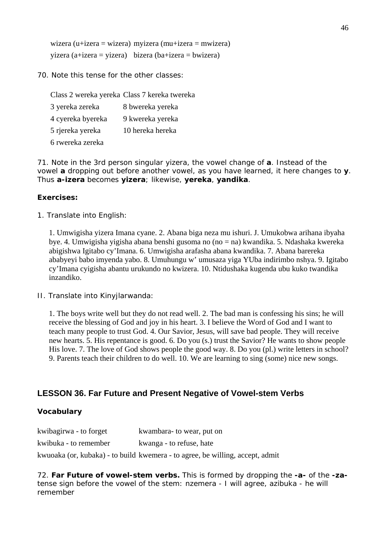wizera (u+izera = wizera) myizera (mu+izera = mwizera) yizera (a+izera = yizera) bizera (ba+izera = bwizera)

70. Note this tense for the other classes:

|                   | Class 2 wereka yereka Class 7 kereka twereka |
|-------------------|----------------------------------------------|
| 3 yereka zereka   | 8 bwereka yereka                             |
| 4 cyereka byereka | 9 kwereka yereka                             |
| 5 rjereka yereka  | 10 hereka hereka                             |
| 6 rwereka zereka  |                                              |

71. Note in the 3rd person singular yizera, the vowel change of **a**. Instead of the vowel **a** dropping out before another vowel, as you have learned, it here changes to **y**. Thus **a-izera** becomes **yizera**; likewise, **yereka**, **yandika**.

## **Exercises:**

1. Translate into English:

1. Umwigisha yizera Imana cyane. 2. Abana biga neza mu ishuri. J. Umukobwa arihana ibyaha bye. 4. Umwigisha yigisha abana benshi gusoma no (no = na) kwandika. 5. Ndashaka kwereka abigishwa Igitabo cy'Imana. 6. Umwigisha arafasha abana kwandika. 7. Abana barereka ababyeyi babo imyenda yabo. 8. Umuhungu w' umusaza yiga YUba indirimbo nshya. 9. Igitabo cy'Imana cyigisha abantu urukundo no kwizera. 10. Ntidushaka kugenda ubu kuko twandika inzandiko.

II. Translate into Kinyjlarwanda:

1. The boys write well but they do not read well. 2. The bad man is confessing his sins; he will receive the blessing of God and joy in his heart. 3. I believe the Word of God and I want to teach many people to trust God. 4. Our Savior, Jesus, will save bad people. They will receive new hearts. 5. His repentance is good. 6. Do you (s.) trust the Savior? He wants to show people His love. 7. The love of God shows people the good way. 8. Do you (pl.) write letters in school? 9. Parents teach their children to do well. 10. We are learning to sing (some) nice new songs.

# **LESSON 36. Far Future and Present Negative of Vowel-stem Verbs**

## **Vocabulary**

kwibagirwa - to forget kwambara- to wear, put on kwibuka - to remember kwanga - to refuse, hate kwuoaka (or, kubaka) - to build kwemera - to agree, be willing, accept, admit

72. **Far Future of vowel-stem verbs.** This is formed by dropping the **-a-** of the **-za**tense sign before the vowel of the stem: nzemera - I will agree, azibuka - he will remember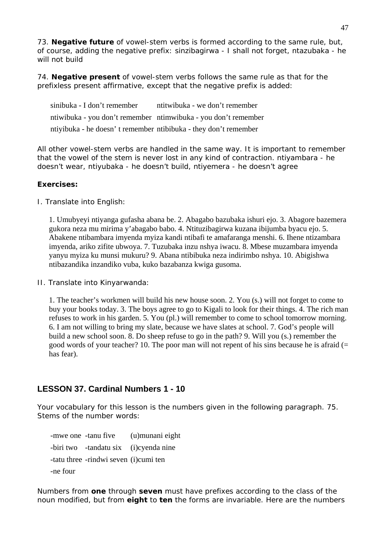73. **Negative future** of vowel-stem verbs is formed according to the same rule, but, of course, adding the negative prefix: sinzibagirwa - I shall not forget, ntazubaka - he will not build

74. **Negative present** of vowel-stem verbs follows the same rule as that for the prefixless present affirmative, except that the negative prefix is added:

sinibuka - I don't remember ntitwibuka - we don't remember ntiwibuka - you don't remember ntimwibuka - you don't remember ntiyibuka - he doesn' t remember ntibibuka - they don't remember

All other vowel-stem verbs are handled in the same way. It is important to remember that the vowel of the stem is never lost in any kind of contraction. ntiyambara - he doesn't wear, ntiyubaka - he doesn't build, ntiyemera - he doesn't agree

## **Exercises:**

I. Translate into English:

1. Umubyeyi ntiyanga gufasha abana be. 2. Abagabo bazubaka ishuri ejo. 3. Abagore bazemera gukora neza mu mirima y'abagabo babo. 4. Ntituzibagirwa kuzana ibijumba byacu ejo. 5. Abakene ntibambara imyenda myiza kandi ntibafi te amafaranga menshi. 6. Ihene ntizambara imyenda, ariko zifite ubwoya. 7. Tuzubaka inzu nshya iwacu. 8. Mbese muzambara imyenda yanyu myiza ku munsi mukuru? 9. Abana ntibibuka neza indirimbo nshya. 10. Abigishwa ntibazandika inzandiko vuba, kuko bazabanza kwiga gusoma.

II. Translate into Kinyarwanda:

1. The teacher's workmen will build his new house soon. 2. You (s.) will not forget to come to buy your books today. 3. The boys agree to go to Kigali to look for their things. 4. The rich man refuses to work in his garden. 5. You (pl.) will remember to come to school tomorrow morning. 6. I am not willing to bring my slate, because we have slates at school. 7. God's people will build a new school soon. 8. Do sheep refuse to go in the path? 9. Will you (s.) remember the good words of your teacher? 10. The poor man will not repent of his sins because he is afraid (= has fear).

# **LESSON 37. Cardinal Numbers 1 - 10**

Your vocabulary for this lesson is the numbers given in the following paragraph. 75. Stems of the number words:

-mwe one -tanu five (u)munani eight -biri two -tandatu six (i)cyenda nine -tatu three -rindwi seven (i)cumi ten -ne four

Numbers from **one** through **seven** must have prefixes according to the class of the noun modified, but from **eight** to **ten** the forms are invariable. Here are the numbers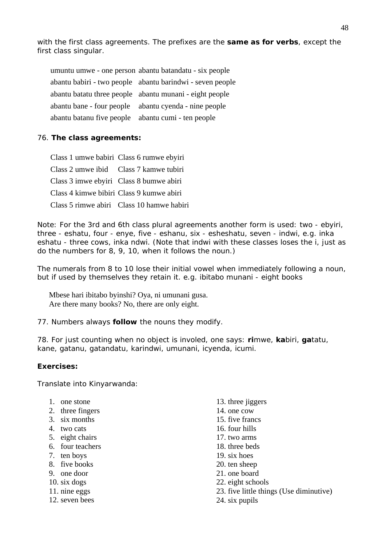with the first class agreements. The prefixes are the **same as for verbs**, except the first class singular.

umuntu umwe - one person abantu batandatu - six people abantu babiri - two people abantu barindwi - seven people abantu batatu three people abantu munani - eight people abantu bane - four people abantu cyenda - nine people abantu batanu five people abantu cumi - ten people

### 76. **The class agreements:**

Class 1 umwe babiri Class 6 rumwe ebyiri Class 2 umwe ibid Class 7 kamwe tubiri Class 3 imwe ebyiri Class 8 bumwe abiri Class 4 kimwe bibiri Class 9 kumwe abiri Class 5 rimwe abiri Class 10 hamwe habiri

Note: For the 3rd and 6th class plural agreements another form is used: two - ebyiri, three - eshatu, four - enye, five - eshanu, six - esheshatu, seven - indwi, e.g. inka eshatu - three cows, inka ndwi. (Note that indwi with these classes loses the i, just as do the numbers for 8, 9, 10, when it follows the noun.)

The numerals from 8 to 10 lose their initial vowel when immediately following a noun, but if used by themselves they retain it. e.g. ibitabo munani - eight books

Mbese hari ibitabo byinshi? Oya, ni umunani gusa. Are there many books? No, there are only eight.

77. Numbers always **follow** the nouns they modify.

78. For just counting when no object is involed, one says: **ri**mwe, **ka**biri, **ga**tatu, kane, gatanu, gatandatu, karindwi, umunani, icyenda, icumi.

### **Exercises:**

Translate into Kinyarwanda:

- 1. one stone
- 2. three fingers
- 3. six months
- 4. two cats
- 5. eight chairs
- 6. four teachers
- 7. ten boys
- 8. five books
- 9. one door
- 10. six dogs
- 11. nine eggs
- 12. seven bees
- 13. three jiggers
- 14. one cow
- 15. five francs
- 16. four hills
- 17. two arms
- 18. three beds
- 19. six hoes
- 20. ten sheep
- 21. one board
- 22. eight schools
- 23. five little things (Use diminutive)
- 24. six pupils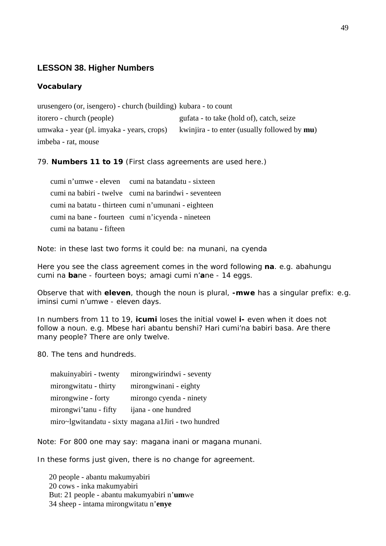## **LESSON 38. Higher Numbers**

### **Vocabulary**

urusengero (or, isengero) - church (building) kubara - to count itorero - church (people) gufata - to take (hold of), catch, seize umwaka - year (pl. imyaka - years, crops) kwinjira - to enter (usually followed by **mu**) imbeba - rat, mouse

79. **Numbers 11 to 19** (First class agreements are used here.)

cumi n'umwe - eleven cumi na batandatu - sixteen cumi na babiri - twelve cumi na barindwi - seventeen cumi na batatu - thirteen cumi n'umunani - eighteen cumi na bane - fourteen cumi n'icyenda - nineteen cumi na batanu - fifteen

Note: in these last two forms it could be: na munani, na cyenda

Here you see the class agreement comes in the word following **na**. e.g. abahungu cumi na **ba**ne - fourteen boys; amagi cumi n'**a**ne - 14 eggs.

Observe that with **eleven**, though the noun is plural, **-mwe** has a singular prefix: e.g. iminsi cumi n'umwe - eleven days.

In numbers from 11 to 19, **icumi** loses the initial vowel **i-** even when it does not follow a noun. e.g. Mbese hari abantu benshi? Hari cumi'na babiri basa. Are there many people? There are only twelve.

80. The tens and hundreds.

| makuinyabiri - twenty | mirongwirindwi - seventy                             |
|-----------------------|------------------------------------------------------|
| mirongwitatu - thirty | mirongwinani - eighty                                |
| mirongwine - forty    | mirongo cyenda - ninety                              |
| mirongwi'tanu - fifty | ijana - one hundred                                  |
|                       | miro~lgwitandatu - sixty magana a1Jiri - two hundred |

Note: For 800 one may say: magana inani or magana munani.

In these forms just given, there is no change for agreement.

20 people - abantu makumyabiri 20 cows - inka makumyabiri But: 21 people - abantu makumyabiri n'**um**we 34 sheep - intama mirongwitatu n'**enye**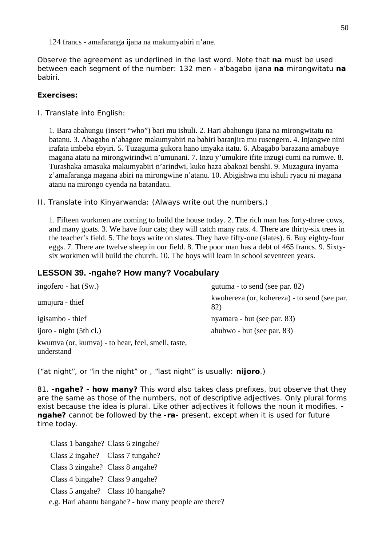124 francs - amafaranga ijana na makumyabiri n'**a**ne.

Observe the agreement as underlined in the last word. Note that **na** must be used between each segment of the number: 132 men - a'bagabo ijana **na** mirongwitatu **na** babiri.

## **Exercises:**

I. Translate into English:

1. Bara abahungu (insert "who") bari mu ishuli. 2. Hari abahungu ijana na mirongwitatu na batanu. 3. Abagabo n'abagore makumyabiri na babiri baranjira mu rusengero. 4. Injangwe nini irafata imbeba ebyiri. 5. Tuzaguma gukora hano imyaka itatu. 6. Abagabo barazana amabuye magana atatu na mirongwirindwi n'umunani. 7. Inzu y'umukire ifite inzugi cumi na rumwe. 8. Turashaka amasuka makumyabiri n'arindwi, kuko haza abakozi benshi. 9. Muzagura inyama z'amafaranga magana abiri na mirongwine n'atanu. 10. Abigishwa mu ishuli ryacu ni magana atanu na mirongo cyenda na batandatu.

II. Translate into Kinyarwanda: (Always write out the numbers.)

1. Fifteen workmen are coming to build the house today. 2. The rich man has forty-three cows, and many goats. 3. We have four cats; they will catch many rats. 4. There are thirty-six trees in the teacher's field. 5. The boys write on slates. They have fifty-one (slates). 6. Buy eighty-four eggs. 7. There are twelve sheep in our field. 8. The poor man has a debt of 465 francs. 9. Sixtysix workmen will build the church. 10. The boys will learn in school seventeen years.

# **LESSON 39. -ngahe? How many? Vocabulary**

| ingofero - hat $(Sw.)$                                          | gutuma - to send (see par. 82)                      |
|-----------------------------------------------------------------|-----------------------------------------------------|
| umujura - thief                                                 | kwohereza (or, kohereza) - to send (see par.<br>82) |
| igisambo - thief                                                | nyamara - but (see par. 83)                         |
| ijoro - night (5th cl.)                                         | ahubwo - but (see par. 83)                          |
| kwumva (or, kumva) - to hear, feel, smell, taste,<br>understand |                                                     |

("at night", or "in the night" or , "last night" is usually: **nijoro**.)

81. **-ngahe? - how many?** This word also takes class prefixes, but observe that they are the same as those of the numbers, not of descriptive adjectives. Only plural forms exist because the idea is plural. Like other adjectives it follows the noun it modifies.  **ngahe?** cannot be followed by the **-ra-** present, except when it is used for future time today.

Class 1 bangahe? Class 6 zingahe? Class 2 ingahe? Class 7 tungahe? Class 3 zingahe? Class 8 angahe? Class 4 bingahe? Class 9 angahe? Class 5 angahe? Class 10 hangahe? e.g. Hari abantu bangahe? - how many people are there?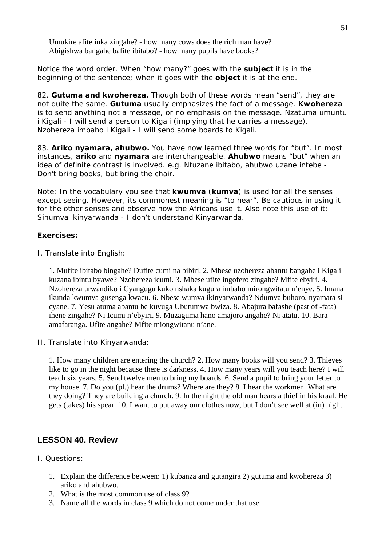Umukire afite inka zingahe? - how many cows does the rich man have? Abigishwa bangahe bafite ibitabo? - how many pupils have books?

Notice the word order. When "how many?" goes with the **subject** it is in the beginning of the sentence; when it goes with the **object** it is at the end.

82. **Gutuma and kwohereza.** Though both of these words mean "send", they are not quite the same. **Gutuma** usually emphasizes the fact of a message. **Kwohereza** is to send anything not a message, or no emphasis on the message. Nzatuma umuntu i Kigali - I will send a person to Kigali (implying that he carries a message). Nzohereza imbaho i Kigali - I will send some boards to Kigali.

83. **Ariko nyamara, ahubwo.** You have now learned three words for "but". In most instances, **ariko** and **nyamara** are interchangeable. **Ahubwo** means "but" when an idea of definite contrast is involved. e.g. Ntuzane ibitabo, ahubwo uzane intebe - Don't bring books, but bring the chair.

Note: In the vocabulary you see that **kwumva** (**kumva**) is used for all the senses except seeing. However, its commonest meaning is "to hear". Be cautious in using it for the other senses and observe how the Africans use it. Also note this use of it: Sinumva ikinyarwanda - I don't understand Kinyarwanda.

### **Exercises:**

I. Translate into English:

1. Mufite ibitabo bingahe? Dufite cumi na bibiri. 2. Mbese uzohereza abantu bangahe i Kigali kuzana ibintu byawe? Nzohereza icumi. 3. Mbese ufite ingofero zingahe? Mfite ebyiri. 4. Nzohereza urwandiko i Cyangugu kuko nshaka kugura imbaho mirongwitatu n'enye. 5. Imana ikunda kwumva gusenga kwacu. 6. Nbese wumva ikinyarwanda? Ndumva buhoro, nyamara si cyane. 7. Yesu atuma abantu be kuvuga Ubutumwa bwiza. 8. Abajura bafashe (past of -fata) ihene zingahe? Ni Icumi n'ebyiri. 9. Muzaguma hano amajoro angahe? Ni atatu. 10. Bara amafaranga. Ufite angahe? Mfite miongwitanu n'ane.

II. Translate into Kinyarwanda:

1. How many children are entering the church? 2. How many books will you send? 3. Thieves like to go in the night because there is darkness. 4. How many years will you teach here? I will teach six years. 5. Send twelve men to bring my boards. 6. Send a pupil to bring your letter to my house. 7. Do you (pl.) hear the drums? Where are they? 8. I hear the workmen. What are they doing? They are building a church. 9. In the night the old man hears a thief in his kraal. He gets (takes) his spear. 10. I want to put away our clothes now, but I don't see well at (in) night.

## **LESSON 40. Review**

### I. Questions:

- 1. Explain the difference between: 1) kubanza and gutangira 2) gutuma and kwohereza 3) ariko and ahubwo.
- 2. What is the most common use of class 9?
- 3. Name all the words in class 9 which do not come under that use.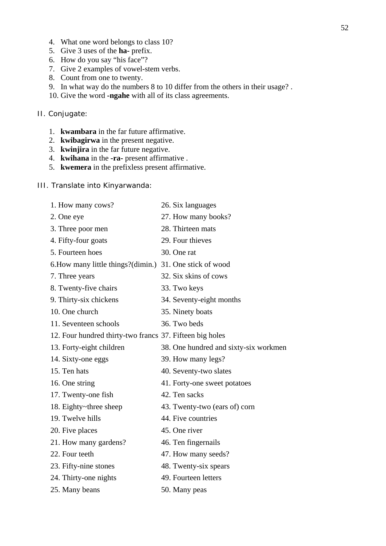- 4. What one word belongs to class 10?
- 5. Give 3 uses of the **ha-** prefix.
- 6. How do you say "his face"?
- 7. Give 2 examples of vowel-stem verbs.
- 8. Count from one to twenty.
- 9. In what way do the numbers 8 to 10 differ from the others in their usage? .
- 10. Give the word **-ngahe** with all of its class agreements.

## II. Conjugate:

- 1. **kwambara** in the far future affirmative.
- 2. **kwibagirwa** in the present negative.
- 3. **kwinjira** in the far future negative.
- 4. **kwihana** in the **-ra-** present affirmative .
- 5. **kwemera** in the prefixless present affirmative.
- III. Translate into Kinyarwanda:

| 1. How many cows?                                        | 26. Six languages                     |
|----------------------------------------------------------|---------------------------------------|
| 2. One eye                                               | 27. How many books?                   |
| 3. Three poor men                                        | 28. Thirteen mats                     |
| 4. Fifty-four goats                                      | 29. Four thieves                      |
| 5. Fourteen hoes                                         | 30. One rat                           |
| 6. How many little things?(dimin.) 31. One stick of wood |                                       |
| 7. Three years                                           | 32. Six skins of cows                 |
| 8. Twenty-five chairs                                    | 33. Two keys                          |
| 9. Thirty-six chickens                                   | 34. Seventy-eight months              |
| 10. One church                                           | 35. Ninety boats                      |
| 11. Seventeen schools                                    | 36. Two beds                          |
| 12. Four hundred thirty-two francs 37. Fifteen big holes |                                       |
| 13. Forty-eight children                                 | 38. One hundred and sixty-six workmen |
| 14. Sixty-one eggs                                       | 39. How many legs?                    |
| 15. Ten hats                                             | 40. Seventy-two slates                |
| 16. One string                                           | 41. Forty-one sweet potatoes          |
| 17. Twenty-one fish                                      | 42. Ten sacks                         |
| 18. Eighty~three sheep                                   | 43. Twenty-two (ears of) corn         |
| 19. Twelve hills                                         | 44. Five countries                    |
| 20. Five places                                          | 45. One river                         |
| 21. How many gardens?                                    | 46. Ten fingernails                   |
| 22. Four teeth                                           | 47. How many seeds?                   |
| 23. Fifty-nine stones                                    | 48. Twenty-six spears                 |
| 24. Thirty-one nights                                    | 49. Fourteen letters                  |
| 25. Many beans                                           | 50. Many peas                         |
|                                                          |                                       |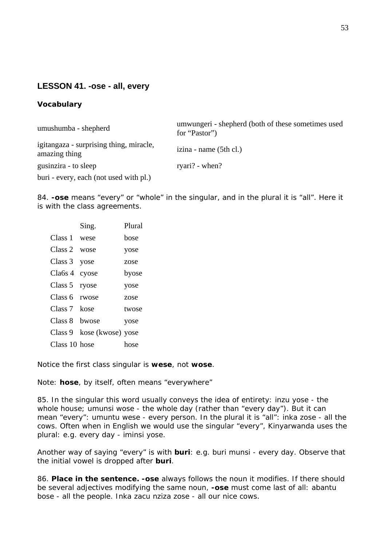## **LESSON 41. -ose - all, every**

## **Vocabulary**

| umushumba - shepherd                                     | umwungeri - shepherd (both of these sometimes used<br>for "Pastor") |
|----------------------------------------------------------|---------------------------------------------------------------------|
| igitangaza - surprising thing, miracle,<br>amazing thing | izina - name (5th cl.)                                              |
| gusinzira - to sleep                                     | ryari? - when?                                                      |
| buri - every, each (not used with pl.)                   |                                                                     |

84. **-ose** means "every" or "whole" in the singular, and in the plural it is "all". Here it is with the class agreements.

|                    | Sing.             | Plural |
|--------------------|-------------------|--------|
| Class 1            | wese              | bose   |
| Class 2            | wose              | yose   |
| Class 3            | yose              | zose   |
| Cla6s 4            | cyose             | byose  |
| Class 5            | ryose             | yose   |
| Class 6            | rwose             | zose   |
| Class <sub>7</sub> | kose              | twose  |
| Class 8            | hwose             | yose   |
| Class <sub>9</sub> | kose (kwose) yose |        |
| Class 10 hose      |                   | hose   |

Notice the first class singular is **wese**, not **wose**.

Note: **hose**, by itself, often means "everywhere"

85. In the singular this word usually conveys the idea of entirety: inzu yose - the whole house; umunsi wose - the whole day (rather than "every day"). But it can mean "every": umuntu wese - every person. In the plural it is "all": inka zose - all the cows. Often when in English we would use the singular "every", Kinyarwanda uses the plural: e.g. every day - iminsi yose.

Another way of saying "every" is with **buri**: e.g. buri munsi - every day. Observe that the initial vowel is dropped after **buri**.

86. **Place in the sentence. -ose** always follows the noun it modifies. If there should be several adjectives modifying the same noun, **-ose** must come last of all: abantu bose - all the people. Inka zacu nziza zose - all our nice cows.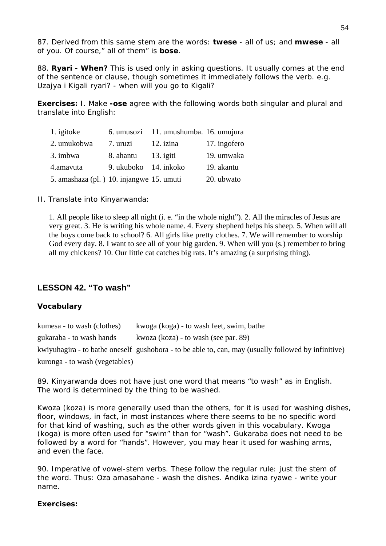87. Derived from this same stem are the words: **twese** - all of us; and **mwese** - all of you. Of course," all of them" is **bose**.

88. **Ryari - When?** This is used only in asking questions. It usually comes at the end of the sentence or clause, though sometimes it immediately follows the verb. e.g. Uzajya i Kigali ryari? - when will you go to Kigali?

**Exercises:** I. Make **-ose** agree with the following words both singular and plural and translate into English:

| 1. igitoke                                | 6. umusozi            | 11. umushumba. 16. umujura |              |
|-------------------------------------------|-----------------------|----------------------------|--------------|
| 2. umukobwa                               | 7. uruzi              | 12. izina                  | 17. ingofero |
| 3. imbwa                                  | 8. ahantu             | $13.$ igiti                | 19. umwaka   |
| 4.amavuta                                 | 9. ukuboko 14. inkoko |                            | 19. akantu   |
| 5. amashaza (pl. ) 10. injangwe 15. umuti |                       |                            | 20. ubwato   |

II. Translate into Kinyarwanda:

1. All people like to sleep all night (i. e. "in the whole night"). 2. All the miracles of Jesus are very great. 3. He is writing his whole name. 4. Every shepherd helps his sheep. 5. When will all the boys come back to school? 6. All girls like pretty clothes. 7. We will remember to worship God every day. 8. I want to see all of your big garden. 9. When will you (s.) remember to bring all my chickens? 10. Our little cat catches big rats. It's amazing (a surprising thing).

# **LESSON 42. "To wash"**

## **Vocabulary**

| kumesa - to wash (clothes)     | kwoga (koga) - to wash feet, swim, bathe                                                            |
|--------------------------------|-----------------------------------------------------------------------------------------------------|
| gukaraba - to wash hands       | kwoza (koza) - to wash (see par. 89)                                                                |
|                                | kwiyuhagira - to bathe oneself gushobora - to be able to, can, may (usually followed by infinitive) |
| kuronga - to wash (vegetables) |                                                                                                     |

89. Kinyarwanda does not have just one word that means "to wash" as in English. The word is determined by the thing to be washed.

Kwoza (koza) is more generally used than the others, for it is used for washing dishes, floor, windows, in fact, in most instances where there seems to be no specific word for that kind of washing, such as the other words given in this vocabulary. Kwoga (koga) is more often used for "swim" than for "wash". Gukaraba does not need to be followed by a word for "hands". However, you may hear it used for washing arms, and even the face.

90. Imperative of vowel-stem verbs. These follow the regular rule: just the stem of the word. Thus: Oza amasahane - wash the dishes. Andika izina ryawe - write your name.

#### **Exercises:**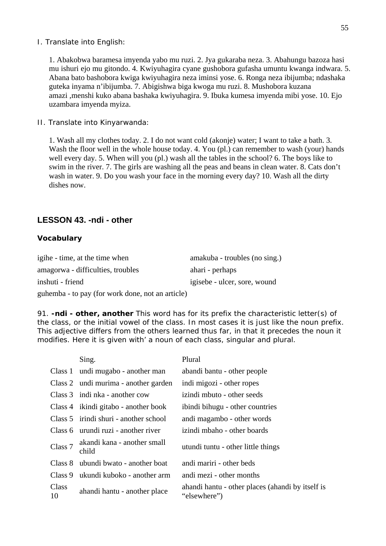#### I. Translate into English:

1. Abakobwa baramesa imyenda yabo mu ruzi. 2. Jya gukaraba neza. 3. Abahungu bazoza hasi mu ishuri ejo mu gitondo. 4. Kwiyuhagira cyane gushobora gufasha umuntu kwanga indwara. 5. Abana bato bashobora kwiga kwiyuhagira neza iminsi yose. 6. Ronga neza ibijumba; ndashaka guteka inyama n'ibijumba. 7. Abigishwa biga kwoga mu ruzi. 8. Mushobora kuzana amazi ,menshi kuko abana bashaka kwiyuhagira. 9. Ibuka kumesa imyenda mibi yose. 10. Ejo uzambara imyenda myiza.

II. Translate into Kinyarwanda:

1. Wash all my clothes today. 2. I do not want cold (akonje) water; I want to take a bath. 3. Wash the floor well in the whole house today. 4. You (pl.) can remember to wash (your) hands well every day. 5. When will you (pl.) wash all the tables in the school? 6. The boys like to swim in the river. 7. The girls are washing all the peas and beans in clean water. 8. Cats don't wash in water. 9. Do you wash your face in the morning every day? 10. Wash all the dirty dishes now.

## **LESSON 43. -ndi - other**

#### **Vocabulary**

| igihe - time, at the time when                   | amakuba - troubles (no sing.) |
|--------------------------------------------------|-------------------------------|
| amagorwa - difficulties, troubles                | ahari - perhaps               |
| inshuti - friend                                 | igisebe - ulcer, sore, wound  |
| guhemba - to pay (for work done, not an article) |                               |

91. **-ndi - other, another** This word has for its prefix the characteristic letter(s) of the class, or the initial vowel of the class. In most cases it is just like the noun prefix. This adjective differs from the others learned thus far, in that it precedes the noun it modifies. Here it is given with' a noun of each class, singular and plural.

|             | Sing.                                 | Plural                                                           |
|-------------|---------------------------------------|------------------------------------------------------------------|
|             | Class 1 undi mugabo - another man     | abandi bantu - other people                                      |
|             | Class 2 undi murima - another garden  | indi migozi - other ropes                                        |
|             | Class 3 indi nka - another cow        | izindi mbuto - other seeds                                       |
|             | Class 4 ikindi gitabo - another book  | ibindi bihugu - other countries                                  |
|             | Class 5 irindi shuri - another school | andi magambo - other words                                       |
|             | Class 6 urundi ruzi - another river   | izindi mbaho - other boards                                      |
| Class 7     | akandi kana - another small<br>child  | utundi tuntu - other little things                               |
|             | Class 8 ubundi bwato - another boat   | andi mariri - other beds                                         |
| Class 9     | ukundi kuboko - another arm           | andi mezi - other months                                         |
| Class<br>10 | ahandi hantu - another place          | ahandi hantu - other places (ahandi by itself is<br>"elsewhere") |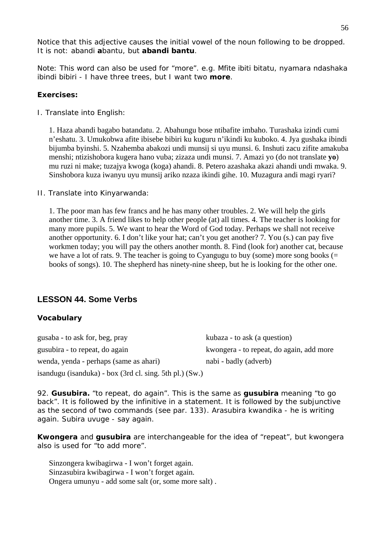Notice that this adjective causes the initial vowel of the noun following to be dropped. It is not: abandi **a**bantu, but **abandi bantu**.

Note: This word can also be used for "more". e.g. Mfite ibiti bitatu, nyamara ndashaka ibindi bibiri - I have three trees, but I want two **more**.

#### **Exercises:**

I. Translate into English:

1. Haza abandi bagabo batandatu. 2. Abahungu bose ntibafite imbaho. Turashaka izindi cumi n'eshatu. 3. Umukobwa afite ibisebe bibiri ku kuguru n'ikindi ku kuboko. 4. Jya gushaka ibindi bijumba byinshi. 5. Nzahemba abakozi undi munsij si uyu munsi. 6. Inshuti zacu zifite amakuba menshi; ntizishobora kugera hano vuba; zizaza undi munsi. 7. Amazi yo (do not translate **yo**) mu ruzi ni make; tuzajya kwoga (koga) ahandi. 8. Petero azashaka akazi ahandi undi mwaka. 9. Sinshobora kuza iwanyu uyu munsij ariko nzaza ikindi gihe. 10. Muzagura andi magi ryari?

II. Translate into Kinyarwanda:

1. The poor man has few francs and he has many other troubles. 2. We will help the girls another time. 3. A friend likes to help other people (at) all times. 4. The teacher is looking for many more pupils. 5. We want to hear the Word of God today. Perhaps we shall not receive another opportunity. 6. I don't like your hat; can't you get another? 7. You (s.) can pay five workmen today; you will pay the others another month. 8. Find (look for) another cat, because we have a lot of rats. 9. The teacher is going to Cyangugu to buy (some) more song books  $(=$ books of songs). 10. The shepherd has ninety-nine sheep, but he is looking for the other one.

## **LESSON 44. Some Verbs**

#### **Vocabulary**

gusaba - to ask for, beg, pray kubaza - to ask (a question) gusubira - to repeat, do again kwongera - to repeat, do again, add more wenda, yenda - perhaps (same as ahari) nabi - badly (adverb) isandugu (isanduka) - box (3rd cl. sing. 5th pl.) (Sw.)

92. **Gusubira.** "to repeat, do again". This is the same as **gusubira** meaning "to go back". It is followed by the infinitive in a statement. It is followed by the subjunctive as the second of two commands (see par. 133). Arasubira kwandika - he is writing again. Subira uvuge - say again.

**Kwongera** and **gusubira** are interchangeable for the idea of "repeat", but kwongera also is used for "to add more".

Sinzongera kwibagirwa - I won't forget again. Sinzasubira kwibagirwa - I won't forget again. Ongera umunyu - add some salt (or, some more salt) .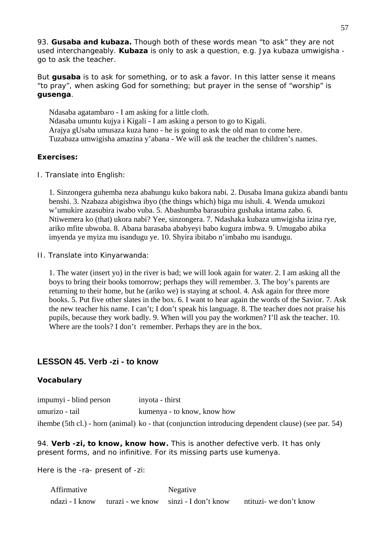93. **Gusaba and kubaza.** Though both of these words mean "to ask" they are not used interchangeably. **Kubaza** is only to ask a question, e.g. Jya kubaza umwigisha go to ask the teacher.

But **gusaba** is to ask for something, or to ask a favor. In this latter sense it means "to pray", when asking God for something; but prayer in the sense of "worship" is **gusenga**.

Ndasaba agatambaro - I am asking for a little cloth. Ndasaba umuntu kujya i Kigali - I am asking a person to go to Kigali. Arajya gUsaba umusaza kuza hano - he is going to ask the old man to come here. Tuzabaza umwigisha amazina y'abana - We will ask the teacher the children's names.

#### **Exercises:**

I. Translate into English:

1. Sinzongera guhemba neza abahungu kuko bakora nabi. 2. Dusaba Imana gukiza abandi bantu benshi. 3. Nzabaza abigishwa ibyo (the things which) biga mu ishuli. 4. Wenda umukozi w'umukire azasubira iwabo vuba. 5. Abashumba barasubira gushaka intama zabo. 6. Ntiwemera ko (that) ukora nabi? Yee, sinzongera. 7. Ndashaka kubaza umwigisha izina rye, ariko mfite ubwoba. 8. Abana barasaba ababyeyi babo kugura imbwa. 9. Umugabo abika imyenda ye myiza mu isandugu ye. 10. Shyira ibitabo n'imbaho mu isandugu.

II. Translate into Kinyarwanda:

1. The water (insert yo) in the river is bad; we will look again for water. 2. I am asking all the boys to bring their books tomorrow; perhaps they will remember. 3. The boy's parents are returning to their home, but he (ariko we) is staying at school. 4. Ask again for three more books. 5. Put five other slates in the box. 6. I want to hear again the words of the Savior. 7. Ask the new teacher his name. I can't; I don't speak his language. 8. The teacher does not praise his pupils, because they work badly. 9. When will you pay the workmen? I'll ask the teacher. 10. Where are the tools? I don't remember. Perhaps they are in the box.

## **LESSON 45. Verb -zi - to know**

#### **Vocabulary**

impumyi - blind person inyota - thirst umurizo - tail kumenya - to know, know how ihembe (5th cl.) - horn (animal) ko - that (conjunction introducing dependent clause) (see par. 54)

94. **Verb -zi, to know, know how.** This is another defective verb. It has only present forms, and no infinitive. For its missing parts use kumenya.

Here is the -ra- present of -zi:

| Affirmative |  | Negative                                             |                        |  |
|-------------|--|------------------------------------------------------|------------------------|--|
|             |  | ndazi - I know turazi - we know sinzi - I don't know | ntituzi- we don't know |  |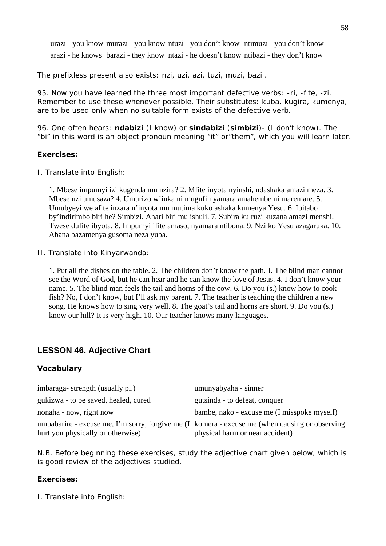The prefixless present also exists: nzi, uzi, azi, tuzi, muzi, bazi .

95. Now you have learned the three most important defective verbs: -ri, -fite, -zi. Remember to use these whenever possible. Their substitutes: kuba, kugira, kumenya, are to be used only when no suitable form exists of the defective verb.

96. One often hears: **ndabizi** (I know) or **sindabizi** (**simbizi**)- (I don't know). The "bi" in this word is an object pronoun meaning "it" or"them", which you will learn later.

## **Exercises:**

I. Translate into English:

1. Mbese impumyi izi kugenda mu nzira? 2. Mfite inyota nyinshi, ndashaka amazi meza. 3. Mbese uzi umusaza? 4. Umurizo w'inka ni mugufi nyamara amahembe ni maremare. 5. Umubyeyi we afite inzara n'inyota mu mutima kuko ashaka kumenya Yesu. 6. Ibitabo by'indirimbo biri he? Simbizi. Ahari biri mu ishuli. 7. Subira ku ruzi kuzana amazi menshi. Twese dufite ibyota. 8. Impumyi ifite amaso, nyamara ntibona. 9. Nzi ko Yesu azagaruka. 10. Abana bazamenya gusoma neza yuba.

II. Translate into Kinyarwanda:

1. Put all the dishes on the table. 2. The children don't know the path. J. The blind man cannot see the Word of God, but he can hear and he can know the love of Jesus. 4. I don't know your name. 5. The blind man feels the tail and horns of the cow. 6. Do you (s.) know how to cook fish? No, I don't know, but I'll ask my parent. 7. The teacher is teaching the children a new song. He knows how to sing very well. 8. The goat's tail and horns are short. 9. Do you (s.) know our hill? It is very high. 10. Our teacher knows many languages.

# **LESSON 46. Adjective Chart**

## **Vocabulary**

| imbaraga-strength (usually pl.)                                                                                                     | umunyabyaha - sinner                        |
|-------------------------------------------------------------------------------------------------------------------------------------|---------------------------------------------|
| gukizwa - to be saved, healed, cured                                                                                                | gutsinda - to defeat, conquer               |
| nonaha - now, right now                                                                                                             | bambe, nako - excuse me (I misspoke myself) |
| umbabarire - excuse me, I'm sorry, forgive me (I komera - excuse me (when causing or observing<br>hurt you physically or otherwise) | physical harm or near accident)             |

N.B. Before beginning these exercises, study the adjective chart given below, which is is good review of the adjectives studied.

## **Exercises:**

I. Translate into English: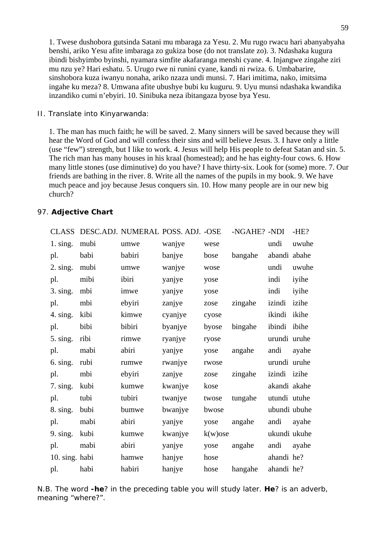1. Twese dushobora gutsinda Satani mu mbaraga za Yesu. 2. Mu rugo rwacu hari abanyabyaha benshi, ariko Yesu afite imbaraga zo gukiza bose (do not translate zo). 3. Ndashaka kugura ibindi bishyimbo byinshi, nyamara simfite akafaranga menshi cyane. 4. Injangwe zingahe ziri mu nzu ye? Hari eshatu. 5. Urugo rwe ni runini cyane, kandi ni rwiza. 6. Umbabarire, sinshobora kuza iwanyu nonaha, ariko nzaza undi munsi. 7. Hari imitima, nako, imitsima ingahe ku meza? 8. Umwana afite ubushye bubi ku kuguru. 9. Uyu munsi ndashaka kwandika inzandiko cumi n'ebyiri. 10. Sinibuka neza ibitangaza byose bya Yesu.

#### II. Translate into Kinyarwanda:

1. The man has much faith; he will be saved. 2. Many sinners will be saved because they will hear the Word of God and will confess their sins and will believe Jesus. 3. I have only a little (use "few") strength, but I like to work. 4. Jesus will help His people to defeat Satan and sin. 5. The rich man has many houses in his kraal (homestead); and he has eighty-four cows. 6. How many little stones (use diminutive) do you have? I have thirty-six. Look for (some) more. 7. Our friends are bathing in the river. 8. Write all the names of the pupils in my book. 9. We have much peace and joy because Jesus conquers sin. 10. How many people are in our new big church?

#### 97. **Adjective Chart**

|                |      | CLASS DESC.ADJ. NUMERAL POSS. ADJ. - OSE - NGAHE? - NDI - HE? |         |            |              |              |       |
|----------------|------|---------------------------------------------------------------|---------|------------|--------------|--------------|-------|
| $1.$ sing.     | mubi | umwe                                                          | wanjye  | wese       |              | undi         | uwuhe |
| pl.            | babi | babiri                                                        | banjye  | bose       | bangahe      | abandi abahe |       |
| 2. sing. mubi  |      | umwe                                                          | wanjye  | wose       |              | undi         | uwuhe |
| pl.            | mibi | ibiri                                                         | yanjye  | yose       |              | indi         | iyihe |
| 3. sing. mbi   |      | imwe                                                          | yanjye  | yose       |              | indi         | iyihe |
| pl.            | mbi  | ebyiri                                                        | zanjye  | zose       | zingahe      | izindi       | izihe |
| 4. sing. kibi  |      | kimwe                                                         | cyanjye | cyose      |              | ikindi       | ikihe |
| pl.            | bibi | bibiri                                                        | byanjye | byose      | bingahe      | ibindi ibihe |       |
| 5. sing. ribi  |      | rimwe                                                         | ryanjye | ryose      |              | urundi uruhe |       |
| pl.            | mabi | abiri                                                         | yanjye  | yose       | angahe       | andi         | ayahe |
| 6. sing. rubi  |      | rumwe                                                         | rwanjye | rwose      |              | urundi uruhe |       |
| pl.            | mbi  | ebyiri                                                        | zanjye  | zose       | zingahe      | izindi izihe |       |
| 7. sing. kubi  |      | kumwe                                                         | kwanjye | kose       |              | akandi akahe |       |
| pl.            | tubi | tubiri                                                        | twanjye | twose      | tungahe      | utundi utuhe |       |
| 8. sing. bubi  |      | bumwe                                                         | bwanjye | bwose      |              | ubundi ubuhe |       |
| pl.            | mabi | abiri                                                         | yanjye  | yose       | angahe       | andi         | ayahe |
| 9. sing. kubi  |      | kumwe                                                         | kwanjye | $k(w)$ ose |              | ukundi ukuhe |       |
| pl.            | mabi | abiri                                                         | yanjye  |            | yose angahe  | andi         | ayahe |
| 10. sing. habi |      | hamwe                                                         | hanjye  | hose       |              | ahandi he?   |       |
| pl.            | habi | habiri                                                        | hanjye  |            | hose hangahe | ahandi he?   |       |

N.B. The word **-he**? in the preceding table you will study later. **He**? is an adverb, meaning "where?".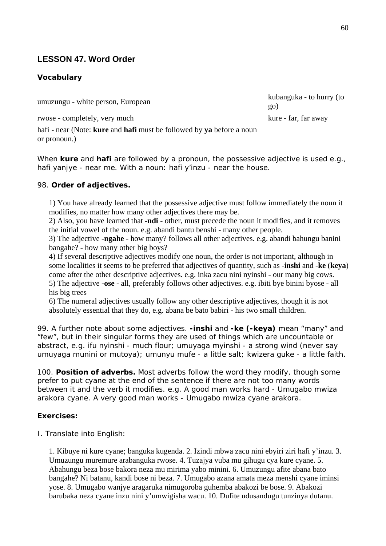# **LESSON 47. Word Order**

## **Vocabulary**

rwose - completely, very much kure - far, far away

hafi - near (Note: **kure** and **hafi** must be followed by **ya** before a noun or pronoun.)

When **kure** and **hafi** are followed by a pronoun, the possessive adjective is used e.g., hafi yanjye - near me. With a noun: hafi y'inzu - near the house.

## 98. **Order of adjectives.**

1) You have already learned that the possessive adjective must follow immediately the noun it modifies, no matter how many other adjectives there may be.

2) Also, you have learned that **-ndi** - other, must precede the noun it modifies, and it removes the initial vowel of the noun. e.g. abandi bantu benshi - many other people.

3) The adjective **-ngahe** - how many? follows all other adjectives. e.g. abandi bahungu banini bangahe? - how many other big boys?

4) If several descriptive adjectives modify one noun, the order is not important, although in some localities it seems to be preferred that adjectives of quantity, such as **-inshi** and **-ke** (**keya**) come after the other descriptive adjectives. e.g. inka zacu nini nyinshi - our many big cows. 5) The adjective **-ose** - all, preferably follows other adjectives. e.g. ibiti bye binini byose - all his big trees

6) The numeral adjectives usually follow any other descriptive adjectives, though it is not absolutely essential that they do, e.g. abana be bato babiri - his two small children.

99. A further note about some adjectives. **-inshi** and **-ke (-keya)** mean "many" and "few", but in their singular forms they are used of things which are uncountable or abstract, e.g. ifu nyinshi - much flour; umuyaga myinshi - a strong wind (never say umuyaga munini or mutoya); umunyu mufe - a little salt; kwizera guke - a little faith.

100. **Position of adverbs.** Most adverbs follow the word they modify, though some prefer to put cyane at the end of the sentence if there are not too many words between it and the verb it modifies. e.g. A good man works hard - Umugabo mwiza arakora cyane. A very good man works - Umugabo mwiza cyane arakora.

## **Exercises:**

I. Translate into English:

1. Kibuye ni kure cyane; banguka kugenda. 2. Izindi mbwa zacu nini ebyiri ziri hafi y'inzu. 3. Umuzungu muremure arabanguka rwose. 4. Tuzajya vuba mu gihugu cya kure cyane. 5. Abahungu beza bose bakora neza mu mirima yabo minini. 6. Umuzungu afite abana bato bangahe? Ni batanu, kandi bose ni beza. 7. Umugabo azana amata meza menshi cyane iminsi yose. 8. Umugabo wanjye aragaruka nimugoroba guhemba abakozi be bose. 9. Abakozi barubaka neza cyane inzu nini y'umwigisha wacu. 10. Dufite udusandugu tunzinya dutanu.

umuzungu - white person, European kubanguka - to hurry (to kubanguka - to hurry (to go)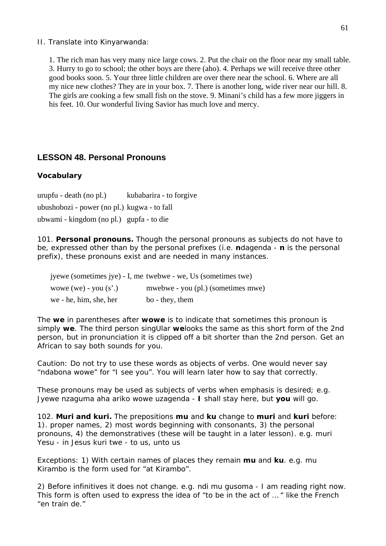II. Translate into Kinyarwanda:

1. The rich man has very many nice large cows. 2. Put the chair on the floor near my small table. 3. Hurry to go to school; the other boys are there (aho). 4. Perhaps we will receive three other good books soon. 5. Your three little children are over there near the school. 6. Where are all my nice new clothes? They are in your box. 7. There is another long, wide river near our hill. 8. The girls are cooking a few small fish on the stove. 9. Minani's child has a few more jiggers in his feet. 10. Our wonderful living Savior has much love and mercy.

# **LESSON 48. Personal Pronouns**

## **Vocabulary**

urupfu - death (no pl.) kubabarira - to forgive ubushobozi - power (no pl.) kugwa - to fall ubwami - kingdom (no pl.) gupfa - to die

101. **Personal pronouns.** Though the personal pronouns as subjects do not have to be, expressed other than by the personal prefixes (i.e. **n**dagenda - **n** is the personal prefix), these pronouns exist and are needed in many instances.

|                         | jyewe (sometimes jye) - I, me twebwe - we, Us (sometimes twe) |
|-------------------------|---------------------------------------------------------------|
| wowe (we) - you $(s'.)$ | mwebwe - you (pl.) (sometimes mwe)                            |
| we - he, him, she, her  | bo - they, them                                               |

The **we** in parentheses after **wowe** is to indicate that sometimes this pronoun is simply **we**. The third person singUlar **we**looks the same as this short form of the 2nd person, but in pronunciation it is clipped off a bit shorter than the 2nd person. Get an African to say both sounds for you.

Caution: Do not try to use these words as objects of verbs. One would never say "ndabona wowe" for "I see you". You will learn later how to say that correctly.

These pronouns may be used as subjects of verbs when emphasis is desired; e.g. Jyewe nzaguma aha ariko wowe uzagenda - **I** shall stay here, but **you** will go.

102. **Muri and kuri.** The prepositions **mu** and **ku** change to **muri** and **kuri** before: 1). proper names, 2) most words beginning with consonants, 3) the personal pronouns, 4) the demonstratives (these will be taught in a later lesson). e.g. muri Yesu - in Jesus kuri twe - to us, unto us

Exceptions: 1) With certain names of places they remain **mu** and **ku**. e.g. mu Kirambo is the form used for "at Kirambo".

2) Before infinitives it does not change. e.g. ndi mu gusoma - I am reading right now. This form is often used to express the idea of "to be in the act of … " like the French "en train de."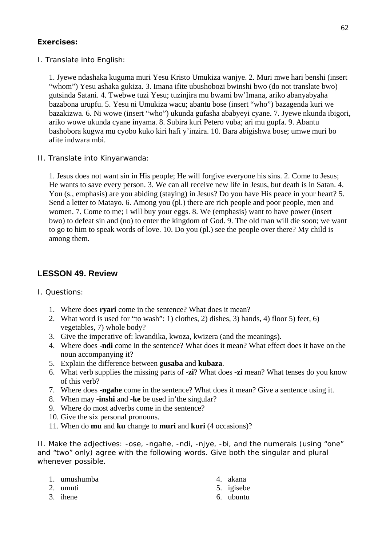## **Exercises:**

I. Translate into English:

1. Jyewe ndashaka kuguma muri Yesu Kristo Umukiza wanjye. 2. Muri mwe hari benshi (insert "whom") Yesu ashaka gukiza. 3. Imana ifite ubushobozi bwinshi bwo (do not translate bwo) gutsinda Satani. 4. Twebwe tuzi Yesu; tuzinjira mu bwami bw'Imana, ariko abanyabyaha bazabona urupfu. 5. Yesu ni Umukiza wacu; abantu bose (insert "who") bazagenda kuri we bazakizwa. 6. Ni wowe (insert "who") ukunda gufasha ababyeyi cyane. 7. Jyewe nkunda ibigori, ariko wowe ukunda cyane inyama. 8. Subira kuri Petero vuba; ari mu gupfa. 9. Abantu bashobora kugwa mu cyobo kuko kiri hafi y'inzira. 10. Bara abigishwa bose; umwe muri bo afite indwara mbi.

II. Translate into Kinyarwanda:

1. Jesus does not want sin in His people; He will forgive everyone his sins. 2. Come to Jesus; He wants to save every person. 3. We can all receive new life in Jesus, but death is in Satan. 4. You (s., emphasis) are you abiding (staying) in Jesus? Do you have His peace in your heart? 5. Send a letter to Matayo. 6. Among you (pl.) there are rich people and poor people, men and women. 7. Come to me; I will buy your eggs. 8. We (emphasis) want to have power (insert bwo) to defeat sin and (no) to enter the kingdom of God. 9. The old man will die soon; we want to go to him to speak words of love. 10. Do you (pl.) see the people over there? My child is among them.

# **LESSON 49. Review**

- I. Questions:
	- 1. Where does **ryari** come in the sentence? What does it mean?
	- 2. What word is used for "to wash": 1) clothes, 2) dishes, 3) hands, 4) floor 5) feet, 6) vegetables, 7) whole body?
	- 3. Give the imperative of: kwandika, kwoza, kwizera (and the meanings).
	- 4. Where does **-ndi** come in the sentence? What does it mean? What effect does it have on the noun accompanying it?
	- 5. Explain the difference between **gusaba** and **kubaza**.
	- 6. What verb supplies the missing parts of **-zi**? What does **-zi** mean? What tenses do you know of this verb?
	- 7. Where does **-ngahe** come in the sentence? What does it mean? Give a sentence using it.
	- 8. When may **-inshi** and **-ke** be used in'the singular?
	- 9. Where do most adverbs come in the sentence?
	- 10. Give the six personal pronouns.
	- 11. When do **mu** and **ku** change to **muri** and **kuri** (4 occasions)?

II. Make the adjectives: -ose, -ngahe, -ndi, -njye, -bi, and the numerals (using "one" and "two" only) agree with the following words. Give both the singular and plural whenever possible.

- 1. umushumba
- 2. umuti
- 3. ihene
- 4. akana
- 5. igisebe
- 6. ubuntu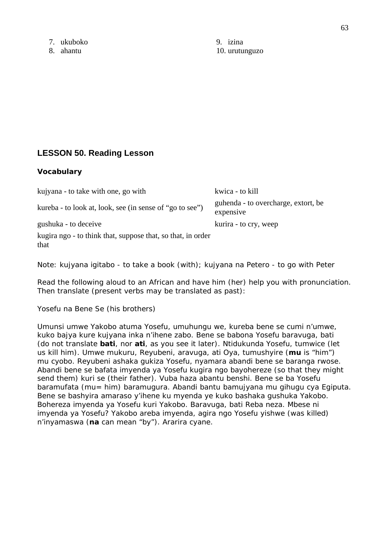8. ahantu

9. izina 10. urutunguzo

## **LESSON 50. Reading Lesson**

### **Vocabulary**

| kujyana - to take with one, go with                                 | kwica - to kill                                  |
|---------------------------------------------------------------------|--------------------------------------------------|
| kureba - to look at, look, see (in sense of "go to see")            | guhenda - to overcharge, extort, be<br>expensive |
| gushuka - to deceive                                                | kurira - to cry, weep                            |
| kugira ngo - to think that, suppose that, so that, in order<br>that |                                                  |

Note: kujyana igitabo - to take a book (with); kujyana na Petero - to go with Peter

Read the following aloud to an African and have him (her) help you with pronunciation. Then translate (present verbs may be translated as past):

Yosefu na Bene Se (his brothers)

Umunsi umwe Yakobo atuma Yosefu, umuhungu we, kureba bene se cumi n'umwe, kuko bajya kure kujyana inka n'ihene zabo. Bene se babona Yosefu baravuga, bati (do not translate **bati**, nor **ati**, as you see it later). Ntidukunda Yosefu, tumwice (let us kill him). Umwe mukuru, Reyubeni, aravuga, ati Oya, tumushyire (**mu** is "him") mu cyobo. Reyubeni ashaka gukiza Yosefu, nyamara abandi bene se baranga rwose. Abandi bene se bafata imyenda ya Yosefu kugira ngo bayohereze (so that they might send them) kuri se (their father). Vuba haza abantu benshi. Bene se ba Yosefu baramufata (mu= him) baramugura. Abandi bantu bamujyana mu gihugu cya Egiputa. Bene se bashyira amaraso y'ihene ku myenda ye kuko bashaka gushuka Yakobo. Bohereza imyenda ya Yosefu kuri Yakobo. Baravuga, bati Reba neza. Mbese ni imyenda ya Yosefu? Yakobo areba imyenda, agira ngo Yosefu yishwe (was killed) n'inyamaswa (**na** can mean "by"). Ararira cyane.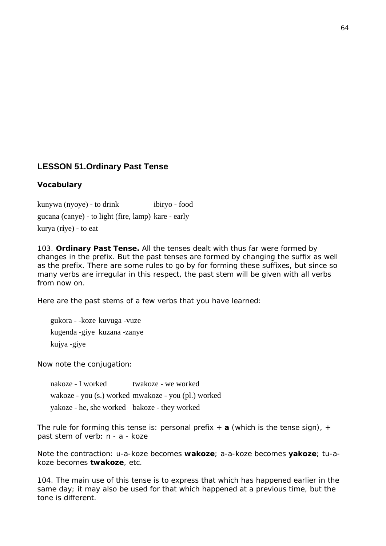# **LESSON 51.Ordinary Past Tense**

## **Vocabulary**

kunywa (nyoye) - to drink ibiryo - food gucana (canye) - to light (fire, lamp) kare - early kurya (r**i**ye) - to eat

103. **Ordinary Past Tense.** All the tenses dealt with thus far were formed by changes in the prefix. But the past tenses are formed by changing the suffix as well as the prefix. There are some rules to go by for forming these suffixes, but since so many verbs are irregular in this respect, the past stem will be given with all verbs from now on.

Here are the past stems of a few verbs that you have learned:

gukora - -koze kuvuga -vuze kugenda -giye kuzana -zanye kujya -giye

Now note the conjugation:

nakoze - I worked twakoze - we worked wakoze - you (s.) worked mwakoze - you (pl.) worked yakoze - he, she worked bakoze - they worked

The rule for forming this tense is: personal prefix  $+ a$  (which is the tense sign),  $+$ past stem of verb: n - a - koze

Note the contraction: u-a-koze becomes **wakoze**; a-a-koze becomes **yakoze**; tu-akoze becomes **twakoze**, etc.

104. The main use of this tense is to express that which has happened earlier in the same day; it may also be used for that which happened at a previous time, but the tone is different.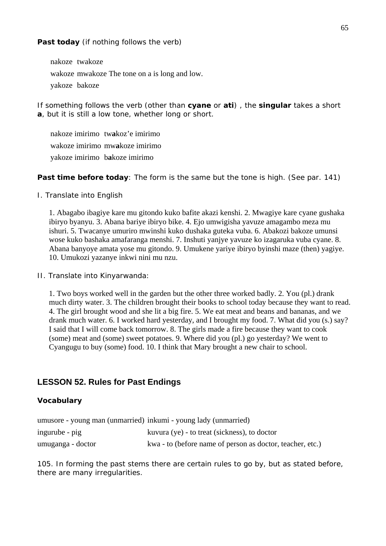**Past today** (if nothing follows the verb)

nakoze twakoze wakoze mwakoze The tone on a is long and low. yakoze bakoze

If something follows the verb (other than **cyane** or **ati**) , the **singular** takes a short **a**, but it is still a low tone, whether long or short.

nakoze imirimo tw**a**koz'e imirimo wakoze imirimo mw**a**koze imirimo yakoze imirimo b**a**koze imirimo

**Past time before today**: The form is the same but the tone is high. (See par. 141)

I. Translate into English

1. Abagabo ibagiye kare mu gitondo kuko bafite akazi kenshi. 2. Mwagiye kare cyane gushaka ibiryo byanyu. 3. Abana bariye ibiryo bike. 4. Ejo umwigisha yavuze amagambo meza mu ishuri. 5. Twacanye umuriro mwinshi kuko dushaka guteka vuba. 6. Abakozi bakoze umunsi wose kuko bashaka amafaranga menshi. 7. Inshuti yanjye yavuze ko izagaruka vuba cyane. 8. Abana banyoye amata yose mu gitondo. 9. Umukene yariye ibiryo byinshi maze (then) yagiye. 10. Umukozi yazanye inkwi nini mu nzu.

II. Translate into Kinyarwanda:

1. Two boys worked well in the garden but the other three worked badly. 2. You (pl.) drank much dirty water. 3. The children brought their books to school today because they want to read. 4. The girl brought wood and she lit a big fire. 5. We eat meat and beans and bananas, and we drank much water. 6. I worked hard yesterday, and I brought my food. 7. What did you (s.) say? I said that I will come back tomorrow. 8. The girls made a fire because they want to cook (some) meat and (some) sweet potatoes. 9. Where did you (pl.) go yesterday? We went to Cyangugu to buy (some) food. 10. I think that Mary brought a new chair to school.

# **LESSON 52. Rules for Past Endings**

## **Vocabulary**

| umusore - young man (unmarried) inkumi - young lady (unmarried) |                                                           |
|-----------------------------------------------------------------|-----------------------------------------------------------|
| ingurube - pig                                                  | kuvura (ye) - to treat (sickness), to doctor              |
| umuganga - doctor                                               | kwa - to (before name of person as doctor, teacher, etc.) |

105. In forming the past stems there are certain rules to go by, but as stated before, there are many irregularities.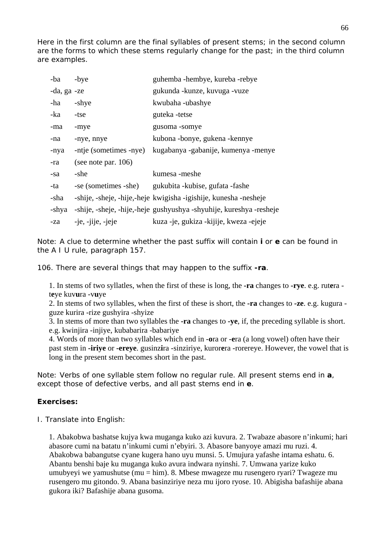Here in the first column are the final syllables of present stems; in the second column are the forms to which these stems regularly change for the past; in the third column are examples.

| -ba         | -bye                      | guhemba -hembye, kureba -rebye                                       |
|-------------|---------------------------|----------------------------------------------------------------------|
| -da, ga -ze |                           | gukunda - kunze, kuvuga - vuze                                       |
| -ha         | -shye                     | kwubaha -ubashye                                                     |
| -ka         | -tse                      | guteka - tetse                                                       |
| -ma         | -mye                      | gusoma -somye                                                        |
| -na         | -nye, nnye                | kubona -bonye, gukena -kennye                                        |
| -nya        | -ntje (sometimes -nye)    | kugabanya -gabanije, kumenya -menye                                  |
| -ra         | (see note par. $106$ )    |                                                                      |
| -sa         | -she                      | kumesa -meshe                                                        |
| -ta         | -se (sometimes -she)      | gukubita - kubise, gufata - fashe                                    |
| -sha        |                           | -shije, -sheje, -hije, -heje kwigisha -igishije, kunesha -nesheje    |
| -shya       |                           | -shije, -sheje, -hije, -heje gushyushya -shyuhije, kureshya -resheje |
| -za         | $-je$ , $-jije$ , $-jeje$ | kuza -je, gukiza -kijije, kweza -ejeje                               |

Note: A clue to determine whether the past suffix will contain **i** or **e** can be found in the A I U rule, paragraph 157.

106. There are several things that may happen to the suffix **-ra**.

1. In stems of two syllatles, when the first of these is long, the **-ra** changes to **-rye**. e.g. rut**e**ra t**e**ye kuv**u**ra -v**u**ye

2. In stems of two syllables, when the first of these is short, the **-ra** changes to **-ze**. e.g. kugura guze kurira -rize gushyira -shyize

3. In stems of more than two syllables the **-ra** changes to **-ye**, if, the preceding syllable is short. e.g. kwinjira -injiye, kubabarira -babariye

4. Words of more than two syllables which end in -**o**ra or -**e**ra (a long vowel) often have their past stem in **-iriye** or **-ereye**. gusinz**i**ra -sinziriye, kuror**e**ra -rorereye. However, the vowel that is long in the present stem becomes short in the past.

Note: Verbs of one syllable stem follow no regular rule. All present stems end in **a**, except those of defective verbs, and all past stems end in **e**.

#### **Exercises:**

I. Translate into English:

1. Abakobwa bashatse kujya kwa muganga kuko azi kuvura. 2. Twabaze abasore n'inkumi; hari abasore cumi na batatu n'inkumi cumi n'ebyiri. 3. Abasore banyoye amazi mu ruzi. 4. Abakobwa babangutse cyane kugera hano uyu munsi. 5. Umujura yafashe intama eshatu. 6. Abantu benshi baje ku muganga kuko avura indwara nyinshi. 7. Umwana yarize kuko umubyeyi we yamushutse (mu = him). 8. Mbese mwageze mu rusengero ryari? Twageze mu rusengero mu gitondo. 9. Abana basinziriye neza mu ijoro ryose. 10. Abigisha bafashije abana gukora iki? Bafashije abana gusoma.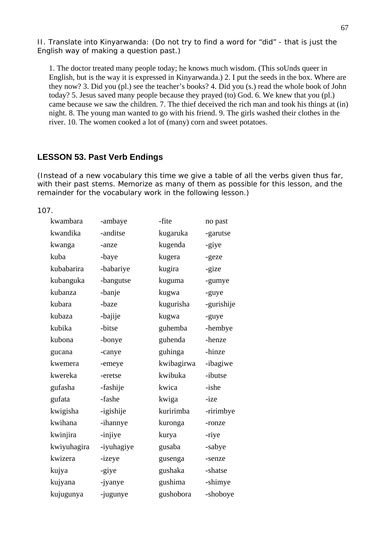II. Translate into Kinyarwanda: (Do not try to find a word for "did" - that is just the English way of making a question past.)

1. The doctor treated many people today; he knows much wisdom. (This soUnds queer in English, but is the way it is expressed in Kinyarwanda.) 2. I put the seeds in the box. Where are they now? 3. Did you (pl.) see the teacher's books? 4. Did you (s.) read the whole book of John today? 5. Jesus saved many people because they prayed (to) God. 6. We knew that you (pl.) came because we saw the children. 7. The thief deceived the rich man and took his things at (in) night. 8. The young man wanted to go with his friend. 9. The girls washed their clothes in the river. 10. The women cooked a lot of (many) corn and sweet potatoes.

## **LESSON 53. Past Verb Endings**

(Instead of a new vocabulary this time we give a table of all the verbs given thus far, with their past stems. Memorize as many of them as possible for this lesson, and the remainder for the vocabulary work in the following lesson.)

107.

| kwambara    | -ambaye    | -fite      | no past    |
|-------------|------------|------------|------------|
| kwandika    | -anditse   | kugaruka   | -garutse   |
| kwanga      | -anze      | kugenda    | -giye      |
| kuba        | -baye      | kugera     | -geze      |
| kubabarira  | -babariye  | kugira     | -gize      |
| kubanguka   | -bangutse  | kuguma     | -gumye     |
| kubanza     | -banje     | kugwa      | -guye      |
| kubara      | -baze      | kugurisha  | -gurishije |
| kubaza      | -bajije    | kugwa      | -guye      |
| kubika      | -bitse     | guhemba    | -hembye    |
| kubona      | -bonye     | guhenda    | -henze     |
| gucana      | -canye     | guhinga    | -hinze     |
| kwemera     | -emeye     | kwibagirwa | -ibagiwe   |
| kwereka     | -eretse    | kwibuka    | -ibutse    |
| gufasha     | -fashije   | kwica      | -ishe      |
| gufata      | -fashe     | kwiga      | -ize       |
| kwigisha    | -igishije  | kuririmba  | -ririmbye  |
| kwihana     | -ihannye   | kuronga    | -ronze     |
| kwinjira    | -injiye    | kurya      | -riye      |
| kwiyuhagira | -iyuhagiye | gusaba     | -sabye     |
| kwizera     | -izeye     | gusenga    | -senze     |
| kujya       | -giye      | gushaka    | -shatse    |
| kujyana     | -jyanye    | gushima    | -shimye    |
| kujugunya   | -jugunye   | gushobora  | -shoboye   |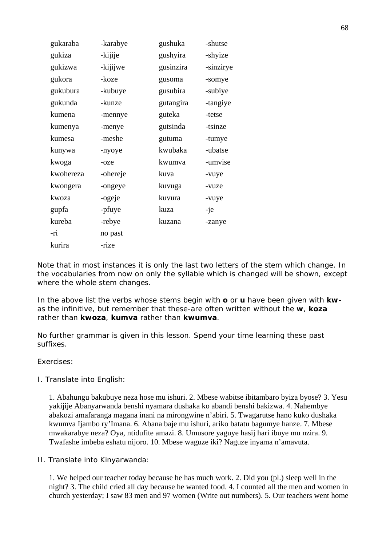| gukaraba  | -karabye | gushuka   | -shutse   |
|-----------|----------|-----------|-----------|
| gukiza    | -kijije  | gushyira  | -shyize   |
| gukizwa   | -kijijwe | gusinzira | -sinzirye |
| gukora    | -koze    | gusoma    | -somye    |
| gukubura  | -kubuye  | gusubira  | -subiye   |
| gukunda   | -kunze   | gutangira | -tangiye  |
| kumena    | -mennye  | guteka    | -tetse    |
| kumenya   | -menye   | gutsinda  | -tsinze   |
| kumesa    | -meshe   | gutuma    | -tumye    |
| kunywa    | -nyoye   | kwubaka   | -ubatse   |
| kwoga     | -oze     | kwumva    | -umvise   |
| kwohereza | -ohereje | kuva      | -vuye     |
| kwongera  | -ongeye  | kuvuga    | -vuze     |
| kwoza     | -ogeje   | kuvura    | -vuye     |
| gupfa     | -pfuye   | kuza      | -je       |
| kureba    | -rebye   | kuzana    | -zanye    |
| -ri       | no past  |           |           |
| kurira    | -rize    |           |           |
|           |          |           |           |

Note that in most instances it is only the last two letters of the stem which change. In the vocabularies from now on only the syllable which is changed will be shown, except where the whole stem changes.

In the above list the verbs whose stems begin with **o** or **u** have been given with **kw**as the infinitive, but remember that these-are often written without the **w**, **koza** rather than **kwoza**, **kumva** rather than **kwumva**.

No further grammar is given in this lesson. Spend your time learning these past suffixes.

Exercises:

I. Translate into English:

1. Abahungu bakubuye neza hose mu ishuri. 2. Mbese wabitse ibitambaro byiza byose? 3. Yesu yakijije Abanyarwanda benshi nyamara dushaka ko abandi benshi bakizwa. 4. Nahembye abakozi amafaranga magana inani na mirongwine n'abiri. 5. Twagarutse hano kuko dushaka kwumva Ijambo ry'Imana. 6. Abana baje mu ishuri, ariko batatu bagumye hanze. 7. Mbese mwakarabye neza? Oya, ntidufite amazi. 8. Umusore yaguye hasij hari ibuye mu nzira. 9. Twafashe imbeba eshatu nijoro. 10. Mbese waguze iki? Naguze inyama n'amavuta.

II. Translate into Kinyarwanda:

1. We helped our teacher today because he has much work. 2. Did you (pl.) sleep well in the night? 3. The child cried all day because he wanted food. 4. I counted all the men and women in church yesterday; I saw 83 men and 97 women (Write out numbers). 5. Our teachers went home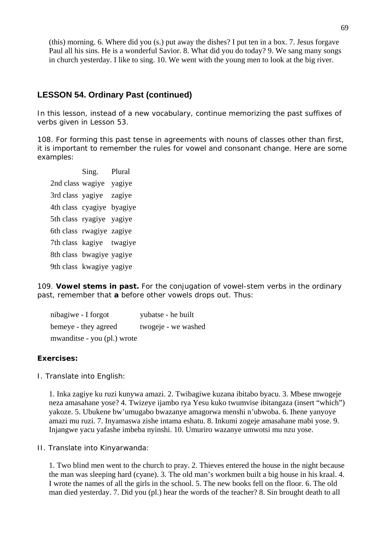(this) morning. 6. Where did you (s.) put away the dishes? I put ten in a box. 7. Jesus forgave Paul all his sins. He is a wonderful Savior. 8. What did you do today? 9. We sang many songs in church yesterday. I like to sing. 10. We went with the young men to look at the big river.

## **LESSON 54. Ordinary Past (continued)**

In this lesson, instead of a new vocabulary, continue memorizing the past suffixes of verbs given in Lesson 53.

108. For forming this past tense in agreements with nouns of classes other than first, it is important to remember the rules for vowel and consonant change. Here are some examples:

 Sing. Plural 2nd class wagiye yagiye 3rd class yagiye zagiye 4th class cyagiye byagiye 5th class ryagiye yagiye 6th class rwagiye zagiye 7th class kagiye twagiye 8th class bwagiye yagiye 9th class kwagiye yagiye

109. **Vowel stems in past.** For the conjugation of vowel-stem verbs in the ordinary past, remember that **a** before other vowels drops out. Thus:

nibagiwe - I forgot yubatse - he built bemeye - they agreed two eige - we washed mwanditse - you (pl.) wrote

#### **Exercises:**

I. Translate into English:

1. Inka zagiye ku ruzi kunywa amazi. 2. Twibagiwe kuzana ibitabo byacu. 3. Mbese mwogeje neza amasahane yose? 4. Twizeye ijambo rya Yesu kuko twumvise ibitangaza (insert "which") yakoze. 5. Ubukene bw'umugabo bwazanye amagorwa menshi n'ubwoba. 6. Ihene yanyoye amazi mu ruzi. 7. Inyamaswa zishe intama eshatu. 8. Inkumi zogeje amasahane mabi yose. 9. Injangwe yacu yafashe imbeba nyinshi. 10. Umuriro wazanye umwotsi mu nzu yose.

II. Translate into Kinyarwanda:

1. Two blind men went to the church to pray. 2. Thieves entered the house in the night because the man was sleeping hard (cyane). 3. The old man's workmen built a big house in his kraal. 4. I wrote the names of all the girls in the school. 5. The new books fell on the floor. 6. The old man died yesterday. 7. Did you (pl.) hear the words of the teacher? 8. Sin brought death to all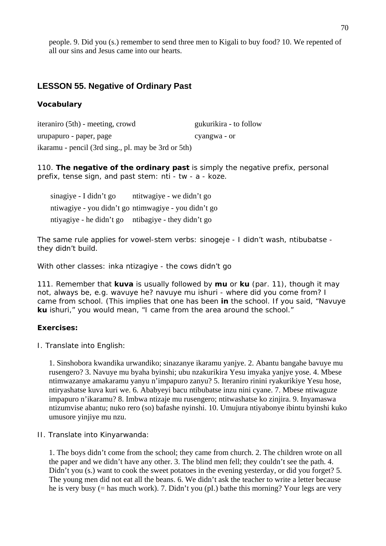people. 9. Did you (s.) remember to send three men to Kigali to buy food? 10. We repented of all our sins and Jesus came into our hearts.

## **LESSON 55. Negative of Ordinary Past**

## **Vocabulary**

iteraniro (5th) - meeting, crowd gukurikira - to follow urupapuro - paper, page cyangwa - or ikaramu - pencil (3rd sing., pl. may be 3rd or 5th)

110. **The negative of the ordinary past** is simply the negative prefix, personal prefix, tense sign, and past stem: nti - tw - a - koze.

sinagiye - I didn't go ntitwagiye - we didn't go ntiwagiye - you didn't go ntimwagiye - you didn't go ntiyagiye - he didn't go ntibagiye - they didn't go

The same rule applies for vowel-stem verbs: sinogeje - I didn't wash, ntibubatse they didn't build.

With other classes: inka ntizagiye - the cows didn't go

111. Remember that **kuva** is usually followed by **mu** or **ku** (par. 11), though it may not, always be, e.g. wavuye he? navuye mu ishuri - where did you come from? I came from school. (This implies that one has been **in** the school. If you said, "Navuye **ku** ishuri," you would mean, "I came from the area around the school."

## **Exercises:**

I. Translate into English:

1. Sinshobora kwandika urwandiko; sinazanye ikaramu yanjye. 2. Abantu bangahe bavuye mu rusengero? 3. Navuye mu byaha byinshi; ubu nzakurikira Yesu imyaka yanjye yose. 4. Mbese ntimwazanye amakaramu yanyu n'impapuro zanyu? 5. Iteraniro rinini ryakurikiye Yesu hose, ntiryashatse kuva kuri we. 6. Ababyeyi bacu ntibubatse inzu nini cyane. 7. Mbese ntiwaguze impapuro n'ikaramu? 8. Imbwa ntizaje mu rusengero; ntitwashatse ko zinjira. 9. Inyamaswa ntizumvise abantu; nuko rero (so) bafashe nyinshi. 10. Umujura ntiyabonye ibintu byinshi kuko umusore yinjiye mu nzu.

II. Translate into Kinyarwanda:

1. The boys didn't come from the school; they came from church. 2. The children wrote on all the paper and we didn't have any other. 3. The blind men fell; they couldn't see the path. 4. Didn't you (s.) want to cook the sweet potatoes in the evening yesterday, or did you forget? 5. The young men did not eat all the beans. 6. We didn't ask the teacher to write a letter because he is very busy (= has much work). 7. Didn't you (pI.) bathe this morning? Your legs are very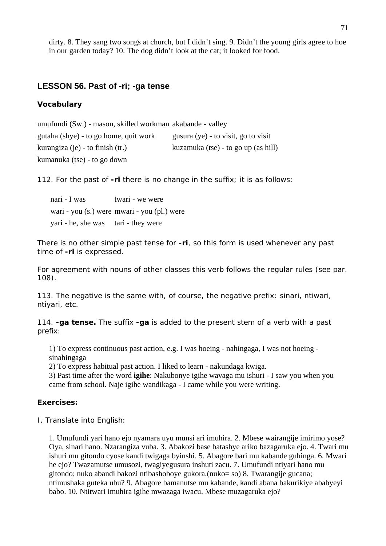dirty. 8. They sang two songs at church, but I didn't sing. 9. Didn't the young girls agree to hoe in our garden today? 10. The dog didn't look at the cat; it looked for food.

## **LESSON 56. Past of -ri; -ga tense**

#### **Vocabulary**

umufundi (Sw.) - mason, skilled workman akabande - valley gutaha (shye) - to go home, quit work gusura (ye) - to visit, go to visit kurangiza (je) - to finish (tr.) kuzamuka (tse) - to go up (as hill) kumanuka (tse) - to go down

112. For the past of **-ri** there is no change in the suffix; it is as follows:

nari - I was twari - we were wari - you (s.) were mwari - you (pl.) were yari - he, she was tari - they were

There is no other simple past tense for **-ri**, so this form is used whenever any past time of **-ri** is expressed.

For agreement with nouns of other classes this verb follows the regular rules (see par. 108).

113. The negative is the same with, of course, the negative prefix: sinari, ntiwari, ntiyari, etc.

114. **-ga tense.** The suffix **-ga** is added to the present stem of a verb with a past prefix:

1) To express continuous past action, e.g. I was hoeing - nahingaga, I was not hoeing sinahingaga

2) To express habitual past action. I liked to learn - nakundaga kwiga.

3) Past time after the word **igihe**: Nakubonye igihe wavaga mu ishuri - I saw you when you came from school. Naje igihe wandikaga - I came while you were writing.

#### **Exercises:**

I. Translate into English:

1. Umufundi yari hano ejo nyamara uyu munsi ari imuhira. 2. Mbese wairangije imirimo yose? Oya, sinari hano. Nzarangiza vuba. 3. Abakozi base batashye ariko bazagaruka ejo. 4. Twari mu ishuri mu gitondo cyose kandi twigaga byinshi. 5. Abagore bari mu kabande guhinga. 6. Mwari he ejo? Twazamutse umusozi, twagiyegusura inshuti zacu. 7. Umufundi ntiyari hano mu gitondo; nuko abandi bakozi ntibashoboye gukora.(nuko= so) 8. Twarangije gucana; ntimushaka guteka ubu? 9. Abagore bamanutse mu kabande, kandi abana bakurikiye ababyeyi babo. 10. Ntitwari imuhira igihe mwazaga iwacu. Mbese muzagaruka ejo?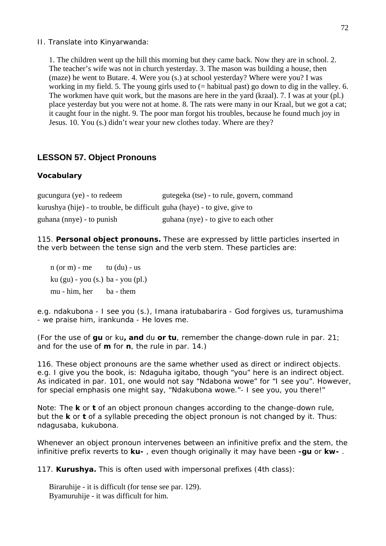II. Translate into Kinyarwanda:

1. The children went up the hill this morning but they came back. Now they are in school. 2. The teacher's wife was not in church yesterday. 3. The mason was building a house, then (maze) he went to Butare. 4. Were you (s.) at school yesterday? Where were you? I was working in my field. 5. The young girls used to (= habitual past) go down to dig in the valley. 6. The workmen have quit work, but the masons are here in the yard (kraal). 7. I was at your (pl.) place yesterday but you were not at home. 8. The rats were many in our Kraal, but we got a cat; it caught four in the night. 9. The poor man forgot his troubles, because he found much joy in Jesus. 10. You (s.) didn't wear your new clothes today. Where are they?

# **LESSON 57. Object Pronouns**

### **Vocabulary**

| gucungura (ye) - to redeem                                                | gutegeka (tse) - to rule, govern, command |
|---------------------------------------------------------------------------|-------------------------------------------|
| kurushya (hije) - to trouble, be difficult guha (haye) - to give, give to |                                           |
| guhana (nnye) - to punish                                                 | guhana (nye) - to give to each other      |

115. **Personal object pronouns.** These are expressed by little particles inserted in the verb between the tense sign and the verb stem. These particles are:

 $n (or m)$  - me tu  $(du)$  - us ku (gu) - you (s.) ba - you (pl.) mu - him, her ba - them

e.g. ndakubona - I see you (s.), Imana iratubabarira - God forgives us, turamushima - we praise him, irankunda - He loves me.

(For the use of **gu** or ku**, and** du **or tu**, remember the change-down rule in par. 21; and for the use of **m** for **n**, the rule in par. 14.)

116. These object pronouns are the same whether used as direct or indirect objects. e.g. I give you the book, is: Ndaguha igitabo, though "you" here is an indirect object. As indicated in par. 101, one would not say "Ndabona wowe" for "I see you". However, for special emphasis one might say, "Ndakubona wowe."- I see you, you there!"

Note: The **k** or **t** of an object pronoun changes according to the change-down rule, but the **k** or **t** of a syllable preceding the object pronoun is not changed by it. Thus: ndagusaba, kukubona.

Whenever an object pronoun intervenes between an infinitive prefix and the stem, the infinitive prefix reverts to **ku-** , even though originally it may have been **-gu** or **kw-** .

117. **Kurushya.** This is often used with impersonal prefixes (4th class):

Biraruhije - it is difficult (for tense see par. 129). Byamuruhije - it was difficult for him.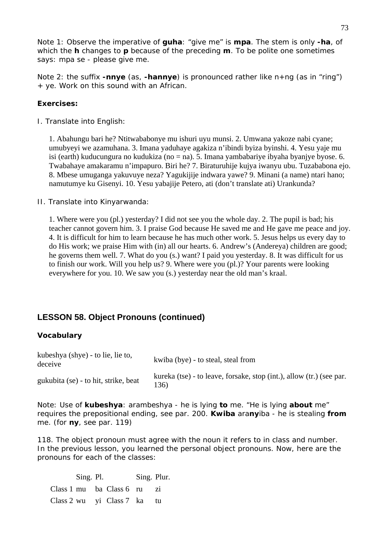Note 1: Observe the imperative of **guha**: "give me" is **mpa**. The stem is only **-ha**, of which the **h** changes to **p** because of the preceding **m**. To be polite one sometimes says: mpa se - please give me.

Note 2: the suffix **-nnye** (as, **-hannye**) is pronounced rather like n+ng (as in "ring") + ye. Work on this sound with an African.

#### **Exercises:**

I. Translate into English:

1. Abahungu bari he? Ntitwababonye mu ishuri uyu munsi. 2. Umwana yakoze nabi cyane; umubyeyi we azamuhana. 3. Imana yaduhaye agakiza n'ibindi byiza byinshi. 4. Yesu yaje mu isi (earth) kuducungura no kudukiza (no = na). 5. Imana yambabariye ibyaha byanjye byose. 6. Twabahaye amakaramu n'impapuro. Biri he? 7. Biraturuhije kujya iwanyu ubu. Tuzababona ejo. 8. Mbese umuganga yakuvuye neza? Yagukijije indwara yawe? 9. Minani (a name) ntari hano; namutumye ku Gisenyi. 10. Yesu yabajije Petero, ati (don't translate ati) Urankunda?

II. Translate into Kinyarwanda:

1. Where were you (pl.) yesterday? I did not see you the whole day. 2. The pupil is bad; his teacher cannot govern him. 3. I praise God because He saved me and He gave me peace and joy. 4. It is difficult for him to learn because he has much other work. 5. Jesus helps us every day to do His work; we praise Him with (in) all our hearts. 6. Andrew's (Andereya) children are good; he governs them well. 7. What do you (s.) want? I paid you yesterday. 8. It was difficult for us to finish our work. Will you help us? 9. Where were you (pl.)? Your parents were looking everywhere for you. 10. We saw you (s.) yesterday near the old man's kraal.

# **LESSON 58. Object Pronouns (continued)**

### **Vocabulary**

| kubeshya (shye) - to lie, lie to,<br>deceive | kwiba (bye) - to steal, steal from                                           |
|----------------------------------------------|------------------------------------------------------------------------------|
| gukubita (se) - to hit, strike, beat         | kureka (tse) - to leave, forsake, stop (int.), allow (tr.) (see par.<br>136) |

Note: Use of **kubeshya**: arambeshya - he is lying **to** me. "He is lying **about** me" requires the prepositional ending, see par. 200. **Kwiba** ara**ny**iba - he is stealing **from** me. (for **ny**, see par. 119)

118. The object pronoun must agree with the noun it refers to in class and number. In the previous lesson, you learned the personal object pronouns. Now, here are the pronouns for each of the classes:

 Sing. Pl. Sing. Plur. Class 1 mu ba Class 6 ru zi Class 2 wu yi Class 7 ka tu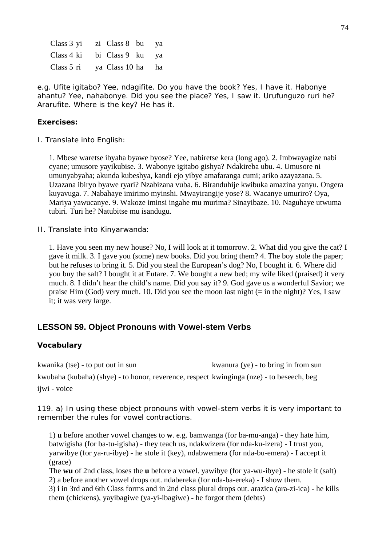| Class 3 yi zi Class 8 bu ya  |  |  |
|------------------------------|--|--|
| Class 4 ki bi Class 9 ku ya  |  |  |
| Class 5 ri ya Class 10 ha ha |  |  |

e.g. Ufite igitabo? Yee, ndagifite. Do you have the book? Yes, I have it. Habonye ahantu? Yee, nahabonye. Did you see the place? Yes, I saw it. Urufunguzo ruri he? Ararufite. Where is the key? He has it.

### **Exercises:**

I. Translate into English:

1. Mbese waretse ibyaha byawe byose? Yee, nabiretse kera (long ago). 2. Imbwayagize nabi cyane; umusore yayikubise. 3. Wabonye igitabo gishya? Ndakireba ubu. 4. Umusore ni umunyabyaha; akunda kubeshya, kandi ejo yibye amafaranga cumi; ariko azayazana. 5. Uzazana ibiryo byawe ryari? Nzabizana vuba. 6. Biranduhije kwibuka amazina yanyu. Ongera kuyavuga. 7. Nabahaye imirimo myinshi. Mwayirangije yose? 8. Wacanye umuriro? Oya, Mariya yawucanye. 9. Wakoze iminsi ingahe mu murima? Sinayibaze. 10. Naguhaye utwuma tubiri. Turi he? Natubitse mu isandugu.

II. Translate into Kinyarwanda:

1. Have you seen my new house? No, I will look at it tomorrow. 2. What did you give the cat? I gave it milk. 3. I gave you (some) new books. Did you bring them? 4. The boy stole the paper; but he refuses to bring it. 5. Did you steal the European's dog? No, I bought it. 6. Where did you buy the salt? I bought it at Eutare. 7. We bought a new bed; my wife liked (praised) it very much. 8. I didn't hear the child's name. Did you say it? 9. God gave us a wonderful Savior; we praise Him (God) very much. 10. Did you see the moon last night  $(=$  in the night)? Yes, I saw it; it was very large.

### **LESSON 59. Object Pronouns with Vowel-stem Verbs**

### **Vocabulary**

kwanika (tse) - to put out in sun kwanura (ye) - to bring in from sun kwubaha (kubaha) (shye) - to honor, reverence, respect kwinginga (nze) - to beseech, beg ijwi - voice

119. a) In using these object pronouns with vowel-stem verbs it is very important to remember the rules for vowel contractions.

1) **u** before another vowel changes to **w**. e.g. bamwanga (for ba-mu-anga) - they hate him, batwigisha (for ba-tu-igisha) - they teach us, ndakwizera (for nda-ku-izera) - I trust you, yarwibye (for ya-ru-ibye) - he stole it (key), ndabwemera (for nda-bu-emera) - I accept it (grace)

The **wu** of 2nd class, loses the **u** before a vowel. yawibye (for ya-wu-ibye) - he stole it (salt) 2) a before another vowel drops out. ndabereka (for nda-ba-ereka) - I show them.

3) **i** in 3rd and 6th Class forms and in 2nd class plural drops out. arazica (ara-zi-ica) - he kills them (chickens), yayibagiwe (ya-yi-ibagiwe) - he forgot them (debts)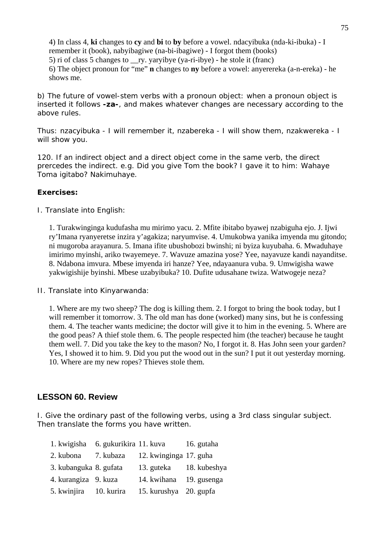4) In class 4, **ki** changes to **cy** and **bi** to **by** before a vowel. ndacyibuka (nda-ki-ibuka) - I remember it (book), nabyibagiwe (na-bi-ibagiwe) - I forgot them (books) 5) ri of class 5 changes to \_\_ry. yaryibye (ya-ri-ibye) - he stole it (franc) 6) The object pronoun for "me" **n** changes to **ny** before a vowel: anyerereka (a-n-ereka) - he shows me.

b) The future of vowel-stem verbs with a pronoun object: when a pronoun object is inserted it follows **-za-**, and makes whatever changes are necessary according to the above rules.

Thus: nzacyibuka - I will remember it, nzabereka - I will show them, nzakwereka - I will show you.

120. If an indirect object and a direct object come in the same verb, the direct prercedes the indirect. e.g. Did you give Tom the book? I gave it to him: Wahaye Toma igitabo? Nakimuhaye.

### **Exercises:**

I. Translate into English:

1. Turakwinginga kudufasha mu mirimo yacu. 2. Mfite ibitabo byawej nzabiguha ejo. J. Ijwi ry'Imana ryanyeretse inzira y'agakiza; naryumvise. 4. Umukobwa yanika imyenda mu gitondo; ni mugoroba arayanura. 5. Imana ifite ubushobozi bwinshi; ni byiza kuyubaha. 6. Mwaduhaye imirimo myinshi, ariko twayemeye. 7. Wavuze amazina yose? Yee, nayavuze kandi nayanditse. 8. Ndabona imvura. Mbese imyenda iri hanze? Yee, ndayaanura vuba. 9. Umwigisha wawe yakwigishije byinshi. Mbese uzabyibuka? 10. Dufite udusahane twiza. Watwogeje neza?

II. Translate into Kinyarwanda:

1. Where are my two sheep? The dog is killing them. 2. I forgot to bring the book today, but I will remember it tomorrow. 3. The old man has done (worked) many sins, but he is confessing them. 4. The teacher wants medicine; the doctor will give it to him in the evening. 5. Where are the good peas? A thief stole them. 6. The people respected him (the teacher) because he taught them well. 7. Did you take the key to the mason? No, I forgot it. 8. Has John seen your garden? Yes, I showed it to him. 9. Did you put the wood out in the sun? I put it out yesterday morning. 10. Where are my new ropes? Thieves stole them.

# **LESSON 60. Review**

I. Give the ordinary past of the following verbs, using a 3rd class singular subject. Then translate the forms you have written.

| 1. kwigisha 6. gukurikira 11. kuva |           |                        | 16. gutaha   |
|------------------------------------|-----------|------------------------|--------------|
| 2. kubona                          | 7. kubaza | 12. kwinginga 17. guha |              |
| 3. kubanguka 8. gufata             |           | 13. guteka             | 18. kubeshya |
| 4. kurangiza 9. kuza               |           | 14. kwihana            | 19. gusenga  |
| 5. kwinjira 10. kurira             |           | 15. kurushya 20. gupfa |              |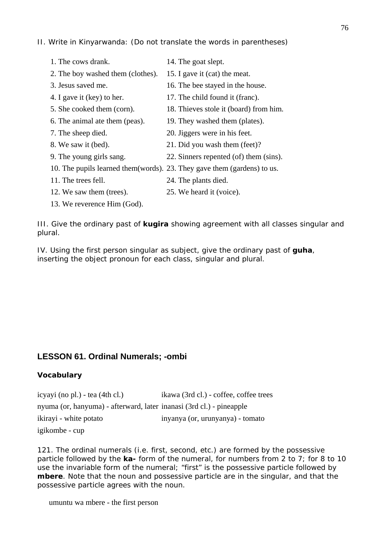II. Write in Kinyarwanda: (Do not translate the words in parentheses)

| 1. The cows drank.                                                       | 14. The goat slept.                    |
|--------------------------------------------------------------------------|----------------------------------------|
| 2. The boy washed them (clothes).                                        | 15. I gave it (cat) the meat.          |
| 3. Jesus saved me.                                                       | 16. The bee stayed in the house.       |
| 4. I gave it (key) to her.                                               | 17. The child found it (franc).        |
| 5. She cooked them (corn).                                               | 18. Thieves stole it (board) from him. |
| 6. The animal ate them (peas).                                           | 19. They washed them (plates).         |
| 7. The sheep died.                                                       | 20. Jiggers were in his feet.          |
| 8. We saw it (bed).                                                      | 21. Did you wash them (feet)?          |
| 9. The young girls sang.                                                 | 22. Sinners repented (of) them (sins). |
| 10. The pupils learned them (words). 23. They gave them (gardens) to us. |                                        |
| 11. The trees fell.                                                      | 24. The plants died.                   |
| 12. We saw them (trees).                                                 | 25. We heard it (voice).               |
| 13. We reverence Him (God).                                              |                                        |

III. Give the ordinary past of **kugira** showing agreement with all classes singular and plural.

IV. Using the first person singular as subject, give the ordinary past of **guha**, inserting the object pronoun for each class, singular and plural.

# **LESSON 61. Ordinal Numerals; -ombi**

### **Vocabulary**

| icyayi (no pl.) - tea (4th cl.)                                      | ikawa (3rd cl.) - coffee, coffee trees |
|----------------------------------------------------------------------|----------------------------------------|
| nyuma (or, hanyuma) - afterward, later inanasi (3rd cl.) - pineapple |                                        |
| ikirayi - white potato                                               | inyanya (or, urunyanya) - tomato       |
| igikombe - cup                                                       |                                        |

121. The ordinal numerals (i.e. first, second, etc.) are formed by the possessive particle followed by the **ka-** form of the numeral, for numbers from 2 to 7; for 8 to 10 use the invariable form of the numeral; "first" is the possessive particle followed by **mbere**. Note that the noun and possessive particle are in the singular, and that the possessive particle agrees with the noun.

umuntu wa mbere - the first person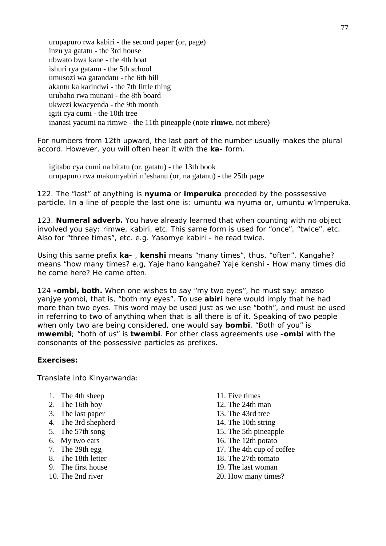urupapuro rwa kabiri - the second paper (or, page) inzu ya gatatu - the 3rd house ubwato bwa kane - the 4th boat ishuri rya gatanu - the 5th school umusozi wa gatandatu - the 6th hill akantu ka karindwi - the 7th little thing urubaho rwa munani - the 8th board ukwezi kwacyenda - the 9th month igiti cya cumi - the 10th tree inanasi yacumi na rimwe - the 11th pineapple (note **rimwe**, not mbere)

For numbers from 12th upward, the last part of the number usually makes the plural accord. However, you will often hear it with the **ka-** form.

igitabo cya cumi na bitatu (or, gatatu) - the 13th book urupapuro rwa makumyabiri n'eshanu (or, na gatanu) - the 25th page

122. The "last" of anything is **nyuma** or **imperuka** preceded by the posssessive particle. In a line of people the last one is: umuntu wa nyuma or, umuntu w'imperuka.

123. **Numeral adverb.** You have already learned that when counting with no object involved you say: rimwe, kabiri, etc. This same form is used for "once", "twice", etc. Also for "three times", etc. e.g. Yasomye kabiri - he read twice.

Using this same prefix **ka-** , **kenshi** means "many times", thus, "often". Kangahe? means "how many times? e.g, Yaje hano kangahe? Yaje kenshi - How many times did he come here? He came often.

124 **-ombi, both.** When one wishes to say "my two eyes", he must say: amaso yanjye yombi, that is, "both my eyes". To use **abiri** here would imply that he had more than two eyes. This word may be used just as we use "both", and must be used in referring to two of anything when that is all there is of it. Speaking of two people when only two are being considered, one would say **bombi**. "Both of you" is **mwembi**; "both of us" is **twembi**. For other class agreements use **-ombi** with the consonants of the possessive particles as prefixes.

#### **Exercises:**

Translate into Kinyarwanda:

- 1. The 4th sheep
- 2. The 16th boy
- 3. The last paper
- 4. The 3rd shepherd
- 5. The 57th song
- 6. My two ears
- 7. The 29th egg
- 8. The 18th letter
- 9. The first house
- 10. The 2nd river
- 11. Five times
- 12. The 24th man
- 13. The 43rd tree
- 14. The 10th string
- 15. The 5th pineapple
- 16. The 12th potato
- 17. The 4th cup of coffee
- 18. The 27th tomato
- 19. The last woman
- 20. How many times?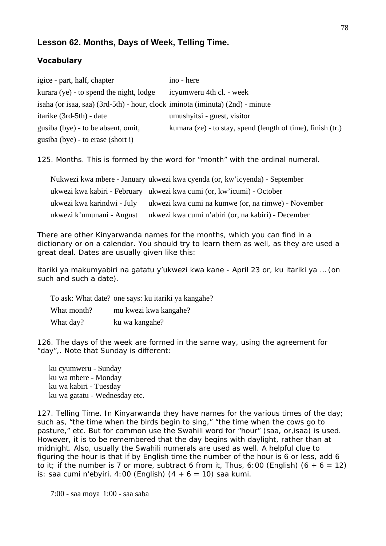## **Lesson 62. Months, Days of Week, Telling Time.**

### **Vocabulary**

| igice - part, half, chapter                                                   | ino - here                                                  |
|-------------------------------------------------------------------------------|-------------------------------------------------------------|
| kurara (ye) - to spend the night, lodge                                       | icyumweru 4th cl. - week                                    |
| isaha (or isaa, saa) (3rd-5th) - hour, clock iminota (iminuta) (2nd) - minute |                                                             |
| itarike (3rd-5th) - date                                                      | umushyitsi - guest, visitor                                 |
| gusiba (bye) - to be absent, omit,                                            | kumara (ze) - to stay, spend (length of time), finish (tr.) |
| gusiba (bye) - to erase (short i)                                             |                                                             |

125. Months. This is formed by the word for "month" with the ordinal numeral.

| Nukwezi kwa mbere - January ukwezi kwa cyenda (or, kw'icyenda) - September     |
|--------------------------------------------------------------------------------|
| ukwezi kwa kabiri - February ukwezi kwa cumi (or, kw'icumi) - October          |
| ukwezi kwa karindwi - July bukwezi kwa cumi na kumwe (or, na rimwe) - November |
| ukwezi k'umunani - August ukwezi kwa cumi n'abiri (or, na kabiri) - December   |

There are other Kinyarwanda names for the months, which you can find in a dictionary or on a calendar. You should try to learn them as well, as they are used a great deal. Dates are usually given like this:

itariki ya makumyabiri na gatatu y'ukwezi kwa kane - April 23 or, ku itariki ya … (on such and such a date).

To ask: What date? one says: ku itariki ya kangahe?

What month? mu kwezi kwa kangahe?

What day? ku wa kangahe?

126. The days of the week are formed in the same way, using the agreement for "day",. Note that Sunday is different:

ku cyumweru - Sunday ku wa mbere - Monday ku wa kabiri - Tuesday ku wa gatatu - Wednesday etc.

127. Telling Time. In Kinyarwanda they have names for the various times of the day; such as, "the time when the birds begin to sing," "the time when the cows go to pasture," etc. But for common use the Swahili word for "hour" (saa, or,isaa) is used. However, it is to be remembered that the day begins with daylight, rather than at midnight. Also, usually the Swahili numerals are used as well. A helpful clue to figuring the hour is that if by English time the number of the hour is 6 or less, add 6 to it; if the number is 7 or more, subtract 6 from it, Thus, 6:00 (English)  $(6 + 6 = 12)$ is: saa cumi n'ebyiri.  $4:00$  (English)  $(4 + 6 = 10)$  saa kumi.

7:00 - saa moya 1:00 - saa saba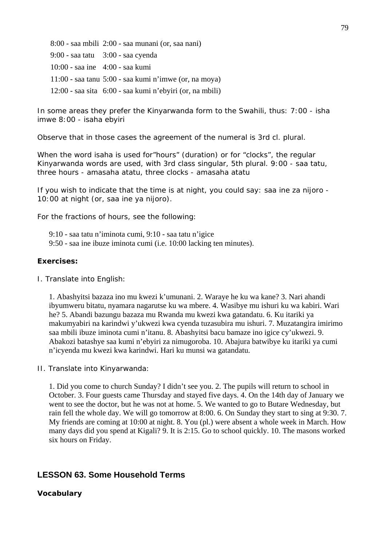8:00 - saa mbili 2:00 - saa munani (or, saa nani) 9:00 - saa tatu 3:00 - saa cyenda 10:00 - saa ine 4:00 - saa kumi 11:00 - saa tanu 5:00 - saa kumi n'imwe (or, na moya) 12:00 - saa sita 6:00 - saa kumi n'ebyiri (or, na mbili)

In some areas they prefer the Kinyarwanda form to the Swahili, thus: 7:00 - isha imwe 8:00 - isaha ebyiri

Observe that in those cases the agreement of the numeral is 3rd cl. plural.

When the word isaha is used for"hours" (duration) or for "clocks", the regular Kinyarwanda words are used, with 3rd class singular, 5th plural. 9:00 - saa tatu, three hours - amasaha atatu, three clocks - amasaha atatu

If you wish to indicate that the time is at night, you could say: saa ine za nijoro - 10:00 at night (or, saa ine ya nijoro).

For the fractions of hours, see the following:

9:10 - saa tatu n'iminota cumi, 9:10 - saa tatu n'igice 9:50 - saa ine ibuze iminota cumi (i.e. 10:00 lacking ten minutes).

#### **Exercises:**

I. Translate into English:

1. Abashyitsi bazaza ino mu kwezi k'umunani. 2. Waraye he ku wa kane? 3. Nari ahandi ibyumweru bitatu, nyamara nagarutse ku wa mbere. 4. Wasibye mu ishuri ku wa kabiri. Wari he? 5. Abandi bazungu bazaza mu Rwanda mu kwezi kwa gatandatu. 6. Ku itariki ya makumyabiri na karindwi y'ukwezi kwa cyenda tuzasubira mu ishuri. 7. Muzatangira imirimo saa mbili ibuze iminota cumi n'itanu. 8. Abashyitsi bacu bamaze ino igice cy'ukwezi. 9. Abakozi batashye saa kumi n'ebyiri za nimugoroba. 10. Abajura batwibye ku itariki ya cumi n'icyenda mu kwezi kwa karindwi. Hari ku munsi wa gatandatu.

II. Translate into Kinyarwanda:

1. Did you come to church Sunday? I didn't see you. 2. The pupils will return to school in October. 3. Four guests came Thursday and stayed five days. 4. On the 14th day of January we went to see the doctor, but he was not at home. 5. We wanted to go to Butare Wednesday, but rain fell the whole day. We will go tomorrow at 8:00. 6. On Sunday they start to sing at 9:30. 7. My friends are coming at 10:00 at night. 8. You (pl.) were absent a whole week in March. How many days did you spend at Kigali? 9. It is 2:15. Go to school quickly. 10. The masons worked six hours on Friday.

### **LESSON 63. Some Household Terms**

### **Vocabulary**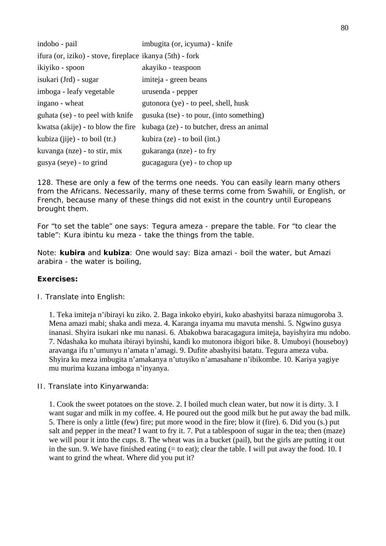| indobo - pail                                            | imbugita (or, icyuma) - knife             |
|----------------------------------------------------------|-------------------------------------------|
| ifura (or, iziko) - stove, fireplace ikanya (5th) - fork |                                           |
| ikiyiko - spoon                                          | akayiko - teaspoon                        |
| isukari (Jrd) - sugar                                    | imiteja - green beans                     |
| imboga - leafy vegetable                                 | urusenda - pepper                         |
| ingano - wheat                                           | gutonora (ye) - to peel, shell, husk      |
| guhata (se) - to peel with knife                         | gusuka (tse) - to pour, (into something)  |
| kwatsa (akije) - to blow the fire                        | kubaga (ze) - to butcher, dress an animal |
| kubiza (jije) - to boil (tr.)                            | kubira (ze) - to boil (int.)              |
| kuvanga (nze) - to stir, mix                             | gukaranga (nze) - to fry                  |
| gusya (seye) - to grind                                  | gucagagura (ye) - to chop up              |

128. These are only a few of the terms one needs. You can easily learn many others from the Africans. Necessarily, many of these terms come from Swahili, or English, or French, because many of these things did not exist in the country until Europeans brought them.

For "to set the table" one says: Tegura ameza - prepare the table. For "to clear the table": Kura ibintu ku meza - take the things from the table.

Note: **kubira** and **kubiza**: One would say: Biza amazi - boil the water, but Amazi arabira - the water is boiling,

#### **Exercises:**

I. Translate into English:

1. Teka imiteja n'ibirayi ku ziko. 2. Baga inkoko ebyiri, kuko abashyitsi baraza nimugoroba 3. Mena amazi mabi; shaka andi meza. 4. Karanga inyama mu mavuta menshi. 5. Ngwino gusya inanasi. Shyira isukari nke mu nanasi. 6. Abakobwa baracagagura imiteja, bayishyira mu ndobo. 7. Ndashaka ko muhata ibirayi byinshi, kandi ko mutonora ibigori bike. 8. Umuboyi (houseboy) aravanga ifu n'umunyu n'amata n'amagi. 9. Dufite abashyitsi batatu. Tegura ameza vuba. Shyira ku meza imbugita n'amakanya n'utuyiko n'amasahane n'ibikombe. 10. Kariya yagiye mu murima kuzana imboga n'inyanya.

II. Translate into Kinyarwanda:

1. Cook the sweet potatoes on the stove. 2. I boiled much clean water, but now it is dirty. 3. I want sugar and milk in my coffee. 4. He poured out the good milk but he put away the bad milk. 5. There is only a little (few) fire; put more wood in the fire; blow it (fire). 6. Did you (s.) put salt and pepper in the meat? I want to fry it. 7. Put a tablespoon of sugar in the tea; then (maze) we will pour it into the cups. 8. The wheat was in a bucket (pail), but the girls are putting it out in the sun. 9. We have finished eating  $(=$  to eat); clear the table. I will put away the food. 10. I want to grind the wheat. Where did you put it?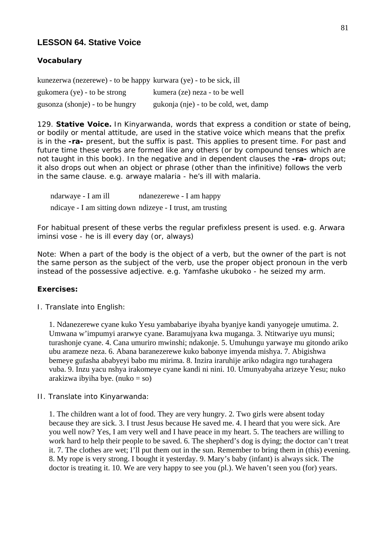# **LESSON 64. Stative Voice**

## **Vocabulary**

kunezerwa (nezerewe) - to be happy kurwara (ye) - to be sick, ill gukomera (ye) - to be strong kumera (ze) neza - to be well gusonza (shonje) - to be hungry gukonja (nje) - to be cold, wet, damp

129. **Stative Voice.** In Kinyarwanda, words that express a condition or state of being, or bodily or mental attitude, are used in the stative voice which means that the prefix is in the **-ra-** present, but the suffix is past. This applies to present time. For past and future time these verbs are formed like any others (or by compound tenses which are not taught in this book). In the negative and in dependent clauses the **-ra-** drops out; it also drops out when an object or phrase (other than the infinitive) follows the verb in the same clause. e.g. arwaye malaria - he's ill with malaria.

ndarwaye - I am ill ndanezerewe - I am happy ndicaye - I am sitting down ndizeye - I trust, am trusting

For habitual present of these verbs the regular prefixless present is used. e.g. Arwara iminsi vose - he is ill every day (or, always)

Note: When a part of the body is the object of a verb, but the owner of the part is not the same person as the subject of the verb, use the proper object pronoun in the verb instead of the possessive adjective. e.g. Yamfashe ukuboko - he seized my arm.

### **Exercises:**

I. Translate into English:

1. Ndanezerewe cyane kuko Yesu yambabariye ibyaha byanjye kandi yanyogeje umutima. 2. Umwana w'impumyi ararwye cyane. Baramujyana kwa muganga. 3. Ntitwariye uyu munsi; turashonje cyane. 4. Cana umuriro mwinshi; ndakonje. 5. Umuhungu yarwaye mu gitondo ariko ubu arameze neza. 6. Abana baranezerewe kuko babonye imyenda mishya. 7. Abigishwa bemeye gufasha ababyeyi babo mu mirima. 8. Inzira iraruhije ariko ndagira ngo turahagera vuba. 9. Inzu yacu nshya irakomeye cyane kandi ni nini. 10. Umunyabyaha arizeye Yesu; nuko arakizwa ibyiha bye. (nuko = so)

II. Translate into Kinyarwanda:

1. The children want a lot of food. They are very hungry. 2. Two girls were absent today because they are sick. 3. I trust Jesus because He saved me. 4. I heard that you were sick. Are you well now? Yes, I am very well and I have peace in my heart. 5. The teachers are willing to work hard to help their people to be saved. 6. The shepherd's dog is dying; the doctor can't treat it. 7. The clothes are wet; I'll put them out in the sun. Remember to bring them in (this) evening. 8. My rope is very strong. I bought it yesterday. 9. Mary's baby (infant) is always sick. The doctor is treating it. 10. We are very happy to see you (pl.). We haven't seen you (for) years.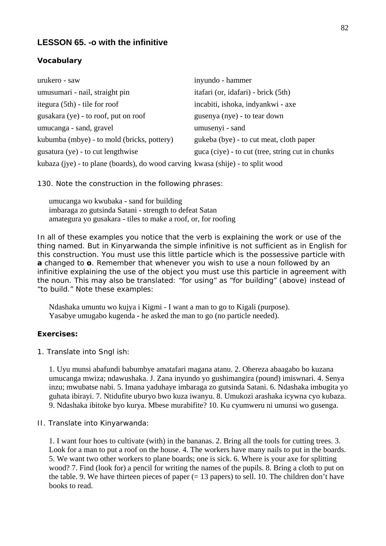# **LESSON 65. -o with the infinitive**

## **Vocabulary**

| urukero - saw                                                                   | inyundo - hammer                                  |
|---------------------------------------------------------------------------------|---------------------------------------------------|
| umusumari - nail, straight pin                                                  | itafari (or, idafari) - brick (5th)               |
| itegura (5th) - tile for roof                                                   | incabiti, ishoka, indyankwi - axe                 |
| gusakara (ye) - to roof, put on roof                                            | gusenya (nye) - to tear down                      |
| umucanga - sand, gravel                                                         | umusenyi - sand                                   |
| kubumba (mbye) - to mold (bricks, pottery)                                      | gukeba (bye) - to cut meat, cloth paper           |
| gusatura (ye) - to cut lengthwise                                               | guca (ciye) - to cut (tree, string cut in chunks) |
| kubaza (jye) - to plane (boards), do wood carving kwasa (shije) - to split wood |                                                   |

130. Note the construction in the following phrases:

umucanga wo kwubaka - sand for building imbaraga zo gutsinda Satani - strength to defeat Satan amategura yo gusakara - tiles to make a roof, or, for roofing

In all of these examples you notice that the verb is explaining the work or use of the thing named. But in Kinyarwanda the simple infinitive is not sufficient as in English for this construction. You must use this little particle which is the possessive particle with **a** changed to **o**. Remember that whenever you wish to use a noun followed by an infinitive explaining the use of the object you must use this particle in agreement with the noun. This may also be translated: "for using" as "for building" (above) instead of "to build." Note these examples:

Ndashaka umuntu wo kujya i Kigmi - I want a man to go to Kigali (purpose). Yasabye umugabo kugenda - he asked the man to go (no particle needed).

### **Exercises:**

1. Translate into Sngl ish:

1. Uyu munsi abafundi babumbye amatafari magana atanu. 2. Ohereza abaagabo bo kuzana umucanga mwiza; ndawushaka. J. Zana inyundo yo gushimangira (pound) imiswnari. 4. Senya inzu; mwubatse nabi. 5. Imana yaduhaye imbaraga zo gutsinda Satani. 6. Ndashaka imbugita yo guhata ibirayi. 7. Ntidufite uburyo bwo kuza iwanyu. 8. Umukozi arashaka icywna cyo kubaza. 9. Ndashaka ibitoke byo kurya. Mbese murabifite? 10. Ku cyumweru ni umunsi wo gusenga.

II. Translate into Kinyarwanda:

1. I want four hoes to cultivate (with) in the bananas. 2. Bring all the tools for cutting trees. 3. Look for a man to put a roof on the house. 4. The workers have many nails to put in the boards. 5. We want two other workers to plane boards; one is sick. 6. Where is your axe for splitting wood? 7. Find (look for) a pencil for writing the names of the pupils. 8. Bring a cloth to put on the table. 9. We have thirteen pieces of paper  $(= 13 \text{ papers})$  to sell. 10. The children don't have books to read.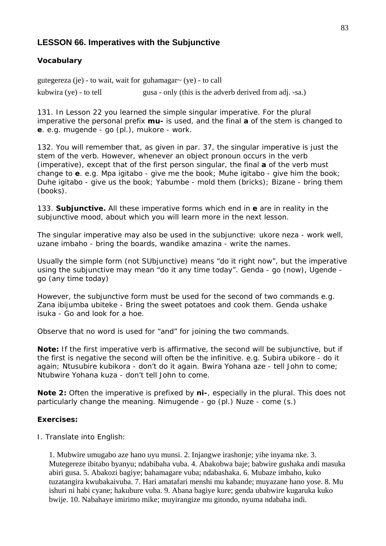# **LESSON 66. Imperatives with the Subjunctive**

### **Vocabulary**

gutegereza (je) - to wait, wait for guhamagar~ (ye) - to call kubwira (ye) - to tell gusa - only (this is the adverb derived from adj. -sa.)

131. In Lesson 22 you learned the simple singular imperative. For the plural imperative the personal prefix **mu-** is used, and the final **a** of the stem is changed to **e**. e.g. mugende - go (pl.), mukore - work.

132. You will remember that, as given in par. 37, the singular imperative is just the stem of the verb. However, whenever an object pronoun occurs in the verb (imperative), except that of the first person singular, the final **a** of the verb must change to **e**. e.g. Mpa igitabo - give me the book; Muhe igitabo - give him the book; Duhe igitabo - give us the book; Yabumbe - mold them (bricks); Bizane - bring them (books).

133. **Subjunctive.** All these imperative forms which end in **e** are in reality in the subjunctive mood, about which you will learn more in the next lesson.

The singular imperative may also be used in the subjunctive: ukore neza - work well, uzane imbaho - bring the boards, wandike amazina - write the names.

Usually the simple form (not SUbjunctive) means "do it right now", but the imperative using the subjunctive may mean "do it any time today". Genda - go (now), Ugende go (any time today)

However, the subjunctive form must be used for the second of two commands e.g. Zana ibijumba ubiteke - Bring the sweet potatoes and cook them. Genda ushake isuka - Go and look for a hoe.

Observe that no word is used for "and" for joining the two commands.

**Note:** If the first imperative verb is affirmative, the second will be subjunctive, but if the first is negative the second will often be the infinitive. e.g. Subira ubikore - do it again; Ntusubire kubikora - don't do it again. Bwira Yohana aze - tell John to come; Ntubwire Yohana kuza - don't tell John to come.

**Note 2:** Often the imperative is prefixed by **ni-**, especially in the plural. This does not particularly change the meaning. Nimugende - go (pl.) Nuze - come (s.)

### **Exercises:**

I. Translate into English:

1. Mubwire umugabo aze hano uyu munsi. 2. Injangwe irashonje; yihe inyama nke. 3. Mutegereze ibitabo byanyu; ndabibaha vuba. 4. Abakobwa baje; babwire gushaka andi masuka abiri gusa. 5. Abakozi bagiye; bahamagare vuba; ndabashaka. 6. Mubaze imbaho, kuko tuzatangira kwubakaivuba. 7. Hari amatafari menshi mu kabande; muyazane hano yose. 8. Mu ishuri ni habi cyane; hakubure vuba. 9. Abana bagiye kure; genda ubabwire kugaruka kuko bwije. 10. Nabahaye imirimo mike; muyirangize mu gitondo, nyuma ndabaha indi.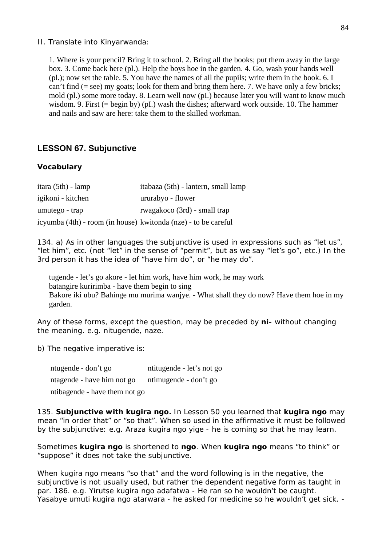#### II. Translate into Kinyarwanda:

1. Where is your pencil? Bring it to school. 2. Bring all the books; put them away in the large box. 3. Come back here (pl.). Help the boys hoe in the garden. 4. Go, wash your hands well (pl.); now set the table. 5. You have the names of all the pupils; write them in the book. 6. I can't find  $(=$  see) my goats; look for them and bring them here. 7. We have only a few bricks; mold (pl.) some more today. 8. Learn well now (pI.) because later you will want to know much wisdom. 9. First (= begin by) (pI.) wash the dishes; afterward work outside. 10. The hammer and nails and saw are here: take them to the skilled workman.

## **LESSON 67. Subjunctive**

### **Vocabulary**

| $\frac{1}{\tan \theta}$ (5th) - lamp                           | itabaza (5th) - lantern, small lamp |
|----------------------------------------------------------------|-------------------------------------|
| igikoni - kitchen                                              | ururabyo - flower                   |
| umutego - trap                                                 | rwagakoco (3rd) - small trap        |
| icyumba (4th) - room (in house) kwitonda (nze) - to be careful |                                     |

134. a) As in other languages the subjunctive is used in expressions such as "let us", "let him", etc. (not "let" in the sense of "permit", but as we say "let's go", etc.) In the 3rd person it has the idea of "have him do", or "he may do".

tugende - let's go akore - let him work, have him work, he may work batangire kuririmba - have them begin to sing Bakore iki ubu? Bahinge mu murima wanjye. - What shall they do now? Have them hoe in my garden.

Any of these forms, except the question, may be preceded by **ni-** without changing the meaning. e.g. nitugende, naze.

b) The negative imperative is:

ntugende - don't go ntitugende - let's not go ntagende - have him not go ntimugende - don't go ntibagende - have them not go

135. **Subjunctive with kugira ngo.** In Lesson 50 you learned that **kugira ngo** may mean "in order that" or "so that". When so used in the affirmative it must be followed by the subjunctive: e.g. Araza kugira ngo yige - he is coming so that he may learn.

Sometimes **kugira ngo** is shortened to **ngo**. When **kugira ngo** means "to think" or "suppose" it does not take the subjunctive.

When kugira ngo means "so that" and the word following is in the negative, the subjunctive is not usually used, but rather the dependent negative form as taught in par. 186. e.g. Yirutse kugira ngo adafatwa - He ran so he wouldn't be caught. Yasabye umuti kugira ngo atarwara - he asked for medicine so he wouldn't get sick. -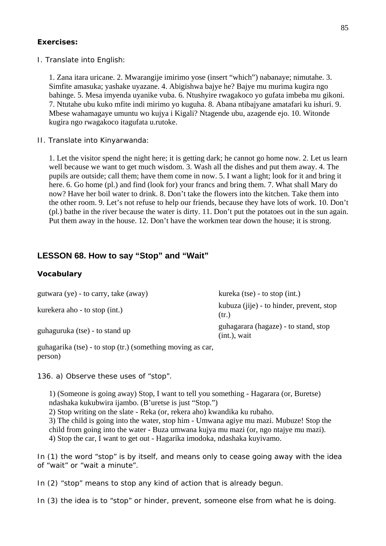#### **Exercises:**

I. Translate into English:

1. Zana itara uricane. 2. Mwarangije imirimo yose (insert "which") nabanaye; nimutahe. 3. Simfite amasuka; yashake uyazane. 4. Abigishwa bajye he? Bajye mu murima kugira ngo bahinge. 5. Mesa imyenda uyanike vuba. 6. Ntushyire rwagakoco yo gufata imbeba mu gikoni. 7. Ntutahe ubu kuko mfite indi mirimo yo kuguha. 8. Abana ntibajyane amatafari ku ishuri. 9. Mbese wahamagaye umuntu wo kujya i Kigali? Ntagende ubu, azagende ejo. 10. Witonde kugira ngo rwagakoco itagufata u.rutoke.

II. Translate into Kinyarwanda:

1. Let the visitor spend the night here; it is getting dark; he cannot go home now. 2. Let us learn well because we want to get much wisdom. 3. Wash all the dishes and put them away. 4. The pupils are outside; call them; have them come in now. 5. I want a light; look for it and bring it here. 6. Go home (pl.) and find (look for) your francs and bring them. 7. What shall Mary do now? Have her boil water to drink. 8. Don't take the flowers into the kitchen. Take them into the other room. 9. Let's not refuse to help our friends, because they have lots of work. 10. Don't (pl.) bathe in the river because the water is dirty. 11. Don't put the potatoes out in the sun again. Put them away in the house. 12. Don't have the workmen tear down the house; it is strong.

## **LESSON 68. How to say "Stop" and "Wait"**

#### **Vocabulary**

| gutwara (ye) - to carry, take (away) | kureka (tse) - to stop (int.)                        |
|--------------------------------------|------------------------------------------------------|
| kurekera aho - to stop (int.)        | kubuza (jije) - to hinder, prevent, stop<br>(tr.)    |
| guhaguruka (tse) - to stand up       | guhagarara (hagaze) - to stand, stop<br>(int.), wait |

guhagarika (tse) - to stop (tr.) (something moving as car, person)

136. a) Observe these uses of "stop".

1) (Someone is going away) Stop, I want to tell you something - Hagarara (or, Buretse) ndashaka kukubwira ijambo. (B'uretse is just "Stop.")

2) Stop writing on the slate - Reka (or, rekera aho) kwandika ku rubaho.

3) The child is going into the water, stop him - Umwana agiye mu mazi. Mubuze! Stop the child from going into the water - Buza umwana kujya mu mazi (or, ngo ntajye mu mazi). 4) Stop the car, I want to get out - Hagarika imodoka, ndashaka kuyivamo.

In (1) the word "stop" is by itself, and means only to cease going away with the idea of "wait" or "wait a minute".

In (2) "stop" means to stop any kind of action that is already begun.

In (3) the idea is to "stop" or hinder, prevent, someone else from what he is doing.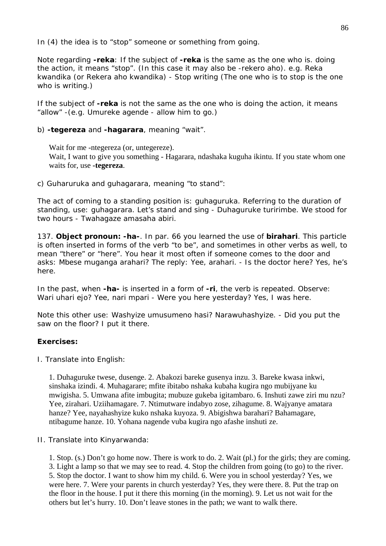In (4) the idea is to "stop" someone or something from going.

Note regarding **-reka**: If the subject of **-reka** is the same as the one who is. doing the action, it means "stop". (In this case it may also be -rekero aho). e.g. Reka kwandika (or Rekera aho kwandika) - Stop writing (The one who is to stop is the one who is writing.)

If the subject of **-reka** is not the same as the one who is doing the action, it means "allow" -(e.g. Umureke agende - allow him to go.)

### b) **-tegereza** and **-hagarara**, meaning "wait".

Wait for me -ntegereza (or, untegereze). Wait, I want to give you something - Hagarara, ndashaka kuguha ikintu. If you state whom one waits for, use **-tegereza**.

c) Guharuruka and guhagarara, meaning "to stand":

The act of coming to a standing position is: guhaguruka. Referring to the duration of standing, use: guhagarara. Let's stand and sing - Duhaguruke turirimbe. We stood for two hours - Twahagaze amasaha abiri.

137. **Object pronoun: -ha-**. In par. 66 you learned the use of **birahari**. This particle is often inserted in forms of the verb "to be", and sometimes in other verbs as well, to mean "there" or "here". You hear it most often if someone comes to the door and asks: Mbese muganga arahari? The reply: Yee, arahari. - Is the doctor here? Yes, he's here.

In the past, when **-ha-** is inserted in a form of **-ri**, the verb is repeated. Observe: Wari uhari ejo? Yee, nari mpari - Were you here yesterday? Yes, I was here.

Note this other use: Washyize umusumeno hasi? Narawuhashyize. - Did you put the saw on the floor? I put it there.

### **Exercises:**

I. Translate into English:

1. Duhaguruke twese, dusenge. 2. Abakozi bareke gusenya inzu. 3. Bareke kwasa inkwi, sinshaka izindi. 4. Muhagarare; mfite ibitabo nshaka kubaha kugira ngo mubijyane ku mwigisha. 5. Umwana afite imbugita; mubuze gukeba igitambaro. 6. Inshuti zawe ziri mu nzu? Yee, zirahari. Uziihamagare. 7. Ntimutware indabyo zose, zihagume. 8. Wajyanye amatara hanze? Yee, nayahashyize kuko nshaka kuyoza. 9. Abigishwa barahari? Bahamagare, ntibagume hanze. 10. Yohana nagende vuba kugira ngo afashe inshuti ze.

### II. Translate into Kinyarwanda:

1. Stop. (s.) Don't go home now. There is work to do. 2. Wait (pl.) for the girls; they are coming. 3. Light a lamp so that we may see to read. 4. Stop the children from going (to go) to the river. 5. Stop the doctor. I want to show him my child. 6. Were you in school yesterday? Yes, we were here. 7. Were your parents in church yesterday? Yes, they were there. 8. Put the trap on the floor in the house. I put it there this morning (in the morning). 9. Let us not wait for the others but let's hurry. 10. Don't leave stones in the path; we want to walk there.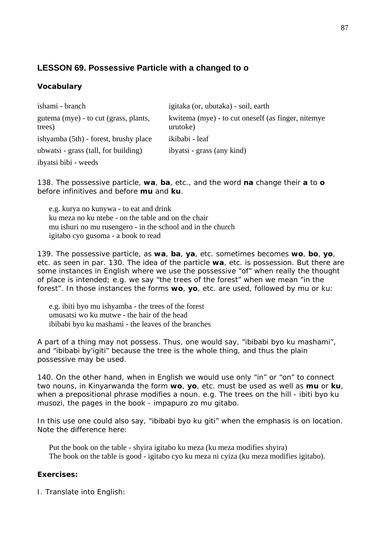# **LESSON 69. Possessive Particle with a changed to o**

## **Vocabulary**

| ishami - branch                                 | igitaka (or, ubutaka) - soil, earth                            |
|-------------------------------------------------|----------------------------------------------------------------|
| gutema (mye) - to cut (grass, plants,<br>trees) | kwitema (mye) - to cut oneself (as finger, nitemye<br>urutoke) |
| ishyamba (5th) - forest, brushy place           | ikibabi - leaf                                                 |
| ubwatsi - grass (tall, for building)            | ibyatsi - grass (any kind)                                     |
| ibyatsi bibi - weeds                            |                                                                |

138. The possessive particle, **wa**, **ba**, etc., and the word **na** change their **a** to **o** before infinitives and before **mu** and **ku**.

e.g. kurya no kunywa - to eat and drink ku meza no ku ntebe - on the table and on the chair mu ishuri no mu rusengero - in the school and in the church igitabo cyo gusoma - a book to read

139. The possessive particle, as **wa**, **ba**, **ya**, etc. sometimes becomes **wo**, **bo**, **yo**, etc. as seen in par. 130. The idea of the particle **wa**, etc. is possession. But there are some instances in English where we use the possessive "of" when really the thought of place is intended; e.g. we say "the trees of the forest" when we mean "in the forest". In those instances the forms **wo**, **yo**, etc. are used, followed by mu or ku:

e.g. ibiti byo mu ishyamba - the trees of the forest umusatsi wo ku mutwe - the hair of the head ibibabi byo ku mashami - the leaves of the branches

A part of a thing may not possess. Thus, one would say, "ibibabi byo ku mashami", and "ibibabi by'igiti" because the tree is the whole thing, and thus the plain possessive may be used.

140. On the other hand, when in English we would use only "in" or "on" to connect two nouns, in Kinyarwanda the form **wo**, **yo**, etc. must be used as well as **mu** or **ku**, when a prepositional phrase modifies a noun. e.g. The trees on the hill - ibiti byo ku musozi, the pages in the book - impapuro zo mu gitabo.

In this use one could also say, "ibibabi byo ku giti" when the emphasis is on location. Note the difference here:

Put the book on the table - shyira igitabo ku meza (ku meza modifies shyira) The book on the table is good - igitabo cyo ku meza ni cyiza (ku meza modifies igitabo).

### **Exercises:**

I. Translate into English: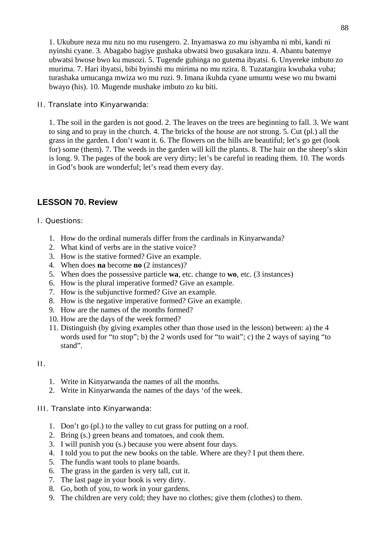1. Ukubure neza mu nzu no mu rusengero. 2. Inyamaswa zo mu ishyamba ni mbi, kandi ni nyinshi cyane. 3. Abagabo bagiye gushaka ubwatsi bwo gusakara inzu. 4. Abantu batemye ubwatsi bwose bwo ku musozi. 5. Tugende guhinga no gutema ibyatsi. 6. Unyereke imbuto zo murima. 7. Hari ibyatsi, bibi byinshi mu mirima no mu nzira. 8. Tuzatangira kwubaka vuba; turashaka umucanga mwiza wo mu ruzi. 9. Imana ikuhda cyane umuntu wese wo mu bwami bwayo (his). 10. Mugende mushake imbuto zo ku biti.

II. Translate into Kinyarwanda:

1. The soil in the garden is not good. 2. The leaves on the trees are beginning to fall. 3. We want to sing and to pray in the church. 4. The bricks of the house are not strong. 5. Cut (pl.) all the grass in the garden. I don't want it. 6. The flowers on the hills are beautiful; let's go get (look for) some (them). 7. The weeds in the garden will kill the plants. 8. The hair on the sheep's skin is long. 9. The pages of the book are very dirty; let's be careful in reading them. 10. The words in God's book are wonderful; let's read them every day.

## **LESSON 70. Review**

- I. Questions:
	- 1. How do the ordinal numerals differ from the cardinals in Kinyarwanda?
	- 2. What kind of verbs are in the stative voice?
	- 3. How is the stative formed? Give an example.
	- 4. When does **na** become **no** (2 instances)?
	- 5. When does the possessive particle **wa**, etc. change to **wo**, etc. (3 instances)
	- 6. How is the plural imperative formed? Give an example.
	- 7. How is the subjunctive formed? Give an example.
	- 8. How is the negative imperative formed? Give an example.
	- 9. How are the names of the months formed?
	- 10. How are the days of the week formed?
	- 11. Distinguish (by giving examples other than those used in the lesson) between: a) the 4 words used for "to stop"; b) the 2 words used for "to wait"; c) the 2 ways of saying "to stand".

#### II.

- 1. Write in Kinyarwanda the names of all the months.
- 2. Write in Kinyarwanda the names of the days 'of the week.
- III. Translate into Kinyarwanda:
	- 1. Don't go (pl.) to the valley to cut grass for putting on a roof.
	- 2. Bring (s.) green beans and tomatoes, and cook them.
	- 3. I will punish you (s.) because you were absent four days.
	- 4. I told you to put the new books on the table. Where are they? I put them there.
	- 5. The fundis want tools to plane boards.
	- 6. The grass in the garden is very tall, cut it.
	- 7. The last page in your book is very dirty.
	- 8. Go, both of you, to work in your gardens.
	- 9. The children are very cold; they have no clothes; give them (clothes) to them.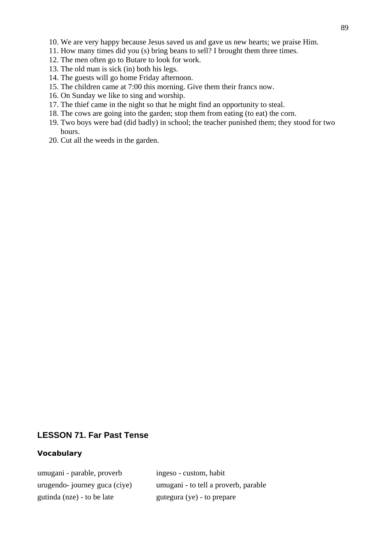- 10. We are very happy because Jesus saved us and gave us new hearts; we praise Him.
- 11. How many times did you (s) bring beans to sell? I brought them three times.
- 12. The men often go to Butare to look for work.
- 13. The old man is sick (in) both his legs.
- 14. The guests will go home Friday afternoon.
- 15. The children came at 7:00 this morning. Give them their francs now.
- 16. On Sunday we like to sing and worship.
- 17. The thief came in the night so that he might find an opportunity to steal.
- 18. The cows are going into the garden; stop them from eating (to eat) the corn.
- 19. Two boys were bad (did badly) in school; the teacher punished them; they stood for two hours.
- 20. Cut all the weeds in the garden.

## **LESSON 71. Far Past Tense**

#### **Vocabulary**

| umugani - parable, proverb    | ingeso - custom, habit       |
|-------------------------------|------------------------------|
| urugendo- journey guca (ciye) | umugani - to tell a proverb, |
| gutinda (nze) - to be late    | gutegura (ye) - to prepare   |

parable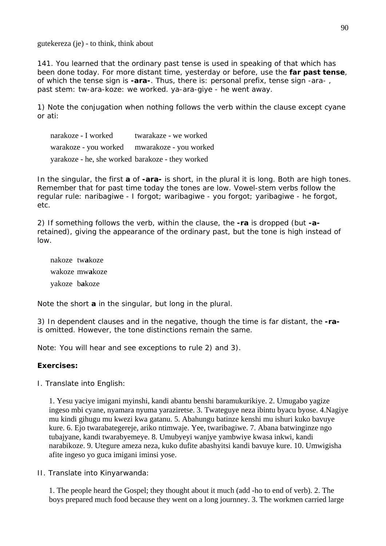gutekereza (je) - to think, think about

141. You learned that the ordinary past tense is used in speaking of that which has been done today. For more distant time, yesterday or before, use the **far past tense**, of which the tense sign is **-ara-**. Thus, there is: personal prefix, tense sign -ara- , past stem: tw-ara-koze: we worked. ya-ara-giye - he went away.

1) Note the conjugation when nothing follows the verb within the clause except cyane or ati:

narakoze - I worked twarakaze - we worked warakoze - you worked mwarakoze - you worked yarakoze - he, she worked barakoze - they worked

In the singular, the first **a** of **-ara-** is short, in the plural it is long. Both are high tones. Remember that for past time today the tones are low. Vowel-stem verbs follow the regular rule: naribagiwe - I forgot; waribagiwe - you forgot; yaribagiwe - he forgot, etc.

2) If something follows the verb, within the clause, the **-ra** is dropped (but **-a**retained), giving the appearance of the ordinary past, but the tone is high instead of low.

nakoze tw**a**koze wakoze mw**a**koze yakoze b**a**koze

Note the short **a** in the singular, but long in the plural.

3) In dependent clauses and in the negative, though the time is far distant, the **-ra**is omitted. However, the tone distinctions remain the same.

Note: You will hear and see exceptions to rule 2) and 3).

### **Exercises:**

I. Translate into English:

1. Yesu yaciye imigani myinshi, kandi abantu benshi baramukurikiye. 2. Umugabo yagize ingeso mbi cyane, nyamara nyuma yaraziretse. 3. Twateguye neza ibintu byacu byose. 4.Nagiye mu kindi gihugu mu kwezi kwa gatanu. 5. Abahungu batinze kenshi mu ishuri kuko bavuye kure. 6. Ejo twarabategereje, ariko ntimwaje. Yee, twaribagiwe. 7. Abana batwinginze ngo tubajyane, kandi twarabyemeye. 8. Umubyeyi wanjye yambwiye kwasa inkwi, kandi narabikoze. 9. Utegure ameza neza, kuko dufite abashyitsi kandi bavuye kure. 10. Umwigisha afite ingeso yo guca imigani iminsi yose.

II. Translate into Kinyarwanda:

1. The people heard the Gospel; they thought about it much (add -ho to end of verb). 2. The boys prepared much food because they went on a long journney. 3. The workmen carried large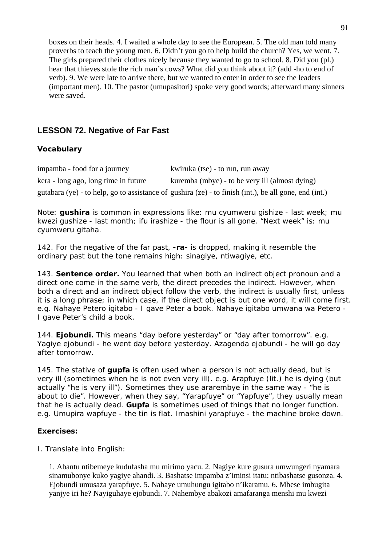boxes on their heads. 4. I waited a whole day to see the European. 5. The old man told many proverbs to teach the young men. 6. Didn't you go to help build the church? Yes, we went. 7. The girls prepared their clothes nicely because they wanted to go to school. 8. Did you (pl.) hear that thieves stole the rich man's cows? What did you think about it? (add -ho to end of verb). 9. We were late to arrive there, but we wanted to enter in order to see the leaders (important men). 10. The pastor (umupasitori) spoke very good words; afterward many sinners were saved.

# **LESSON 72. Negative of Far Fast**

### **Vocabulary**

impamba - food for a journey kwiruka (tse) - to run, run away kera - long ago, long time in future kuremba (mbye) - to be very ill (almost dying) gutabara (ye) - to help, go to assistance of gushira (ze) - to finish (int.), be all gone, end (int.)

Note: **gushira** is common in expressions like: mu cyumweru gishize - last week; mu kwezi gushize - last month; ifu irashize - the flour is all gone. "Next week" is: mu cyumweru gitaha.

142. For the negative of the far past, **-ra-** is dropped, making it resemble the ordinary past but the tone remains high: sinagiye, ntiwagiye, etc.

143. **Sentence order.** You learned that when both an indirect object pronoun and a direct one come in the same verb, the direct precedes the indirect. However, when both a direct and an indirect object follow the verb, the indirect is usually first, unless it is a long phrase; in which case, if the direct object is but one word, it will come first. e.g. Nahaye Petero igitabo - I gave Peter a book. Nahaye igitabo umwana wa Petero - I gave Peter's child a book.

144. **Ejobundi.** This means "day before yesterday" or "day after tomorrow". e.g. Yagiye ejobundi - he went day before yesterday. Azagenda ejobundi - he will go day after tomorrow.

145. The stative of **gupfa** is often used when a person is not actually dead, but is very ill (sometimes when he is not even very ill). e.g. Arapfuye (lit.) he is dying (but actually "he is very ill"). Sometimes they use ararembye in the same way - "he is about to die". However, when they say, "Yarapfuye" or "Yapfuye", they usually mean that he is actually dead. **Gupfa** is sometimes used of things that no longer function. e.g. Umupira wapfuye - the tin is flat. Imashini yarapfuye - the machine broke down.

### **Exercises:**

I. Translate into English:

1. Abantu ntibemeye kudufasha mu mirimo yacu. 2. Nagiye kure gusura umwungeri nyamara sinamubonye kuko yagiye ahandi. 3. Bashatse impamba z'iminsi itatu: ntibashatse gusonza. 4. Ejobundi umusaza yarapfuye. 5. Nahaye umuhungu igitabo n'ikaramu. 6. Mbese imbugita yanjye iri he? Nayiguhaye ejobundi. 7. Nahembye abakozi amafaranga menshi mu kwezi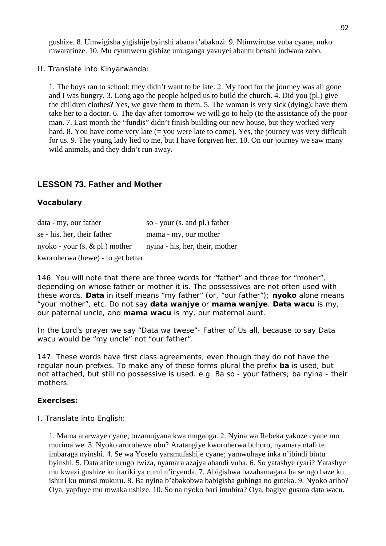gushize. 8. Umwigisha yigishije byinshi abana t'abakozi. 9. Ntimwirutse vuba cyane, nuko mwaratinze. 10. Mu cyumweru gishize umuganga yavuyei abantu benshi indwara zabo.

II. Translate into Kinyarwanda:

1. The boys ran to school; they didn't want to be late. 2. My food for the journey was all gone and I was hungry. 3. Long ago the people helped us to build the church. 4. Did you (pl.) give the children clothes? Yes, we gave them to them. 5. The woman is very sick (dying); have them take her to a doctor. 6. The day after tomorrow we will go to help (to the assistance of) the poor man. 7. Last month the "fundis" didn't finish building our new house, but they worked very hard. 8. You have come very late  $(=$  you were late to come). Yes, the journey was very difficult for us. 9. The young lady lied to me, but I have forgiven her. 10. On our journey we saw many wild animals, and they didn't run away.

## **LESSON 73. Father and Mother**

### **Vocabulary**

| data - my, our father             | so - your (s. and pl.) father   |
|-----------------------------------|---------------------------------|
| se - his, her, their father       | mama - my, our mother           |
| nyoko - your $(s, \& pl.)$ mother | nyina - his, her, their, mother |
| kworoherwa (hewe) - to get better |                                 |

146. You will note that there are three words for "father" and three for "moher", depending on whose father or mother it is. The possessives are not often used with these words. **Data** in itself means "my father" (or, "our father"); **nyoko** alone means "your mother", etc. Do not say **data wanjye** or **mama wanjye**. **Data wacu** is my, our paternal uncle, and **mama wacu** is my, our maternal aunt.

In the Lord's prayer we say "Data wa twese"- Father of Us all, because to say Data wacu would be "my uncle" not "our father".

147. These words have first class agreements, even though they do not have the regular noun prefxes. To make any of these forms plural the prefix **ba** is used, but not attached, but still no possessive is used. e.g. Ba so - your fathers; ba nyina - their mothers.

#### **Exercises:**

I. Translate into English:

1. Mama ararwaye cyane; tuzamujyana kwa muganga. 2. Nyina wa Rebeka yakoze cyane mu murima we. 3. Nyoko arorohewe ubu? Aratangiye kworoherwa buhoro, nyamara ntafi te imbaraga nyinshi. 4. Se wa Yosefu yaramufashije cyane; yamwuhaye inka n'ibindi bintu byinshi. 5. Data afite urugo rwiza, nyamara azajya ahandi vuba. 6. So yatashye ryari? Yatashye mu kwezi gushize ku itariki ya cumi n'icyenda. 7. Abigishwa bazahamagara ba se ngo baze ku ishuri ku munsi mukuru. 8. Ba nyina b'abakobwa babigisha guhinga no guteka. 9. Nyoko ariho? Oya, yapfuye mu mwaka ushize. 10. So na nyoko bari imuhira? Oya, bagiye gusura data wacu.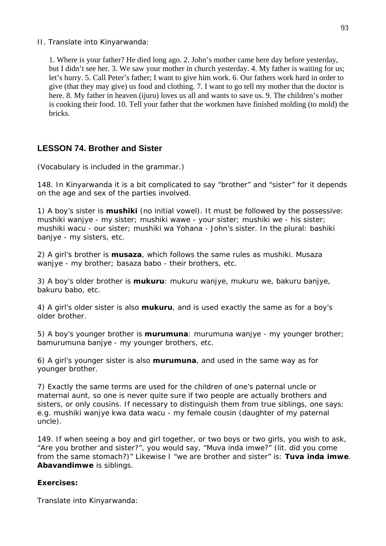II. Translate into Kinyarwanda:

1. Where is your father? He died long ago. 2. John's mother came here day before yesterday, but I didn't see her. 3. We saw your mother in church yesterday. 4. My father is waiting for us; let's hurry. 5. Call Peter's father; I want to give him work. 6. Our fathers work hard in order to give (that they may give) us food and clothing. 7. I want to go tell my mother that the doctor is here. 8. My father in heaven (ijuru) loves us all and wants to save us. 9. The children's mother is cooking their food. 10. Tell your father that the workmen have finished molding (to mold) the bricks.

# **LESSON 74. Brother and Sister**

(Vocabulary is included in the grammar.)

148. In Kinyarwanda it is a bit complicated to say "brother" and "sister" for it depends on the age and sex of the parties involved.

1) A boy's sister is **mushiki** (no initial vowel). It must be followed by the possessive: mushiki wanjye - my sister; mushiki wawe - your sister; mushiki we - his sister; mushiki wacu - our sister; mushiki wa Yohana - John's sister. In the plural: bashiki banjye - my sisters, etc.

2) A girl's brother is **musaza**, which follows the same rules as mushiki. Musaza wanjye - my brother; basaza babo - their brothers, etc.

3) A boy's older brother is **mukuru**: mukuru wanjye, mukuru we, bakuru banjye, bakuru babo, etc.

4) A girl's older sister is also **mukuru**, and is used exactly the same as for a boy's older brother.

5) A boy's younger brother is **murumuna**: murumuna wanjye - my younger brother; bamurumuna banjye - my younger brothers, etc.

6) A girl's younger sister is also **murumuna**, and used in the same way as for younger brother.

7) Exactly the same terms are used for the children of one's paternal uncle or maternal aunt, so one is never quite sure if two people are actually brothers and sisters, or only cousins. If necessary to distinguish them from true siblings, one says: e.g. mushiki wanjye kwa data wacu - my female cousin (daughter of my paternal uncle).

149. If when seeing a boy and girl together, or two boys or two girls, you wish to ask, "Are you brother and sister?", you would say, "Muva inda imwe?" (lit. did you come from the same stomach?)" Likewise I "we are brother and sister" is: **Tuva inda imwe**. **Abavandimwe** is siblings.

### **Exercises:**

Translate into Kinyarwanda: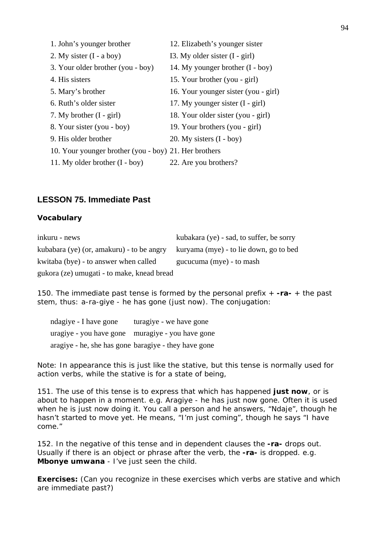| 12. Elizabeth's younger sister                        |
|-------------------------------------------------------|
| I3. My older sister (I - girl)                        |
| 14. My younger brother (I - boy)                      |
| 15. Your brother (you - girl)                         |
| 16. Your younger sister (you - girl)                  |
| 17. My younger sister (I - girl)                      |
| 18. Your older sister (you - girl)                    |
| 19. Your brothers (you - girl)                        |
| 20. My sisters $(I - boy)$                            |
| 10. Your younger brother (you - boy) 21. Her brothers |
| 22. Are you brothers?                                 |
|                                                       |

## **LESSON 75. Immediate Past**

#### **Vocabulary**

| inkuru - news                              | kubakara (ye) - sad, to suffer, be sorry |
|--------------------------------------------|------------------------------------------|
| kubabara (ye) (or, amakuru) - to be angry  | kuryama (mye) - to lie down, go to bed   |
| kwitaba (bye) - to answer when called      | gucucuma (mye) - to mash                 |
| gukora (ze) umugati - to make, knead bread |                                          |

150. The immediate past tense is formed by the personal prefix + **-ra-** + the past stem, thus: a-ra-giye - he has gone (just now). The conjugation:

ndagiye - I have gone turagiye - we have gone uragiye - you have gone muragiye - you have gone aragiye - he, she has gone baragiye - they have gone

Note: In appearance this is just like the stative, but this tense is normally used for action verbs, while the stative is for a state of being,

151. The use of this tense is to express that which has happened **just now**, or is about to happen in a moment. e.g. Aragiye - he has just now gone. Often it is used when he is just now doing it. You call a person and he answers, "Ndaje", though he hasn't started to move yet. He means, "I'm just coming", though he says "I have come."

152. In the negative of this tense and in dependent clauses the **-ra-** drops out. Usually if there is an object or phrase after the verb, the **-ra-** is dropped. e.g. **Mbonye umwana** - I've just seen the child.

**Exercises:** (Can you recognize in these exercises which verbs are stative and which are immediate past?)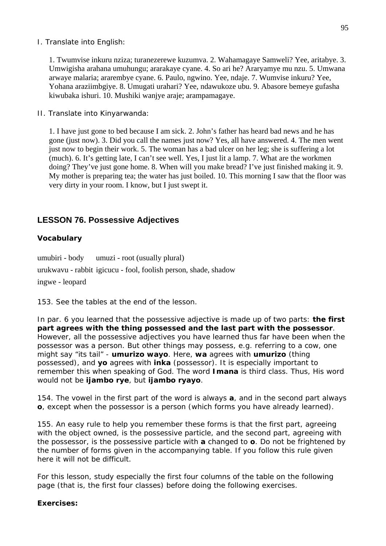### I. Translate into English:

1. Twumvise inkuru nziza; turanezerewe kuzumva. 2. Wahamagaye Samweli? Yee, aritabye. 3. Umwigisha arahana umuhungu; ararakaye cyane. 4. So ari he? Araryamye mu nzu. 5. Umwana arwaye malaria; ararembye cyane. 6. Paulo, ngwino. Yee, ndaje. 7. Wumvise inkuru? Yee, Yohana araziimbgiye. 8. Umugati urahari? Yee, ndawukoze ubu. 9. Abasore bemeye gufasha kiwubaka ishuri. 10. Mushiki wanjye araje; arampamagaye.

II. Translate into Kinyarwanda:

1. I have just gone to bed because I am sick. 2. John's father has heard bad news and he has gone (just now). 3. Did you call the names just now? Yes, all have answered. 4. The men went just now to begin their work. 5. The woman has a bad ulcer on her leg; she is suffering a lot (much). 6. It's getting late, I can't see well. Yes, I just lit a lamp. 7. What are the workmen doing? They've just gone home. 8. When will you make bread? I've just finished making it. 9. My mother is preparing tea; the water has just boiled. 10. This morning I saw that the floor was very dirty in your room. I know, but I just swept it.

### **LESSON 76. Possessive Adjectives**

#### **Vocabulary**

umubiri - body umuzi - root (usually plural) urukwavu - rabbit igicucu - fool, foolish person, shade, shadow ingwe - leopard

153. See the tables at the end of the lesson.

In par. 6 you learned that the possessive adjective is made up of two parts: **the first part agrees with the thing possessed and the last part with the possessor**. However, all the possessive adjectives you have learned thus far have been when the possessor was a person. But other things may possess, e.g. referring to a cow, one might say "its tail" - **umurizo wayo**. Here, **wa** agrees with **umurizo** (thing possessed), and **yo** agrees with **inka** (possessor). It is especially important to remember this when speaking of God. The word **Imana** is third class. Thus, His word would not be **ijambo rye**, but **ijambo ryayo**.

154. The vowel in the first part of the word is always **a**, and in the second part always **o**, except when the possessor is a person (which forms you have already learned).

155. An easy rule to help you remember these forms is that the first part, agreeing with the object owned, is the possessive particle, and the second part, agreeing with the possessor, is the possessive particle with **a** changed to **o**. Do not be frightened by the number of forms given in the accompanying table. If you follow this rule given here it will not be difficult.

For this lesson, study especially the first four columns of the table on the following page (that is, the first four classes) before doing the following exercises.

#### **Exercises:**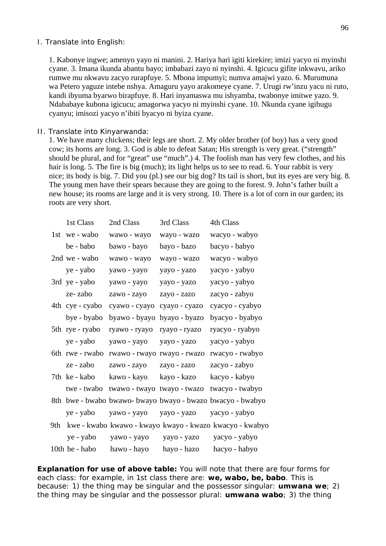#### I. Translate into English:

1. Kabonye ingwe; amenyo yayo ni manini. 2. Hariya hari igiti kirekire; imizi yacyo ni myinshi cyane. 3. Imana ikunda abantu bayo; imbabazi zayo ni nyinshi. 4. Igicucu gifite inkwavu, ariko rumwe mu nkwavu zacyo rurapfuye. 5. Mbona impumyi; numva amajwi yazo. 6. Murumuna wa Petero yaguze intebe nshya. Amaguru yayo arakomeye cyane. 7. Urugi rw'inzu yacu ni ruto, kandi ibyuma byarwo birapfuye. 8. Hari inyamaswa mu ishyamba, twabonye imitwe yazo. 9. Ndababaye kubona igicucu; amagorwa yacyo ni myinshi cyane. 10. Nkunda cyane igihugu cyanyu; imisozi yacyo n'ibiti byacyo ni byiza cyane.

II. Translate into Kinyarwanda:

1. We have many chickens; their legs are short. 2. My older brother (of boy) has a very good cow; its horns are long. 3. God is able to defeat Satan; His strength is very great. ("strength" should be plural, and for "great" use "much".) 4. The foolish man has very few clothes, and his hair is long. 5. The fire is big (much); its light helps us to see to read. 6. Your rabbit is very nice; its body is big. 7. Did you (pl.) see our big dog? Its tail is short, but its eyes are very big. 8. The young men have their spears because they are going to the forest. 9. John's father built a new house; its rooms are large and it is very strong. 10. There is a lot of corn in our garden; its roots are very short.

| 1st Class       | 2nd Class     | 3rd Class     | 4th Class                                                                                                                                             |
|-----------------|---------------|---------------|-------------------------------------------------------------------------------------------------------------------------------------------------------|
| 1st we - wabo   | wawo - wayo   | wayo - wazo   | wacyo - wabyo                                                                                                                                         |
| be - babo       | bawo - bayo   | bayo - bazo   | bacyo - babyo                                                                                                                                         |
| 2nd we - wabo   | wawo - wayo   | wayo - wazo   | wacyo - wabyo                                                                                                                                         |
| ye - yabo       | yawo - yayo   | yayo - yazo   | yacyo - yabyo                                                                                                                                         |
| 3rd ye - yabo   | yawo - yayo   | yayo - yazo   | yacyo - yabyo                                                                                                                                         |
| ze-zabo         | zawo - zayo   | zayo - zazo   | zacyo - zabyo                                                                                                                                         |
| 4th cye - cyabo | cyawo - cyayo | cyayo - cyazo | cyacyo - cyabyo                                                                                                                                       |
| bye - byabo     | byawo - byayo | byayo - byazo | byacyo - byabyo                                                                                                                                       |
| 5th rye - ryabo | ryawo - ryayo | ryayo - ryazo | ryacyo - ryabyo                                                                                                                                       |
| ye - yabo       | yawo - yayo   | yayo - yazo   | yacyo - yabyo                                                                                                                                         |
| 6th rwe - rwabo |               |               | rwacyo - rwabyo                                                                                                                                       |
| ze - zabo       | zawo - zayo   | zayo - zazo   | zacyo - zabyo                                                                                                                                         |
| 7th ke - kabo   | kawo - kayo   | kayo - kazo   | kacyo - kabyo                                                                                                                                         |
| twe - twabo     |               | twayo - twazo | twacyo - twabyo                                                                                                                                       |
|                 |               |               | bwacyo - bwabyo                                                                                                                                       |
| ye - yabo       | yawo - yayo   | yayo - yazo   | yacyo - yabyo                                                                                                                                         |
|                 |               |               |                                                                                                                                                       |
| ye - yabo       | yawo - yayo   | yayo - yazo   | yacyo - yabyo                                                                                                                                         |
| 10th he - habo  | hawo - hayo   | hayo - hazo   | hacyo - habyo                                                                                                                                         |
|                 |               |               | rwawo - rwayo rwayo - rwazo<br>twawo - twayo<br>8th bwe - bwabo bwawo- bwayo bwayo - bwazo<br>kwe - kwabo kwawo - kwayo kwayo - kwazo kwacyo - kwabyo |

**Explanation for use of above table:** You will note that there are four forms for each class: for example, in 1st class there are: **we, wabo, be, babo**. This is because: 1) the thing may be singular and the possessor singular: **umwana we**; 2) the thing may be singular and the possessor plural: **umwana wabo**; 3) the thing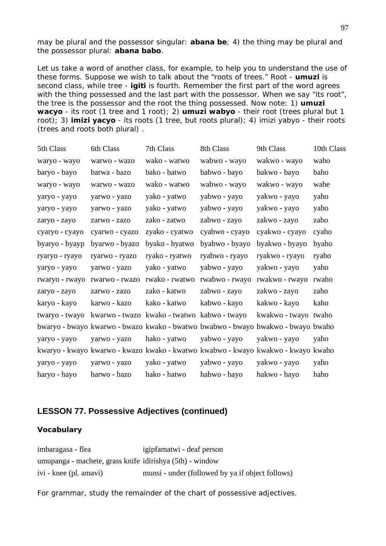may be plural and the possessor singular: **abana be**; 4) the thing may be plural and the possessor plural: **abana babo**.

Let us take a word of another class, for example, to help you to understand the use of these forms. Suppose we wish to talk about the "roots of trees." Root - **umuzi** is second class, while tree - **igiti** is fourth. Remember the first part of the word agrees with the thing possessed and the last part with the possessor. When we say "its root", the tree is the possessor and the root the thing possessed. Now note: 1) **umuzi wacyo** - its root (1 tree and 1 root); 2) **umuzi wabyo** - their root (trees plural but 1 root); 3) **imizi yacyo** - its roots (1 tree, but roots plural); 4) imizi yabyo - their roots (trees and roots both plural) .

| 6th Class      | 7th Class      | 8th Class                     | 9th Class            | 10th Class                                                                                                                                                           |
|----------------|----------------|-------------------------------|----------------------|----------------------------------------------------------------------------------------------------------------------------------------------------------------------|
| warwo - wazo   | wako - watwo   | wabwo - wayo                  | wakwo - wayo         | waho                                                                                                                                                                 |
| barwa - bazo   | bako - batwo   | babwo - bayo                  | bakwo - bayo         | baho                                                                                                                                                                 |
| warwo - wazo   | wako - watwo   | wabwo - wayo                  | wakwo - wayo         | wahe                                                                                                                                                                 |
| yarwo - yazo   | yako - yatwo   | yabwo - yayo                  | yakwo - yayo         | yaho                                                                                                                                                                 |
| yarwo - yazo   | yako - yatwo   | yabwo - yayo                  | yakwo - yayo         | yaho                                                                                                                                                                 |
| zarwo - zazo   | zako - zatwo   | zabwo - zayo                  | zakwo - zayo         | zaho                                                                                                                                                                 |
| cyarwo - cyazo | zyako - cyatwo | cyabwo - cyayo                | cyakwo - cyayo       | cyaho                                                                                                                                                                |
| byarwo - byazo | byako - byatwo | byabwo - byayo                | byakwo - byayo       | byaho                                                                                                                                                                |
| ryarwo - ryazo | ryako - ryatwo | ryabwo - ryayo                | ryakwo - ryayo       | ryaho                                                                                                                                                                |
| yarwo - yazo   | yako - yatwo   | yabwo - yayo                  | yakwo - yayo         | yaho                                                                                                                                                                 |
| rwarwo - rwazo | rwako - rwatwo | rwabwo - rwayo                | rwakwo - rwayo       | rwaho                                                                                                                                                                |
| zarwo - zazo   | zako - katwo   | zabwo - zayo                  | zakwo - zayo         | zaho                                                                                                                                                                 |
| karwo - kazo   | kako - katwo   | kabwo - kayo                  | kakwo - kayo         | kaho                                                                                                                                                                 |
|                |                |                               | kwakwo - twayo twaho |                                                                                                                                                                      |
|                |                |                               |                      |                                                                                                                                                                      |
| yarwo - yazo   | hako - yatwo   | yabwo - yayo                  | yakwo - yayo         | yaho                                                                                                                                                                 |
|                |                |                               |                      |                                                                                                                                                                      |
| yarwo - yazo   | yako - yatwo   | yabwo - yayo                  | yakwo - yayo         | yaho                                                                                                                                                                 |
| harwo - hazo   | hako - hatwo   | habwo - hayo                  | hakwo - hayo         | haho                                                                                                                                                                 |
|                |                | kwarwo - twazo kwako - twatwo | kabwo - twayo        | bwaryo - bwayo kwarwo - bwazo kwako - bwatwo bwabwo - bwayo bwakwo - bwayo bwaho<br>kwaryo - kwayo kwarwo - kwazo kwako - kwatwo kwabwo - kwayo kwakwo - kwayo kwaho |

### **LESSON 77. Possessive Adjectives (continued)**

#### **Vocabulary**

| imbaragasa - flea                                        | igipfamatwi - deaf person                        |
|----------------------------------------------------------|--------------------------------------------------|
| umupanga - machete, grass knife idirishya (5th) - window |                                                  |
| ivi - knee (pl. amavi)                                   | munsi - under (followed by ya if object follows) |

For grammar, study the remainder of the chart of possessive adjectives.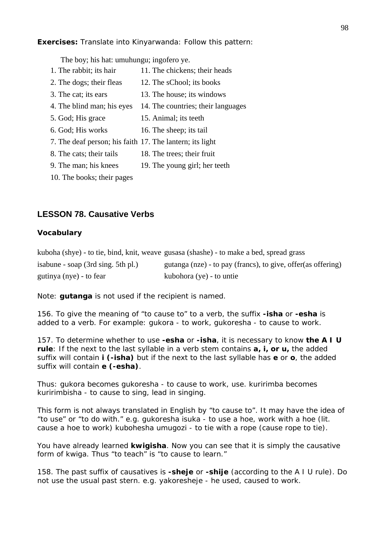### **Exercises:** Translate into Kinyarwanda: Follow this pattern:

The boy; his hat: umuhungu; ingofero ye.

- 1. The rabbit; its hair 11. The chickens; their heads
- 2. The dogs; their fleas 12. The sChool; its books
- 3. The cat; its ears 13. The house; its windows
- 4. The blind man; his eyes 14. The countries; their languages
- 5. God; His grace 15. Animal; its teeth
- 6. God; His works 16. The sheep; its tail
- 7. The deaf person; his faith 17. The lantern; its light
- 8. The cats; their tails 18. The trees; their fruit
- 9. The man; his knees 19. The young girl; her teeth
- 10. The books; their pages

# **LESSON 78. Causative Verbs**

### **Vocabulary**

kuboha (shye) - to tie, bind, knit, weave gusasa (shashe) - to make a bed, spread grass isabune - soap (3rd sing. 5th pl.) gutanga (nze) - to pay (francs), to give, offer(as offering) gutinya (nye) - to fear kubohora (ye) - to untie

Note: **gutanga** is not used if the recipient is named.

156. To give the meaning of "to cause to" to a verb, the suffix **-isha** or **-esha** is added to a verb. For example: gukora - to work, gukoresha - to cause to work.

157. To determine whether to use **-esha** or **-isha**, it is necessary to know **the A I U rule**: If the next to the last syllable in a verb stem contains **a, i, or u,** the added suffix will contain **i (-isha)** but if the next to the last syllable has **e** or **o**, the added suffix will contain **e (-esha)**.

Thus: gukora becomes gukoresha - to cause to work, use. kuririmba becomes kuririmbisha - to cause to sing, lead in singing.

This form is not always translated in English by "to cause to". It may have the idea of "to use" or "to do with." e.g. gukoresha isuka - to use a hoe, work with a hoe (lit. cause a hoe to work) kubohesha umugozi - to tie with a rope (cause rope to tie).

You have already learned **kwigisha**. Now you can see that it is simply the causative form of kwiga. Thus "to teach" is "to cause to learn."

158. The past suffix of causatives is **-sheje** or **-shije** (according to the A I U rule). Do not use the usual past stern. e.g. yakoresheje - he used, caused to work.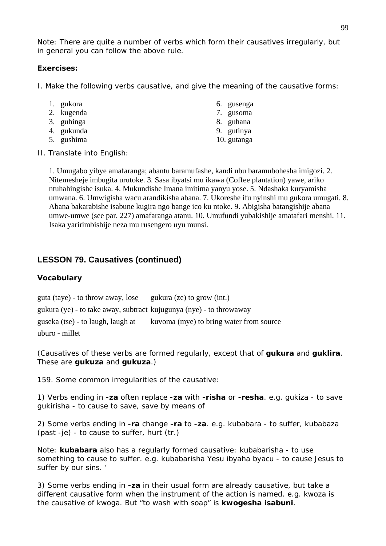Note: There are quite a number of verbs which form their causatives irregularly, but in general you can follow the above rule.

### **Exercises:**

I. Make the following verbs causative, and give the meaning of the causative forms:

- 1. gukora
- 2. kugenda
- 3. guhinga
- 4. gukunda
- 5. gushima
- 7. gusoma
- 8. guhana
- 9. gutinya
- 10. gutanga

II. Translate into English:

1. Umugabo yibye amafaranga; abantu baramufashe, kandi ubu baramubohesha imigozi. 2. Nitemesheje imbugita urutoke. 3. Sasa ibyatsi mu ikawa (Coffee plantation) yawe, ariko ntuhahingishe isuka. 4. Mukundishe Imana imitima yanyu yose. 5. Ndashaka kuryamisha umwana. 6. Umwigisha wacu arandikisha abana. 7. Ukoreshe ifu nyinshi mu gukora umugati. 8. Abana bakarabishe isabune kugira ngo bange ico ku ntoke. 9. Abigisha batangishije abana umwe-umwe (see par. 227) amafaranga atanu. 10. Umufundi yubakishije amatafari menshi. 11. Isaka yaririmbishije neza mu rusengero uyu munsi.

## **LESSON 79. Causatives (continued)**

### **Vocabulary**

guta (taye) - to throw away, lose gukura (ze) to grow (int.) gukura (ye) - to take away, subtract kujugunya (nye) - to throwaway guseka (tse) - to laugh, laugh at kuvoma (mye) to bring water from source uburo - millet

(Causatives of these verbs are formed regularly, except that of **gukura** and **guklira**. These are **gukuza** and **gukuza**.)

159. Some common irregularities of the causative:

1) Verbs ending in **-za** often replace **-za** with **-risha** or **-resha**. e.g. gukiza - to save gukirisha - to cause to save, save by means of

2) Some verbs ending in **-ra** change **-ra** to **-za**. e.g. kubabara - to suffer, kubabaza (past -je) - to cause to suffer, hurt (tr.)

Note: **kubabara** also has a regularly formed causative: kubabarisha - to use something to cause to suffer. e.g. kubabarisha Yesu ibyaha byacu - to cause Jesus to suffer by our sins. '

3) Some verbs ending in **-za** in their usual form are already causative, but take a different causative form when the instrument of the action is named. e.g. kwoza is the causative of kwoga. But "to wash with soap" is **kwogesha isabuni**.

6. gusenga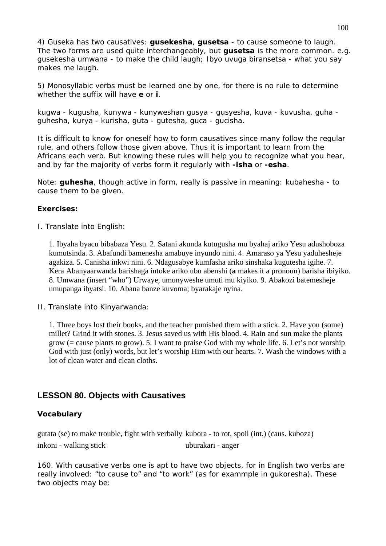4) Guseka has two causatives: **gusekesha**, **gusetsa** - to cause someone to laugh. The two forms are used quite interchangeably, but **gusetsa** is the more common. e.g. gusekesha umwana - to make the child laugh; Ibyo uvuga biransetsa - what you say makes me laugh.

5) Monosyllabic verbs must be learned one by one, for there is no rule to determine whether the suffix will have **e** or **i**.

kugwa - kugusha, kunywa - kunyweshan gusya - gusyesha, kuva - kuvusha, guha guhesha, kurya - kurisha, guta - gutesha, guca - gucisha.

It is difficult to know for oneself how to form causatives since many follow the regular rule, and others follow those given above. Thus it is important to learn from the Africans each verb. But knowing these rules will help you to recognize what you hear, and by far the majority of verbs form it regularly with **-isha** or **-esha**.

Note: **guhesha**, though active in form, really is passive in meaning: kubahesha - to cause them to be given.

### **Exercises:**

I. Translate into English:

1. Ibyaha byacu bibabaza Yesu. 2. Satani akunda kutugusha mu byahaj ariko Yesu adushoboza kumutsinda. 3. Abafundi bamenesha amabuye inyundo nini. 4. Amaraso ya Yesu yaduhesheje agakiza. 5. Canisha inkwi nini. 6. Ndagusabye kumfasha ariko sinshaka kugutesha igihe. 7. Kera Abanyaarwanda barishaga intoke ariko ubu abenshi (**a** makes it a pronoun) barisha ibiyiko. 8. Umwana (insert "who") Urwaye, umunyweshe umuti mu kiyiko. 9. Abakozi batemesheje umupanga ibyatsi. 10. Abana banze kuvoma; byarakaje nyina.

II. Translate into Kinyarwanda:

1. Three boys lost their books, and the teacher punished them with a stick. 2. Have you (some) millet? Grind it with stones. 3. Jesus saved us with His blood. 4. Rain and sun make the plants grow (= cause plants to grow). 5. I want to praise God with my whole life. 6. Let's not worship God with just (only) words, but let's worship Him with our hearts. 7. Wash the windows with a lot of clean water and clean cloths.

### **LESSON 80. Objects with Causatives**

### **Vocabulary**

gutata (se) to make trouble, fight with verbally kubora - to rot, spoil (int.) (caus. kuboza) inkoni - walking stick uburakari - anger

160. With causative verbs one is apt to have two objects, for in English two verbs are really involved: "to cause to" and "to work" (as for exammple in gukoresha). These two objects may be: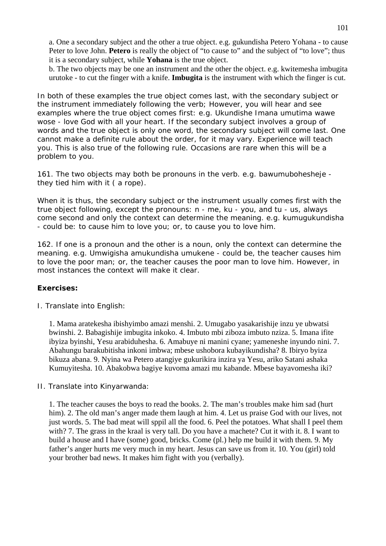a. One a secondary subject and the other a true object. e.g. gukundisha Petero Yohana - to cause Peter to love John. **Petero** is really the object of "to cause to" and the subject of "to love"; thus it is a secondary subject, while **Yohana** is the true object.

b. The two objects may be one an instrument and the other the object. e.g. kwitemesha imbugita urutoke - to cut the finger with a knife. **Imbugita** is the instrument with which the finger is cut.

In both of these examples the true object comes last, with the secondary subject or the instrument immediately following the verb; However, you will hear and see examples where the true object comes first: e.g. Ukundishe Imana umutima wawe wose - love God with all your heart. If the secondary subject involves a group of words and the true object is only one word, the secondary subject will come last. One cannot make a definite rule about the order, for it may vary. Experience will teach you. This is also true of the following rule. Occasions are rare when this will be a problem to you.

161. The two objects may both be pronouns in the verb. e.g. bawumubohesheje they tied him with it ( a rope).

When it is thus, the secondary subject or the instrument usually comes first with the true object following, except the pronouns: n - me, ku - you, and tu - us, always come second and only the context can determine the meaning. e.g. kumugukundisha - could be: to cause him to love you; or, to cause you to love him.

162. If one is a pronoun and the other is a noun, only the context can determine the meaning. e.g. Umwigisha amukundisha umukene - could be, the teacher causes him to love the poor man; or, the teacher causes the poor man to love him. However, in most instances the context will make it clear.

### **Exercises:**

I. Translate into English:

1. Mama aratekesha ibishyimbo amazi menshi. 2. Umugabo yasakarishije inzu ye ubwatsi bwinshi. 2. Babagishije imbugita inkoko. 4. Imbuto mbi ziboza imbuto nziza. 5. Imana ifite ibyiza byinshi, Yesu arabiduhesha. 6. Amabuye ni manini cyane; yameneshe inyundo nini. 7. Abahungu barakubitisha inkoni imbwa; mbese ushobora kubayikundisha? 8. Ibiryo byiza bikuza abana. 9. Nyina wa Petero atangiye gukurikira inzira ya Yesu, ariko Satani ashaka Kumuyitesha. 10. Abakobwa bagiye kuvoma amazi mu kabande. Mbese bayavomesha iki?

II. Translate into Kinyarwanda:

1. The teacher causes the boys to read the books. 2. The man's troubles make him sad (hurt him). 2. The old man's anger made them laugh at him. 4. Let us praise God with our lives, not just words. 5. The bad meat will sppil all the food. 6. Peel the potatoes. What shall I peel them with? 7. The grass in the kraal is very tall. Do you have a machete? Cut it with it. 8. I want to build a house and I have (some) good, bricks. Come (pl.) help me build it with them. 9. My father's anger hurts me very much in my heart. Jesus can save us from it. 10. You (girl) told your brother bad news. It makes him fight with you (verbally).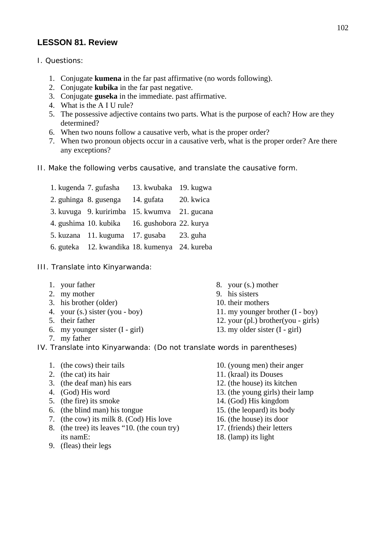# **LESSON 81. Review**

- I. Questions:
	- 1. Conjugate **kumena** in the far past affirmative (no words following).
	- 2. Conjugate **kubika** in the far past negative.
	- 3. Conjugate **guseka** in the immediate. past affirmative.
	- 4. What is the A I U rule?
	- 5. The possessive adjective contains two parts. What is the purpose of each? How are they determined?
	- 6. When two nouns follow a causative verb, what is the proper order?
	- 7. When two pronoun objects occur in a causative verb, what is the proper order? Are there any exceptions?
- II. Make the following verbs causative, and translate the causative form.
	- 1. kugenda 7. gufasha 13. kwubaka 19. kugwa
	- 2. guhinga 8. gusenga 14. gufata 20. kwica
	- 3. kuvuga 9. kuririmba 15. kwumva 21. gucana
	- 4. gushima 10. kubika 16. gushobora 22. kurya
	- 5. kuzana 11. kuguma 17. gusaba 23. guha
	- 6. guteka 12. kwandika 18. kumenya 24. kureba
- III. Translate into Kinyarwanda:
	- 1. your father
	- 2. my mother
	- 3. his brother (older)
	- 4. your (s.) sister (you boy)
	- 5. their father
	- 6. my younger sister (I girl)
	- 7. my father
- 8. your (s.) mother
- 9. his sisters
- 10. their mothers
- 11. my younger brother (I boy)
- 12. your (pl.) brother(you girls)
- 13. my older sister (I girl)
- IV. Translate into Kinyarwanda: (Do not translate words in parentheses)
	- 1. (the cows) their tails
	- 2. (the cat) its hair
	- 3. (the deaf man) his ears
	- 4. (God) His word
	- 5. (the fire) its smoke
	- 6. (the blind man) his tongue
	- 7. (the cow) its milk 8. (Cod) His love
	- 8. (the tree) its leaves "10. (the coun try) its namE:
	- 9. (fleas) their legs
- 10. (young men) their anger
- 11. (kraal) its Douses
- 12. (the house) its kitchen
- 13. (the young girls) their lamp
- 14. (God) His kingdom
- 15. (the leopard) its body
- 16. (the house) its door
- 17. (friends) their letters
- 18. (lamp) its light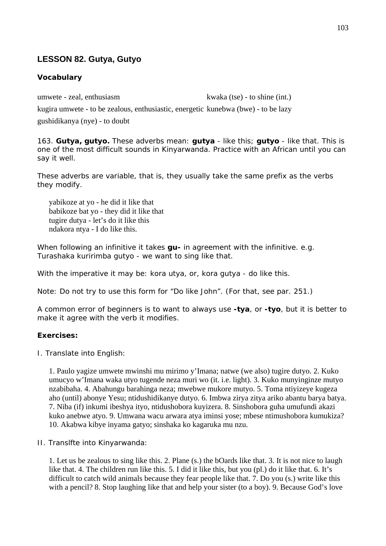# **LESSON 82. Gutya, Gutyo**

## **Vocabulary**

umwete - zeal, enthusiasm kwaka (tse) - to shine (int.) kugira umwete - to be zealous, enthusiastic, energetic kunebwa (bwe) - to be lazy gushidikanya (nye) - to doubt

163. **Gutya, gutyo.** These adverbs mean: **gutya** - like this; **gutyo** - like that. This is one of the most difficult sounds in Kinyarwanda. Practice with an African until you can say it well.

These adverbs are variable, that is, they usually take the same prefix as the verbs they modify.

yabikoze at yo - he did it like that babikoze bat yo - they did it like that tugire dutya - let's do it like this ndakora ntya - I do like this.

When following an infinitive it takes **gu-** in agreement with the infinitive. e.g. Turashaka kuririmba gutyo - we want to sing like that.

With the imperative it may be: kora utya, or, kora gutya - do like this.

Note: Do not try to use this form for "Do like John". (For that, see par. 251.)

A common error of beginners is to want to always use **-tya**, or **-tyo**, but it is better to make it agree with the verb it modifies.

### **Exercises:**

I. Translate into English:

1. Paulo yagize umwete mwinshi mu mirimo y'Imana; natwe (we also) tugire dutyo. 2. Kuko umucyo w'Imana waka utyo tugende neza muri wo (it. i.e. light). 3. Kuko munyinginze mutyo nzabibaha. 4. Abahungu barahinga neza; mwebwe mukore mutyo. 5. Toma ntiyizeye kugeza aho (until) abonye Yesu; ntidushidikanye dutyo. 6. Imbwa zirya zitya ariko abantu barya batya. 7. Niba (if) inkumi ibeshya ityo, ntidushobora kuyizera. 8. Sinshobora guha umufundi akazi kuko anebwe atyo. 9. Umwana wacu arwara atya iminsi yose; mbese ntimushobora kumukiza? 10. Akabwa kibye inyama gatyo; sinshaka ko kagaruka mu nzu.

II. Translfte into Kinyarwanda:

1. Let us be zealous to sing like this. 2. Plane (s.) the bOards like that. 3. It is not nice to laugh like that. 4. The children run like this. 5. I did it like this, but you (pl.) do it like that. 6. It's difficult to catch wild animals because they fear people like that. 7. Do you (s.) write like this with a pencil? 8. Stop laughing like that and help your sister (to a boy). 9. Because God's love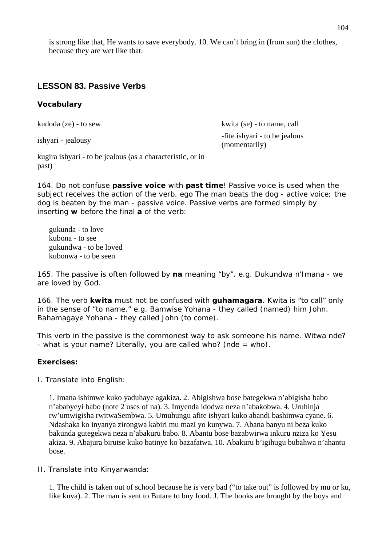is strong like that, He wants to save everybody. 10. We can't bring in (from sun) the clothes, because they are wet like that.

### **LESSON 83. Passive Verbs**

#### **Vocabulary**

kudoda (ze) - to sew kwita (se) - to name, call ishyari - jealousy -fite ishyari - to be jealous (momentarily)

kugira ishyari - to be jealous (as a characteristic, or in past)

164. Do not confuse **passive voice** with **past time**! Passive voice is used when the subject receives the action of the verb. ego The man beats the dog - active voice; the dog is beaten by the man - passive voice. Passive verbs are formed simply by inserting **w** before the final **a** of the verb:

gukunda - to love kubona - to see gukundwa - to be loved kubonwa - to be seen

165. The passive is often followed by **na** meaning "by". e.g. Dukundwa n'Imana - we are loved by God.

166. The verb **kwita** must not be confused with **guhamagara**. Kwita is "to call" only in the sense of "to name." e.g. Bamwise Yohana - they called (named) him John. Bahamagaye Yohana - they called John (to come).

This verb in the passive is the commonest way to ask someone his name. Witwa nde? - what is your name? Literally, you are called who? (nde = who).

#### **Exercises:**

I. Translate into English:

1. Imana ishimwe kuko yaduhaye agakiza. 2. Abigishwa bose bategekwa n'abigisha babo n'ababyeyi babo (note 2 uses of na). 3. Imyenda idodwa neza n'abakobwa. 4. Uruhinja rw'umwigisha rwitwaSembwa. 5. Umuhungu afite ishyari kuko abandi bashimwa cyane. 6. Ndashaka ko inyanya zirongwa kabiri mu mazi yo kunywa. 7. Abana banyu ni beza kuko bakunda gutegekwa neza n'abakuru babo. 8. Abantu bose bazabwirwa inkuru nziza ko Yesu akiza. 9. Abajura birutse kuko batinye ko bazafatwa. 10. Abakuru b'igihugu bubahwa n'ahantu bose.

II. Translate into Kinyarwanda:

1. The child is taken out of school because he is very bad ("to take out" is followed by mu or ku, like kuva). 2. The man is sent to Butare to buy food. J. The books are brought by the boys and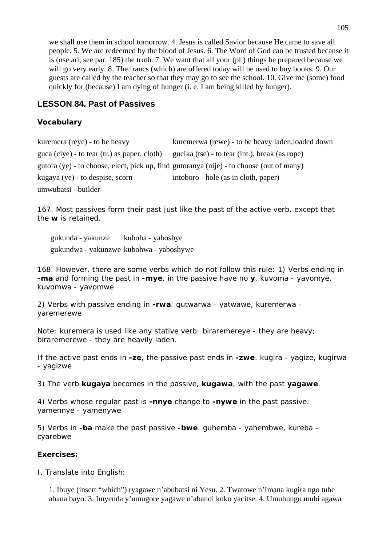we shall use them in school tomorrow. 4. Jesus is called Savior because He came to save all people. 5. We are redeemed by the blood of Jesus. 6. The Word of God can be trusted because it is (use ari, see par. 185) the truth. 7. We want that all your (pl.) things be prepared because we will go very early. 8. The francs (which) are offered today will be used to buy books. 9. Our guests are called by the teacher so that they may go to see the school. 10. Give me (some) food quickly for (because) I am dying of hunger (i. e. I am being killed by hunger).

# **LESSON 84. Past of Passives**

## **Vocabulary**

```
kuremera (reye) - to be heavy kuremerwa (rewe) - to be heavy laden,loaded down
guca (ciye) - to tear (tr.) as paper, cloth) gucika (tse) - to tear (int.), break (as rope) 
gutora (ye) - to choose, elect, pick up, find gutoranya (nije) - to choose (out of many) 
kugaya (ye) - to despise, scorn intoboro - hole (as in cloth, paper) 
umwubatsi - builder
```
167. Most passives form their past just like the past of the active verb, except that the **w** is retained.

gukunda - yakunze kuboha - yaboshye gukundwa - yakunzwe kubohwa - yaboshywe

168. However, there are some verbs which do not follow this rule: 1) Verbs ending in **-ma** and forming the past in **-mye**, in the passive have no **y**. kuvoma - yavomye, kuvomwa - yavomwe

2) Verbs with passive ending in **-rwa**. gutwarwa - yatwawe, kuremerwa yaremerewe

Note: kuremera is used like any stative verb: biraremereye - they are heavy; biraremerewe - they are heavily laden.

If the active past ends in **-ze**, the passive past ends in **-zwe**. kugira - yagize, kugirwa - yagizwe

3) The verb **kugaya** becomes in the passive, **kugawa**, with the past **yagawe**.

4) Verbs whose regular past is **-nnye** change to **-nywe** in the past passive. yamennye - yamenywe

5) Verbs in **-ba** make the past passive **-bwe**. guhemba - yahembwe, kureba cyarebwe

### **Exercises:**

I. Translate into English:

1. Ibuye (insert "which") ryagawe n'abubatsi ni Yesu. 2. Twatowe n'Imana kugira ngo tube abana bayo. 3. Imyenda y'umugore yagawe n'abandi kuko yacitse. 4. Umuhungu mubi agawa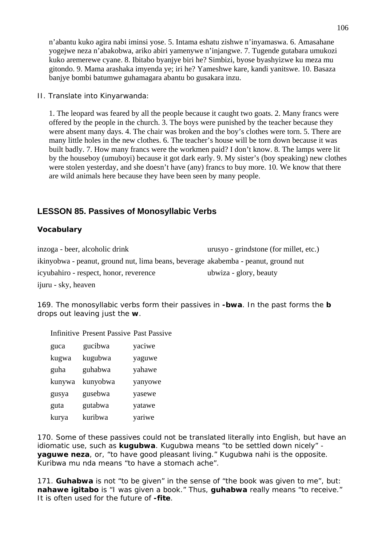n'abantu kuko agira nabi iminsi yose. 5. Intama eshatu zishwe n'inyamaswa. 6. Amasahane yogejwe neza n'abakobwa, ariko abiri yamenywe n'injangwe. 7. Tugende gutabara umukozi kuko aremerewe cyane. 8. Ibitabo byanjye biri he? Simbizi, byose byashyizwe ku meza mu gitondo. 9. Mama arashaka imyenda ye; iri he? Yameshwe kare, kandi yanitswe. 10. Basaza banjye bombi batumwe guhamagara abantu bo gusakara inzu.

II. Translate into Kinyarwanda:

1. The leopard was feared by all the people because it caught two goats. 2. Many francs were offered by the people in the church. 3. The boys were punished by the teacher because they were absent many days. 4. The chair was broken and the boy's clothes were torn. 5. There are many little holes in the new clothes. 6. The teacher's house will be torn down because it was built badly. 7. How many francs were the workmen paid? I don't know. 8. The lamps were lit by the houseboy (umuboyi) because it got dark early. 9. My sister's (boy speaking) new clothes were stolen yesterday, and she doesn't have (any) francs to buy more. 10. We know that there are wild animals here because they have been seen by many people.

### **LESSON 85. Passives of Monosyllabic Verbs**

#### **Vocabulary**

inzoga - beer, alcoholic drink urusyo - grindstone (for millet, etc.) ikinyobwa - peanut, ground nut, lima beans, beverage akabemba - peanut, ground nut icyubahiro - respect, honor, reverence ubwiza - glory, beauty ijuru - sky, heaven

169. The monosyllabic verbs form their passives in **-bwa**. In the past forms the **b** drops out leaving just the **w**.

Infinitive Present Passive Past Passive

| guca   | gucibwa  | yaciwe  |
|--------|----------|---------|
| kugwa  | kugubwa  | yaguwe  |
| guha   | guhabwa  | yahawe  |
| kunywa | kunyobwa | yanyowe |
| gusya  | gusebwa  | yasewe  |
| guta   | gutabwa  | yatawe  |
| kurya  | kuribwa  | yariwe  |

170. Some of these passives could not be translated literally into English, but have an idiomatic use, such as **kugubwa**. Kugubwa means "to be settled down nicely" **yaguwe neza**, or, "to have good pleasant living." Kugubwa nahi is the opposite. Kuribwa mu nda means "to have a stomach ache".

171. **Guhabwa** is not "to be given" in the sense of "the book was given to me", but: **nahawe igitabo** is "I was given a book." Thus, **guhabwa** really means "to receive." It is often used for the future of **-fite**.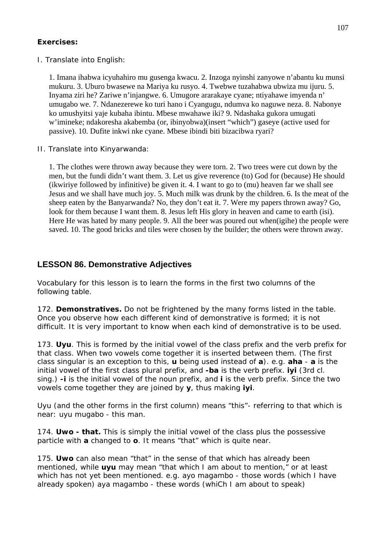### **Exercises:**

I. Translate into English:

1. Imana ihabwa icyuhahiro mu gusenga kwacu. 2. Inzoga nyinshi zanyowe n'abantu ku munsi mukuru. 3. Uburo bwasewe na Mariya ku rusyo. 4. Twebwe tuzahabwa ubwiza mu ijuru. 5. Inyama ziri he? Zariwe n'injangwe. 6. Umugore ararakaye cyane; ntiyahawe imyenda n' umugabo we. 7. Ndanezerewe ko turi hano i Cyangugu, ndumva ko naguwe neza. 8. Nabonye ko umushyitsi yaje kubaha ibintu. Mbese mwahawe iki? 9. Ndashaka gukora umugati w'imineke; ndakoresha akabemba (or, ibinyobwa)(insert "which") gaseye (active used for passive). 10. Dufite inkwi nke cyane. Mbese ibindi biti bizacibwa ryari?

II. Translate into Kinyarwanda:

1. The clothes were thrown away because they were torn. 2. Two trees were cut down by the men, but the fundi didn't want them. 3. Let us give reverence (to) God for (because) He should (ikwiriye followed by infinitive) be given it. 4. I want to go to (mu) heaven far we shall see Jesus and we shall have much joy. 5. Much milk was drunk by the children. 6. Is the meat of the sheep eaten by the Banyarwanda? No, they don't eat it. 7. Were my papers thrown away? Go, look for them because I want them. 8. Jesus left His glory in heaven and came to earth (isi). Here He was hated by many people. 9. All the beer was poured out when(igihe) the people were saved. 10. The good bricks and tiles were chosen by the builder; the others were thrown away.

# **LESSON 86. Demonstrative Adjectives**

Vocabulary for this lesson is to learn the forms in the first two columns of the following table.

172. **Demonstratives.** Do not be frightened by the many forms listed in the table. Once you observe how each different kind of demonstrative is formed; it is not difficult. It is very important to know when each kind of demonstrative is to be used.

173. **Uyu**. This is formed by the initial vowel of the class prefix and the verb prefix for that class. When two vowels come together it is inserted between them. (The first class singular is an exception to this, **u** being used instead of **a**). e.g. **aha** - **a** is the initial vowel of the first class plural prefix, and **-ba** is the verb prefix. **iyi** (3rd cl. sing.) **-i** is the initial vowel of the noun prefix, and **i** is the verb prefix. Since the two vowels come together they are joined by **y**, thus making **iyi**.

Uyu (and the other forms in the first column) means "this"- referring to that which is near: uyu mugabo - this man.

174. **Uwo - that.** This is simply the initial vowel of the class plus the possessive particle with **a** changed to **o**. It means "that" which is quite near.

175. **Uwo** can also mean "that" in the sense of that which has already been mentioned, while **uyu** may mean "that which I am about to mention," or at least which has not yet been mentioned. e.g. ayo magambo - those words (which I have already spoken) aya magambo - these words (whiCh I am about to speak)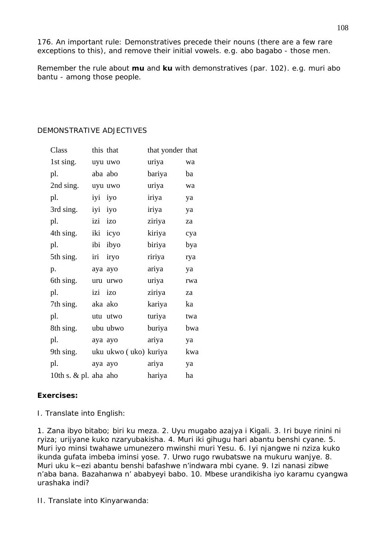176. An important rule: Demonstratives precede their nouns (there are a few rare exceptions to this), and remove their initial vowels. e.g. abo bagabo - those men.

Remember the rule about **mu** and **ku** with demonstratives (par. 102). e.g. muri abo bantu - among those people.

### DEMONSTRATIVE ADJECTIVES

| Class                    |         | this that             | that yonder that |     |
|--------------------------|---------|-----------------------|------------------|-----|
| 1st sing.                |         | uyu uwo               | uriya            | wa  |
| pl.                      |         | aba abo               | bariya           | ba  |
| 2nd sing.                |         | uyu uwo               | uriya            | wa  |
| pl.                      | iyi iyo |                       | iriya            | ya  |
| 3rd sing.                | iyi iyo |                       | iriya            | ya  |
| pl.                      | izi izo |                       | ziriya           | za  |
| 4th sing.                |         | iki icyo              | kiriya           | cya |
| pl.                      | ibi     | ibyo                  | biriya           | bya |
| 5th sing.                | iri     | iryo                  | ririya           | rya |
| p.                       |         | aya ayo               | ariya            | ya  |
| 6th sing.                | uru     | urwo                  | uriya            | rwa |
| pl.                      | izi     | izo                   | ziriya           | za  |
| 7th sing.                | aka ako |                       | kariya           | ka  |
| pl.                      |         | utu utwo              | turiya           | twa |
| 8th sing.                |         | ubu ubwo              | buriya           | bwa |
| pl.                      | aya ayo |                       | ariya            | ya  |
| 9th sing.                |         | uku ukwo (uko) kuriya |                  | kwa |
| pl.                      |         | aya ayo               | ariya            | ya  |
| 10th s. $\&$ pl. aha aho |         |                       | hariya           | ha  |

### **Exercises:**

I. Translate into English:

1. Zana ibyo bitabo; biri ku meza. 2. Uyu mugabo azajya i Kigali. 3. Iri buye rinini ni ryiza; urijyane kuko nzaryubakisha. 4. Muri iki gihugu hari abantu benshi cyane. 5. Muri iyo minsi twahawe umunezero mwinshi muri Yesu. 6. Iyi njangwe ni nziza kuko ikunda gufata imbeba iminsi yose. 7. Urwo rugo rwubatswe na mukuru wanjye. 8. Muri uku k~ezi abantu benshi bafashwe n'indwara mbi cyane. 9. Izi nanasi zibwe n'aba bana. Bazahanwa n' ababyeyi babo. 10. Mbese urandikisha iyo karamu cyangwa urashaka indi?

II. Translate into Kinyarwanda: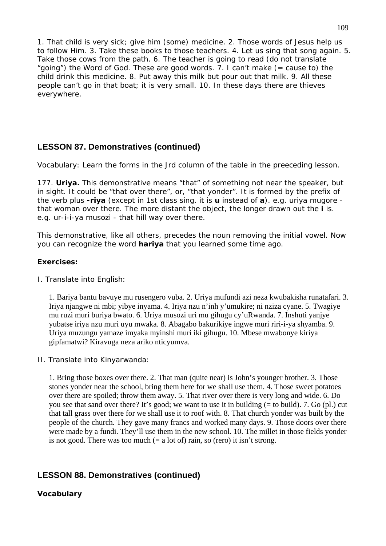1. That child is very sick; give him (some) medicine. 2. Those words of Jesus help us to follow Him. 3. Take these books to those teachers. 4. Let us sing that song again. 5. Take those cows from the path. 6. The teacher is going to read (do not translate "going") the Word of God. These are good words. 7. I can't make (= cause to) the child drink this medicine. 8. Put away this milk but pour out that milk. 9. All these people can't go in that boat; it is very small. 10. In these days there are thieves everywhere.

# **LESSON 87. Demonstratives (continued)**

Vocabulary: Learn the forms in the Jrd column of the table in the preeceding lesson.

177. **Uriya.** This demonstrative means "that" of something not near the speaker, but in sight. It could be "that over there", or, "that yonder". It is formed by the prefix of the verb plus **-riya** (except in 1st class sing. it is **u** instead of **a**). e.g. uriya mugore that woman over there. The more distant the object, the longer drawn out the **i** is. e.g. ur-i-i-ya musozi - that hill way over there.

This demonstrative, like all others, precedes the noun removing the initial vowel. Now you can recognize the word **hariya** that you learned some time ago.

### **Exercises:**

I. Translate into English:

1. Bariya bantu bavuye mu rusengero vuba. 2. Uriya mufundi azi neza kwubakisha runatafari. 3. Iriya njangwe ni mbi; yibye inyama. 4. Iriya nzu n'inh y'umukire; ni nziza cyane. 5. Twagiye mu ruzi muri buriya bwato. 6. Uriya musozi uri mu gihugu cy'uRwanda. 7. Inshuti yanjye yubatse iriya nzu muri uyu mwaka. 8. Abagabo bakurikiye ingwe muri riri-i-ya shyamba. 9. Uriya muzungu yamaze imyaka myinshi muri iki gihugu. 10. Mbese mwabonye kiriya gipfamatwi? Kiravuga neza ariko nticyumva.

II. Translate into Kinyarwanda:

1. Bring those boxes over there. 2. That man (quite near) is John's younger brother. 3. Those stones yonder near the school, bring them here for we shall use them. 4. Those sweet potatoes over there are spoiled; throw them away. 5. That river over there is very long and wide. 6. Do you see that sand over there? It's good; we want to use it in building (= to build). 7. Go (pl.) cut that tall grass over there for we shall use it to roof with. 8. That church yonder was built by the people of the church. They gave many francs and worked many days. 9. Those doors over there were made by a fundi. They'll use them in the new school. 10. The millet in those fields yonder is not good. There was too much  $(= a \text{ lot of})$  rain, so (rero) it isn't strong.

# **LESSON 88. Demonstratives (continued)**

## **Vocabulary**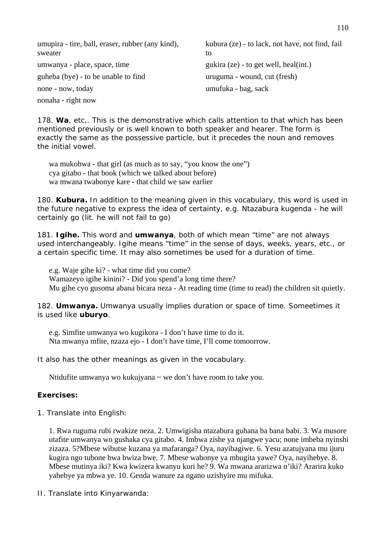| umupira - tire, ball, eraser, rubber (any kind),<br>sweater | kubura (ze) - to lack, not have, not find, fail<br>to |
|-------------------------------------------------------------|-------------------------------------------------------|
| umwanya - place, space, time                                | gukira (ze) - to get well, heal(int.)                 |
| guheba (bye) - to be unable to find                         | uruguma - wound, cut (fresh)                          |
| none - now, today                                           | umufuka - bag, sack                                   |
|                                                             |                                                       |

nonaha - right now

178. **Wa**, etc,. This is the demonstrative which calls attention to that which has been mentioned previously or is well known to both speaker and hearer. The form is exactly the same as the possessive particle, but it precedes the noun and removes the initial vowel.

wa mukobwa - that girl (as much as to say, "you know the one") cya gitabo - that book (which we talked about before) wa mwana twabonye kare - that child we saw earlier

180. **Kubura.** In addition to the meaning given in this vocabulary, this word is used in the future negative to express the idea of certainty, e.g. Ntazabura kugenda - he will certainly go (lit. he will not fail to go)

181. **Igihe.** This word and **umwanya**, both of which mean "time" are not always used interchangeably. Igihe means "time" in the sense of days, weeks, years, etc., or a certain specific time. It may also sometimes be used for a duration of time.

e.g. Waje gihe ki? - what time did you come?

Wamazeyo igihe kinini? - Did you spend'a long time there? Mu gihe cyo gusoma abana bicara neza - At reading time (time to read) the children sit quietly.

182. **Umwanya.** Umwanya usually implies duration or space of time. Someetimes it is used like **uburyo**.

e.g. Simfite umwanya wo kugikora - I don't have time to do it. Nta mwanya mfite, nzaza ejo - I don't have time, I'll come tomoorrow.

It also has the other meanings as given in the vocabulary.

Ntidufite umwanya wo kukujyana ~ we don't have room to take you.

## **Exercises:**

1. Translate into English:

1. Rwa ruguma rubi rwakize neza. 2. Umwigisha ntazabura guhana ba bana babi. 3. Wa musore utafite umwanya wo gushaka cya gitabo. 4. Imbwa zishe ya njangwe yacu; none imbeba nyinshi zizaza. 5?Mbese wibutse kuzana ya mafaranga? Oya, nayibagiwe. 6. Yesu azatujyana mu ijuru kugira ngo tubone bwa bwiza bwe. 7. Mbese wabonye ya mbugita yawe? Oya, nayihebye. 8. Mbese mutinya iki? Kwa kwizera kwanyu kuri he? 9. Wa mwana ararizwa n'iki? Ararira kuko yahebye ya mbwa ye. 10. Genda wanure za ngano uzishyire mu mifuka.

II. Translate into Kinyarwanda: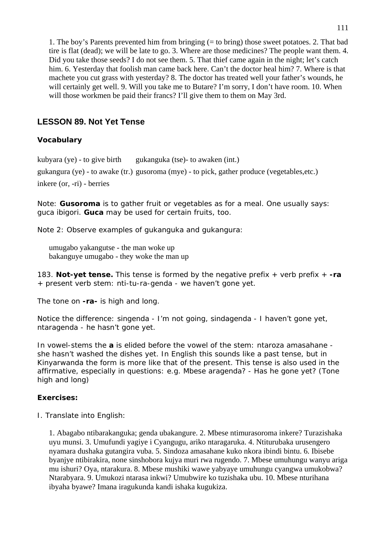1. The boy's Parents prevented him from bringing (= to bring) those sweet potatoes. 2. That bad tire is flat (dead); we will be late to go. 3. Where are those medicines? The people want them. 4. Did you take those seeds? I do not see them. 5. That thief came again in the night; let's catch him. 6. Yesterday that foolish man came back here. Can't the doctor heal him? 7. Where is that machete you cut grass with yesterday? 8. The doctor has treated well your father's wounds, he will certainly get well. 9. Will you take me to Butare? I'm sorry, I don't have room. 10. When will those workmen be paid their francs? I'll give them to them on May 3rd.

# **LESSON 89. Not Yet Tense**

## **Vocabulary**

kubyara (ye) - to give birth gukanguka (tse)- to awaken (int.) gukangura (ye) - to awake (tr.) gusoroma (mye) - to pick, gather produce (vegetables,etc.) inkere (or, -ri) - berries

Note: **Gusoroma** is to gather fruit or vegetables as for a meal. One usually says: guca ibigori. **Guca** may be used for certain fruits, too.

Note 2: Observe examples of gukanguka and gukangura:

umugabo yakangutse - the man woke up bakanguye umugabo - they woke the man up

183. **Not-yet tense.** This tense is formed by the negative prefix + verb prefix + **-ra** + present verb stem: nti-tu-ra-genda - we haven't gone yet.

The tone on **-ra-** is high and long.

Notice the difference: singenda - I'm not going, sindagenda - I haven't gone yet, ntaragenda - he hasn't gone yet.

In vowel-stems the **a** is elided before the vowel of the stem: ntaroza amasahane she hasn't washed the dishes yet. In English this sounds like a past tense, but in Kinyarwanda the form is more like that of the present. This tense is also used in the affirmative, especially in questions: e.g. Mbese aragenda? - Has he gone yet? (Tone high and long)

## **Exercises:**

I. Translate into English:

1. Abagabo ntibarakanguka; genda ubakangure. 2. Mbese ntimurasoroma inkere? Turazishaka uyu munsi. 3. Umufundi yagiye i Cyangugu, ariko ntaragaruka. 4. Ntiturubaka urusengero nyamara dushaka gutangira vuba. 5. Sindoza amasahane kuko nkora ibindi bintu. 6. Ibisebe byanjye ntibirakira, none sinshobora kujya muri rwa rugendo. 7. Mbese umuhungu wanyu ariga mu ishuri? Oya, ntarakura. 8. Mbese mushiki wawe yabyaye umuhungu cyangwa umukobwa? Ntarabyara. 9. Umukozi ntarasa inkwi? Umubwire ko tuzishaka ubu. 10. Mbese nturihana ibyaha byawe? Imana iragukunda kandi ishaka kugukiza.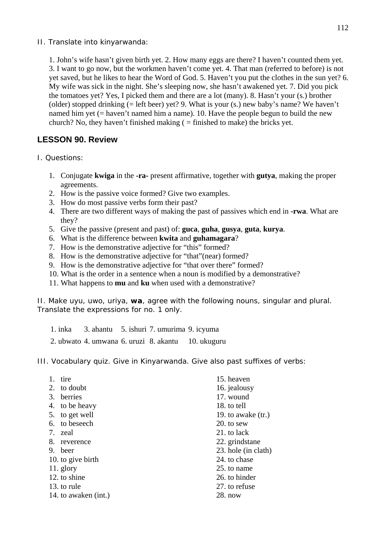II. Translate into kinyarwanda:

1. John's wife hasn't given birth yet. 2. How many eggs are there? I haven't counted them yet. 3. I want to go now, but the workmen haven't come yet. 4. That man (referred to before) is not yet saved, but he likes to hear the Word of God. 5. Haven't you put the clothes in the sun yet? 6. My wife was sick in the night. She's sleeping now, she hasn't awakened yet. 7. Did you pick the tomatoes yet? Yes, I picked them and there are a lot (many). 8. Hasn't your (s.) brother (older) stopped drinking (= left beer) yet? 9. What is your (s.) new baby's name? We haven't named him yet (= haven't named him a name). 10. Have the people begun to build the new church? No, they haven't finished making  $( =$  finished to make) the bricks yet.

# **LESSON 90. Review**

I. Questions:

- 1. Conjugate **kwiga** in the **-ra-** present affirmative, together with **gutya**, making the proper agreements.
- 2. How is the passive voice formed? Give two examples.
- 3. How do most passive verbs form their past?
- 4. There are two different ways of making the past of passives which end in **-rwa**. What are they?
- 5. Give the passive (present and past) of: **guca**, **guha**, **gusya**, **guta**, **kurya**.
- 6. What is the difference between **kwita** and **guhamagara**?
- 7. How is the demonstrative adjective for "this" formed?
- 8. How is the demonstrative adjective for "that"(near) formed?
- 9. How is the demonstrative adjective for "that over there" formed?
- 10. What is the order in a sentence when a noun is modified by a demonstrative?
- 11. What happens to **mu** and **ku** when used with a demonstrative?

II. Make uyu, uwo, uriya, **wa**, agree with the following nouns, singular and plural. Translate the expressions for no. 1 only.

1. inka 3. ahantu 5. ishuri 7. umurima 9. icyuma

2. ubwato 4. umwana 6. uruzi 8. akantu 10. ukuguru

III. Vocabulary quiz. Give in Kinyarwanda. Give also past suffixes of verbs:

| $1_{-}$ | tire                 | 15. heaven           |
|---------|----------------------|----------------------|
| 2.      | to doubt             | 16. jealousy         |
| 3.      | berries              | 17. wound            |
| 4.      | to be heavy          | 18. to tell          |
| 5.      | to get well          | 19. to awake $(tr.)$ |
| 6.      | to beseech           | $20.$ to sew         |
| 7.      | zeal                 | 21. to lack          |
| 8.      | reverence            | 22. grindstane       |
| 9.      | beer                 | 23. hole (in clath)  |
|         | 10. to give birth    | 24, to chase         |
|         | 11. glory            | 25, to name          |
|         | 12. to shine         | 26. to hinder        |
|         | 13. to rule          | 27. to refuse        |
|         | 14. to awaken (int.) | 28. now              |
|         |                      |                      |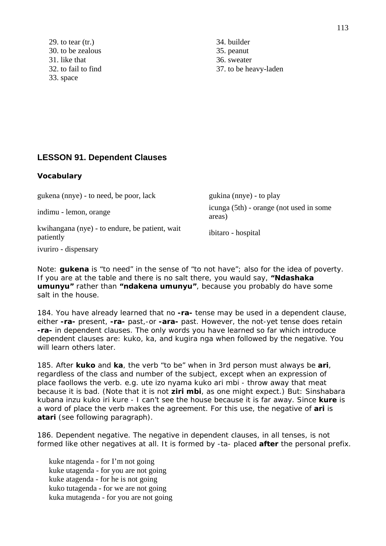# **LESSON 91. Dependent Clauses**

#### **Vocabulary**

gukena (nnye) - to need, be poor, lack gukina (nnye) - to play

kwihangana (nye) - to endure, be patient, wait ibitaro - hospital patiently

indimu - lemon, orange icunga (5th) - orange (not used in some areas)

ivuriro - dispensary

Note: **gukena** is "to need" in the sense of "to not have"; also for the idea of poverty. If you are at the table and there is no salt there, you wauld say, **"Ndashaka umunyu"** rather than **"ndakena umunyu"**, because you probably do have some salt in the house.

184. You have already learned that no **-ra-** tense may be used in a dependent clause, either **-ra-** present, **-ra-** past,-or **-ara-** past. However, the not-yet tense does retain **-ra-** in dependent clauses. The only words you have learned so far which introduce dependent clauses are: kuko, ka, and kugira nga when followed by the negative. You will learn others later.

185. After **kuko** and **ka**, the verb "to be" when in 3rd person must always be **ari**, regardless of the class and number of the subject, except when an expression of place faollows the verb. e.g. ute izo nyama kuko ari mbi - throw away that meat because it is bad. (Note that it is not **ziri mbi**, as one might expect.) But: Sinshabara kubana inzu kuko iri kure - I can't see the house because it is far away. Since **kure** is a word of place the verb makes the agreement. For this use, the negative of **ari** is **atari** (see following paragraph).

186. Dependent negative. The negative in dependent clauses, in all tenses, is not formed like other negatives at all. It is formed by -ta- placed **after** the personal prefix.

kuke ntagenda - for I'm not going kuke utagenda - for you are not going kuke atagenda - for he is not going kuko tutagenda - for we are not going kuka mutagenda - for you are not going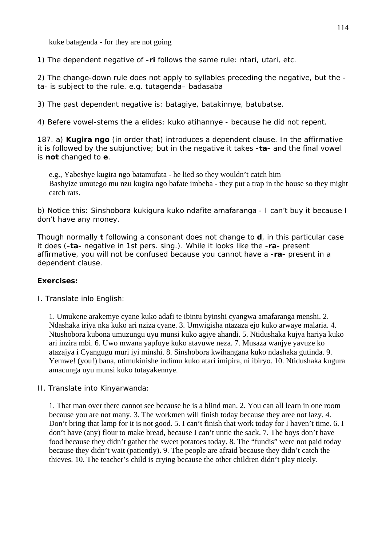kuke batagenda - for they are not going

1) The dependent negative of **-ri** follows the same rule: ntari, utari, etc.

2) The change-down rule does not apply to syllables preceding the negative, but the ta- is subject to the rule. e.g. tutagenda– badasaba

3) The past dependent negative is: batagiye, batakinnye, batubatse.

4) Befere vowel-stems the a elides: kuko atihannye - because he did not repent.

187. a) **Kugira ngo** (in order that) introduces a dependent clause. In the affirmative it is followed by the subjunctive; but in the negative it takes **-ta-** and the final vowel is **not** changed to **e**.

e.g., Yabeshye kugira ngo batamufata - he lied so they wouldn't catch him Bashyize umutego mu nzu kugira ngo bafate imbeba - they put a trap in the house so they might catch rats.

b) Notice this: Sinshobora kukigura kuko ndafite amafaranga - I can't buy it because I don't have any money.

Though normally **t** following a consonant does not change to **d**, in this particular case it does (**-ta-** negative in 1st pers. sing.). While it looks like the **-ra-** present affirmative, you will not be confused because you cannot have a **-ra-** present in a dependent clause.

## **Exercises:**

I. Translate inlo English:

1. Umukene arakemye cyane kuko adafi te ibintu byinshi cyangwa amafaranga menshi. 2. Ndashaka iriya nka kuko ari nziza cyane. 3. Umwigisha ntazaza ejo kuko arwaye malaria. 4. Ntushobora kubona umuzungu uyu munsi kuko agiye ahandi. 5. Ntidushaka kujya hariya kuko ari inzira mbi. 6. Uwo mwana yapfuye kuko atavuwe neza. 7. Musaza wanjye yavuze ko atazajya i Cyangugu muri iyi minshi. 8. Sinshobora kwihangana kuko ndashaka gutinda. 9. Yemwe! (you!) bana, ntimukinishe indimu kuko atari imipira, ni ibiryo. 10. Ntidushaka kugura amacunga uyu munsi kuko tutayakennye.

II. Translate into Kinyarwanda:

1. That man over there cannot see because he is a blind man. 2. You can all learn in one room because you are not many. 3. The workmen will finish today because they aree not lazy. 4. Don't bring that lamp for it is not good. 5. I can't finish that work today for I haven't time. 6. I don't have (any) flour to make bread, because I can't untie the sack. 7. The boys don't have food because they didn't gather the sweet potatoes today. 8. The "fundis" were not paid today because they didn't wait (patiently). 9. The people are afraid because they didn't catch the thieves. 10. The teacher's child is crying because the other children didn't play nicely.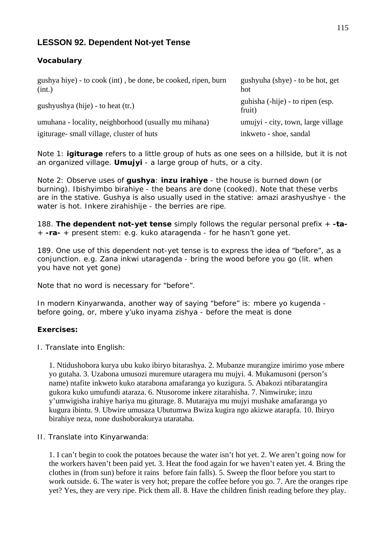# **LESSON 92. Dependent Not-yet Tense**

# **Vocabulary**

| gushya hiye) - to cook (int), be done, be cooked, ripen, burn<br>(int.) | gushyuha (shye) - to be hot, get<br>hot    |
|-------------------------------------------------------------------------|--------------------------------------------|
| gushyushya (hije) - to heat (tr.)                                       | guhisha (-hije) - to ripen (esp.<br>fruit) |
| umuhana - locality, neighborhood (usually mu mihana)                    | umujyi - city, town, large village         |
| igiturage- small village, cluster of huts                               | inkweto - shoe, sandal                     |

Note 1: **igiturage** refers to a little group of huts as one sees on a hillside, but it is not an organized village. **Umujyi** - a large group of huts, or a city.

Note 2: Observe uses of **gushya**: **inzu irahiye** - the house is burned down (or burning). Ibishyimbo birahiye - the beans are done (cooked). Note that these verbs are in the stative. Gushya is also usually used in the stative: amazi arashyushye - the water is hot. Inkere zirahishije - the berries are ripe.

188. **The dependent not-yet tense** simply follows the regular personal prefix + **-ta-** + **-ra-** + present stem: e.g. kuko ataragenda - for he hasn't gone yet.

189. One use of this dependent not-yet tense is to express the idea of "before", as a conjunction. e.g. Zana inkwi utaragenda - bring the wood before you go (lit. when you have not yet gone)

Note that no word is necessary for "before".

In modern Kinyarwanda, another way of saying "before" is: mbere yo kugenda before going, or, mbere y'uko inyama zishya - before the meat is done

### **Exercises:**

I. Translate into English:

1. Ntidushobora kurya ubu kuko ibiryo bitarashya. 2. Mubanze murangize imirimo yose mbere yo gutaha. 3. Uzabona umusozi muremure utaragera mu mujyi. 4. Mukamusoni (person's name) ntafite inkweto kuko atarabona amafaranga yo kuzigura. 5. Abakozi ntibaratangira gukora kuko umufundi ataraza. 6. Ntusorome inkere zitarahisha. 7. Nimwiruke; inzu y'umwigisha irahiye hariya mu giturage. 8. Mutarajya mu mujyi mushake amafaranga yo kugura ibintu. 9. Ubwire umusaza Ubutumwa Bwiza kugira ngo akizwe atarapfa. 10. Ibiryo birahiye neza, none dushoborakurya utarataha.

II. Translate into Kinyarwanda:

1. I can't begin to cook the potatoes because the water isn't hot yet. 2. We aren't going now for the workers haven't been paid yet. 3. Heat the food again for we haven't eaten yet. 4. Bring the clothes in (from sun) before it rains before fain falls). 5. Sweep the floor before you start to work outside. 6. The water is very hot; prepare the coffee before you go. 7. Are the oranges ripe yet? Yes, they are very ripe. Pick them all. 8. Have the children finish reading before they play.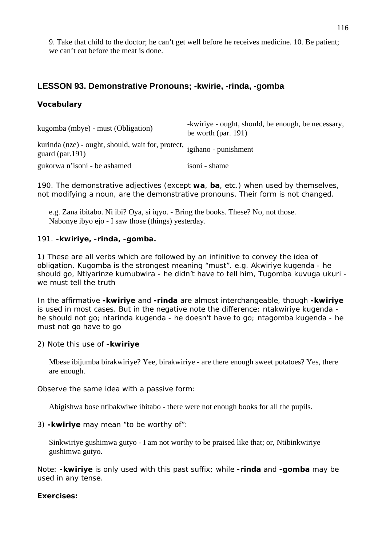9. Take that child to the doctor; he can't get well before he receives medicine. 10. Be patient; we can't eat before the meat is done.

# **LESSON 93. Demonstrative Pronouns; -kwirie, -rinda, -gomba**

### **Vocabulary**

| kugomba (mbye) - must (Obligation)                                                         | -kwiriye - ought, should, be enough, be necessary,<br>be worth (par. 191) |
|--------------------------------------------------------------------------------------------|---------------------------------------------------------------------------|
| kurinda (nze) - ought, should, wait for, protect, igihano - punishment<br>guard (par. 191) |                                                                           |
| gukorwa n'isoni - be ashamed                                                               | isoni - shame                                                             |

190. The demonstrative adjectives (except **wa**, **ba**, etc.) when used by themselves, not modifying a noun, are the demonstrative pronouns. Their form is not changed.

e.g. Zana ibitabo. Ni ibi? Oya, si iqyo. - Bring the books. These? No, not those. Nabonye ibyo ejo - I saw those (things) yesterday.

### 191. **-kwiriye, -rinda, -gomba.**

1) These are all verbs which are followed by an infinitive to convey the idea of obligation. Kugomba is the strongest meaning "must". e.g. Akwiriye kugenda - he should go, Ntiyarinze kumubwira - he didn't have to tell him, Tugomba kuvuga ukuri we must tell the truth

In the affirmative **-kwiriye** and **-rinda** are almost interchangeable, though **-kwiriye** is used in most cases. But in the negative note the difference: ntakwiriye kugenda he should not go; ntarinda kugenda - he doesn't have to go; ntagomba kugenda - he must not go have to go

2) Note this use of **-kwiriye**

Mbese ibijumba birakwiriye? Yee, birakwiriye - are there enough sweet potatoes? Yes, there are enough.

Observe the same idea with a passive form:

Abigishwa bose ntibakwiwe ibitabo - there were not enough books for all the pupils.

3) **-kwiriye** may mean "to be worthy of":

Sinkwiriye gushimwa gutyo - I am not worthy to be praised like that; or, Ntibinkwiriye gushimwa gutyo.

Note: **-kwiriye** is only used with this past suffix; while **-rinda** and **-gomba** may be used in any tense.

## **Exercises:**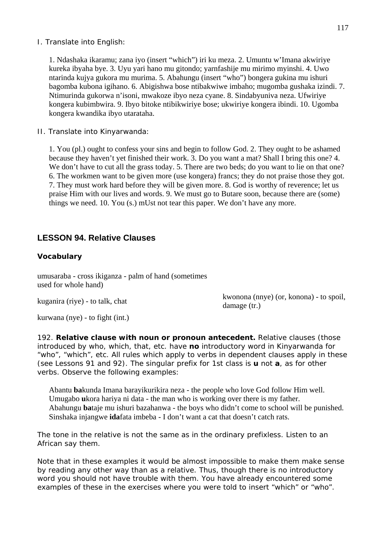I. Translate into English:

1. Ndashaka ikaramu; zana iyo (insert "which") iri ku meza. 2. Umuntu w'Imana akwiriye kureka ibyaha bye. 3. Uyu yari hano mu gitondo; yarnfashije mu mirimo myinshi. 4. Uwo ntarinda kujya gukora mu murima. 5. Abahungu (insert "who") bongera gukina mu ishuri bagomba kubona igihano. 6. Abigishwa bose ntibakwiwe imbaho; mugomba gushaka izindi. 7. Ntimurinda gukorwa n'isoni, mwakoze ibyo neza cyane. 8. Sindabyuniva neza. Ufwiriye kongera kubimbwira. 9. Ibyo bitoke ntibikwiriye bose; ukwiriye kongera ibindi. 10. Ugomba kongera kwandika ibyo utarataha.

II. Translate into Kinyarwanda:

1. You (pl.) ought to confess your sins and begin to follow God. 2. They ought to be ashamed because they haven't yet finished their work. 3. Do you want a mat? Shall I bring this one? 4. We don't have to cut all the grass today. 5. There are two beds; do you want to lie on that one? 6. The workmen want to be given more (use kongera) francs; they do not praise those they got. 7. They must work hard before they will be given more. 8. God is worthy of reverence; let us praise Him with our lives and words. 9. We must go to Butare soon, because there are (some) things we need. 10. You (s.) mUst not tear this paper. We don't have any more.

## **LESSON 94. Relative Clauses**

### **Vocabulary**

umusaraba - cross ikiganza - palm of hand (sometimes used for whole hand)

kuganira (riye) - to talk, chat kwonona (nnye) (or, konona) - to spoil, damage (tr.)

kurwana (nye) - to fight (int.)

192. **Relative clause with noun or pronoun antecedent.** Relative clauses (those introduced by who, which, that, etc. have **no** introductory word in Kinyarwanda for "who", "which", etc. All rules which apply to verbs in dependent clauses apply in these (see Lessons 91 and 92). The singular prefix for 1st class is **u** not **a**, as for other verbs. Observe the following examples:

Abantu **ba**kunda Imana barayikurikira neza - the people who love God follow Him well. Umugabo **u**kora hariya ni data - the man who is working over there is my father. Abahungu **ba**taje mu ishuri bazahanwa - the boys who didn't come to school will be punished. Sinshaka injangwe **ida**fata imbeba - I don't want a cat that doesn't catch rats.

The tone in the relative is not the same as in the ordinary prefixless. Listen to an African say them.

Note that in these examples it would be almost impossible to make them make sense by reading any other way than as a relative. Thus, though there is no introductory word you should not have trouble with them. You have already encountered some examples of these in the exercises where you were told to insert "which" or "who".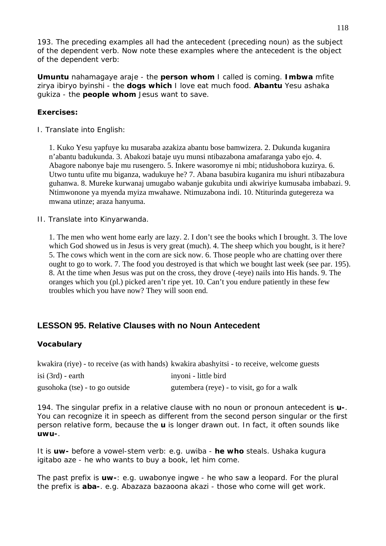193. The preceding examples all had the antecedent (preceding noun) as the subject of the dependent verb. Now note these examples where the antecedent is the object of the dependent verb:

**Umuntu** nahamagaye araje - the **person whom** I called is coming. **Imbwa** mfite zirya ibiryo byinshi - the **dogs which** I love eat much food. **Abantu** Yesu ashaka gukiza - the **people whom** Jesus want to save.

### **Exercises:**

I. Translate into English:

1. Kuko Yesu yapfuye ku musaraba azakiza abantu bose bamwizera. 2. Dukunda kuganira n'abantu badukunda. 3. Abakozi bataje uyu munsi ntibazabona amafaranga yabo ejo. 4. Abagore nabonye baje mu rusengero. 5. Inkere wasoromye ni mbi; ntidushobora kuzirya. 6. Utwo tuntu ufite mu biganza, wadukuye he? 7. Abana basubira kuganira mu ishuri ntibazabura guhanwa. 8. Mureke kurwanaj umugabo wabanje gukubita undi akwiriye kumusaba imbabazi. 9. Ntimwonone ya myenda myiza mwahawe. Ntimuzabona indi. 10. Ntiturinda gutegereza wa mwana utinze; araza hanyuma.

II. Translate into Kinyarwanda.

1. The men who went home early are lazy. 2. I don't see the books which I brought. 3. The love which God showed us in Jesus is very great (much). 4. The sheep which you bought, is it here? 5. The cows which went in the corn are sick now. 6. Those people who are chatting over there ought to go to work. 7. The food you destroyed is that which we bought last week (see par. 195). 8. At the time when Jesus was put on the cross, they drove (-teye) nails into His hands. 9. The oranges which you (pl.) picked aren't ripe yet. 10. Can't you endure patiently in these few troubles which you have now? They will soon end.

# **LESSON 95. Relative Clauses with no Noun Antecedent**

## **Vocabulary**

|                                | kwakira (riye) - to receive (as with hands) kwakira abashyitsi - to receive, welcome guests |
|--------------------------------|---------------------------------------------------------------------------------------------|
| isi (3rd) - earth              | inyoni - little bird                                                                        |
| gusohoka (tse) - to go outside | gutembera (reye) - to visit, go for a walk                                                  |

194. The singular prefix in a relative clause with no noun or pronoun antecedent is **u-**. You can recognize it in speech as different from the second person singular or the first person relative form, because the **u** is longer drawn out. In fact, it often sounds like **uwu-**.

It is **uw-** before a vowel-stem verb: e.g. uwiba - **he who** steals. Ushaka kugura igitabo aze - he who wants to buy a book, let him come.

The past prefix is **uw-**: e.g. uwabonye ingwe - he who saw a leopard. For the plural the prefix is **aba-**. e.g. Abazaza bazaoona akazi - those who come will get work.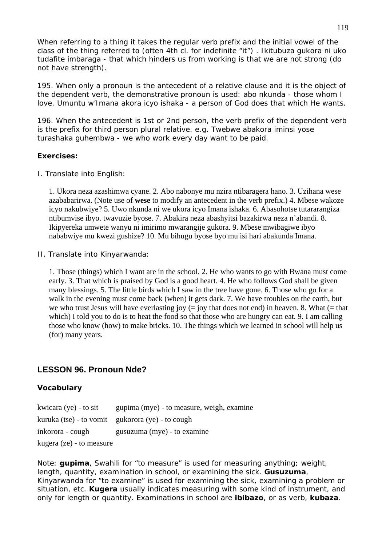When referring to a thing it takes the regular verb prefix and the initial vowel of the class of the thing referred to (often 4th cl. for indefinite "it") . Ikitubuza gukora ni uko tudafite imbaraga - that which hinders us from working is that we are not strong (do not have strength).

195. When only a pronoun is the antecedent of a relative clause and it is the object of the dependent verb, the demonstrative pronoun is used: abo nkunda - those whom I love. Umuntu w'Imana akora icyo ishaka - a person of God does that which He wants.

196. When the antecedent is 1st or 2nd person, the verb prefix of the dependent verb is the prefix for third person plural relative. e.g. Twebwe abakora iminsi yose turashaka guhembwa - we who work every day want to be paid.

### **Exercises:**

I. Translate into English:

1. Ukora neza azashimwa cyane. 2. Abo nabonye mu nzira ntibaragera hano. 3. Uzihana wese azababarirwa. (Note use of **wese** to modify an antecedent in the verb prefix.) 4. Mbese wakoze icyo nakubwiye? 5. Uwo nkunda ni we ukora icyo Imana ishaka. 6. Abasohotse tutararangiza ntibumvise ibyo. twavuzie byose. 7. Abakira neza abashyitsi bazakirwa neza n'abandi. 8. Ikipyereka umwete wanyu ni imirimo mwarangije gukora. 9. Mbese mwibagiwe ibyo nababwiye mu kwezi gushize? 10. Mu bihugu byose byo mu isi hari abakunda Imana.

II. Translate into Kinyarwanda:

1. Those (things) which I want are in the school. 2. He who wants to go with Bwana must come early. 3. That which is praised by God is a good heart. 4. He who follows God shall be given many blessings. 5. The little birds which I saw in the tree have gone. 6. Those who go for a walk in the evening must come back (when) it gets dark. 7. We have troubles on the earth, but we who trust Jesus will have everlasting joy  $(=$  joy that does not end) in heaven. 8. What  $(=$  that which) I told you to do is to heat the food so that those who are hungry can eat. 9. I am calling those who know (how) to make bricks. 10. The things which we learned in school will help us (for) many years.

# **LESSON 96. Pronoun Nde?**

## **Vocabulary**

| kwicara (ye) - to sit    | gupima (mye) - to measure, weigh, examine        |
|--------------------------|--------------------------------------------------|
|                          | kuruka (tse) - to vomit gukorora (ye) - to cough |
| inkorora - cough         | gusuzuma (mye) - to examine                      |
| kugera (ze) - to measure |                                                  |

Note: **gupima**, Swahili for "to measure" is used for measuring anything; weight, length, quantity, examination in school, or examining the sick. **Gusuzuma**, Kinyarwanda for "to examine" is used for examining the sick, examining a problem or situation, etc. **Kugera** usually indicates measuring with some kind of instrument, and only for length or quantity. Examinations in school are **ibibazo**, or as verb, **kubaza**.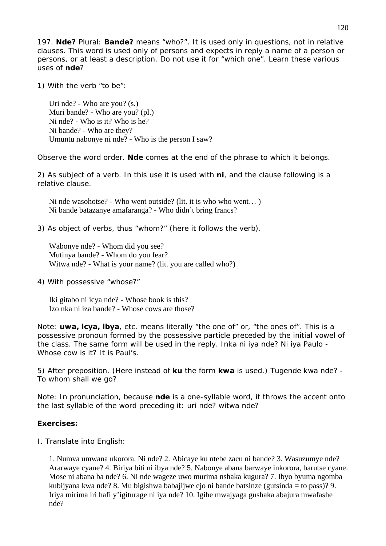197. **Nde?** Plural: **Bande?** means "who?". It is used only in questions, not in relative clauses. This word is used only of persons and expects in reply a name of a person or persons, or at least a description. Do not use it for "which one". Learn these various uses of **nde**?

1) With the verb "to be":

Uri nde? - Who are you? (s.) Muri bande? - Who are you? (pl.) Ni nde? - Who is it? Who is he? Ni bande? - Who are they? Umuntu nabonye ni nde? - Who is the person I saw?

Observe the word order. **Nde** comes at the end of the phrase to which it belongs.

2) As subject of a verb. In this use it is used with **ni**, and the clause following is a relative clause.

Ni nde wasohotse? - Who went outside? (lit. it is who who went...) Ni bande batazanye amafaranga? - Who didn't bring francs?

3) As object of verbs, thus "whom?" (here it follows the verb).

Wabonye nde? - Whom did you see? Mutinya bande? - Whom do you fear? Witwa nde? - What is your name? (lit. you are called who?)

4) With possessive "whose?"

Iki gitabo ni icya nde? - Whose book is this? Izo nka ni iza bande? - Whose cows are those?

Note: **uwa, icya, ibya**, etc. means literally "the one of" or, "the ones of". This is a possessive pronoun formed by the possessive particle preceded by the initial vowel of the class. The same form will be used in the reply. Inka ni iya nde? Ni iya Paulo - Whose cow is it? It is Paul's.

5) After preposition. (Here instead of **ku** the form **kwa** is used.) Tugende kwa nde? - To whom shall we go?

Note: In pronunciation, because **nde** is a one-syllable word, it throws the accent onto the last syllable of the word preceding it: uri nde? witwa nde?

### **Exercises:**

I. Translate into English:

1. Numva umwana ukorora. Ni nde? 2. Abicaye ku ntebe zacu ni bande? 3. Wasuzumye nde? Ararwaye cyane? 4. Biriya biti ni ibya nde? 5. Nabonye abana barwaye inkorora, barutse cyane. Mose ni abana ba nde? 6. Ni nde wageze uwo murima nshaka kugura? 7. Ibyo byuma ngomba kubijyana kwa nde? 8. Mu bigishwa babajijwe ejo ni bande batsinze (gutsinda = to pass)? 9. Iriya mirima iri hafi y'igiturage ni iya nde? 10. Igihe mwajyaga gushaka abajura mwafashe nde?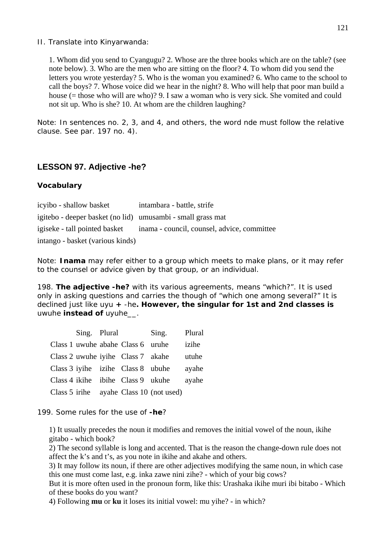#### II. Translate into Kinyarwanda:

1. Whom did you send to Cyangugu? 2. Whose are the three books which are on the table? (see note below). 3. Who are the men who are sitting on the floor? 4. To whom did you send the letters you wrote yesterday? 5. Who is the woman you examined? 6. Who came to the school to call the boys? 7. Whose voice did we hear in the night? 8. Who will help that poor man build a house (= those who will are who)? 9. I saw a woman who is very sick. She vomited and could not sit up. Who is she? 10. At whom are the children laughing?

Note: In sentences no. 2, 3, and 4, and others, the word nde must follow the relative clause. See par. 197 no. 4).

# **LESSON 97. Adjective -he?**

### **Vocabulary**

icyibo - shallow basket intambara - battle, strife igitebo - deeper basket (no lid) umusambi - small grass mat igiseke - tall pointed basket inama - council, counsel, advice, committee intango - basket (various kinds)

Note: **Inama** may refer either to a group which meets to make plans, or it may refer to the counsel or advice given by that group, or an individual.

198. **The adjective -he?** with its various agreements, means "which?". It is used only in asking questions and carries the though of "which one among several?" It is declined just like uyu **+** -he**. However, the singular for 1st and 2nd classes is**  uwuhe **instead of** uyuhe\_\_.

| Sing. Plural |                                   | Sing.                                   | Plural |
|--------------|-----------------------------------|-----------------------------------------|--------|
|              | Class 1 uwuhe abahe Class 6 uruhe |                                         | izihe  |
|              | Class 2 uwuhe iyihe Class 7 akahe |                                         | utuhe  |
|              | Class 3 iyihe izihe Class 8 ubuhe |                                         | ayahe  |
|              | Class 4 ikihe ibihe Class 9 ukuhe |                                         | ayahe  |
|              |                                   | Class 5 irihe ayahe Class 10 (not used) |        |

199. Some rules for the use of **-he**?

1) It usually precedes the noun it modifies and removes the initial vowel of the noun, ikihe gitabo - which book?

2) The second syllable is long and accented. That is the reason the change-down rule does not affect the k's and t's, as you note in ikihe and akahe and others.

3) It may follow its noun, if there are other adjectives modifying the same noun, in which case this one must come last, e.g. inka zawe nini zihe? - which of your big cows?

But it is more often used in the pronoun form, like this: Urashaka ikihe muri ibi bitabo - Which of these books do you want?

4) Following **mu** or **ku** it loses its initial vowel: mu yihe? - in which?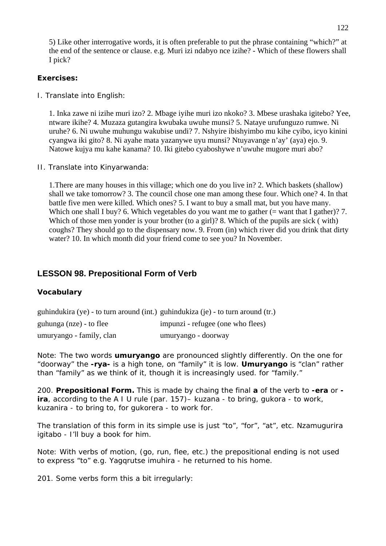5) Like other interrogative words, it is often preferable to put the phrase containing "which?" at the end of the sentence or clause. e.g. Muri izi ndabyo nce izihe? - Which of these flowers shall I pick?

### **Exercises:**

I. Translate into English:

1. Inka zawe ni izihe muri izo? 2. Mbage iyihe muri izo nkoko? 3. Mbese urashaka igitebo? Yee, ntware ikihe? 4. Muzaza gutangira kwubaka uwuhe munsi? 5. Nataye urufunguzo rumwe. Ni uruhe? 6. Ni uwuhe muhungu wakubise undi? 7. Nshyire ibishyimbo mu kihe cyibo, icyo kinini cyangwa iki gito? 8. Ni ayahe mata yazanywe uyu munsi? Ntuyavange n'ay' (aya) ejo. 9. Natowe kujya mu kahe kanama? 10. Iki gitebo cyaboshywe n'uwuhe mugore muri abo?

II. Translate into Kinyarwanda:

1.There are many houses in this village; which one do you live in? 2. Which baskets (shallow) shall we take tomorrow? 3. The council chose one man among these four. Which one? 4. In that battle five men were killed. Which ones? 5. I want to buy a small mat, but you have many. Which one shall I buy? 6. Which vegetables do you want me to gather  $(=$  want that I gather)? 7. Which of those men yonder is your brother (to a girl)? 8. Which of the pupils are sick ( with) coughs? They should go to the dispensary now. 9. From (in) which river did you drink that dirty water? 10. In which month did your friend come to see you? In November.

# **LESSON 98. Prepositional Form of Verb**

### **Vocabulary**

| guhindukira (ye) - to turn around (int.) guhindukiza (je) - to turn around (tr.) |                                   |
|----------------------------------------------------------------------------------|-----------------------------------|
| guhunga (nze) - to flee                                                          | impunzi - refugee (one who flees) |
| umuryango - family, clan                                                         | umuryango - doorway               |

Note: The two words **umuryango** are pronounced slightly differently. On the one for "doorway" the **-rya-** is a high tone, on "family" it is low. **Umuryango** is "clan" rather than "family" as we think of it, though it is increasingly used. for "family."

200. **Prepositional Form.** This is made by chaing the final **a** of the verb to **-era** or  **ira**, according to the A I U rule (par. 157)– kuzana - to bring, gukora - to work, kuzanira - to bring to, for gukorera - to work for.

The translation of this form in its simple use is just "to", "for", "at", etc. Nzamugurira igitabo - I'll buy a book for him.

Note: With verbs of motion, (go, run, flee, etc.) the prepositional ending is not used to express "to" e.g. Yagqrutse imuhira - he returned to his home.

201. Some verbs form this a bit irregularly: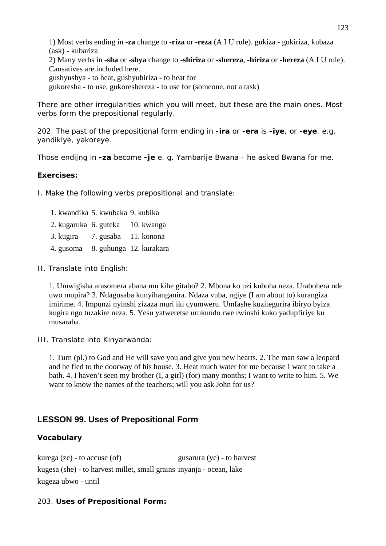1) Most verbs ending in **-za** change to **-riza** or **-reza** (A I U rule). gukiza - gukiriza, kubaza (ask) - kubariza

2) Many verbs in **-sha** or **-shya** change to **-shiriza** or **-shereza**, **-hiriza** or **-hereza** (A I U rule). Causatives are included here.

gushyushya - to heat, gushyuhiriza - to heat for

gukoresha - to use, gukoreshereza - to use for (someone, not a task)

There are other irregularities which you will meet, but these are the main ones. Most verbs form the prepositional regularly.

202. The past of the prepositional form ending in **-ira** or **-era** is **-iye**, or **-eye**. e.g. yandikiye, yakoreye.

Those endijng in **-za** become **-je** e. g. Yambarije Bwana - he asked Bwana for me.

### **Exercises:**

I. Make the following verbs prepositional and translate:

|  | 1. kwandika 5. kwubaka 9. kubika |  |  |  |  |
|--|----------------------------------|--|--|--|--|
|--|----------------------------------|--|--|--|--|

- 2. kugaruka 6. guteka 10. kwanga
- 3. kugira 7. gusaba 11. konona
- 4. gusoma 8. guhunga 12. kurakara

### II. Translate into English:

1. Umwigisha arasomera abana mu kihe gitabo? 2. Mbona ko uzi kuboha neza. Urabohera nde uwo mupira? 3. Ndagusaba kunyihanganira. Ndaza vuba, ngiye (I am about to) kurangiza imirime. 4. Impunzi nyinshi zizaza muri iki cyumweru. Umfashe kuzitegurira ibiryo byiza kugira ngo tuzakire neza. 5. Yesu yatweretse urukundo rwe rwinshi kuko yadupfiriye ku musaraba.

III. Translate into Kinyarwanda:

1. Turn (pl.) to God and He will save you and give you new hearts. 2. The man saw a leopard and he fled to the doorway of his house. 3. Heat much water for me because I want to take a bath. 4. I haven't seen my brother (I, a girl) (for) many months; I want to write to him. 5. We want to know the names of the teachers; will you ask John for us?

# **LESSON 99. Uses of Prepositional Form**

## **Vocabulary**

kurega (ze) - to accuse (of) gusarura (ye) - to harvest kugesa (she) - to harvest millet, small grains inyanja - ocean, lake kugeza ubwo - until

## 203. **Uses of Prepositional Form:**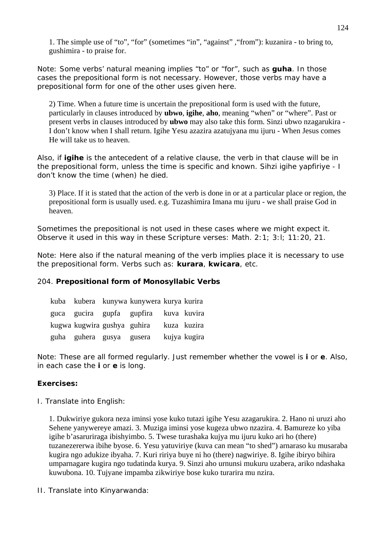1. The simple use of "to", "for" (sometimes "in", "against" ,"from"): kuzanira - to bring to, gushimira - to praise for.

Note: Some verbs' natural meaning implies "to" or "for", such as **guha**. In those cases the prepositional form is not necessary. However, those verbs may have a prepositional form for one of the other uses given here.

2) Time. When a future time is uncertain the prepositional form is used with the future, particularly in clauses introduced by **ubwo**, **igihe**, **aho**, meaning "when" or "where". Past or present verbs in clauses introduced by **ubwo** may also take this form. Sinzi ubwo nzagarukira - I don't know when I shall return. Igihe Yesu azazira azatujyana mu ijuru - When Jesus comes He will take us to heaven.

Also, if **igihe** is the antecedent of a relative clause, the verb in that clause will be in the prepositional form, unless the time is specific and known. Sihzi igihe yapfiriye - I don't know the time (when) he died.

3) Place. If it is stated that the action of the verb is done in or at a particular place or region, the prepositional form is usually used. e.g. Tuzashimira Imana mu ijuru - we shall praise God in heaven.

Sometimes the prepositional is not used in these cases where we might expect it. Observe it used in this way in these Scripture verses: Math. 2:1; 3:l; 11:20, 21.

Note: Here also if the natural meaning of the verb implies place it is necessary to use the prepositional form. Verbs such as: **kurara**, **kwicara**, etc.

### 204. **Prepositional form of Monosyllabic Verbs**

|  | kuba kubera kunywa kunywera kurya kurira |  |
|--|------------------------------------------|--|
|  | guca gucira gupfa gupfira kuva kuvira    |  |
|  | kugwa kugwira gushya guhira kuza kuzira  |  |
|  | guha guhera gusya gusera kujya-kugira    |  |

Note: These are all formed regularly. Just remember whether the vowel is **i** or **e**. Also, in each case the **i** or **e** is long.

### **Exercises:**

I. Translate into English:

1. Dukwiriye gukora neza iminsi yose kuko tutazi igihe Yesu azagarukira. 2. Hano ni uruzi aho Sehene yanywereye amazi. 3. Muziga iminsi yose kugeza ubwo nzazira. 4. Bamureze ko yiba igihe b'asaruriraga ibishyimbo. 5. Twese turashaka kujya mu ijuru kuko ari ho (there) tuzanezererwa ibihe byose. 6. Yesu yatuviriye (kuva can mean "to shed") arnaraso ku musaraba kugira ngo adukize ibyaha. 7. Kuri ririya buye ni ho (there) nagwiriye. 8. Igihe ibiryo bihira umparnagare kugira ngo tudatinda kurya. 9. Sinzi aho urnunsi mukuru uzabera, ariko ndashaka kuwubona. 10. Tujyane impamba zikwiriye bose kuko turarira mu nzira.

II. Translate into Kinyarwanda: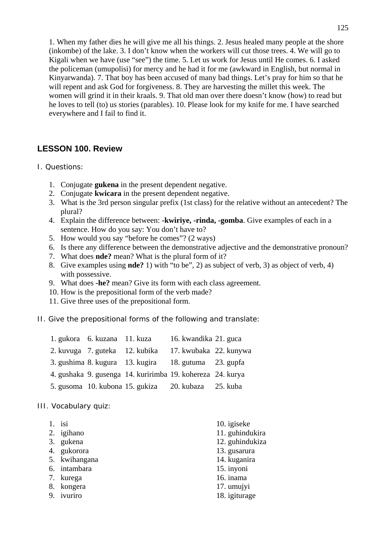1. When my father dies he will give me all his things. 2. Jesus healed many people at the shore (inkombe) of the lake. 3. I don't know when the workers will cut those trees. 4. We will go to Kigali when we have (use "see") the time. 5. Let us work for Jesus until He comes. 6. I asked the policeman (umupolisi) for mercy and he had it for me (awkward in English, but normal in Kinyarwanda). 7. That boy has been accused of many bad things. Let's pray for him so that he will repent and ask God for forgiveness. 8. They are harvesting the millet this week. The women will grind it in their kraals. 9. That old man over there doesn't know (how) to read but he loves to tell (to) us stories (parables). 10. Please look for my knife for me. I have searched everywhere and I fail to find it.

# **LESSON 100. Review**

- I. Questions:
	- 1. Conjugate **gukena** in the present dependent negative.
	- 2. Conjugate **kwicara** in the present dependent negative.
	- 3. What is the 3rd person singular prefix (1st class) for the relative without an antecedent? The plural?
	- 4. Explain the difference between: **-kwiriye, -rinda, -gomba**. Give examples of each in a sentence. How do you say: You don't have to?
	- 5. How would you say "before he comes"? (2 ways)
	- 6. Is there any difference between the demonstrative adjective and the demonstrative pronoun?
	- 7. What does **nde?** mean? What is the plural form of it?
	- 8. Give examples using **nde?** 1) with "to be", 2) as subject of verb, 3) as object of verb, 4) with possessive.
	- 9. What does **-he?** mean? Give its form with each class agreement.
	- 10. How is the prepositional form of the verb made?
	- 11. Give three uses of the prepositional form.
- II. Give the prepositional forms of the following and translate:

|  | 1. gukora 6. kuzana 11. kuza |                                                            | 16. kwandika 21. guca  |  |
|--|------------------------------|------------------------------------------------------------|------------------------|--|
|  |                              | 2. kuvuga 7. guteka 12. kubika                             | 17. kwubaka 22. kunywa |  |
|  |                              | 3. gushima 8. kugura 13. kugira                            | 18. gutuma 23. gupfa   |  |
|  |                              | 4. gushaka 9. gusenga 14. kuririmba 19. kohereza 24. kurya |                        |  |
|  |                              | 5. gusoma 10. kubona 15. gukiza                            | 20. kubaza 25. kuba    |  |

### III. Vocabulary quiz:

- 1. isi
- 2. igihano
- 3. gukena
- 4. gukorora
- 5. kwihangana
- 6. intambara
- 7. kurega
- 8. kongera
- 9. ivuriro

10. igiseke 11. guhindukira 12. guhindukiza 13. gusarura 14. kuganira 15. inyoni 16. inama 17. umujyi 18. igiturage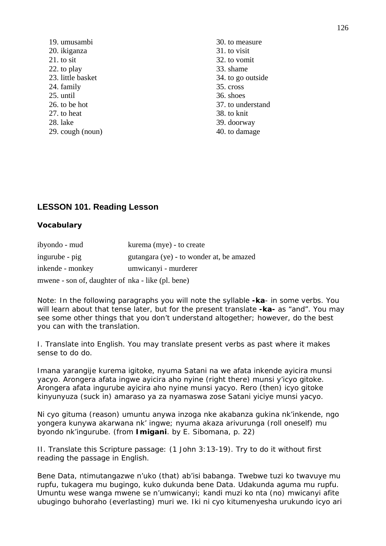19. umusambi 20. ikiganza 21. to sit 22. to play 23. little basket 24. family 25. until 26. to be hot 27. to heat 28. lake 29. cough (noun) 30. to measure 31. to visit 32. to vomit 33. shame 34. to go outside 35. cross 36. shoes 37. to understand 38. to knit 39. doorway 40. to damage

# **LESSON 101. Reading Lesson**

#### **Vocabulary**

| ibyondo - mud                                     | kurema (mye) - to create                 |
|---------------------------------------------------|------------------------------------------|
| ingurube - pig                                    | gutangara (ye) - to wonder at, be amazed |
| inkende - monkey                                  | umwicanyi - murderer                     |
| mwene - son of, daughter of nka - like (pl. bene) |                                          |

Note: In the following paragraphs you will note the syllable **-ka**- in some verbs. You will learn about that tense later, but for the present translate **-ka-** as "and". You may see some other things that you don't understand altogether; however, do the best you can with the translation.

I. Translate into English. You may translate present verbs as past where it makes sense to do do.

Imana yarangije kurema igitoke, nyuma Satani na we afata inkende ayicira munsi yacyo. Arongera afata ingwe ayicira aho nyine (right there) munsi y'icyo gitoke. Arongera afata ingurube ayicira aho nyine munsi yacyo. Rero (then) icyo gitoke kinyunyuza (suck in) amaraso ya za nyamaswa zose Satani yiciye munsi yacyo.

Ni cyo gituma (reason) umuntu anywa inzoga nke akabanza gukina nk'inkende, ngo yongera kunywa akarwana nk' ingwe; nyuma akaza arivurunga (roll oneself) mu byondo nk'ingurube. (from **Imigani**. by E. Sibomana, p. 22)

II. Translate this Scripture passage: (1 John 3:13-19). Try to do it without first reading the passage in English.

Bene Data, ntimutangazwe n'uko (that) ab'isi babanga. Twebwe tuzi ko twavuye mu rupfu, tukagera mu bugingo, kuko dukunda bene Data. Udakunda aguma mu rupfu. Umuntu wese wanga mwene se n'umwicanyi; kandi muzi ko nta (no) mwicanyi afite ubugingo buhoraho (everlasting) muri we. Iki ni cyo kitumenyesha urukundo icyo ari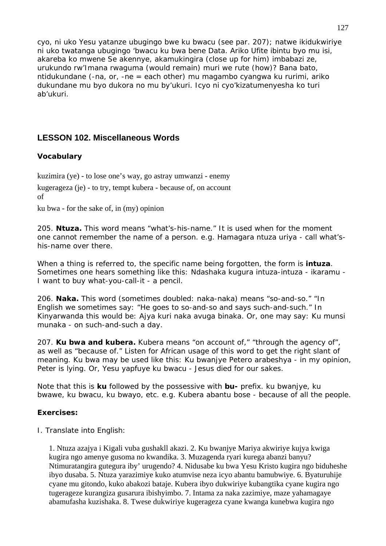cyo, ni uko Yesu yatanze ubugingo bwe ku bwacu (see par. 207); natwe ikidukwiriye ni uko twatanga ubugingo 'bwacu ku bwa bene Data. Ariko Ufite ibintu byo mu isi, akareba ko mwene Se akennye, akamukingira (close up for him) imbabazi ze, urukundo rw'Imana rwaguma (would remain) muri we rute (how)? Bana bato, ntidukundane (-na, or, -ne = each other) mu magambo cyangwa ku rurimi, ariko dukundane mu byo dukora no mu by'ukuri. Icyo ni cyo'kizatumenyesha ko turi ab'ukuri.

# **LESSON 102. Miscellaneous Words**

## **Vocabulary**

kuzimira (ye) - to lose one's way, go astray umwanzi - enemy kugerageza (je) - to try, tempt kubera - because of, on account

of

ku bwa - for the sake of, in (my) opinion

205. **Ntuza.** This word means "what's-his-name." It is used when for the moment one cannot remember the name of a person. e.g. Hamagara ntuza uriya - call what'shis-name over there.

When a thing is referred to, the specific name being forgotten, the form is **intuza**. Sometimes one hears something like this: Ndashaka kugura intuza-intuza - ikaramu - I want to buy what-you-call-it - a pencil.

206. **Naka.** This word (sometimes doubled: naka-naka) means "so-and-so." "In English we sometimes say: "He goes to so-and-so and says such-and-such." In Kinyarwanda this would be: Ajya kuri naka avuga binaka. Or, one may say: Ku munsi munaka - on such-and-such a day.

207. **Ku bwa and kubera.** Kubera means "on account of," "through the agency of", as well as "because of." Listen for African usage of this word to get the right slant of meaning. Ku bwa may be used like this: Ku bwanjye Petero arabeshya - in my opinion, Peter is lying. Or, Yesu yapfuye ku bwacu - Jesus died for our sakes.

Note that this is **ku** followed by the possessive with **bu-** prefix. ku bwanjye, ku bwawe, ku bwacu, ku bwayo, etc. e.g. Kubera abantu bose - because of all the people.

## **Exercises:**

I. Translate into English:

1. Ntuza azajya i Kigali vuba gushakll akazi. 2. Ku bwanjye Mariya akwiriye kujya kwiga kugira ngo amenye gusoma no kwandika. 3. Muzagenda ryari kurega abanzi banyu? Ntimuratangira gutegura iby' urugendo? 4. Nidusabe ku bwa Yesu Kristo kugira ngo biduheshe ibyo dusaba. 5. Ntuza yarazimiye kuko atumvise neza icyo abantu bamubwiye. 6. Byaturuhije cyane mu gitondo, kuko abakozi bataje. Kubera ibyo dukwiriye kubangtika cyane kugira ngo tugerageze kurangiza gusarura ibishyimbo. 7. Intama za naka zazimiye, maze yahamagaye abamufasha kuzishaka. 8. Twese dukwiriye kugerageza cyane kwanga kunebwa kugira ngo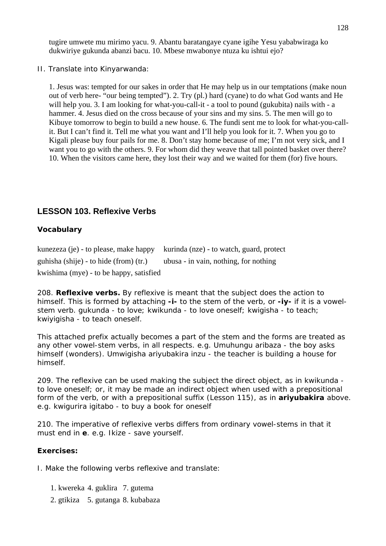tugire umwete mu mirimo yacu. 9. Abantu baratangaye cyane igihe Yesu yababwiraga ko dukwiriye gukunda abanzi bacu. 10. Mbese mwabonye ntuza ku ishtui ejo?

II. Translate into Kinyarwanda:

1. Jesus was: tempted for our sakes in order that He may help us in our temptations (make noun out of verb here- "our being tempted"). 2. Try (pl.) hard (cyane) to do what God wants and He will help you. 3. I am looking for what-you-call-it - a tool to pound (gukubita) nails with - a hammer. 4. Jesus died on the cross because of your sins and my sins. 5. The men will go to Kibuye tomorrow to begin to build a new house. 6. The fundi sent me to look for what-you-callit. But I can't find it. Tell me what you want and I'll help you look for it. 7. When you go to Kigali please buy four pails for me. 8. Don't stay home because of me; I'm not very sick, and I want you to go with the others. 9. For whom did they weave that tall pointed basket over there? 10. When the visitors came here, they lost their way and we waited for them (for) five hours.

# **LESSON 103. Reflexive Verbs**

### **Vocabulary**

kunezeza (je) - to please, make happy kurinda (nze) - to watch, guard, protect guhisha (shije) - to hide (from) (tr.) ubusa - in vain, nothing, for nothing kwishima (mye) - to be happy, satisfied

208. **Reflexive verbs.** By reflexive is meant that the subject does the action to himself. This is formed by attaching **-i-** to the stem of the verb, or **-iy-** if it is a vowelstem verb. gukunda - to love; kwikunda - to love oneself; kwigisha - to teach; kwiyigisha - to teach oneself.

This attached prefix actually becomes a part of the stem and the forms are treated as any other vowel-stem verbs, in all respects. e.g. Umuhungu aribaza - the boy asks himself (wonders). Umwigisha ariyubakira inzu - the teacher is building a house for himself.

209. The reflexive can be used making the subject the direct object, as in kwikunda to love oneself; or, it may be made an indirect object when used with a prepositional form of the verb, or with a prepositional suffix (Lesson 115), as in **ariyubakira** above. e.g. kwigurira igitabo - to buy a book for oneself

210. The imperative of reflexive verbs differs from ordinary vowel-stems in that it must end in **e**. e.g. Ikize - save yourself.

### **Exercises:**

I. Make the following verbs reflexive and translate:

- 1. kwereka 4. guklira 7. gutema
- 2. gtikiza 5. gutanga 8. kubabaza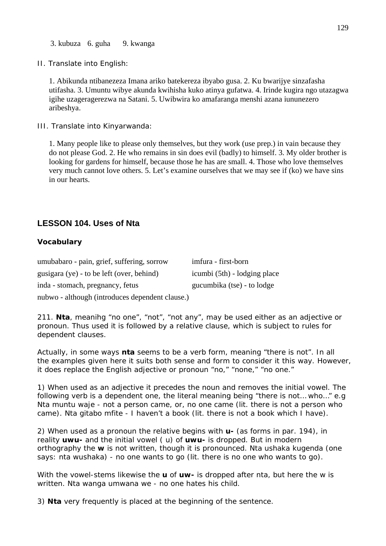3. kubuza 6. guha 9. kwanga

II. Translate into English:

1. Abikunda ntibanezeza Imana ariko batekereza ibyabo gusa. 2. Ku bwarijye sinzafasha utifasha. 3. Umuntu wibye akunda kwihisha kuko atinya gufatwa. 4. Irinde kugira ngo utazagwa igihe uzageragerezwa na Satani. 5. Uwibwira ko amafaranga menshi azana iununezero aribeshya.

III. Translate into Kinyarwanda:

1. Many people like to please only themselves, but they work (use prep.) in vain because they do not please God. 2. He who remains in sin does evil (badly) to himself. 3. My older brother is looking for gardens for himself, because those he has are small. 4. Those who love themselves very much cannot love others. 5. Let's examine ourselves that we may see if (ko) we have sins in our hearts.

# **LESSON 104. Uses of Nta**

### **Vocabulary**

umubabaro - pain, grief, suffering, sorrow imfura - first-born gusigara (ye) - to be left (over, behind) icumbi (5th) - lodging place inda - stomach, pregnancy, fetus gucumbika (tse) - to lodge nubwo - although (introduces dependent clause.)

211. **Nta**, meanihg "no one", "not", "not any", may be used either as an adjective or pronoun. Thus used it is followed by a relative clause, which is subject to rules for dependent clauses.

Actually, in some ways **nta** seems to be a verb form, meaning "there is not". In all the examples given here it suits both sense and form to consider it this way. However, it does replace the English adjective or pronoun "no," "none," "no one."

1) When used as an adjective it precedes the noun and removes the initial vowel. The following verb is a dependent one, the literal meaning being "there is not… who…" e.g Nta muntu waje - not a person came, or, no one came (lit. there is not a person who came). Nta gitabo mfite - I haven't a book (lit. there is not a book which I have).

2) When used as a pronoun the relative begins with **u-** (as forms in par. 194), in reality **uwu-** and the initial vowel ( u) of **uwu-** is dropped. But in modern orthography the **w** is not written, though it is pronounced. Nta ushaka kugenda (one says: nta wushaka) - no one wants to go (lit. there is no one who wants to go).

With the vowel-stems likewise the **u** of **uw-** is dropped after nta, but here the w is written. Nta wanga umwana we - no one hates his child.

3) **Nta** very frequently is placed at the beginning of the sentence.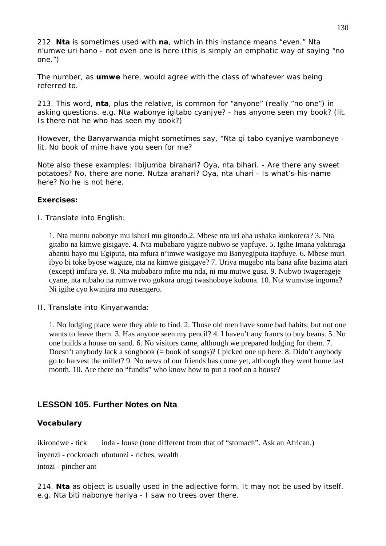212. **Nta** is sometimes used with **na**, which in this instance means "even." Nta n'umwe uri hano - not even one is here (this is simply an emphatic way of saying "no one.")

The number, as **umwe** here, would agree with the class of whatever was being referred to.

213. This word, **nta**, plus the relative, is common for "anyone" (really "no one") in asking questions. e.g. Nta wabonye igitabo cyanjye? - has anyone seen my book? (lit. Is there not he who has seen my book?)

However, the Banyarwanda might sometimes say, "Nta gi tabo cyanjye wamboneye lit. No book of mine have you seen for me?

Note also these examples: Ibijumba birahari? Oya, nta bihari. - Are there any sweet potatoes? No, there are none. Nutza arahari? Oya, nta uhari - Is what's-his-name here? No he is not here.

### **Exercises:**

I. Translate into English:

1. Nta muntu nabonye mu ishuri mu gitondo.2. Mbese nta uri aha ushaka kunkorera? 3. Nta gitabo na kimwe gisigaye. 4. Nta mubabaro yagize nubwo se yapfuye. 5. Igihe Imana yaktiraga abantu hayo mu Egiputa, nta mfura n'imwe wasigaye mu Banyegiputa itapfuye. 6. Mbese muri ibyo bi toke byose waguze, nta na kimwe gisigaye? 7. Uriya mugabo nta bana afite bazima atari (except) imfura ye. 8. Nta mubabaro mfite mu nda, ni mu mutwe gusa. 9. Nubwo twagerageje cyane, nta rubaho na rumwe rwo gukora urugi twashoboye kubona. 10. Nta wumvise ingoma? Ni igihe cyo kwinjira mu rusengero.

II. Translate into Kinyarwanda:

1. No lodging place were they able to find. 2. Those old men have some bad habits; but not one wants to leave them. 3. Has anyone seen my pencil? 4. I haven't any francs to buy beans. 5. No one builds a house on sand. 6. No visitors came, although we prepared lodging for them. 7. Doesn't anybody lack a songbook (= book of songs)? I picked one up here. 8. Didn't anybody go to harvest the millet? 9. No news of our friends has come yet, although they went home last month. 10. Are there no "fundis" who know how to put a roof on a house?

# **LESSON 105. Further Notes on Nta**

### **Vocabulary**

ikirondwe - tick inda - louse (tone different from that of "stomach". Ask an African.) inyenzi - cockroach ubutunzi - riches, wealth intozi - pincher ant

214. **Nta** as object is usually used in the adjective form. It may not be used by itself. e.g. Nta biti nabonye hariya - I saw no trees over there.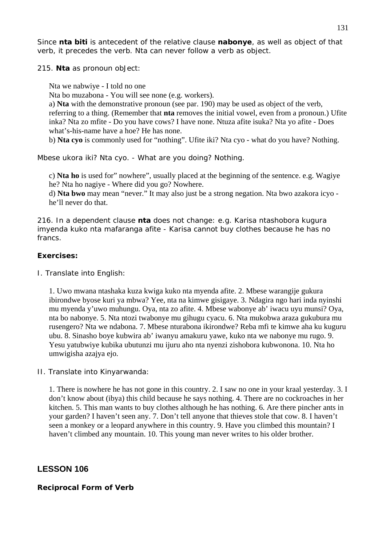Since **nta biti** is antecedent of the relative clause **nabonye**, as well as object of that verb, it precedes the verb. Nta can never follow a verb as object.

215. **Nta** as pronoun obJect:

Nta we nabwiye - I told no one

Nta bo muzabona - You will see none (e.g. workers).

a) **Nta** with the demonstrative pronoun (see par. 190) may be used as object of the verb, referring to a thing. (Remember that **nta** removes the initial vowel, even from a pronoun.) Ufite inka? Nta zo mfite - Do you have cows? I have none. Ntuza afite isuka? Nta yo afite - Does what's-his-name have a hoe? He has none.

b) **Nta cyo** is commonly used for "nothing". Ufite iki? Nta cyo - what do you have? Nothing.

Mbese ukora iki? Nta cyo. - What are you doing? Nothing.

c) **Nta ho** is used for" nowhere", usually placed at the beginning of the sentence. e.g. Wagiye he? Nta ho nagiye - Where did you go? Nowhere.

d) **Nta bwo** may mean "never." It may also just be a strong negation. Nta bwo azakora icyo he'll never do that.

216. In a dependent clause **nta** does not change: e.g. Karisa ntashobora kugura imyenda kuko nta mafaranga afite - Karisa cannot buy clothes because he has no francs.

#### **Exercises:**

I. Translate into English:

1. Uwo mwana ntashaka kuza kwiga kuko nta myenda afite. 2. Mbese warangije gukura ibirondwe byose kuri ya mbwa? Yee, nta na kimwe gisigaye. 3. Ndagira ngo hari inda nyinshi mu myenda y'uwo muhungu. Oya, nta zo afite. 4. Mbese wabonye ab' iwacu uyu munsi? Oya, nta bo nabonye. 5. Nta ntozi twabonye mu gihugu cyacu. 6. Nta mukobwa araza gukubura mu rusengero? Nta we ndabona. 7. Mbese nturabona ikirondwe? Reba mfi te kimwe aha ku kuguru ubu. 8. Sinasho boye kubwira ab' iwanyu amakuru yawe, kuko nta we nabonye mu rugo. 9. Yesu yatubwiye kubika ubutunzi mu ijuru aho nta nyenzi zishobora kubwonona. 10. Nta ho umwigisha azajya ejo.

II. Translate into Kinyarwanda:

1. There is nowhere he has not gone in this country. 2. I saw no one in your kraal yesterday. 3. I don't know about (ibya) this child because he says nothing. 4. There are no cockroaches in her kitchen. 5. This man wants to buy clothes although he has nothing. 6. Are there pincher ants in your garden? I haven't seen any. 7. Don't tell anyone that thieves stole that cow. 8. I haven't seen a monkey or a leopard anywhere in this country. 9. Have you climbed this mountain? I haven't climbed any mountain. 10. This young man never writes to his older brother.

# **LESSON 106**

### **Reciprocal Form of Verb**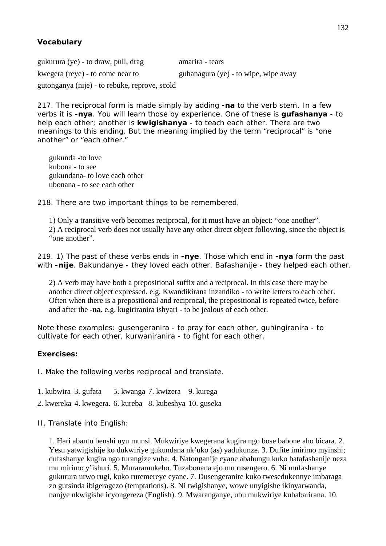## **Vocabulary**

gukurura (ye) - to draw, pull, drag amarira - tears kwegera (reye) - to come near to guhanagura (ye) - to wipe, wipe away gutonganya (nije) - to rebuke, reprove, scold

217. The reciprocal form is made simply by adding **-na** to the verb stem. In a few verbs it is **-nya**. You will learn those by experience. One of these is **gufashanya** - to help each other; another is **kwigishanya** - to teach each other. There are two meanings to this ending. But the meaning implied by the term "reciprocal" is "one another" or "each other."

gukunda -to love kubona - to see gukundana- to love each other ubonana - to see each other

218. There are two important things to be remembered.

1) Only a transitive verb becomes reciprocal, for it must have an object: "one another". 2) A reciprocal verb does not usually have any other direct object following, since the object is "one another".

219. 1) The past of these verbs ends in **-nye**. Those which end in **-nya** form the past with **-nije**. Bakundanye - they loved each other. Bafashanije - they helped each other.

2) A verb may have both a prepositional suffix and a reciprocal. In this case there may be another direct object expressed. e.g. Kwandikirana inzandiko - to write letters to each other. Often when there is a prepositional and reciprocal, the prepositional is repeated twice, before and after the **-na**. e.g. kugiriranira ishyari - to be jealous of each other.

Note these examples: gusengeranira - to pray for each other, guhingiranira - to cultivate for each other, kurwaniranira - to fight for each other.

## **Exercises:**

I. Make the following verbs reciprocal and translate.

1. kubwira 3. gufata 5. kwanga 7. kwizera 9. kurega

2. kwereka 4. kwegera. 6. kureba 8. kubeshya 10. guseka

II. Translate into English:

1. Hari abantu benshi uyu munsi. Mukwiriye kwegerana kugira ngo bose babone aho bicara. 2. Yesu yatwigishije ko dukwiriye gukundana nk'uko (as) yadukunze. 3. Dufite imirimo myinshi; dufashanye kugira ngo turangize vuba. 4. Natonganije cyane abahungu kuko batafashanije neza mu mirimo y'ishuri. 5. Muraramukeho. Tuzabonana ejo mu rusengero. 6. Ni mufashanye gukurura urwo rugi, kuko ruremereye cyane. 7. Dusengeranire kuko twesedukennye imbaraga zo gutsinda ibigeragezo (temptations). 8. Ni twigishanye, wowe unyigishe ikinyarwanda, nanjye nkwigishe icyongereza (English). 9. Mwaranganye, ubu mukwiriye kubabarirana. 10.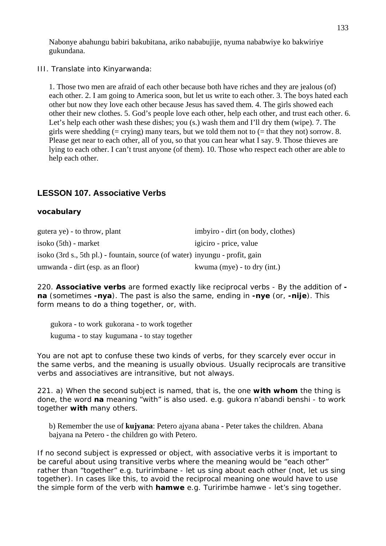Nabonye abahungu babiri bakubitana, ariko nababujije, nyuma nababwiye ko bakwiriye gukundana.

III. Translate into Kinyarwanda:

1. Those two men are afraid of each other because both have riches and they are jealous (of) each other. 2. I am going to America soon, but let us write to each other. 3. The boys hated each other but now they love each other because Jesus has saved them. 4. The girls showed each other their new clothes. 5. God's people love each other, help each other, and trust each other. 6. Let's help each other wash these dishes; you (s.) wash them and I'll dry them (wipe). 7. The girls were shedding  $(=$  crying) many tears, but we told them not to  $(=$  that they not) sorrow. 8. Please get near to each other, all of you, so that you can hear what I say. 9. Those thieves are lying to each other. I can't trust anyone (of them). 10. Those who respect each other are able to help each other.

# **LESSON 107. Associative Verbs**

### **vocabulary**

| gutera ye) - to throw, plant                                                 | imbyiro - dirt (on body, clothes) |
|------------------------------------------------------------------------------|-----------------------------------|
| isoko (5th) - market                                                         | igiciro - price, value            |
| isoko (3rd s., 5th pl.) - fountain, source (of water) inyungu - profit, gain |                                   |
| umwanda - dirt (esp. as an floor)                                            | kwuma (mye) - to dry (int.)       |

220. **Associative verbs** are formed exactly like reciprocal verbs - By the addition of  **na** (sometimes **-nya**). The past is also the same, ending in **-nye** (or, **-nije**). This form means to do a thing together, or, with.

gukora - to work gukorana - to work together kuguma - to stay kugumana - to stay together

You are not apt to confuse these two kinds of verbs, for they scarcely ever occur in the same verbs, and the meaning is usually obvious. Usually reciprocals are transitive verbs and associatives are intransitive, but not always.

221. a) When the second subject is named, that is, the one **with whom** the thing is done, the word **na** meaning "with" is also used. e.g. gukora n'abandi benshi - to work together **with** many others.

b) Remember the use of **kujyana**: Petero ajyana abana - Peter takes the children. Abana bajyana na Petero - the children go with Petero.

If no second subject is expressed or object, with associative verbs it is important to be careful about using transitive verbs where the meaning would be "each other" rather than "together" e.g. turirimbane - let us sing about each other (not, let us sing together). In cases like this, to avoid the reciprocal meaning one would have to use the simple form of the verb with **hamwe** e.g. Turirimbe hamwe - let's sing together.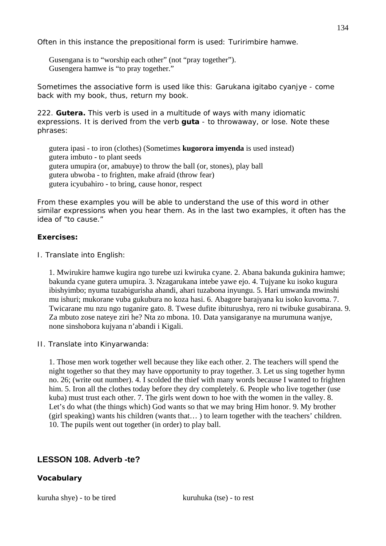Often in this instance the prepositional form is used: Turirimbire hamwe.

Gusengana is to "worship each other" (not "pray together"). Gusengera hamwe is "to pray together."

Sometimes the associative form is used like this: Garukana igitabo cyanjye - come back with my book, thus, return my book.

222. **Gutera.** This verb is used in a multitude of ways with many idiomatic expressions. It is derived from the verb **guta** - to throwaway, or lose. Note these phrases:

gutera ipasi - to iron (clothes) (Sometimes **kugorora imyenda** is used instead) gutera imbuto - to plant seeds gutera umupira (or, amabuye) to throw the ball (or, stones), play ball gutera ubwoba - to frighten, make afraid (throw fear) gutera icyubahiro - to bring, cause honor, respect

From these examples you will be able to understand the use of this word in other similar expressions when you hear them. As in the last two examples, it often has the idea of "to cause."

### **Exercises:**

I. Translate into English:

1. Mwirukire hamwe kugira ngo turebe uzi kwiruka cyane. 2. Abana bakunda gukinira hamwe; bakunda cyane gutera umupira. 3. Nzagarukana intebe yawe ejo. 4. Tujyane ku isoko kugura ibishyimbo; nyuma tuzabigurisha ahandi, ahari tuzabona inyungu. 5. Hari umwanda mwinshi mu ishuri; mukorane vuba gukubura no koza hasi. 6. Abagore barajyana ku isoko kuvoma. 7. Twicarane mu nzu ngo tuganire gato. 8. Twese dufite ibiturushya, rero ni twibuke gusabirana. 9. Za mbuto zose nateye ziri he? Nta zo mbona. 10. Data yansigaranye na murumuna wanjye, none sinshobora kujyana n'abandi i Kigali.

II. Translate into Kinyarwanda:

1. Those men work together well because they like each other. 2. The teachers will spend the night together so that they may have opportunity to pray together. 3. Let us sing together hymn no. 26; (write out number). 4. I scolded the thief with many words because I wanted to frighten him. 5. Iron all the clothes today before they dry completely. 6. People who live together (use kuba) must trust each other. 7. The girls went down to hoe with the women in the valley. 8. Let's do what (the things which) God wants so that we may bring Him honor. 9. My brother (girl speaking) wants his children (wants that… ) to learn together with the teachers' children. 10. The pupils went out together (in order) to play ball.

# **LESSON 108. Adverb -te?**

## **Vocabulary**

kuruha shye) - to be tired kuruhuka (tse) - to rest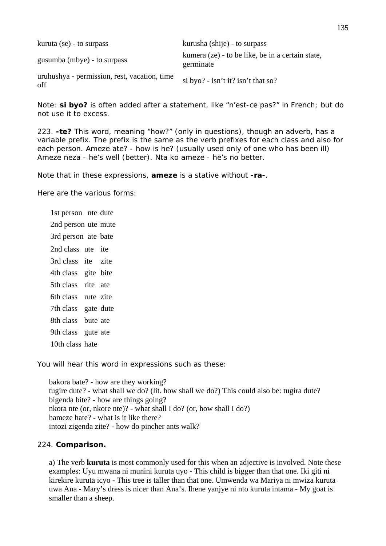| kuruta (se) - to surpass                            | kurusha (shije) - to surpass                                  |
|-----------------------------------------------------|---------------------------------------------------------------|
| gusumba (mbye) - to surpass                         | kumera (ze) - to be like, be in a certain state,<br>germinate |
| uruhushya - permission, rest, vacation, time<br>off | si byo? - isn't it? isn't that so?                            |

Note: **si byo?** is often added after a statement, like "n'est-ce pas?" in French; but do not use it to excess.

223. **-te?** This word, meaning "how?" (only in questions), though an adverb, has a variable prefix. The prefix is the same as the verb prefixes for each class and also for each person. Ameze ate? - how is he? (usually used only of one who has been ill) Ameze neza - he's well (better). Nta ko ameze - he's no better.

Note that in these expressions, **ameze** is a stative without **-ra-**.

Here are the various forms:

1st person nte dute 2nd person ute mute 3rd person ate bate 2nd class ute ite 3rd class ite zite 4th class gite bite 5th class rite ate 6th class rute zite 7th class gate dute 8th class bute ate 9th class gute ate 10th class hate

You will hear this word in expressions such as these:

bakora bate? - how are they working? tugire dute? - what shall we do? (lit. how shall we do?) This could also be: tugira dute? bigenda bite? - how are things going? nkora nte (or, nkore nte)? - what shall I do? (or, how shall I do?) hameze hate? - what is it like there? intozi zigenda zite? - how do pincher ants walk?

#### 224. **Comparison.**

a) The verb **kuruta** is most commonly used for this when an adjective is involved. Note these examples: Uyu mwana ni munini kuruta uyo - This child is bigger than that one. Iki giti ni kirekire kuruta icyo - This tree is taller than that one. Umwenda wa Mariya ni mwiza kuruta uwa Ana - Mary's dress is nicer than Ana's. Ihene yanjye ni nto kuruta intama - My goat is smaller than a sheep.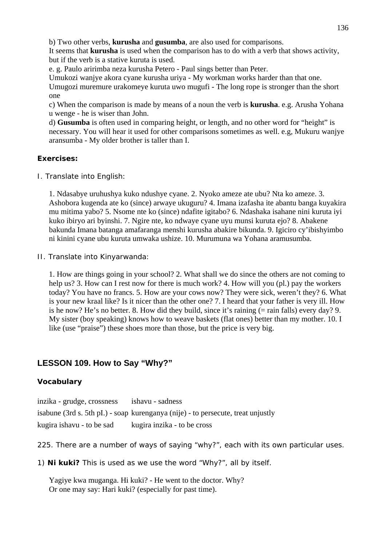b) Two other verbs, **kurusha** and **gusumba**, are also used for comparisons.

It seems that **kurusha** is used when the comparison has to do with a verb that shows activity, but if the verb is a stative kuruta is used.

e. g. Paulo aririmba neza kurusha Petero - Paul sings better than Peter.

Umukozi wanjye akora cyane kurusha uriya - My workman works harder than that one. Umugozi muremure urakomeye kuruta uwo mugufi - The long rope is stronger than the short one

c) When the comparison is made by means of a noun the verb is **kurusha**. e.g. Arusha Yohana u wenge - he is wiser than John.

d) **Gusumba** is often used in comparing height, or length, and no other word for "height" is necessary. You will hear it used for other comparisons sometimes as well. e.g, Mukuru wanjye aransumba - My older brother is taller than I.

### **Exercises:**

I. Translate into English:

1. Ndasabye uruhushya kuko ndushye cyane. 2. Nyoko ameze ate ubu? Nta ko ameze. 3. Ashobora kugenda ate ko (since) arwaye ukuguru? 4. Imana izafasha ite abantu banga kuyakira mu mitima yabo? 5. Nsome nte ko (since) ndafite igitabo? 6. Ndashaka isahane nini kuruta iyi kuko ibiryo ari byinshi. 7. Ngire nte, ko ndwaye cyane uyu munsi kuruta ejo? 8. Abakene bakunda Imana batanga amafaranga menshi kurusha abakire bikunda. 9. Igiciro cy'ibishyimbo ni kinini cyane ubu kuruta umwaka ushize. 10. Murumuna wa Yohana aramusumba.

II. Translate into Kinyarwanda:

1. How are things going in your school? 2. What shall we do since the others are not coming to help us? 3. How can I rest now for there is much work? 4. How will you (pl.) pay the workers today? You have no francs. 5. How are your cows now? They were sick, weren't they? 6. What is your new kraal like? Is it nicer than the other one? 7. I heard that your father is very ill. How is he now? He's no better. 8. How did they build, since it's raining (= rain falls) every day? 9. My sister (boy speaking) knows how to weave baskets (flat ones) better than my mother. 10. I like (use "praise") these shoes more than those, but the price is very big.

## **LESSON 109. How to Say "Why?"**

### **Vocabulary**

inzika - grudge, crossness ishavu - sadness isabune (3rd s. 5th pI.) - soap kurenganya (nije) - to persecute, treat unjustly kugira ishavu - to be sad kugira inzika - to be cross

225. There are a number of ways of saying "why?", each with its own particular uses.

1) **Ni kuki?** This is used as we use the word "Why?", all by itself.

Yagiye kwa muganga. Hi kuki? - He went to the doctor. Why? Or one may say: Hari kuki? (especially for past time).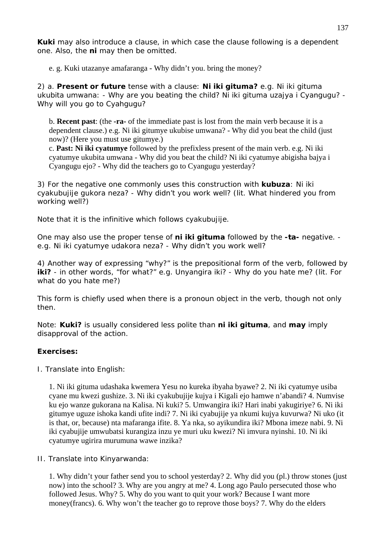**Kuki** may also introduce a clause, in which case the clause following is a dependent one. Also, the **ni** may then be omitted.

e. g. Kuki utazanye amafaranga - Why didn't you. bring the money?

2) a. **Present or future** tense with a clause: **Ni iki gituma?** e.g. Ni iki gituma ukubita umwana: - Why are you beating the child? Ni iki gituma uzajya i Cyangugu? - Why will you go to Cyahgugu?

b. **Recent past**: (the **-ra-** of the immediate past is lost from the main verb because it is a dependent clause.) e.g. Ni iki gitumye ukubise umwana? - Why did you beat the child (just now)? (Here you must use gitumye.)

c. **Past: Ni iki cyatumye** followed by the prefixless present of the main verb. e.g. Ni iki cyatumye ukubita umwana - Why did you beat the child? Ni iki cyatumye abigisha bajya i Cyangugu ejo? - Why did the teachers go to Cyangugu yesterday?

3) For the negative one commonly uses this construction with **kubuza**: Ni iki cyakubujije gukora neza? - Why didn't you work well? (lit. What hindered you from working well?)

Note that it is the infinitive which follows cyakubujije.

One may also use the proper tense of **ni iki gituma** followed by the **-ta-** negative. e.g. Ni iki cyatumye udakora neza? - Why didn't you work well?

4) Another way of expressing "why?" is the prepositional form of the verb, followed by **iki?** - in other words, "for what?" e.g. Unyangira iki? - Why do you hate me? (lit. For what do you hate me?)

This form is chiefly used when there is a pronoun object in the verb, though not only then.

Note: **Kuki?** is usually considered less polite than **ni iki gituma**, and **may** imply disapproval of the action.

### **Exercises:**

I. Translate into English:

1. Ni iki gituma udashaka kwemera Yesu no kureka ibyaha byawe? 2. Ni iki cyatumye usiba cyane mu kwezi gushize. 3. Ni iki cyakubujije kujya i Kigali ejo hamwe n'abandi? 4. Numvise ku ejo wanze gukorana na Kalisa. Ni kuki? 5. Umwangira iki? Hari inabi yakugiriye? 6. Ni iki gitumye uguze ishoka kandi ufite indi? 7. Ni iki cyabujije ya nkumi kujya kuvurwa? Ni uko (it is that, or, because) nta mafaranga ifite. 8. Ya nka, so ayikundira iki? Mbona imeze nabi. 9. Ni iki cyabujije umwubatsi kurangiza inzu ye muri uku kwezi? Ni imvura nyinshi. 10. Ni iki cyatumye ugirira murumuna wawe inzika?

II. Translate into Kinyarwanda:

1. Why didn't your father send you to school yesterday? 2. Why did you (pl.) throw stones (just now) into the school? 3. Why are you angry at me? 4. Long ago Paulo persecuted those who followed Jesus. Why? 5. Why do you want to quit your work? Because I want more money(francs). 6. Why won't the teacher go to reprove those boys? 7. Why do the elders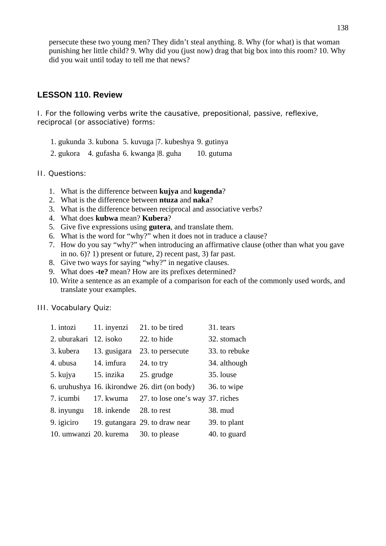persecute these two young men? They didn't steal anything. 8. Why (for what) is that woman punishing her little child? 9. Why did you (just now) drag that big box into this room? 10. Why did you wait until today to tell me that news?

## **LESSON 110. Review**

I. For the following verbs write the causative, prepositional, passive, reflexive, reciprocal (or associative) forms:

- 1. gukunda 3. kubona 5. kuvuga |7. kubeshya 9. gutinya
- 2. gukora 4. gufasha 6. kwanga |8. guha 10. gutuma
- II. Questions:
	- 1. What is the difference between **kujya** and **kugenda**?
	- 2. What is the difference between **ntuza** and **naka**?
	- 3. What is the difference between reciprocal and associative verbs?
	- 4. What does **kubwa** mean? **Kubera**?
	- 5. Give five expressions using **gutera**, and translate them.
	- 6. What is the word for "why?" when it does not in traduce a clause?
	- 7. How do you say "why?" when introducing an affirmative clause (other than what you gave in no. 6)? 1) present or future, 2) recent past, 3) far past.
	- 8. Give two ways for saying "why?" in negative clauses.
	- 9. What does **-te?** mean? How are its prefixes determined?
	- 10. Write a sentence as an example of a comparison for each of the commonly used words, and translate your examples.
- III. Vocabulary Quiz:

| 1. intozi              | 11. inyenzi  | 21. to be tired                               | 31. tears     |
|------------------------|--------------|-----------------------------------------------|---------------|
| 2. uburakari           | 12. isoko    | 22. to hide                                   | 32. stomach   |
| 3. kubera              | 13. gusigara | 23. to persecute                              | 33. to rebuke |
| 4. ubusa               | 14. imfura   | 24. to try                                    | 34. although  |
| 5. kujya               | 15. inzika   | 25. grudge                                    | 35. louse     |
|                        |              | 6. uruhushya 16. ikirondwe 26. dirt (on body) | 36. to wipe   |
| 7. icumbi              | 17. kwuma    | 27. to lose one's way 37. riches              |               |
| 8. inyungu             | 18. inkende  | 28. to rest                                   | 38. mud       |
| 9. igiciro             |              | 19. gutangara 29. to draw near                | 39. to plant  |
| 10. umwanzi 20. kurema |              | 30. to please                                 | 40. to guard  |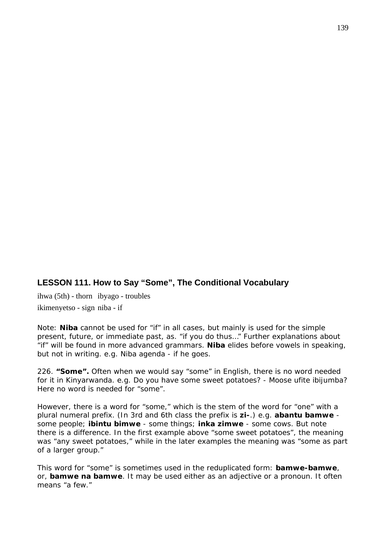## **LESSON 111. How to Say "Some", The Conditional Vocabulary**

ihwa (5th) - thorn ibyago - troubles ikimenyetso - sign niba - if

Note: **Niba** cannot be used for "if" in all cases, but mainly is used for the simple present, future, or immediate past, as. "if you do thus…" Further explanations about "if" will be found in more advanced grammars. **Niba** elides before vowels in speaking, but not in writing. e.g. Niba agenda - if he goes.

226. **"Some".** Often when we would say "some" in English, there is no word needed for it in Kinyarwanda. e.g. Do you have some sweet potatoes? - Moose ufite ibijumba? Here no word is needed for "some".

However, there is a word for "some," which is the stem of the word for "one" with a plural numeral prefix. (In 3rd and 6th class the prefix is **zi-**.) e.g. **abantu bamwe** some people; **ibintu bimwe** - some things; **inka zimwe** - some cows. But note there is a difference. In the first example above "some sweet potatoes", the meaning was "any sweet potatoes," while in the later examples the meaning was "some as part of a larger group."

This word for "some" is sometimes used in the reduplicated form: **bamwe-bamwe**, or, **bamwe na bamwe**. It may be used either as an adjective or a pronoun. It often means "a few."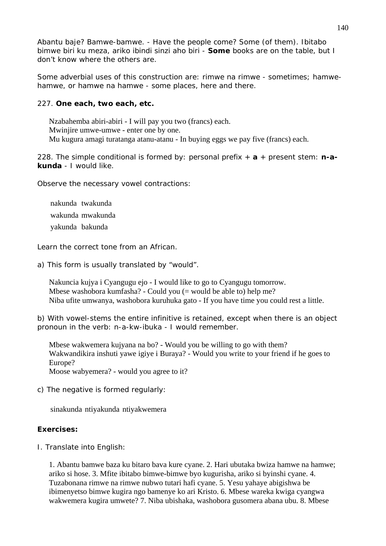Abantu baje? Bamwe-bamwe. - Have the people come? Some (of them). Ibitabo bimwe biri ku meza, ariko ibindi sinzi aho biri - **Some** books are on the table, but I don't know where the others are.

Some adverbial uses of this construction are: rimwe na rimwe - sometimes; hamwehamwe, or hamwe na hamwe - some places, here and there.

#### 227. **One each, two each, etc.**

Nzabahemba abiri-abiri - I will pay you two (francs) each. Mwinjire umwe-umwe - enter one by one. Mu kugura amagi turatanga atanu-atanu - In buying eggs we pay five (francs) each.

228. The simple conditional is formed by: personal prefix + **a** + present stem: **n-akunda** - I would like.

Observe the necessary vowel contractions:

nakunda twakunda wakunda mwakunda yakunda bakunda

Learn the correct tone from an African.

a) This form is usually translated by "would".

Nakuncia kujya i Cyangugu ejo - I would like to go to Cyangugu tomorrow. Mbese washobora kumfasha? - Could you (= would be able to) help me? Niba ufite umwanya, washobora kuruhuka gato - If you have time you could rest a little.

b) With vowel-stems the entire infinitive is retained, except when there is an object pronoun in the verb: n-a-kw-ibuka - I would remember.

Mbese wakwemera kujyana na bo? - Would you be willing to go with them? Wakwandikira inshuti yawe igiye i Buraya? - Would you write to your friend if he goes to Europe? Moose wabyemera? - would you agree to it?

c) The negative is formed regularly:

sinakunda ntiyakunda ntiyakwemera

### **Exercises:**

I. Translate into English:

1. Abantu bamwe baza ku bitaro bava kure cyane. 2. Hari ubutaka bwiza hamwe na hamwe; ariko si hose. 3. Mfite ibitabo bimwe-bimwe byo kugurisha, ariko si byinshi cyane. 4. Tuzabonana rimwe na rimwe nubwo tutari hafi cyane. 5. Yesu yahaye abigishwa be ibimenyetso bimwe kugira ngo bamenye ko ari Kristo. 6. Mbese wareka kwiga cyangwa wakwemera kugira umwete? 7. Niba ubishaka, washobora gusomera abana ubu. 8. Mbese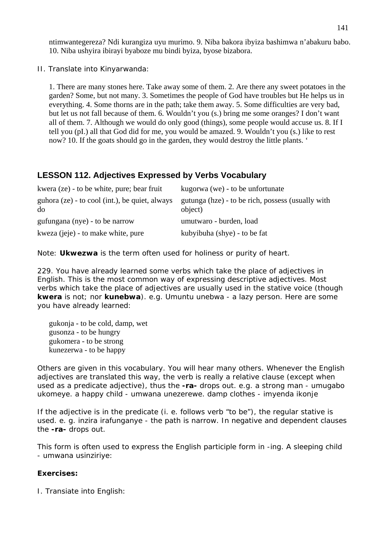ntimwantegereza? Ndi kurangiza uyu murimo. 9. Niba bakora ibyiza bashimwa n'abakuru babo. 10. Niba ushyira ibirayi byaboze mu bindi byiza, byose bizabora.

II. Translate into Kinyarwanda:

1. There are many stones here. Take away some of them. 2. Are there any sweet potatoes in the garden? Some, but not many. 3. Sometimes the people of God have troubles but He helps us in everything. 4. Some thorns are in the path; take them away. 5. Some difficulties are very bad, but let us not fall because of them. 6. Wouldn't you (s.) bring me some oranges? I don't want all of them. 7. Although we would do only good (things), some people would accuse us. 8. If I tell you (pI.) all that God did for me, you would be amazed. 9. Wouldn't you (s.) like to rest now? 10. If the goats should go in the garden, they would destroy the little plants. '

# **LESSON 112. Adjectives Expressed by Verbs Vocabulary**

| kwera (ze) - to be white, pure; bear fruit           | kugorwa (we) - to be unfortunate                             |
|------------------------------------------------------|--------------------------------------------------------------|
| guhora (ze) - to cool (int.), be quiet, always<br>do | gutunga (hze) - to be rich, possess (usually with<br>object) |
| gufungana (nye) - to be narrow                       | umutwaro - burden, load                                      |
| kweza (jeje) - to make white, pure                   | kubyibuha (shye) - to be fat                                 |

Note: **Ukwezwa** is the term often used for holiness or purity of heart.

229. You have already learned some verbs which take the place of adjectives in English. This is the most common way of expressing descriptive adjectives. Most verbs which take the place of adjectives are usually used in the stative voice (though **kwera** is not; nor **kunebwa**). e.g. Umuntu unebwa - a lazy person. Here are some you have already learned:

gukonja - to be cold, damp, wet gusonza - to be hungry gukomera - to be strong kunezerwa - to be happy

Others are given in this vocabulary. You will hear many others. Whenever the English adjectives are translated this way, the verb is really a relative clause (except when used as a predicate adjective), thus the **-ra-** drops out. e.g. a strong man - umugabo ukomeye. a happy child - umwana unezerewe. damp clothes - imyenda ikonje

If the adjective is in the predicate (i. e. follows verb "to be"), the regular stative is used. e. g. inzira irafunganye - the path is narrow. In negative and dependent clauses the **-ra-** drops out.

This form is often used to express the English participle form in -ing. A sleeping child - umwana usinziriye:

## **Exercises:**

I. Transiate into English: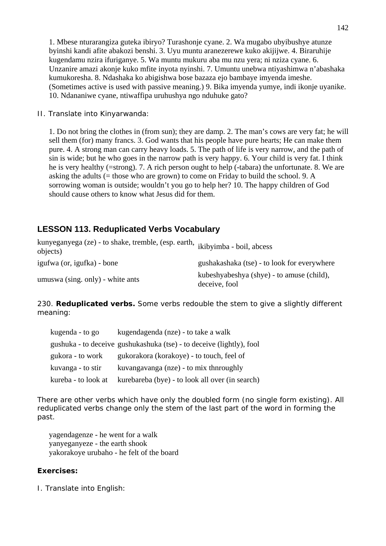1. Mbese nturarangiza guteka ibiryo? Turashonje cyane. 2. Wa mugabo ubyibushye atunze byinshi kandi afite abakozi benshi. 3. Uyu muntu aranezerewe kuko akijijwe. 4. Biraruhije kugendamu nzira ifuriganye. 5. Wa muntu mukuru aba mu nzu yera; ni nziza cyane. 6. Unzanire amazi akonje kuko mfite inyota nyinshi. 7. Umuntu unebwa ntiyashimwa n'abashaka kumukoresha. 8. Ndashaka ko abigishwa bose bazaza ejo bambaye imyenda imeshe. (Sometimes active is used with passive meaning.) 9. Bika imyenda yumye, indi ikonje uyanike. 10. Ndananiwe cyane, ntiwaffipa uruhushya ngo nduhuke gato?

II. Translate into Kinyarwanda:

1. Do not bring the clothes in (from sun); they are damp. 2. The man's cows are very fat; he will sell them (for) many francs. 3. God wants that his people have pure hearts; He can make them pure. 4. A strong man can carry heavy loads. 5. The path of life is very narrow, and the path of sin is wide; but he who goes in the narrow path is very happy. 6. Your child is very fat. I think he is very healthy (=strong). 7. A rich person ought to help (-tabara) the unfortunate. 8. We are asking the adults (= those who are grown) to come on Friday to build the school. 9. A sorrowing woman is outside; wouldn't you go to help her? 10. The happy children of God should cause others to know what Jesus did for them.

## **LESSON 113. Reduplicated Verbs Vocabulary**

| kunyeganyega (ze) - to shake, tremble, (esp. earth, ikibyimba - boil, abcess<br>objects) |                                                            |
|------------------------------------------------------------------------------------------|------------------------------------------------------------|
| igufwa (or, igufka) - bone                                                               | gushakashaka (tse) - to look for everywhere                |
| umuswa (sing. only) - white ants                                                         | kubeshyabeshya (shye) - to amuse (child),<br>deceive, fool |

230. **Reduplicated verbs.** Some verbs redouble the stem to give a slightly different meaning:

| kugenda - to go     | kugendagenda (nze) - to take a walk                                  |
|---------------------|----------------------------------------------------------------------|
|                     | gushuka - to deceive gushukashuka (tse) - to deceive (lightly), fool |
| gukora - to work    | gukorakora (korakoye) - to touch, feel of                            |
| kuvanga - to stir   | kuvangavanga (nze) - to mix thnroughly                               |
| kureba - to look at | kurebareba (bye) - to look all over (in search)                      |

There are other verbs which have only the doubled form (no single form existing). All reduplicated verbs change only the stem of the last part of the word in forming the past.

yagendagenze - he went for a walk yanyeganyeze - the earth shook yakorakoye urubaho - he felt of the board

### **Exercises:**

I. Translate into English: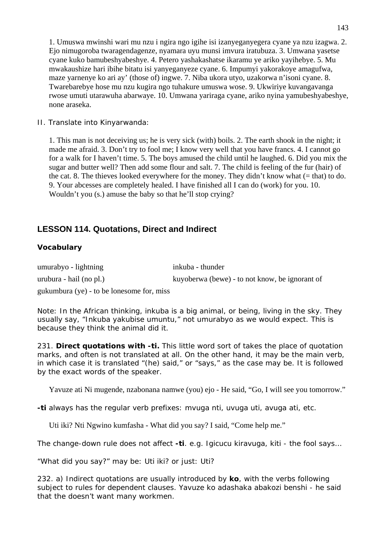1. Umuswa mwinshi wari mu nzu i ngira ngo igihe isi izanyeganyegera cyane ya nzu izagwa. 2. Ejo nimugoroba twaragendagenze, nyamara uyu munsi imvura iratubuza. 3. Umwana yasetse cyane kuko bamubeshyabeshye. 4. Petero yashakashatse ikaramu ye ariko yayihebye. 5. Mu mwakaushize hari ibihe bitatu isi yanyeganyeze cyane. 6. Impumyi yakorakoye amagufwa, maze yarnenye ko ari ay' (those of) ingwe. 7. Niba ukora utyo, uzakorwa n'isoni cyane. 8. Twarebarebye hose mu nzu kugira ngo tuhakure umuswa wose. 9. Ukwiriye kuvangavanga rwose umuti utarawuha abarwaye. 10. Umwana yariraga cyane, ariko nyina yamubeshyabeshye, none araseka.

II. Translate into Kinyarwanda:

1. This man is not deceiving us; he is very sick (with) boils. 2. The earth shook in the night; it made me afraid. 3. Don't try to fool me; I know very well that you have francs. 4. I cannot go for a walk for I haven't time. 5. The boys amused the child until he laughed. 6. Did you mix the sugar and butter well? Then add some flour and salt. 7. The child is feeling of the fur (hair) of the cat. 8. The thieves looked everywhere for the money. They didn't know what  $(=$  that) to do. 9. Your abcesses are completely healed. I have finished all I can do (work) for you. 10. Wouldn't you (s.) amuse the baby so that he'll stop crying?

## **LESSON 114. Quotations, Direct and Indirect**

### **Vocabulary**

umurabyo - lightning inkuba - thunder urubura - hail (no pl.) kuyoberwa (bewe) - to not know, be ignorant of gukumbura (ye) - to be lonesome for, miss

Note: In the African thinking, inkuba is a big animal, or being, living in the sky. They usually say, "Inkuba yakubise umuntu," not umurabyo as we would expect. This is because they think the animal did it.

231. **Direct quotations with -ti.** This little word sort of takes the place of quotation marks, and often is not translated at all. On the other hand, it may be the main verb, in which case it is translated "(he) said," or "says," as the case may be. It is followed by the exact words of the speaker.

Yavuze ati Ni mugende, nzabonana namwe (you) ejo - He said, "Go, I will see you tomorrow."

**-ti** always has the regular verb prefixes: mvuga nti, uvuga uti, avuga ati, etc.

Uti iki? Nti Ngwino kumfasha - What did you say? I said, "Come help me."

The change-down rule does not affect **-ti**. e.g. Igicucu kiravuga, kiti - the fool says…

"What did you say?" may be: Uti iki? or just: Uti?

232. a) Indirect quotations are usually introduced by **ko**, with the verbs following subject to rules for dependent clauses. Yavuze ko adashaka abakozi benshi - he said that the doesn't want many workmen.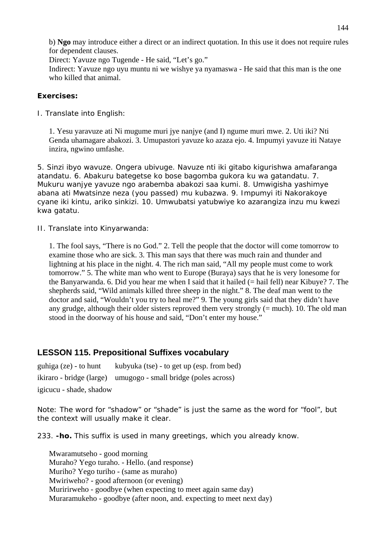b) **Ngo** may introduce either a direct or an indirect quotation. In this use it does not require rules for dependent clauses.

Direct: Yavuze ngo Tugende - He said, "Let's go."

Indirect: Yavuze ngo uyu muntu ni we wishye ya nyamaswa - He said that this man is the one who killed that animal.

### **Exercises:**

I. Translate into English:

1. Yesu yaravuze ati Ni mugume muri jye nanjye (and I) ngume muri mwe. 2. Uti iki? Nti Genda uhamagare abakozi. 3. Umupastori yavuze ko azaza ejo. 4. Impumyi yavuze iti Nataye inzira, ngwino umfashe.

5. Sinzi ibyo wavuze. Ongera ubivuge. Navuze nti iki gitabo kigurishwa amafaranga atandatu. 6. Abakuru bategetse ko bose bagomba gukora ku wa gatandatu. 7. Mukuru wanjye yavuze ngo arabemba abakozi saa kumi. 8. Umwigisha yashimye abana ati Mwatsinze neza (you passed) mu kubazwa. 9. Impumyi iti Nakorakoye cyane iki kintu, ariko sinkizi. 10. Umwubatsi yatubwiye ko azarangiza inzu mu kwezi kwa gatatu.

II. Translate into Kinyarwanda:

1. The fool says, "There is no God." 2. Tell the people that the doctor will come tomorrow to examine those who are sick. 3. This man says that there was much rain and thunder and lightning at his place in the night. 4. The rich man said, "All my people must come to work tomorrow." 5. The white man who went to Europe (Buraya) says that he is very lonesome for the Banyarwanda. 6. Did you hear me when I said that it hailed (= hail fell) near Kibuye? 7. The shepherds said, "Wild animals killed three sheep in the night." 8. The deaf man went to the doctor and said, "Wouldn't you try to heal me?" 9. The young girls said that they didn't have any grudge, although their older sisters reproved them very strongly  $(=$  much). 10. The old man stood in the doorway of his house and said, "Don't enter my house."

# **LESSON 115. Prepositional Suffixes vocabulary**

guhiga (ze) - to hunt kubyuka (tse) - to get up (esp. from bed) ikiraro - bridge (large) umugogo - small bridge (poles across) igicucu - shade, shadow

Note: The word for "shadow" or "shade" is just the same as the word for "fool", but the context will usually make it clear.

233. **-ho.** This suffix is used in many greetings, which you already know.

Mwaramutseho - good morning Muraho? Yego turaho. - Hello. (and response) Muriho? Yego turiho - (same as muraho) Mwiriweho? - good afternoon (or evening) Muririrweho - goodbye (when expecting to meet again same day) Muraramukeho - goodbye (after noon, and. expecting to meet next day)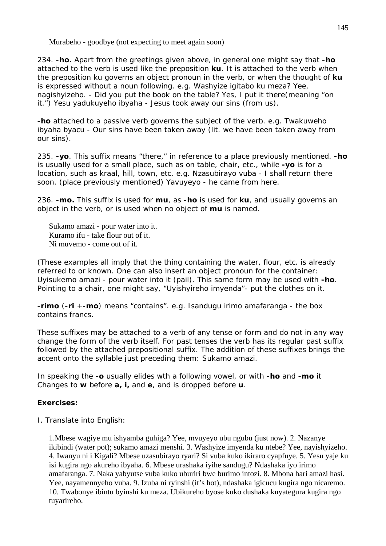Murabeho - goodbye (not expecting to meet again soon)

234. **-ho.** Apart from the greetings given above, in general one might say that **-ho** attached to the verb is used like the preposition **ku**. It is attached to the verb when the preposition ku governs an object pronoun in the verb, or when the thought of **ku** is expressed without a noun following. e.g. Washyize igitabo ku meza? Yee, nagishyizeho. - Did you put the book on the table? Yes, I put it there(meaning "on it.") Yesu yadukuyeho ibyaha - Jesus took away our sins (from us).

**-ho** attached to a passive verb governs the subject of the verb. e.g. Twakuweho ibyaha byacu - Our sins have been taken away (lit. we have been taken away from our sins).

235. **-yo**. This suffix means "there," in reference to a place previously mentioned. **-ho** is usually used for a small place, such as on table, chair, etc., while **-yo** is for a location, such as kraal, hill, town, etc. e.g. Nzasubirayo vuba - I shall return there soon. (place previously mentioned) Yavuyeyo - he came from here.

236. **-mo.** This suffix is used for **mu**, as **-ho** is used for **ku**, and usually governs an object in the verb, or is used when no object of **mu** is named.

Sukamo amazi - pour water into it. Kuramo ifu - take flour out of it. Ni muvemo - come out of it.

(These examples all imply that the thing containing the water, flour, etc. is already referred to or known. One can also insert an object pronoun for the container: Uyisukemo amazi - pour water into it (pail). This same form may be used with **-ho**. Pointing to a chair, one might say, "Uyishyireho imyenda"- put the clothes on it.

**-rimo** (**-ri** +**-mo**) means "contains". e.g. Isandugu irimo amafaranga - the box contains francs.

These suffixes may be attached to a verb of any tense or form and do not in any way change the form of the verb itself. For past tenses the verb has its regular past suffix followed by the attached prepositional suffix. The addition of these suffixes brings the accent onto the syllable just preceding them: Sukamo amazi.

In speaking the **-o** usually elides wth a following vowel, or with **-ho** and **-mo** it Changes to **w** before **a, i,** and **e**, and is dropped before **u**.

## **Exercises:**

I. Translate into English:

1.Mbese wagiye mu ishyamba guhiga? Yee, mvuyeyo ubu ngubu (just now). 2. Nazanye ikibindi (water pot); sukamo amazi menshi. 3. Washyize imyenda ku ntebe? Yee, nayishyizeho. 4. Iwanyu ni i Kigali? Mbese uzasubirayo ryari? Si vuba kuko ikiraro cyapfuye. 5. Yesu yaje ku isi kugira ngo akureho ibyaha. 6. Mbese urashaka iyihe sandugu? Ndashaka iyo irimo amafaranga. 7. Naka yabyutse vuba kuko uburiri bwe burimo intozi. 8. Mbona hari amazi hasi. Yee, nayamennyeho vuba. 9. Izuba ni ryinshi (it's hot), ndashaka igicucu kugira ngo nicaremo. 10. Twabonye ibintu byinshi ku meza. Ubikureho byose kuko dushaka kuyategura kugira ngo tuyarireho.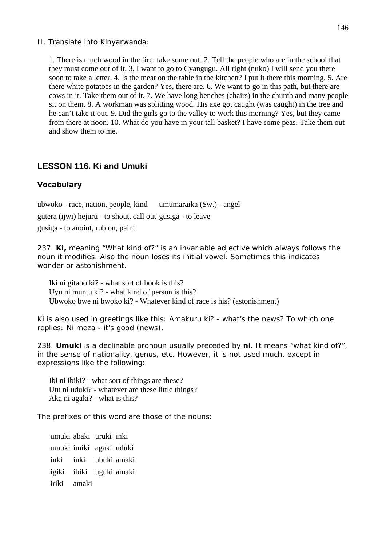II. Translate into Kinyarwanda:

1. There is much wood in the fire; take some out. 2. Tell the people who are in the school that they must come out of it. 3. I want to go to Cyangugu. All right (nuko) I will send you there soon to take a letter. 4. Is the meat on the table in the kitchen? I put it there this morning. 5. Are there white potatoes in the garden? Yes, there are. 6. We want to go in this path, but there are cows in it. Take them out of it. 7. We have long benches (chairs) in the church and many people sit on them. 8. A workman was splitting wood. His axe got caught (was caught) in the tree and he can't take it out. 9. Did the girls go to the valley to work this morning? Yes, but they came from there at noon. 10. What do you have in your tall basket? I have some peas. Take them out and show them to me.

# **LESSON 116. Ki and Umuki**

## **Vocabulary**

ubwoko - race, nation, people, kind umumaraika (Sw.) - angel gutera (ijwi) hejuru - to shout, call out gusiga - to leave gus**i**ga - to anoint, rub on, paint

237. **Ki,** meaning "What kind of?" is an invariable adjective which always follows the noun it modifies. Also the noun loses its initial vowel. Sometimes this indicates wonder or astonishment.

Iki ni gitabo ki? - what sort of book is this? Uyu ni muntu ki? - what kind of person is this? Ubwoko bwe ni bwoko ki? - Whatever kind of race is his? (astonishment)

Ki is also used in greetings like this: Amakuru ki? - what's the news? To which one replies: Ni meza - it's good (news).

238. **Umuki** is a declinable pronoun usually preceded by **ni**. It means "what kind of?", in the sense of nationality, genus, etc. However, it is not used much, except in expressions like the following:

Ibi ni ibiki? - what sort of things are these? Utu ni uduki? - whatever are these little things? Aka ni agaki? - what is this?

The prefixes of this word are those of the nouns:

umuki abaki uruki inki umuki imiki agaki uduki inki inki ubuki amaki igiki ibiki uguki amaki iriki amaki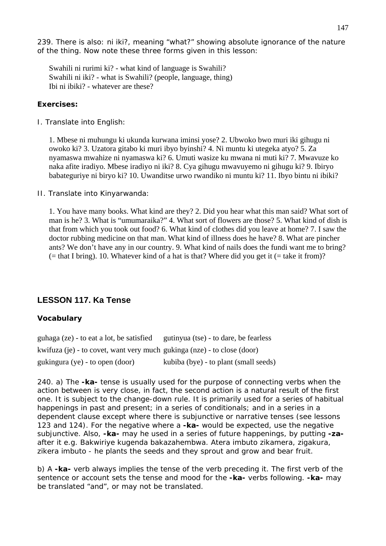239. There is also: ni iki?, meaning "what?" showing absolute ignorance of the nature of the thing. Now note these three forms given in this lesson:

Swahili ni rurimi ki? - what kind of language is Swahili? Swahili ni iki? - what is Swahili? (people, language, thing) Ibi ni ibiki? - whatever are these?

## **Exercises:**

I. Translate into English:

1. Mbese ni muhungu ki ukunda kurwana iminsi yose? 2. Ubwoko bwo muri iki gihugu ni owoko ki? 3. Uzatora gitabo ki muri ibyo byinshi? 4. Ni muntu ki utegeka atyo? 5. Za nyamaswa mwahize ni nyamaswa ki? 6. Umuti wasize ku mwana ni muti ki? 7. Mwavuze ko naka afite iradiyo. Mbese iradiyo ni iki? 8. Cya gihugu mwavuyemo ni gihugu ki? 9. Ibiryo babateguriye ni biryo ki? 10. Uwanditse urwo rwandiko ni muntu ki? 11. Ibyo bintu ni ibiki?

II. Translate into Kinyarwanda:

1. You have many books. What kind are they? 2. Did you hear what this man said? What sort of man is he? 3. What is "umumaraika?" 4. What sort of flowers are those? 5. What kind of dish is that from which you took out food? 6. What kind of clothes did you leave at home? 7. I saw the doctor rubbing medicine on that man. What kind of illness does he have? 8. What are pincher ants? We don't have any in our country. 9. What kind of nails does the fundi want me to bring?  $($  = that I bring). 10. Whatever kind of a hat is that? Where did you get it  $($  = take it from $)$ ?

## **LESSON 117. Ka Tense**

## **Vocabulary**

| guhaga (ze) - to eat a lot, be satisfied                                | gutinyua (tse) - to dare, be fearless |
|-------------------------------------------------------------------------|---------------------------------------|
| kwifuza (je) - to covet, want very much gukinga (nze) - to close (door) |                                       |
| gukingura (ye) - to open (door)                                         | kubiba (bye) - to plant (small seeds) |

240. a) The **-ka-** tense is usually used for the purpose of connecting verbs when the action between is very close, in fact, the second action is a natural result of the first one. It is subject to the change-down rule. It is primarily used for a series of habitual happenings in past and present; in a series of conditionals; and in a series in a dependent clause except where there is subjunctive or narrative tenses (see lessons 123 and 124). For the negative where a **-ka-** would be expected, use the negative subjunctive. Also, **-ka-** may he used in a series of future happenings, by putting **-za**after it e.g. Bakwiriye kugenda bakazahembwa. Atera imbuto zikamera, zigakura, zikera imbuto - he plants the seeds and they sprout and grow and bear fruit.

b) A **-ka-** verb always implies the tense of the verb preceding it. The first verb of the sentence or account sets the tense and mood for the **-ka-** verbs following. **-ka-** may be translated "and", or may not be translated.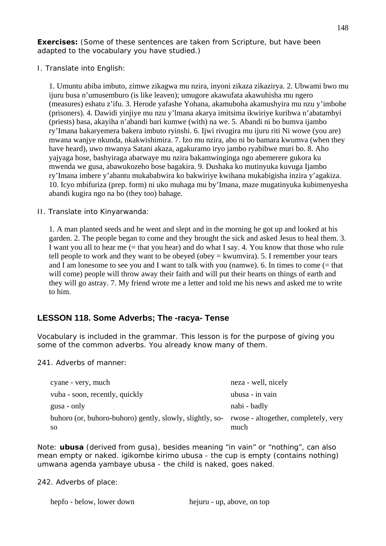**Exercises:** (Some of these sentences are taken from Scripture, but have been adapted to the vocabulary you have studied.)

I. Translate into English:

1. Umuntu abiba imbuto, zimwe zikagwa mu nzira, inyoni zikaza zikazirya. 2. Ubwami bwo mu ijuru busa n'umusemburo (is like leaven); umugore akawufata akawuhisha mu ngero (measures) eshatu z'ifu. 3. Herode yafashe Yohana, akamuboha akamushyira mu nzu y'imbohe (prisoners). 4. Dawidi yinjiye mu nzu y'lmana akarya imitsima ikwiriye kuribwa n'abatambyi (priests) basa, akayiha n'abandi bari kumwe (with) na we. 5. Abandi ni bo bumva ijambo ry'Imana bakaryemera bakera imbuto ryinshi. 6. Ijwi rivugira mu ijuru riti Ni wowe (you are) mwana wanjye nkunda, nkakwishimira. 7. Izo mu nzira, abo ni bo bamara kwumva (when they have heard), uwo mwanya Satani akaza, agakuramo iryo jambo ryabibwe muri bo. 8. Aho yajyaga hose, bashyiraga abarwaye mu nzira bakamwinginga ngo abemerere gukora ku mwenda we gusa, abawukozeho bose bagakira. 9. Dushaka ko mutinyuka kuvuga Ijambo ry'Imana imbere y'abantu mukababwira ko bakwiriye kwihana mukabigisha inzira y'agakiza. 10. Icyo mbifuriza (prep. form) ni uko muhaga mu by'Imana, maze mugatinyuka kubimenyesha abandi kugira ngo na bo (they too) bahage.

II. Translate into Kinyarwanda:

1. A man planted seeds and he went and slept and in the morning he got up and looked at his garden. 2. The people began to come and they brought the sick and asked Jesus to heal them. 3. I want you all to hear me  $(=$  that you hear) and do what I say. 4. You know that those who rule tell people to work and they want to be obeyed (obey  $=$  kwumvira). 5. I remember your tears and I am lonesome to see you and I want to talk with you (namwe). 6. In times to come (= that will come) people will throw away their faith and will put their hearts on things of earth and they will go astray. 7. My friend wrote me a letter and told me his news and asked me to write to him.

# **LESSON 118. Some Adverbs; The -racya- Tense**

Vocabulary is included in the grammar. This lesson is for the purpose of giving you some of the common adverbs. You already know many of them.

241. Adverbs of manner:

| cyane - very, much                                                                                         | neza - well, nicely |
|------------------------------------------------------------------------------------------------------------|---------------------|
| vuba - soon, recently, quickly                                                                             | ubusa - in vain     |
| gusa - only                                                                                                | nabi - badly        |
| buhoro (or, buhoro-buhoro) gently, slowly, slightly, so- rwose - altogether, completely, very<br><b>SO</b> | much                |

Note: **ubusa** (derived from gusa), besides meaning "in vain" or "nothing", can also mean empty or naked. igikombe kirimo ubusa - the cup is empty (contains nothing) umwana agenda yambaye ubusa - the child is naked, goes naked.

242. Adverbs of place:

hepfo - below, lower down hejuru - up, above, on top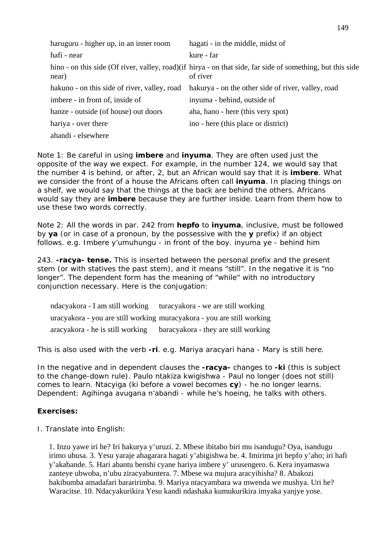| haruguru - higher up, in an inner room       | hagati - in the middle, midst of                                                                                        |
|----------------------------------------------|-------------------------------------------------------------------------------------------------------------------------|
| hafi - near                                  | kure - far                                                                                                              |
| near)                                        | hino - on this side (Of river, valley, road) (if hirya - on that side, far side of something, but this side<br>of river |
| hakuno - on this side of river, valley, road | hakurya - on the other side of river, valley, road                                                                      |
| imbere - in front of, inside of              | inyuma - behind, outside of                                                                                             |
| hanze - outside (of house) out doors         | aha, hano - here (this very spot)                                                                                       |
| hariya - over there                          | ino - here (this place or district)                                                                                     |
| ahandi - elsewhere                           |                                                                                                                         |

Note 1: Be careful in using **imbere** and **inyuma**. They are often used just the opposite of the way we expect. For example, in the number 124, we would say that the number 4 is behind, or after, 2, but an African would say that it is **imbere**. What we consider the front of a house the Africans often call **inyuma**. In placing things on a shelf, we would say that the things at the back are behind the others. Africans would say they are **imbere** because they are further inside. Learn from them how to use these two words correctly.

Note 2: All the words in par. 242 from **hepfo** to **inyuma**, inclusive, must be followed by **ya** (or in case of a pronoun, by the possessive with the **y** prefix) if an object follows. e.g. Imbere y'umuhungu - in front of the boy. inyuma ye - behind him

243. **-racya- tense.** This is inserted between the personal prefix and the present stem (or with statives the past stem), and it means "still". In the negative it is "no longer". The dependent form has the meaning of "while" with no introductory conjunction necessary. Here is the conjugation:

| ndacyakora - I am still working  | turacyakora - we are still working                                     |
|----------------------------------|------------------------------------------------------------------------|
|                                  | uracyakora - you are still working muracyakora - you are still working |
| aracyakora - he is still working | baracyakora - they are still working                                   |

This is also used with the verb **-ri**. e.g. Mariya aracyari hana - Mary is still here.

In the negative and in dependent clauses the **-racya-** changes to **-ki** (this is subject to the change-down rule). Paulo ntakiza kwigishwa - Paul no longer (does not still) comes to learn. Ntacyiga (ki before a vowel becomes **cy**) - he no longer learns. Dependent: Agihinga avugana n'abandi - while he's hoeing, he talks with others.

## **Exercises:**

I. Translate into English:

1. Inzu yawe iri he? Iri hakurya y'uruzi. 2. Mbese ibitabo biri mu isandugu? Oya, isandugu irimo ubusa. 3. Yesu yaraje ahagarara hagati y'abigishwa be. 4. Imirima jri hepfo y'aho; iri hafi y'akabande. 5. Hari abantu benshi cyane hariya imbere y' urusengero. 6. Kera inyamaswa zanteye ubwoba, n'ubu ziracyabuntera. 7. Mbese wa mujura aracyihisha? 8. Abakozi bakibumba amadafari bararirimba. 9. Mariya ntacyambara wa mwenda we mushya. Uri he? Waracitse. 10. Ndacyakurikira Yesu kandi ndashaka kumukurikira imyaka yanjye yose.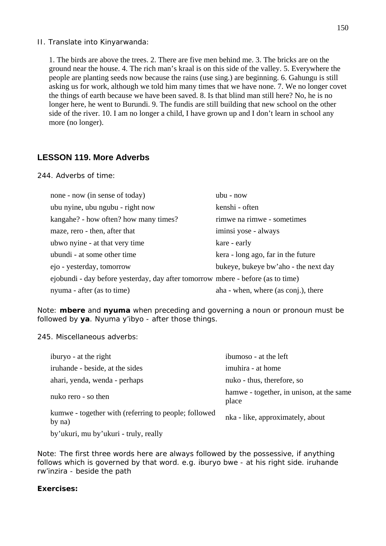#### II. Translate into Kinyarwanda:

1. The birds are above the trees. 2. There are five men behind me. 3. The bricks are on the ground near the house. 4. The rich man's kraal is on this side of the valley. 5. Everywhere the people are planting seeds now because the rains (use sing.) are beginning. 6. Gahungu is still asking us for work, although we told him many times that we have none. 7. We no longer covet the things of earth because we have been saved. 8. Is that blind man still here? No, he is no longer here, he went to Burundi. 9. The fundis are still building that new school on the other side of the river. 10. I am no longer a child, I have grown up and I don't learn in school any more (no longer).

## **LESSON 119. More Adverbs**

244. Adverbs of time:

| none - now (in sense of today)                                                  | $ubu$ - $now$                        |
|---------------------------------------------------------------------------------|--------------------------------------|
| ubu nyine, ubu ngubu - right now                                                | kenshi - often                       |
| kangahe? - how often? how many times?                                           | rimwe na rimwe - sometimes           |
| maze, rero - then, after that                                                   | iminsi yose - always                 |
| ubwo nyine - at that very time                                                  | kare - early                         |
| ubundi - at some other time                                                     | kera - long ago, far in the future   |
| ejo - yesterday, tomorrow                                                       | bukeye, bukeye bw'aho - the next day |
| ejobundi - day before yesterday, day after tomorrow mbere - before (as to time) |                                      |
| nyuma - after (as to time)                                                      | aha - when, where (as conj.), there  |

Note: **mbere** and **nyuma** when preceding and governing a noun or pronoun must be followed by **ya**. Nyuma y'ibyo - after those things.

245. Miscellaneous adverbs:

| iburyo - at the right                                          | ibumoso - at the left                             |
|----------------------------------------------------------------|---------------------------------------------------|
| iruhande - beside, at the sides                                | imuhira - at home                                 |
| ahari, yenda, wenda - perhaps                                  | nuko - thus, therefore, so                        |
| nuko rero - so then                                            | hamwe - together, in unison, at the same<br>place |
| kumwe - together with (referring to people; followed<br>by na) | nka - like, approximately, about                  |
| by'ukuri, mu by'ukuri - truly, really                          |                                                   |

Note: The first three words here are always followed by the possessive, if anything follows which is governed by that word. e.g. iburyo bwe - at his right side. iruhande rw'inzira - beside the path

#### **Exercises:**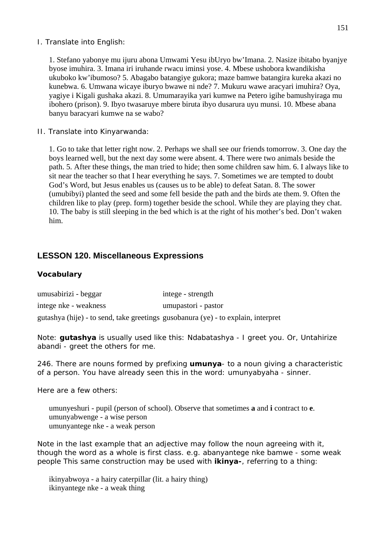#### I. Translate into English:

1. Stefano yabonye mu ijuru abona Umwami Yesu ibUryo bw'Imana. 2. Nasize ibitabo byanjye byose imuhira. 3. Imana iri iruhande rwacu iminsi yose. 4. Mbese ushobora kwandikisha ukuboko kw'ibumoso? 5. Abagabo batangiye gukora; maze bamwe batangira kureka akazi no kunebwa. 6. Umwana wicaye iburyo bwawe ni nde? 7. Mukuru wawe aracyari imuhira? Oya, yagiye i Kigali gushaka akazi. 8. Umumarayika yari kumwe na Petero igihe bamushyiraga mu ibohero (prison). 9. Ibyo twasaruye mbere biruta ibyo dusarura uyu munsi. 10. Mbese abana banyu baracyari kumwe na se wabo?

II. Translate into Kinyarwanda:

1. Go to take that letter right now. 2. Perhaps we shall see our friends tomorrow. 3. One day the boys learned well, but the next day some were absent. 4. There were two animals beside the path. 5. After these things, the man tried to hide; then some children saw him. 6. I always like to sit near the teacher so that I hear everything he says. 7. Sometimes we are tempted to doubt God's Word, but Jesus enables us (causes us to be able) to defeat Satan. 8. The sower (umubibyi) planted the seed and some fell beside the path and the birds ate them. 9. Often the children like to play (prep. form) together beside the school. While they are playing they chat. 10. The baby is still sleeping in the bed which is at the right of his mother's bed. Don't waken him.

## **LESSON 120. Miscellaneous Expressions**

### **Vocabulary**

| umusabirizi - beggar                                                              | intege - strength   |
|-----------------------------------------------------------------------------------|---------------------|
| intege nke - weakness                                                             | umupastori - pastor |
| gutashya (hije) - to send, take greetings gusobanura (ye) - to explain, interpret |                     |

Note: **gutashya** is usually used like this: Ndabatashya - I greet you. Or, Untahirize abandi - greet the others for me.

246. There are nouns formed by prefixing **umunya**- to a noun giving a characteristic of a person. You have already seen this in the word: umunyabyaha - sinner.

Here are a few others:

umunyeshuri - pupil (person of school). Observe that sometimes **a** and **i** contract to **e**. umunyabwenge - a wise person umunyantege nke - a weak person

Note in the last example that an adjective may follow the noun agreeing with it, though the word as a whole is first class. e.g. abanyantege nke bamwe - some weak people This same construction may be used with **ikinya-**, referring to a thing:

ikinyabwoya - a hairy caterpillar (lit. a hairy thing) ikinyantege nke - a weak thing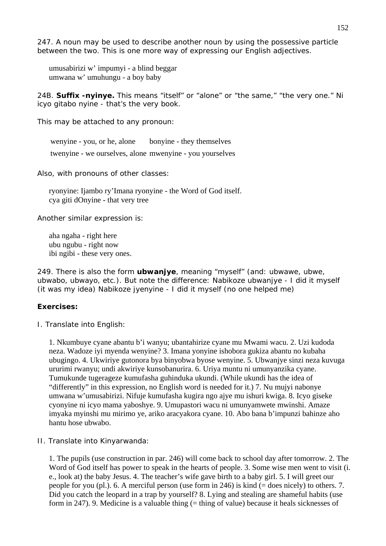247. A noun may be used to describe another noun by using the possessive particle between the two. This is one more way of expressing our English adjectives.

umusabirizi w' impumyi - a blind beggar umwana w' umuhungu - a boy baby

24B. **Suffix -nyinye.** This means "itself" or "alone" or "the same," "the very one." Ni icyo gitabo nyine - that's the very book.

This may be attached to any pronoun:

wenyine - you, or he, alone bonyine - they themselves twenyine - we ourselves, alone mwenyine - you yourselves

Also, with pronouns of other classes:

ryonyine: Ijambo ry'Imana ryonyine - the Word of God itself. cya giti dOnyine - that very tree

Another similar expression is:

aha ngaha - right here ubu ngubu - right now ibi ngibi - these very ones.

249. There is also the form **ubwanjye**, meaning "myself" (and: ubwawe, ubwe, ubwabo, ubwayo, etc.). But note the difference: Nabikoze ubwanjye - I did it myself (it was my idea) Nabikoze jyenyine - I did it myself (no one helped me)

#### **Exercises:**

I. Translate into English:

1. Nkumbuye cyane abantu b'i wanyu; ubantahirize cyane mu Mwami wacu. 2. Uzi kudoda neza. Wadoze iyi myenda wenyine? 3. Imana yonyine ishobora gukiza abantu no kubaha ubugingo. 4. Ukwiriye gutonora bya binyobwa byose wenyine. 5. Ubwanjye sinzi neza kuvuga ururimi rwanyu; undi akwiriye kunsobanurira. 6. Uriya muntu ni umunyanzika cyane. Tumukunde tugerageze kumufasha guhinduka ukundi. (While ukundi has the idea of "differently" in this expression, no English word is needed for it.) 7. Nu mujyi nabonye umwana w'umusabirizi. Nifuje kumufasha kugira ngo ajye mu ishuri kwiga. 8. Icyo giseke cyonyine ni icyo mama yaboshye. 9. Umupastori wacu ni umunyamwete mwinshi. Amaze imyaka myinshi mu mirimo ye, ariko aracyakora cyane. 10. Abo bana b'impunzi bahinze aho hantu hose ubwabo.

II. Translate into Kinyarwanda:

1. The pupils (use construction in par. 246) will come back to school day after tomorrow. 2. The Word of God itself has power to speak in the hearts of people. 3. Some wise men went to visit (i. e., look at) the baby Jesus. 4. The teacher's wife gave birth to a baby girl. 5. I will greet our people for you (pl.). 6. A merciful person (use form in 246) is kind (= does nicely) to others. 7. Did you catch the leopard in a trap by yourself? 8. Lying and stealing are shameful habits (use form in 247). 9. Medicine is a valuable thing (= thing of value) because it heals sicknesses of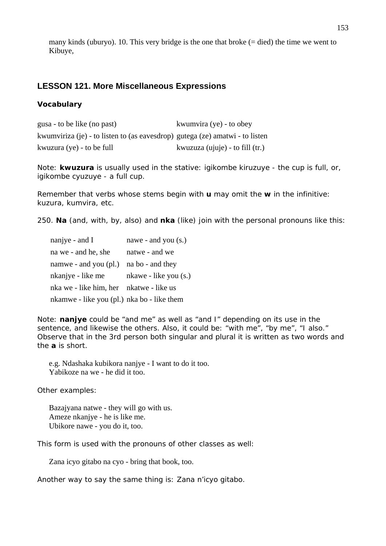many kinds (uburyo). 10. This very bridge is the one that broke  $(=$  died) the time we went to Kibuye,

## **LESSON 121. More Miscellaneous Expressions**

#### **Vocabulary**

| gusa - to be like (no past)                                                  | kwumvira (ye) - to obey         |
|------------------------------------------------------------------------------|---------------------------------|
| kwumviriza (je) - to listen to (as eavesdrop) gutega (ze) amatwi - to listen |                                 |
| kwuzura (ye) - to be full                                                    | kwuzuza (ujuje) - to fill (tr.) |

Note: **kwuzura** is usually used in the stative: igikombe kiruzuye - the cup is full, or, igikombe cyuzuye - a full cup.

Remember that verbs whose stems begin with **u** may omit the **w** in the infinitive: kuzura, kumvira, etc.

250. **Na** (and, with, by, also) and **nka** (like) join with the personal pronouns like this:

| nanjye - and I                             | nawe - and you $(s.)$ |
|--------------------------------------------|-----------------------|
| na we - and he, she                        | natwe - and we        |
| namwe - and you (pl.)                      | na bo - and they      |
| nkanjye - like me                          | nkawe - like you (s.) |
| nka we - like him, her nkatwe - like us    |                       |
| nkamwe - like you (pl.) nka bo - like them |                       |

Note: **nanjye** could be "and me" as well as "and I" depending on its use in the sentence, and likewise the others. Also, it could be: "with me", "by me", "I also." Observe that in the 3rd person both singular and plural it is written as two words and the **a** is short.

e.g. Ndashaka kubikora nanjye - I want to do it too. Yabikoze na we - he did it too.

Other examples:

Bazajyana natwe - they will go with us. Ameze nkanjye - he is like me. Ubikore nawe - you do it, too.

This form is used with the pronouns of other classes as well:

Zana icyo gitabo na cyo - bring that book, too.

Another way to say the same thing is: Zana n'icyo gitabo.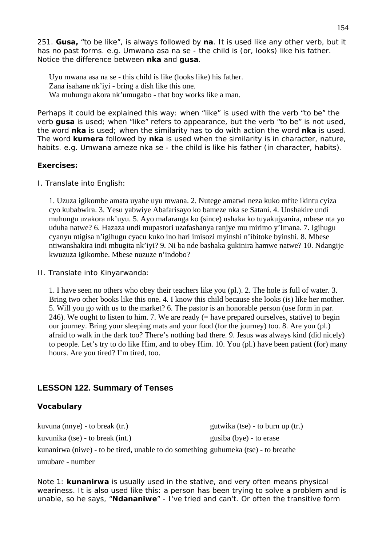251. **Gusa,** "to be like", is always followed by **na**. It is used like any other verb, but it has no past forms. e.g. Umwana asa na se - the child is (or, looks) like his father. Notice the difference between **nka** and **gusa**.

Uyu mwana asa na se - this child is like (looks like) his father. Zana isahane nk'iyi - bring a dish like this one. Wa muhungu akora nk'umugabo - that boy works like a man.

Perhaps it could be explained this way: when "like" is used with the verb "to be" the verb **gusa** is used; when "like" refers to appearance, but the verb "to be" is not used, the word **nka** is used; when the similarity has to do with action the word **nka** is used. The word **kumera** followed by **nka** is used when the similarity is in character, nature, habits. e.g. Umwana ameze nka se - the child is like his father (in character, habits).

## **Exercises:**

I. Translate into English:

1. Uzuza igikombe amata uyahe uyu mwana. 2. Nutege amatwi neza kuko mfite ikintu cyiza cyo kubabwira. 3. Yesu yabwiye Abafarisayo ko bameze nka se Satani. 4. Unshakire undi muhungu uzakora nk'uyu. 5. Ayo mafaranga ko (since) ushaka ko tuyakujyanira, mbese nta yo uduha natwe? 6. Hazaza undi mupastori uzafashanya ranjye mu mirimo y'Imana. 7. Igihugu cyanyu ntigisa n'igihugu cyacu kuko ino hari imisozi myinshi n'ibitoke byinshi. 8. Mbese ntiwanshakira indi mbugita nk'iyi? 9. Ni ba nde bashaka gukinira hamwe natwe? 10. Ndangije kwuzuza igikombe. Mbese nuzuze n'indobo?

II. Translate into Kinyarwanda:

1. I have seen no others who obey their teachers like you (pl.). 2. The hole is full of water. 3. Bring two other books like this one. 4. I know this child because she looks (is) like her mother. 5. Will you go with us to the market? 6. The pastor is an honorable person (use form in par. 246). We ought to listen to him. 7. We are ready  $(=\text{have prepared ourselves, static})$  to begin our journey. Bring your sleeping mats and your food (for the journey) too. 8. Are you (pl.) afraid to walk in the dark too? There's nothing bad there. 9. Jesus was always kind (did nicely) to people. Let's try to do like Him, and to obey Him. 10. You (pl.) have been patient (for) many hours. Are you tired? I'm tired, too.

## **LESSON 122. Summary of Tenses**

## **Vocabulary**

kuvuna (nnye) - to break (tr.) gutwika (tse) - to burn up (tr.) kuvunika (tse) - to break (int.) gusiba (bye) - to erase kunanirwa (niwe) - to be tired, unable to do something guhumeka (tse) - to breathe umubare - number

Note 1: **kunanirwa** is usually used in the stative, and very often means physical weariness. It is also used like this: a person has been trying to solve a problem and is unable, so he says, "**Ndananiwe**" - I've tried and can't. Or often the transitive form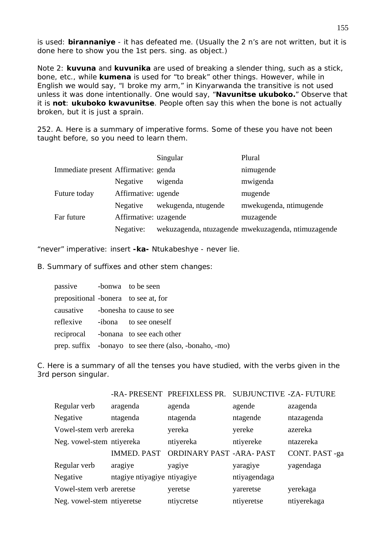is used: **birannaniye** - it has defeated me. (Usually the 2 n's are not written, but it is done here to show you the 1st pers. sing. as object.)

Note 2: **kuvuna** and **kuvunika** are used of breaking a slender thing, such as a stick, bone, etc., while **kumena** is used for "to break" other things. However, while in English we would say, "I broke my arm," in Kinyarwanda the transitive is not used unless it was done intentionally. One would say, "**Navunitse ukuboko.**" Observe that it is **not**: **ukuboko kwavunitse**. People often say this when the bone is not actually broken, but it is just a sprain.

252. A. Here is a summary of imperative forms. Some of these you have not been taught before, so you need to learn them.

|                                      |                       | Singular            | Plural                                             |
|--------------------------------------|-----------------------|---------------------|----------------------------------------------------|
| Immediate present Affirmative: genda |                       |                     | nimugende                                          |
|                                      | Negative              | wigenda             | mwigenda                                           |
| Future today                         | Affirmative: ugende   |                     | mugende                                            |
|                                      | Negative              | wekugenda, ntugende | mwekugenda, ntimugende                             |
| Far future                           | Affirmative: uzagende |                     | muzagende                                          |
|                                      | Negative:             |                     | wekuzagenda, ntuzagende mwekuzagenda, ntimuzagende |

"never" imperative: insert **-ka-** Ntukabeshye - never lie.

B. Summary of suffixes and other stem changes:

| passive -bonwa to be seen            |                                                        |
|--------------------------------------|--------------------------------------------------------|
| prepositional -bonera to see at, for |                                                        |
|                                      | causative -bonesha to cause to see                     |
|                                      | reflexive -ibona to see oneself                        |
|                                      | reciprocal -bonana to see each other                   |
|                                      | prep. suffix -bonayo to see there (also, -bonaho, -mo) |

C. Here is a summary of all the tenses you have studied, with the verbs given in the 3rd person singular.

|                            |                             | -RA- PRESENT PREFIXLESS PR.     | <b>SUBJUNCTIVE -ZA- FUTURE</b> |               |
|----------------------------|-----------------------------|---------------------------------|--------------------------------|---------------|
| Regular verb               | aragenda                    | agenda                          | agende                         | azagenda      |
| Negative                   | ntagenda                    | ntagenda                        | ntagende                       | ntazagenda    |
| Vowel-stem verb arereka    |                             | yereka                          | yereke                         | azereka       |
| Neg. vowel-stem ntiyereka  |                             | ntiyereka                       | ntiyereke                      | ntazereka     |
|                            | <b>IMMED. PAST</b>          | <b>ORDINARY PAST -ARA- PAST</b> |                                | CONT. PAST-ga |
| Regular verb               | aragiye                     | yagiye                          | yaragiye                       | yagendaga     |
| Negative                   | ntagiye ntiyagiye ntiyagiye |                                 | ntiyagendaga                   |               |
| Vowel-stem verb areretse   |                             | yeretse                         | yareretse                      | yerekaga      |
| Neg. vowel-stem ntiyeretse |                             | ntiycretse                      | ntiyeretse                     | ntiyerekaga   |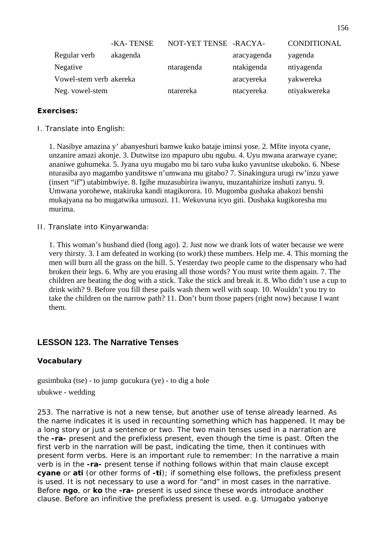|                         | -KA-TENSE | NOT-YET TENSE -RACYA- |             | <b>CONDITIONAL</b> |
|-------------------------|-----------|-----------------------|-------------|--------------------|
| Regular verb            | akagenda  |                       | aracyagenda | yagenda            |
| Negative                |           | ntaragenda            | ntakigenda  | ntiyagenda         |
| Vowel-stem verb akereka |           |                       | aracyereka  | yakwereka          |
| Neg. vowel-stem         |           | ntarereka             | ntacyereka  | ntiyakwereka       |

## **Exercises:**

I. Translate into English:

1. Nasibye amazina y' abanyeshuri bamwe kuko bataje iminsi yose. 2. Mfite inyota cyane, unzanire amazi akonje. 3. Dutwitse izo mpapuro ubu ngubu. 4. Uyu mwana ararwaye cyane; ananiwe guhumeka. 5. Jyana uyu mugabo mu bi taro vuba kuko yavunitse ukuboko. 6. Nbese nturasiba ayo magambo yanditswe n'umwana mu gitabo? 7. Sinakingura urugi rw'inzu yawe (insert "if") utabimbwiye. 8. Igihe muzasubirira iwanyu, muzantahirize inshuti zanyu. 9. Umwana yorohewe, ntakiruka kandi ntagikorora. 10. Mugomba gushaka abakozi benshi mukajyana na bo mugatwika umusozi. 11. Wekuvuna icyo giti. Dushaka kugikoresha mu murima.

II. Translate into Kinyarwanda:

1. This woman's husband died (long ago). 2. Just now we drank lots of water because we were very thirsty. 3. I am defeated in working (to work) these numbers. Help me. 4. This morning the men will burn all the grass on the hill. 5. Yesterday two people came to the dispensary who had broken their legs. 6. Why are you erasing all those words? You must write them again. 7. The children are beating the dog with a stick. Take the stick and break it. 8. Who didn't use a cup to drink with? 9. Before you fill these pails wash them well with soap. 10. Wouldn't you try to take the children on the narrow path? 11. Don't burn those papers (right now) because I want them.

# **LESSON 123. The Narrative Tenses**

## **Vocabulary**

gusimbuka (tse) - to jump gucukura (ye) - to dig a hole ubukwe - wedding

253. The narrative is not a new tense, but another use of tense already learned. As the name indicates it is used in recounting something which has happened. It may be a long story or just a sentence or two. The two main tenses used in a narration are the **-ra-** present and the prefixless present, even though the time is past. Often the first verb in the narration will be past, indicating the time, then it continues with present form verbs. Here is an important rule to remember: In the narrative a main verb is in the **-ra-** present tense if nothing follows within that main clause except **cyane** or **ati** (or other forms of **-ti**); if something else follows, the prefixless present is used. It is not necessary to use a word for "and" in most cases in the narrative. Before **ngo**, or **ko** the **-ra-** present is used since these words introduce another clause. Before an infinitive the prefixless present is used. e.g. Umugabo yabonye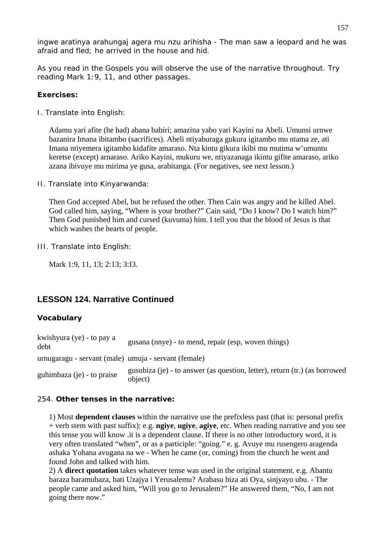ingwe aratinya arahungaj agera mu nzu arihisha - The man saw a leopard and he was afraid and fled; he arrived in the house and hid.

As you read in the Gospels you will observe the use of the narrative throughout. Try reading Mark 1:9, 11, and other passages.

#### **Exercises:**

I. Translate into English:

Adamu yari afite (he had) abana babiri; amazina yabo yari Kayini na Abeli. Umunsi urnwe bazanira Imana ibitambo (sacrifices). Abeli ntiyaburaga gukura igitambo mu ntama ze, ati Imana ntiyemera igitambo kidafite amaraso. Nta kintu gikura ikibi mu mutima w'umuntu keretse (except) arnaraso. Ariko Kayini, mukuru we, ntiyazanaga ikintu gifite amaraso, ariko azana ibivuye mu mirima ye gusa, arabitanga. (For negatives, see next lesson.)

II. Translate into Kinyarwanda:

Then God accepted Abel, but he refused the other. Then Cain was angry and he killed Abel. God called him, saying, "Where is your brother?" Cain said, "Do I know? Do I watch him?" Then God punished him and cursed (kuvuma) him. I tell you that the blood of Jesus is that which washes the hearts of people.

III. Translate into English:

Mark 1:9, 11, 13; 2:13; 3:I3.

# **LESSON 124. Narrative Continued**

## **Vocabulary**

| kwishyura (ye) - to pay a<br>debt                    | gusana (nnye) - to mend, repair (esp, woven things)                                   |
|------------------------------------------------------|---------------------------------------------------------------------------------------|
| urnugaragu - servant (male) umuja - servant (female) |                                                                                       |
| guhimbaza (je) - to praise                           | gusubiza (je) - to answer (as question, letter), return (tr.) (as borrowed<br>object) |

#### 254. **Other tenses in the narrative:**

1) Most **dependent clauses** within the narrative use the prefixless past (that is: personal prefix + verb stem with past suffix): e.g. **ngiye**, **ugiye**, **agiye**, etc. When reading narrative and you see this tense you will know .it is a dependent clause. If there is no other introductory word, it is very often translated "when", or as a participle: "going." e. g. Avuye mu rusengero aragenda ashaka Yohana avugana na we - When he came (or, coming) from the church he went and found John and talked with him.

2) A **direct quotation** takes whatever tense was used in the original statement. e.g. Abantu baraza baramubaza, bati Uzajya i Yerusalemu? Arabasu biza ati Oya, sinjyayo ubu. - The people came and asked him, "Will you go to Jerusalem?" He answered them, "No, I am not going there now."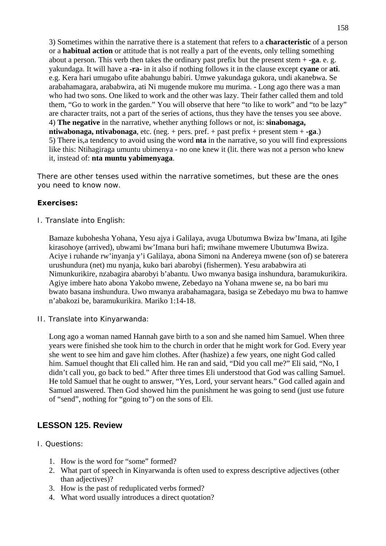3) Sometimes within the narrative there is a statement that refers to a **characteristic** of a person or a **habitual action** or attitude that is not really a part of the events, only telling something about a person. This verb then takes the ordinary past prefix but the present stem + **-ga**. e. g. yakundaga. It will have a **-ra-** in it also if nothing follows it in the clause except **cyane** or **ati**. e.g. Kera hari umugabo ufite abahungu babiri. Umwe yakundaga gukora, undi akanebwa. Se arabahamagara, arababwira, ati Ni mugende mukore mu murima. - Long ago there was a man who had two sons. One liked to work and the other was lazy. Their father called them and told them, "Go to work in the garden." You will observe that here "to like to work" and "to be lazy" are character traits, not a part of the series of actions, thus they have the tenses you see above. 4) **The negative** in the narrative, whether anything follows or not, is: **sinabonaga, ntiwabonaga, ntivabonaga**, etc. (neg. + pers. pref. + past prefix + present stem + **-ga**.) 5) There is,a tendency to avoid using the word **nta** in the narrative, so you will find expressions like this: Ntihagiraga umuntu ubimenya - no one knew it (lit. there was not a person who knew it, instead of: **nta muntu yabimenyaga**.

There are other tenses used within the narrative sometimes, but these are the ones you need to know now.

## **Exercises:**

I. Translate into English:

Bamaze kubohesha Yohana, Yesu ajya i Galilaya, avuga Ubutumwa Bwiza bw'Imana, ati Igihe kirasohoye (arrived), ubwami bw'Imana buri hafi; mwihane mwemere Ubutumwa Bwiza. Aciye i ruhande rw'inyanja y'i Galilaya, abona Simoni na Andereya mwene (son of) se baterera urushundura (net) mu nyanja, kuko bari abarobyi (fishermen). Yesu arababwira ati Nimunkurikire, nzabagira abarobyi b'abantu. Uwo mwanya basiga inshundura, baramukurikira. Agiye imbere hato abona Yakobo mwene, Zebedayo na Yohana mwene se, na bo bari mu bwato basana inshundura. Uwo mwanya arabahamagara, basiga se Zebedayo mu bwa to hamwe n'abakozi be, baramukurikira. Mariko 1:14-18.

II. Translate into Kinyarwanda:

Long ago a woman named Hannah gave birth to a son and she named him Samuel. When three years were finished she took him to the church in order that he might work for God. Every year she went to see him and gave him clothes. After (hashize) a few years, one night God called him. Samuel thought that Eli called him. He ran and said, "Did you call me?" Eli said, "No, I didn't call you, go back to bed." After three times Eli understood that God was calling Samuel. He told Samuel that he ought to answer, "Yes, Lord, your servant hears." God called again and Samuel answered. Then God showed him the punishment he was going to send (just use future of "send", nothing for "going to") on the sons of Eli.

# **LESSON 125. Review**

- I. Questions:
	- 1. How is the word for "some" formed?
	- 2. What part of speech in Kinyarwanda is often used to express descriptive adjectives (other than adjectives)?
	- 3. How is the past of reduplicated verbs formed?
	- 4. What word usually introduces a direct quotation?